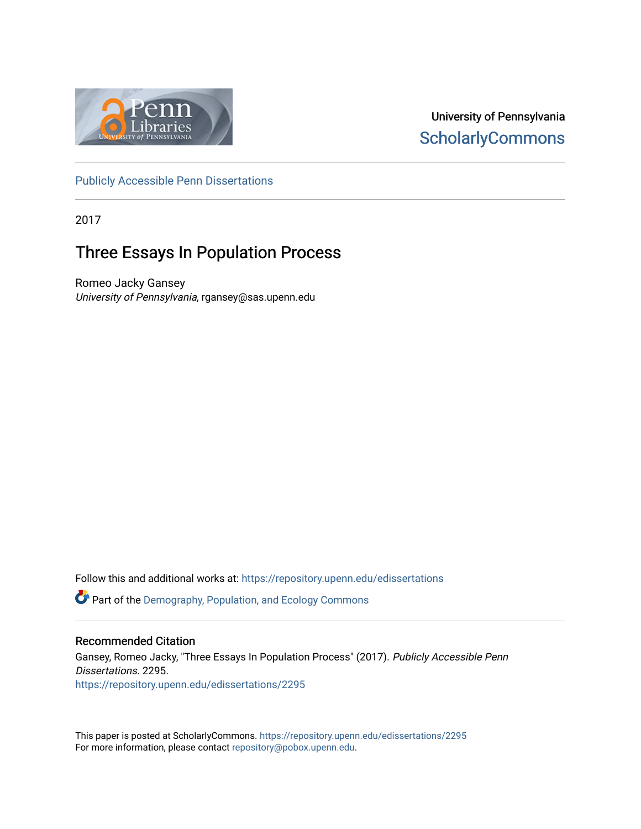

University of Pennsylvania **ScholarlyCommons** 

[Publicly Accessible Penn Dissertations](https://repository.upenn.edu/edissertations)

2017

# Three Essays In Population Process

Romeo Jacky Gansey University of Pennsylvania, rgansey@sas.upenn.edu

Follow this and additional works at: [https://repository.upenn.edu/edissertations](https://repository.upenn.edu/edissertations?utm_source=repository.upenn.edu%2Fedissertations%2F2295&utm_medium=PDF&utm_campaign=PDFCoverPages) 

**P** Part of the Demography, Population, and Ecology Commons

## Recommended Citation

Gansey, Romeo Jacky, "Three Essays In Population Process" (2017). Publicly Accessible Penn Dissertations. 2295. [https://repository.upenn.edu/edissertations/2295](https://repository.upenn.edu/edissertations/2295?utm_source=repository.upenn.edu%2Fedissertations%2F2295&utm_medium=PDF&utm_campaign=PDFCoverPages) 

This paper is posted at ScholarlyCommons.<https://repository.upenn.edu/edissertations/2295> For more information, please contact [repository@pobox.upenn.edu.](mailto:repository@pobox.upenn.edu)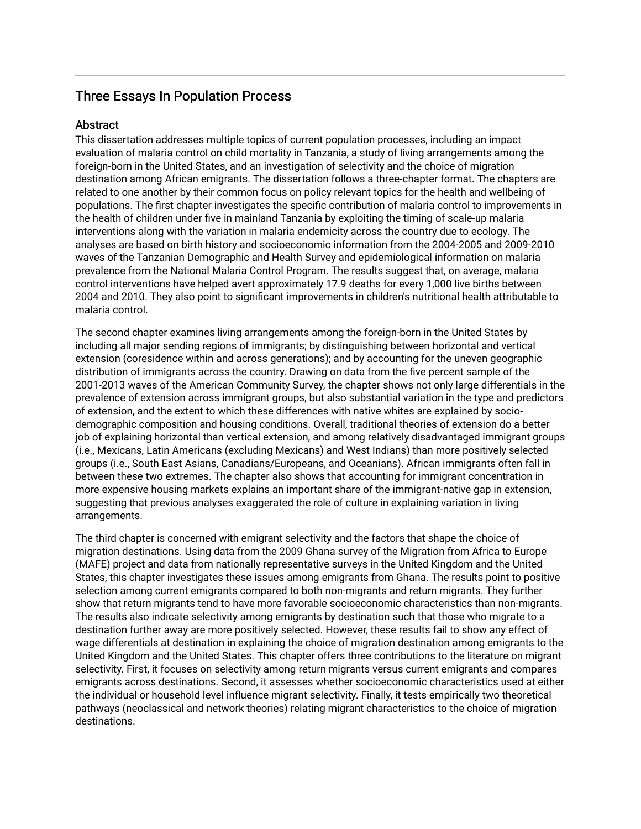## Three Essays In Population Process

## **Abstract**

This dissertation addresses multiple topics of current population processes, including an impact evaluation of malaria control on child mortality in Tanzania, a study of living arrangements among the foreign-born in the United States, and an investigation of selectivity and the choice of migration destination among African emigrants. The dissertation follows a three-chapter format. The chapters are related to one another by their common focus on policy relevant topics for the health and wellbeing of populations. The first chapter investigates the specific contribution of malaria control to improvements in the health of children under five in mainland Tanzania by exploiting the timing of scale-up malaria interventions along with the variation in malaria endemicity across the country due to ecology. The analyses are based on birth history and socioeconomic information from the 2004-2005 and 2009-2010 waves of the Tanzanian Demographic and Health Survey and epidemiological information on malaria prevalence from the National Malaria Control Program. The results suggest that, on average, malaria control interventions have helped avert approximately 17.9 deaths for every 1,000 live births between 2004 and 2010. They also point to significant improvements in children's nutritional health attributable to malaria control.

The second chapter examines living arrangements among the foreign-born in the United States by including all major sending regions of immigrants; by distinguishing between horizontal and vertical extension (coresidence within and across generations); and by accounting for the uneven geographic distribution of immigrants across the country. Drawing on data from the five percent sample of the 2001-2013 waves of the American Community Survey, the chapter shows not only large differentials in the prevalence of extension across immigrant groups, but also substantial variation in the type and predictors of extension, and the extent to which these differences with native whites are explained by sociodemographic composition and housing conditions. Overall, traditional theories of extension do a better job of explaining horizontal than vertical extension, and among relatively disadvantaged immigrant groups (i.e., Mexicans, Latin Americans (excluding Mexicans) and West Indians) than more positively selected groups (i.e., South East Asians, Canadians/Europeans, and Oceanians). African immigrants often fall in between these two extremes. The chapter also shows that accounting for immigrant concentration in more expensive housing markets explains an important share of the immigrant-native gap in extension, suggesting that previous analyses exaggerated the role of culture in explaining variation in living arrangements.

The third chapter is concerned with emigrant selectivity and the factors that shape the choice of migration destinations. Using data from the 2009 Ghana survey of the Migration from Africa to Europe (MAFE) project and data from nationally representative surveys in the United Kingdom and the United States, this chapter investigates these issues among emigrants from Ghana. The results point to positive selection among current emigrants compared to both non-migrants and return migrants. They further show that return migrants tend to have more favorable socioeconomic characteristics than non-migrants. The results also indicate selectivity among emigrants by destination such that those who migrate to a destination further away are more positively selected. However, these results fail to show any effect of wage differentials at destination in explaining the choice of migration destination among emigrants to the United Kingdom and the United States. This chapter offers three contributions to the literature on migrant selectivity. First, it focuses on selectivity among return migrants versus current emigrants and compares emigrants across destinations. Second, it assesses whether socioeconomic characteristics used at either the individual or household level influence migrant selectivity. Finally, it tests empirically two theoretical pathways (neoclassical and network theories) relating migrant characteristics to the choice of migration destinations.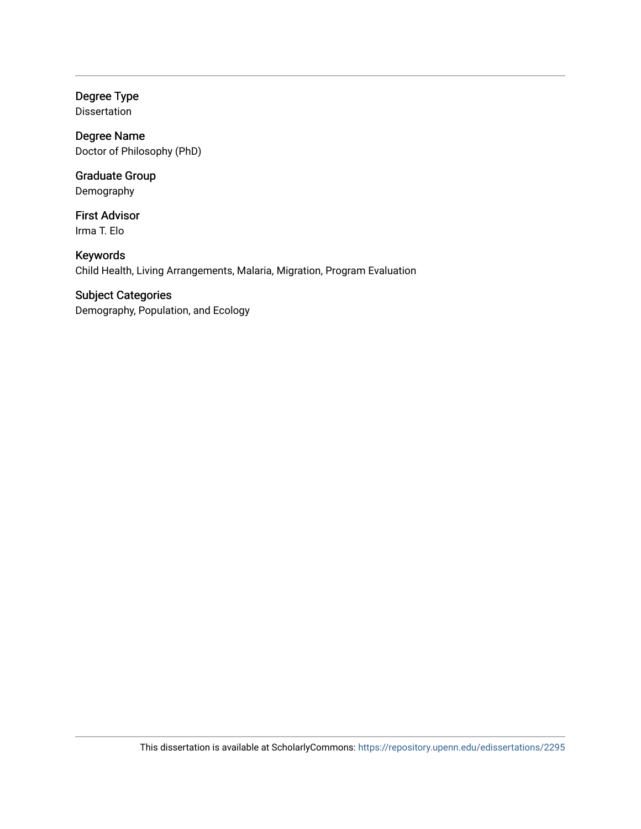Degree Type Dissertation

Degree Name Doctor of Philosophy (PhD)

Graduate Group Demography

First Advisor Irma T. Elo

Keywords Child Health, Living Arrangements, Malaria, Migration, Program Evaluation

## Subject Categories

Demography, Population, and Ecology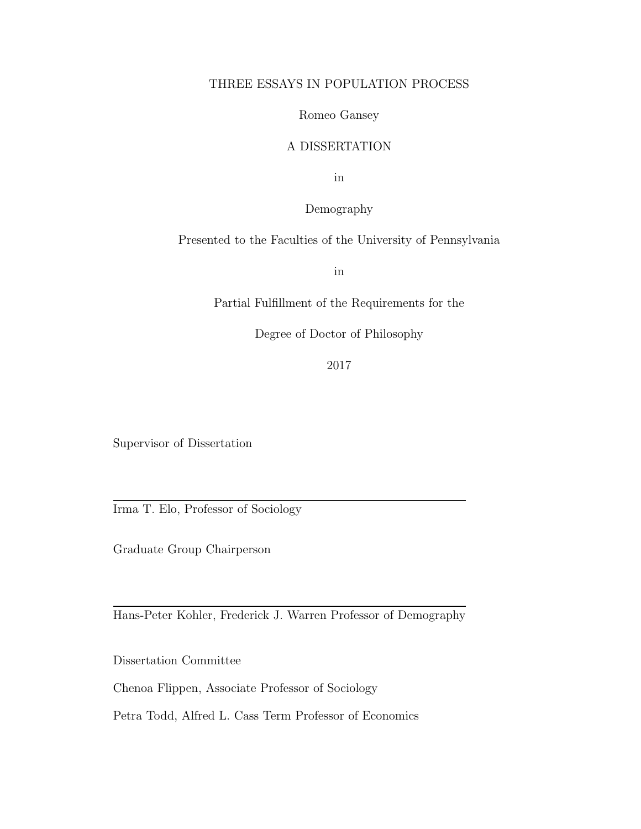## THREE ESSAYS IN POPULATION PROCESS

## Romeo Gansey

## A DISSERTATION

in

Demography

Presented to the Faculties of the University of Pennsylvania

in

Partial Fulfillment of the Requirements for the

Degree of Doctor of Philosophy

2017

Supervisor of Dissertation

Irma T. Elo, Professor of Sociology

Graduate Group Chairperson

Hans-Peter Kohler, Frederick J. Warren Professor of Demography

Dissertation Committee

Chenoa Flippen, Associate Professor of Sociology

Petra Todd, Alfred L. Cass Term Professor of Economics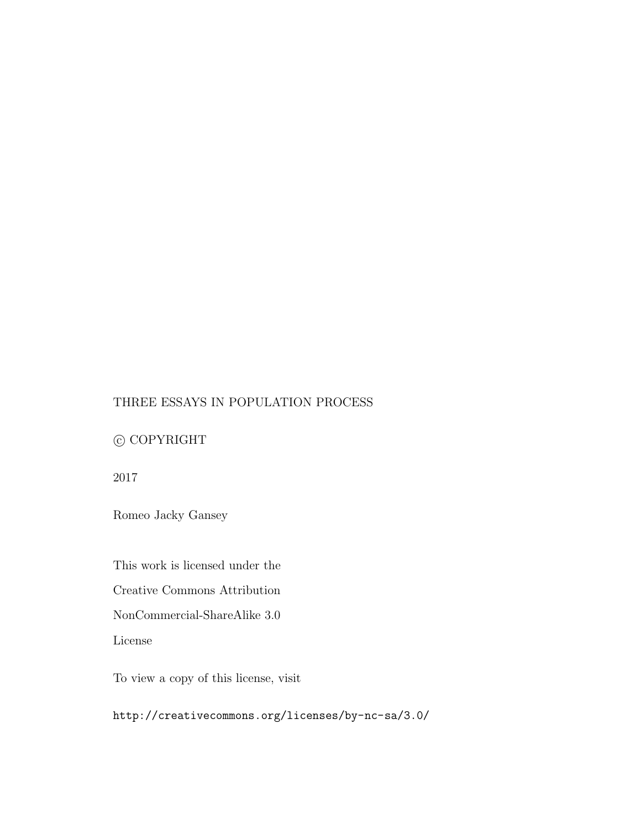## THREE ESSAYS IN POPULATION PROCESS

## $\copyright$  COPYRIGHT

2017

Romeo Jacky Gansey

This work is licensed under the

Creative Commons Attribution

NonCommercial-ShareAlike 3.0

License

To view a copy of this license, visit

http://creativecommons.org/licenses/by-nc-sa/3.0/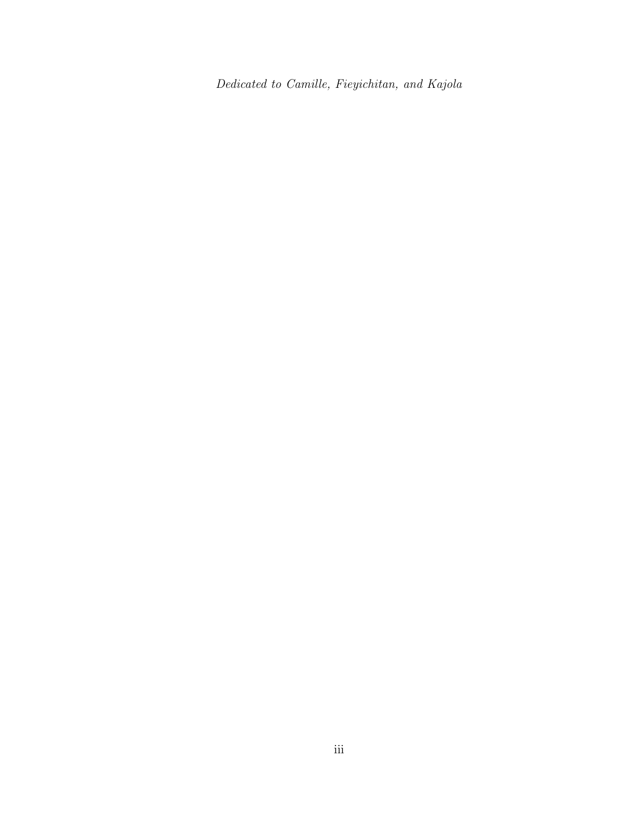Dedicated to Camille, Fieyichitan, and Kajola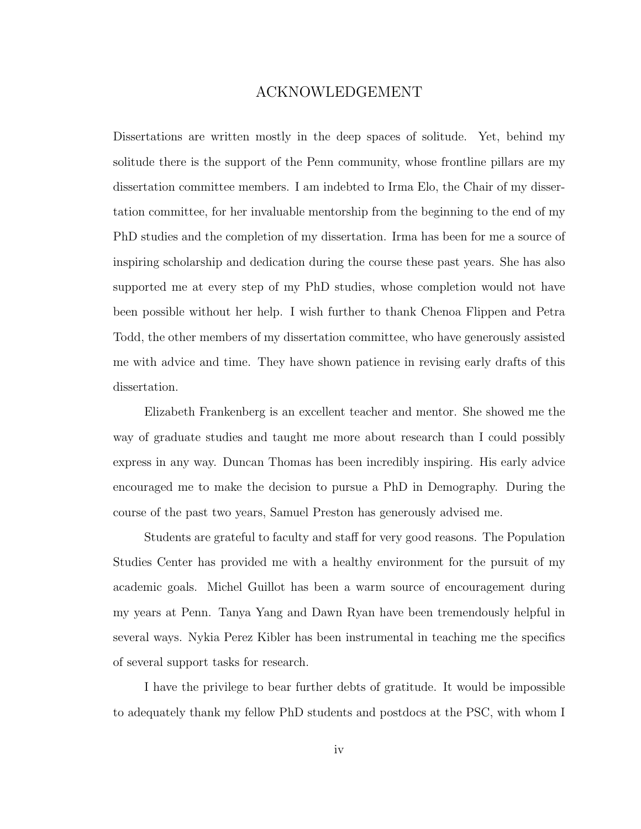## ACKNOWLEDGEMENT

Dissertations are written mostly in the deep spaces of solitude. Yet, behind my solitude there is the support of the Penn community, whose frontline pillars are my dissertation committee members. I am indebted to Irma Elo, the Chair of my dissertation committee, for her invaluable mentorship from the beginning to the end of my PhD studies and the completion of my dissertation. Irma has been for me a source of inspiring scholarship and dedication during the course these past years. She has also supported me at every step of my PhD studies, whose completion would not have been possible without her help. I wish further to thank Chenoa Flippen and Petra Todd, the other members of my dissertation committee, who have generously assisted me with advice and time. They have shown patience in revising early drafts of this dissertation.

Elizabeth Frankenberg is an excellent teacher and mentor. She showed me the way of graduate studies and taught me more about research than I could possibly express in any way. Duncan Thomas has been incredibly inspiring. His early advice encouraged me to make the decision to pursue a PhD in Demography. During the course of the past two years, Samuel Preston has generously advised me.

Students are grateful to faculty and staff for very good reasons. The Population Studies Center has provided me with a healthy environment for the pursuit of my academic goals. Michel Guillot has been a warm source of encouragement during my years at Penn. Tanya Yang and Dawn Ryan have been tremendously helpful in several ways. Nykia Perez Kibler has been instrumental in teaching me the specifics of several support tasks for research.

I have the privilege to bear further debts of gratitude. It would be impossible to adequately thank my fellow PhD students and postdocs at the PSC, with whom I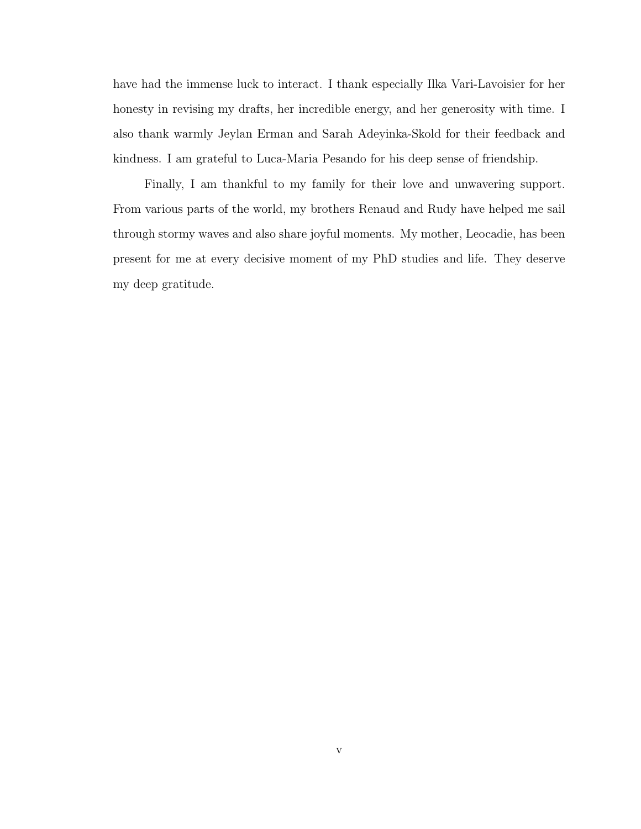have had the immense luck to interact. I thank especially Ilka Vari-Lavoisier for her honesty in revising my drafts, her incredible energy, and her generosity with time. I also thank warmly Jeylan Erman and Sarah Adeyinka-Skold for their feedback and kindness. I am grateful to Luca-Maria Pesando for his deep sense of friendship.

Finally, I am thankful to my family for their love and unwavering support. From various parts of the world, my brothers Renaud and Rudy have helped me sail through stormy waves and also share joyful moments. My mother, Leocadie, has been present for me at every decisive moment of my PhD studies and life. They deserve my deep gratitude.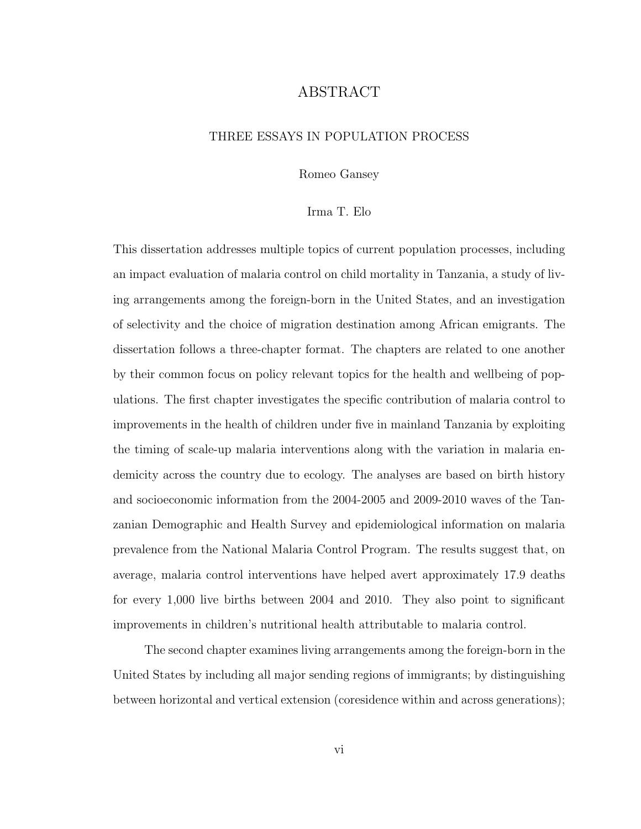## ABSTRACT

## THREE ESSAYS IN POPULATION PROCESS

Romeo Gansey

#### Irma T. Elo

This dissertation addresses multiple topics of current population processes, including an impact evaluation of malaria control on child mortality in Tanzania, a study of living arrangements among the foreign-born in the United States, and an investigation of selectivity and the choice of migration destination among African emigrants. The dissertation follows a three-chapter format. The chapters are related to one another by their common focus on policy relevant topics for the health and wellbeing of populations. The first chapter investigates the specific contribution of malaria control to improvements in the health of children under five in mainland Tanzania by exploiting the timing of scale-up malaria interventions along with the variation in malaria endemicity across the country due to ecology. The analyses are based on birth history and socioeconomic information from the 2004-2005 and 2009-2010 waves of the Tanzanian Demographic and Health Survey and epidemiological information on malaria prevalence from the National Malaria Control Program. The results suggest that, on average, malaria control interventions have helped avert approximately 17.9 deaths for every 1,000 live births between 2004 and 2010. They also point to significant improvements in children's nutritional health attributable to malaria control.

The second chapter examines living arrangements among the foreign-born in the United States by including all major sending regions of immigrants; by distinguishing between horizontal and vertical extension (coresidence within and across generations);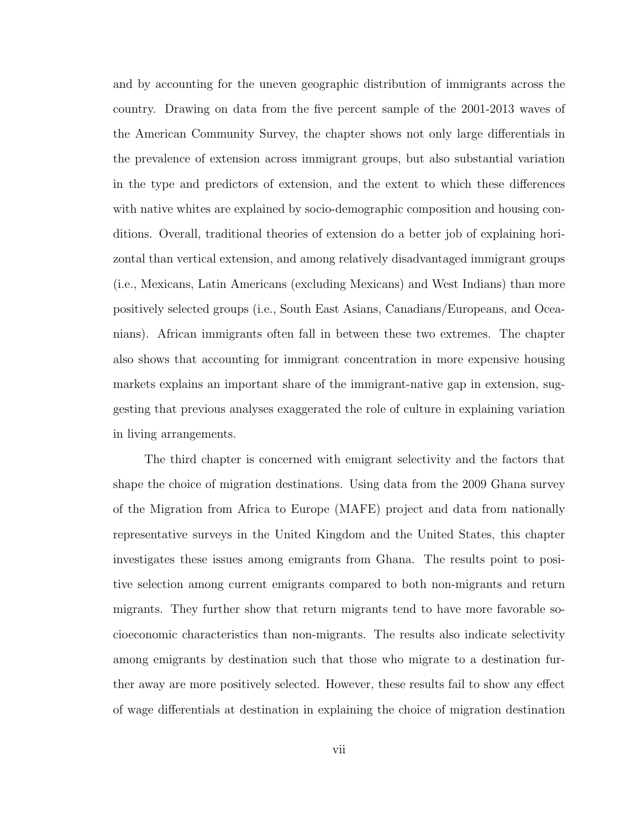and by accounting for the uneven geographic distribution of immigrants across the country. Drawing on data from the five percent sample of the 2001-2013 waves of the American Community Survey, the chapter shows not only large differentials in the prevalence of extension across immigrant groups, but also substantial variation in the type and predictors of extension, and the extent to which these differences with native whites are explained by socio-demographic composition and housing conditions. Overall, traditional theories of extension do a better job of explaining horizontal than vertical extension, and among relatively disadvantaged immigrant groups (i.e., Mexicans, Latin Americans (excluding Mexicans) and West Indians) than more positively selected groups (i.e., South East Asians, Canadians/Europeans, and Oceanians). African immigrants often fall in between these two extremes. The chapter also shows that accounting for immigrant concentration in more expensive housing markets explains an important share of the immigrant-native gap in extension, suggesting that previous analyses exaggerated the role of culture in explaining variation in living arrangements.

The third chapter is concerned with emigrant selectivity and the factors that shape the choice of migration destinations. Using data from the 2009 Ghana survey of the Migration from Africa to Europe (MAFE) project and data from nationally representative surveys in the United Kingdom and the United States, this chapter investigates these issues among emigrants from Ghana. The results point to positive selection among current emigrants compared to both non-migrants and return migrants. They further show that return migrants tend to have more favorable socioeconomic characteristics than non-migrants. The results also indicate selectivity among emigrants by destination such that those who migrate to a destination further away are more positively selected. However, these results fail to show any effect of wage differentials at destination in explaining the choice of migration destination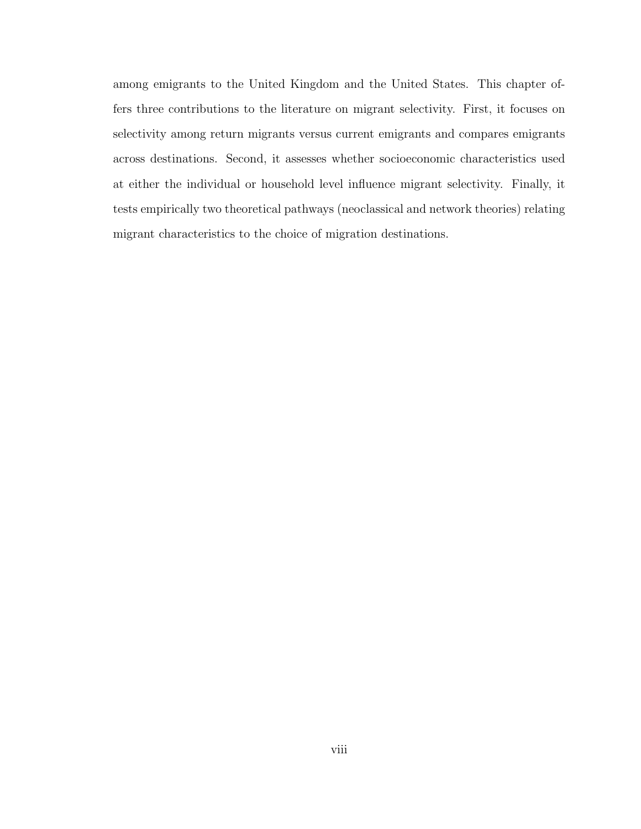among emigrants to the United Kingdom and the United States. This chapter offers three contributions to the literature on migrant selectivity. First, it focuses on selectivity among return migrants versus current emigrants and compares emigrants across destinations. Second, it assesses whether socioeconomic characteristics used at either the individual or household level influence migrant selectivity. Finally, it tests empirically two theoretical pathways (neoclassical and network theories) relating migrant characteristics to the choice of migration destinations.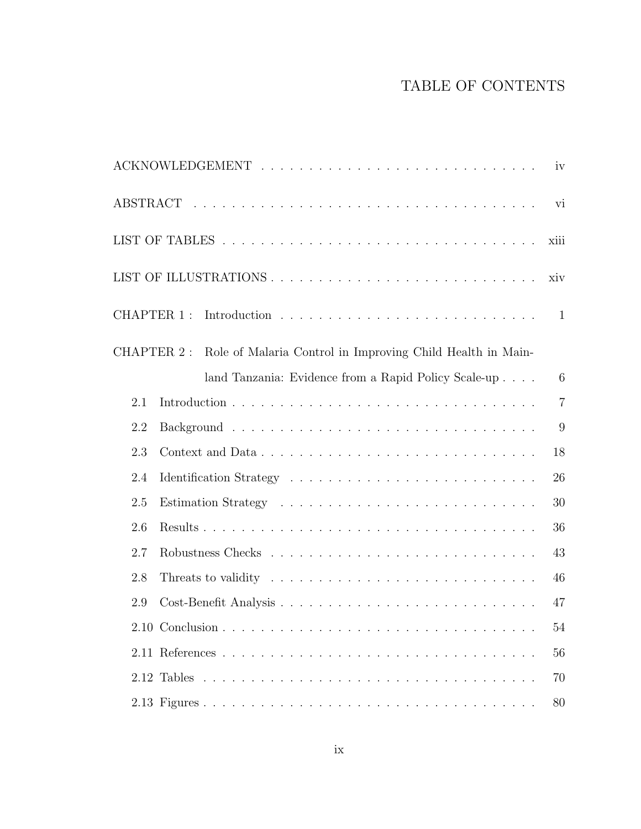# TABLE OF CONTENTS

| iv                                                                    |                |  |  |  |  |  |  |
|-----------------------------------------------------------------------|----------------|--|--|--|--|--|--|
|                                                                       |                |  |  |  |  |  |  |
| xiii                                                                  |                |  |  |  |  |  |  |
| xiv                                                                   |                |  |  |  |  |  |  |
|                                                                       |                |  |  |  |  |  |  |
| CHAPTER 2: Role of Malaria Control in Improving Child Health in Main- |                |  |  |  |  |  |  |
| land Tanzania: Evidence from a Rapid Policy Scale-up                  | 6              |  |  |  |  |  |  |
| 2.1                                                                   | $\overline{7}$ |  |  |  |  |  |  |
| 2.2                                                                   | 9              |  |  |  |  |  |  |
| 2.3                                                                   | 18             |  |  |  |  |  |  |
| 2.4                                                                   | 26             |  |  |  |  |  |  |
| 2.5                                                                   | 30             |  |  |  |  |  |  |
| 2.6                                                                   | 36             |  |  |  |  |  |  |
| 2.7                                                                   | 43             |  |  |  |  |  |  |
| 2.8                                                                   | 46             |  |  |  |  |  |  |
| 2.9                                                                   | 47             |  |  |  |  |  |  |
| 2.10 Conclusion                                                       | 54             |  |  |  |  |  |  |
|                                                                       | 56             |  |  |  |  |  |  |
|                                                                       | 70             |  |  |  |  |  |  |
|                                                                       | 80             |  |  |  |  |  |  |
|                                                                       |                |  |  |  |  |  |  |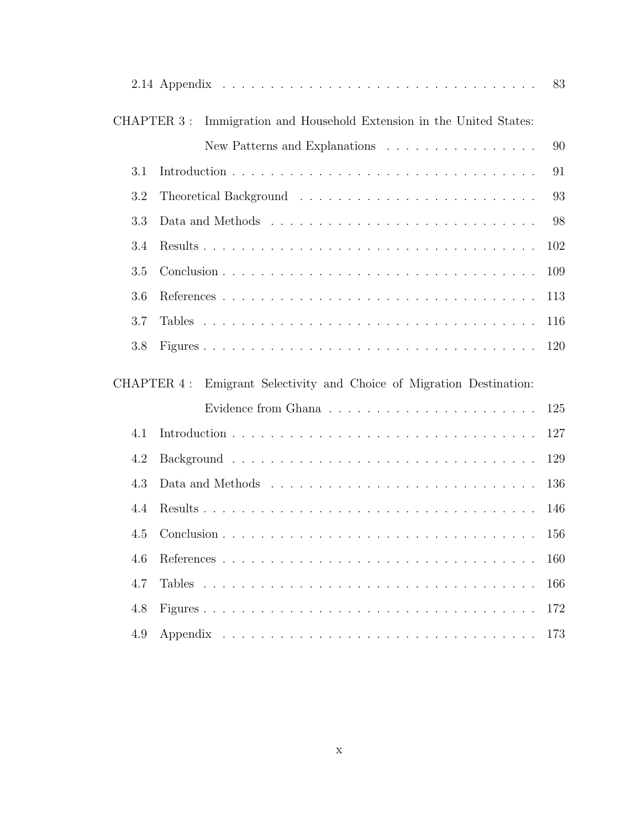| 83  |                                                                                |     |  |  |
|-----|--------------------------------------------------------------------------------|-----|--|--|
|     | CHAPTER 3 :<br>Immigration and Household Extension in the United States:       |     |  |  |
| 90  | New Patterns and Explanations                                                  |     |  |  |
| 91  |                                                                                | 3.1 |  |  |
| 93  | 3.2                                                                            |     |  |  |
| 98  | 3.3                                                                            |     |  |  |
| 102 | 3.4                                                                            |     |  |  |
| 109 |                                                                                | 3.5 |  |  |
| 113 |                                                                                | 3.6 |  |  |
| 116 |                                                                                | 3.7 |  |  |
| 120 |                                                                                | 3.8 |  |  |
|     | Emigrant Selectivity and Choice of Migration Destination:<br><b>CHAPTER 4:</b> |     |  |  |
| 125 |                                                                                |     |  |  |
| 127 |                                                                                | 4.1 |  |  |
| 129 |                                                                                | 4.2 |  |  |
| 136 |                                                                                | 4.3 |  |  |
| 146 |                                                                                | 4.4 |  |  |
| 156 |                                                                                | 4.5 |  |  |
| 160 |                                                                                | 4.6 |  |  |
| 166 |                                                                                | 4.7 |  |  |
| 172 |                                                                                | 4.8 |  |  |
| 173 |                                                                                | 4.9 |  |  |
|     |                                                                                |     |  |  |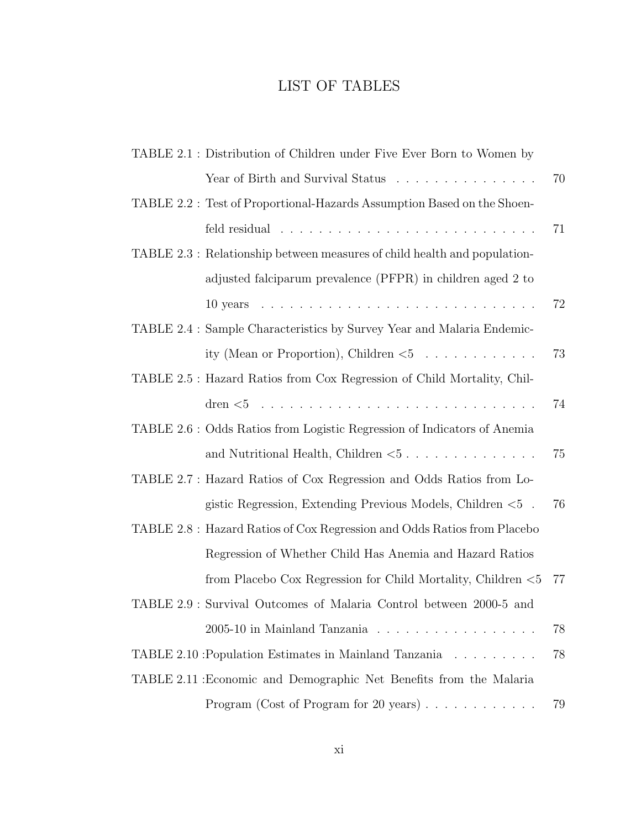# LIST OF TABLES

|                                                                     | TABLE 2.1 : Distribution of Children under Five Ever Born to Women by     |     |  |  |
|---------------------------------------------------------------------|---------------------------------------------------------------------------|-----|--|--|
|                                                                     | Year of Birth and Survival Status                                         | 70  |  |  |
|                                                                     | TABLE 2.2: Test of Proportional-Hazards Assumption Based on the Shoen-    |     |  |  |
|                                                                     |                                                                           | 71  |  |  |
|                                                                     | TABLE 2.3 : Relationship between measures of child health and population- |     |  |  |
|                                                                     | adjusted falciparum prevalence (PFPR) in children aged 2 to               |     |  |  |
|                                                                     |                                                                           | 72  |  |  |
|                                                                     | TABLE 2.4 : Sample Characteristics by Survey Year and Malaria Endemic-    |     |  |  |
|                                                                     | ity (Mean or Proportion), Children $\lt 5$                                | 73  |  |  |
|                                                                     | TABLE 2.5 : Hazard Ratios from Cox Regression of Child Mortality, Chil-   |     |  |  |
|                                                                     |                                                                           | 74  |  |  |
|                                                                     | TABLE 2.6 : Odds Ratios from Logistic Regression of Indicators of Anemia  |     |  |  |
|                                                                     | and Nutritional Health, Children $< 5$                                    | 75  |  |  |
|                                                                     | TABLE 2.7 : Hazard Ratios of Cox Regression and Odds Ratios from Lo-      |     |  |  |
|                                                                     | gistic Regression, Extending Previous Models, Children $< 5$ .            | 76  |  |  |
|                                                                     | TABLE 2.8 : Hazard Ratios of Cox Regression and Odds Ratios from Placebo  |     |  |  |
|                                                                     | Regression of Whether Child Has Anemia and Hazard Ratios                  |     |  |  |
|                                                                     | from Placebo Cox Regression for Child Mortality, Children $< 5$           | -77 |  |  |
|                                                                     | TABLE 2.9 : Survival Outcomes of Malaria Control between 2000-5 and       |     |  |  |
|                                                                     | 2005-10 in Mainland Tanzania                                              | 78  |  |  |
|                                                                     | TABLE 2.10 : Population Estimates in Mainland Tanzania                    | 78  |  |  |
| TABLE 2.11 : Economic and Demographic Net Benefits from the Malaria |                                                                           |     |  |  |
|                                                                     | Program (Cost of Program for 20 years) $\ldots \ldots \ldots \ldots$      | 79  |  |  |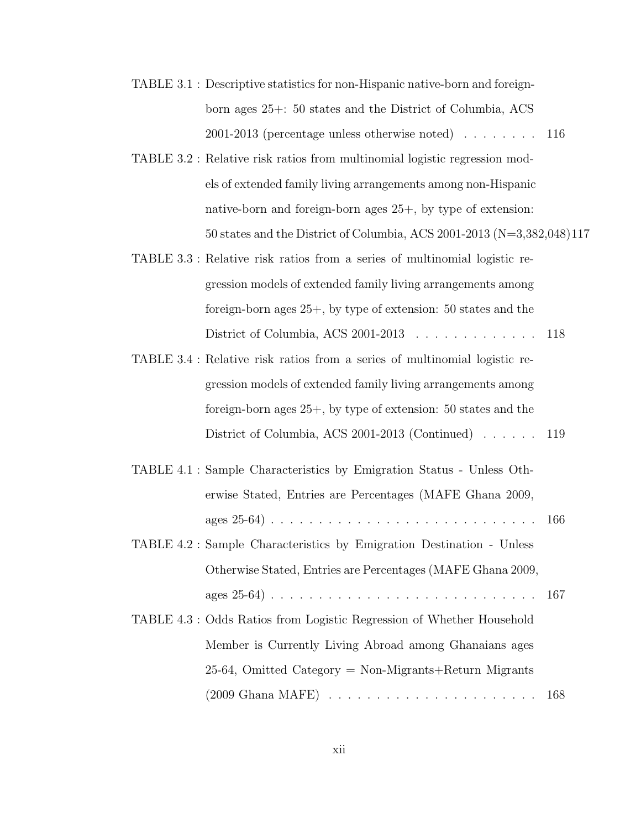- TABLE 3.1 : Descriptive statistics for non-Hispanic native-born and foreignborn ages 25+: 50 states and the District of Columbia, ACS 2001-2013 (percentage unless otherwise noted) . . . . . . . . 116
- TABLE 3.2 : Relative risk ratios from multinomial logistic regression models of extended family living arrangements among non-Hispanic native-born and foreign-born ages 25+, by type of extension: 50 states and the District of Columbia, ACS 2001-2013 (N=3,382,048)117
- TABLE 3.3 : Relative risk ratios from a series of multinomial logistic regression models of extended family living arrangements among foreign-born ages 25+, by type of extension: 50 states and the District of Columbia, ACS 2001-2013 . . . . . . . . . . . . . 118
- TABLE 3.4 : Relative risk ratios from a series of multinomial logistic regression models of extended family living arrangements among foreign-born ages 25+, by type of extension: 50 states and the District of Columbia, ACS 2001-2013 (Continued) . . . . . . 119
- TABLE 4.1 : Sample Characteristics by Emigration Status Unless Otherwise Stated, Entries are Percentages (MAFE Ghana 2009, ages 25-64) . . . . . . . . . . . . . . . . . . . . . . . . . . . . 166 TABLE 4.2 : Sample Characteristics by Emigration Destination - Unless Otherwise Stated, Entries are Percentages (MAFE Ghana 2009, ages 25-64) . . . . . . . . . . . . . . . . . . . . . . . . . . . . 167 TABLE 4.3 : Odds Ratios from Logistic Regression of Whether Household Member is Currently Living Abroad among Ghanaians ages

25-64, Omitted Category = Non-Migrants+Return Migrants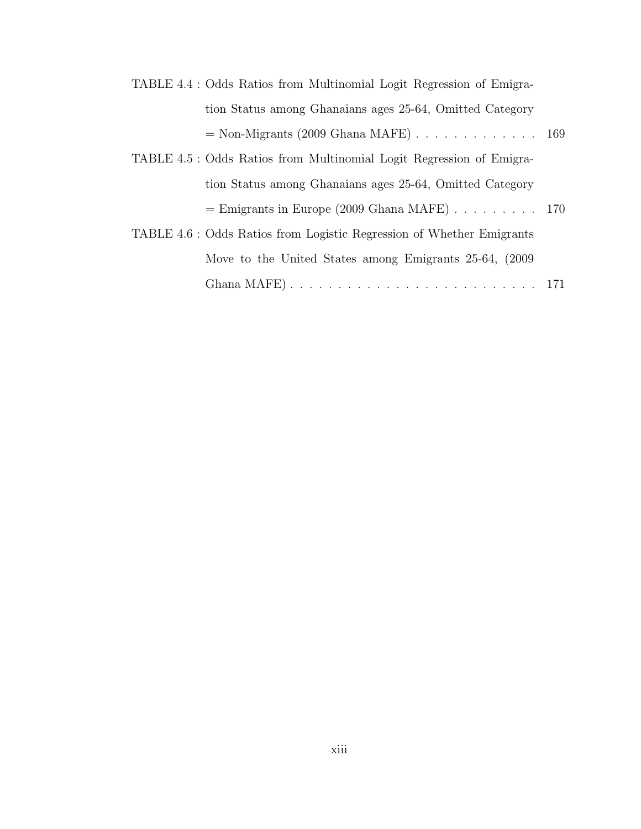| TABLE 4.4 : Odds Ratios from Multinomial Logit Regression of Emigra-        |  |
|-----------------------------------------------------------------------------|--|
| tion Status among Ghanaians ages 25-64, Omitted Category                    |  |
| $=$ Non-Migrants (2009 Ghana MAFE) $\ldots \ldots \ldots \ldots \ldots 169$ |  |
| TABLE 4.5 : Odds Ratios from Multinomial Logit Regression of Emigra-        |  |
| tion Status among Ghanaians ages 25-64, Omitted Category                    |  |
| $=$ Emigrants in Europe (2009 Ghana MAFE) 170                               |  |
| TABLE 4.6 : Odds Ratios from Logistic Regression of Whether Emigrants       |  |
| Move to the United States among Emigrants 25-64, (2009)                     |  |
|                                                                             |  |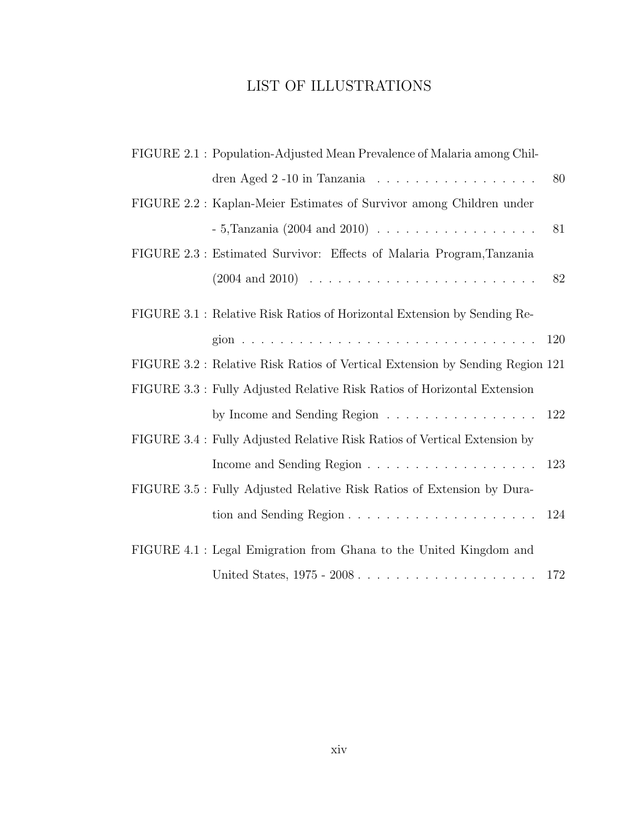# LIST OF ILLUSTRATIONS

|  | FIGURE 2.1 : Population-Adjusted Mean Prevalence of Malaria among Chil-        |     |
|--|--------------------------------------------------------------------------------|-----|
|  | dren Aged 2 -10 in Tanzania                                                    | 80  |
|  | FIGURE 2.2 : Kaplan-Meier Estimates of Survivor among Children under           |     |
|  |                                                                                | 81  |
|  | FIGURE 2.3 : Estimated Survivor: Effects of Malaria Program, Tanzania          |     |
|  |                                                                                | 82  |
|  | FIGURE 3.1 : Relative Risk Ratios of Horizontal Extension by Sending Re-       |     |
|  |                                                                                | 120 |
|  | FIGURE 3.2 : Relative Risk Ratios of Vertical Extension by Sending Region 121  |     |
|  | FIGURE 3.3 : Fully Adjusted Relative Risk Ratios of Horizontal Extension       |     |
|  | by Income and Sending Region                                                   | 122 |
|  | FIGURE 3.4 : Fully Adjusted Relative Risk Ratios of Vertical Extension by      |     |
|  |                                                                                | 123 |
|  | FIGURE 3.5 : Fully Adjusted Relative Risk Ratios of Extension by Dura-         |     |
|  | tion and Sending Region $\ldots \ldots \ldots \ldots \ldots \ldots \ldots 124$ |     |
|  | FIGURE 4.1 : Legal Emigration from Ghana to the United Kingdom and             |     |
|  |                                                                                |     |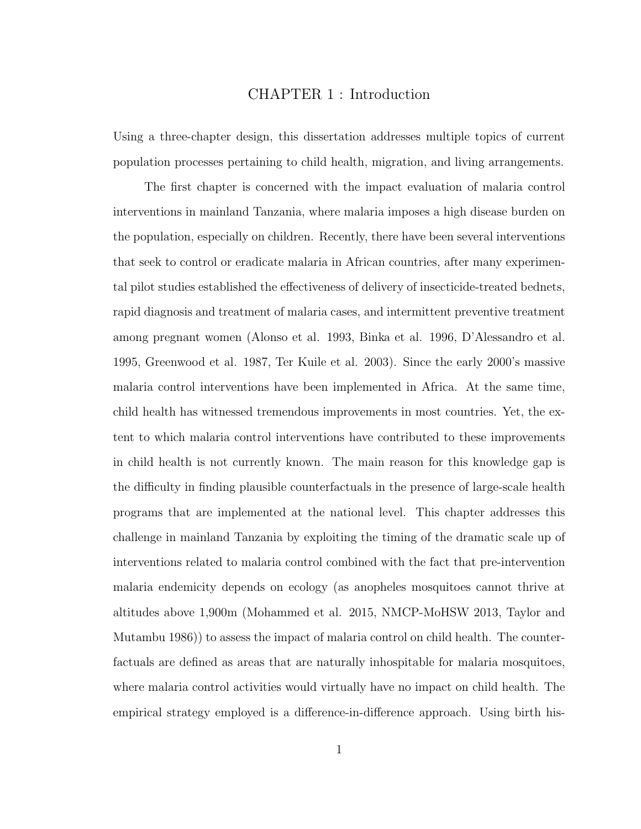## CHAPTER 1 : Introduction

Using a three-chapter design, this dissertation addresses multiple topics of current population processes pertaining to child health, migration, and living arrangements.

The first chapter is concerned with the impact evaluation of malaria control interventions in mainland Tanzania, where malaria imposes a high disease burden on the population, especially on children. Recently, there have been several interventions that seek to control or eradicate malaria in African countries, after many experimental pilot studies established the effectiveness of delivery of insecticide-treated bednets, rapid diagnosis and treatment of malaria cases, and intermittent preventive treatment among pregnant women (Alonso et al. 1993, Binka et al. 1996, D'Alessandro et al. 1995, Greenwood et al. 1987, Ter Kuile et al. 2003). Since the early 2000's massive malaria control interventions have been implemented in Africa. At the same time, child health has witnessed tremendous improvements in most countries. Yet, the extent to which malaria control interventions have contributed to these improvements in child health is not currently known. The main reason for this knowledge gap is the difficulty in finding plausible counterfactuals in the presence of large-scale health programs that are implemented at the national level. This chapter addresses this challenge in mainland Tanzania by exploiting the timing of the dramatic scale up of interventions related to malaria control combined with the fact that pre-intervention malaria endemicity depends on ecology (as anopheles mosquitoes cannot thrive at altitudes above 1,900m (Mohammed et al. 2015, NMCP-MoHSW 2013, Taylor and Mutambu 1986)) to assess the impact of malaria control on child health. The counterfactuals are defined as areas that are naturally inhospitable for malaria mosquitoes, where malaria control activities would virtually have no impact on child health. The empirical strategy employed is a difference-in-difference approach. Using birth his-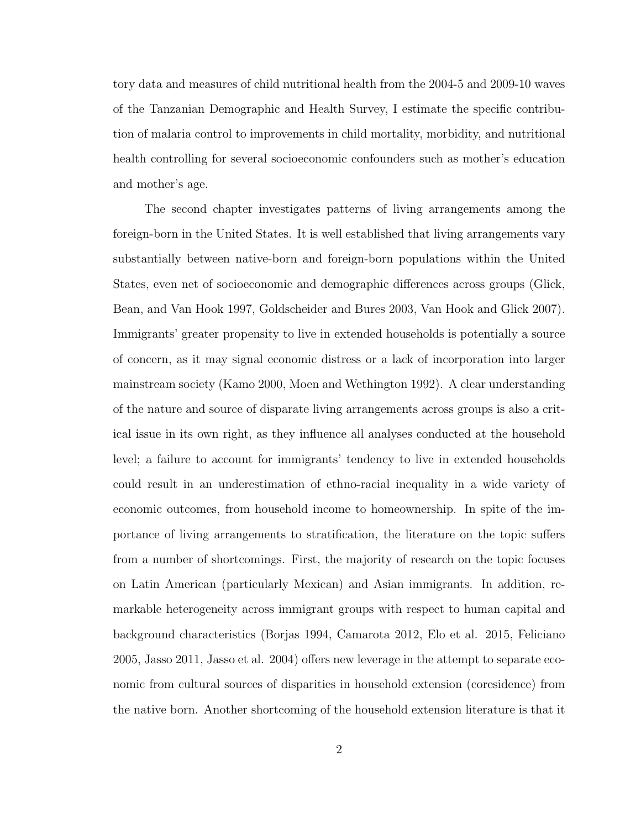tory data and measures of child nutritional health from the 2004-5 and 2009-10 waves of the Tanzanian Demographic and Health Survey, I estimate the specific contribution of malaria control to improvements in child mortality, morbidity, and nutritional health controlling for several socioeconomic confounders such as mother's education and mother's age.

The second chapter investigates patterns of living arrangements among the foreign-born in the United States. It is well established that living arrangements vary substantially between native-born and foreign-born populations within the United States, even net of socioeconomic and demographic differences across groups (Glick, Bean, and Van Hook 1997, Goldscheider and Bures 2003, Van Hook and Glick 2007). Immigrants' greater propensity to live in extended households is potentially a source of concern, as it may signal economic distress or a lack of incorporation into larger mainstream society (Kamo 2000, Moen and Wethington 1992). A clear understanding of the nature and source of disparate living arrangements across groups is also a critical issue in its own right, as they influence all analyses conducted at the household level; a failure to account for immigrants' tendency to live in extended households could result in an underestimation of ethno-racial inequality in a wide variety of economic outcomes, from household income to homeownership. In spite of the importance of living arrangements to stratification, the literature on the topic suffers from a number of shortcomings. First, the majority of research on the topic focuses on Latin American (particularly Mexican) and Asian immigrants. In addition, remarkable heterogeneity across immigrant groups with respect to human capital and background characteristics (Borjas 1994, Camarota 2012, Elo et al. 2015, Feliciano 2005, Jasso 2011, Jasso et al. 2004) offers new leverage in the attempt to separate economic from cultural sources of disparities in household extension (coresidence) from the native born. Another shortcoming of the household extension literature is that it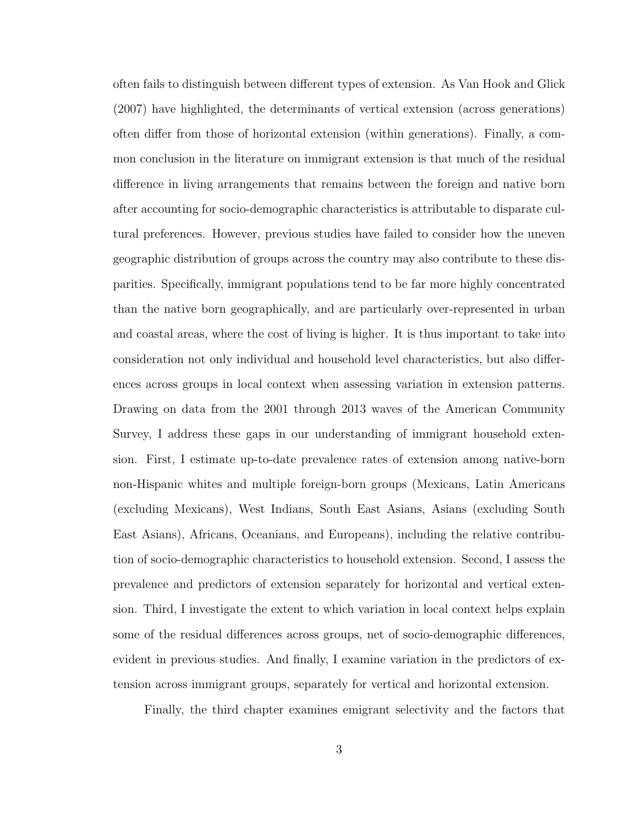often fails to distinguish between different types of extension. As Van Hook and Glick (2007) have highlighted, the determinants of vertical extension (across generations) often differ from those of horizontal extension (within generations). Finally, a common conclusion in the literature on immigrant extension is that much of the residual difference in living arrangements that remains between the foreign and native born after accounting for socio-demographic characteristics is attributable to disparate cultural preferences. However, previous studies have failed to consider how the uneven geographic distribution of groups across the country may also contribute to these disparities. Specifically, immigrant populations tend to be far more highly concentrated than the native born geographically, and are particularly over-represented in urban and coastal areas, where the cost of living is higher. It is thus important to take into consideration not only individual and household level characteristics, but also differences across groups in local context when assessing variation in extension patterns. Drawing on data from the 2001 through 2013 waves of the American Community Survey, I address these gaps in our understanding of immigrant household extension. First, I estimate up-to-date prevalence rates of extension among native-born non-Hispanic whites and multiple foreign-born groups (Mexicans, Latin Americans (excluding Mexicans), West Indians, South East Asians, Asians (excluding South East Asians), Africans, Oceanians, and Europeans), including the relative contribution of socio-demographic characteristics to household extension. Second, I assess the prevalence and predictors of extension separately for horizontal and vertical extension. Third, I investigate the extent to which variation in local context helps explain some of the residual differences across groups, net of socio-demographic differences, evident in previous studies. And finally, I examine variation in the predictors of extension across immigrant groups, separately for vertical and horizontal extension.

Finally, the third chapter examines emigrant selectivity and the factors that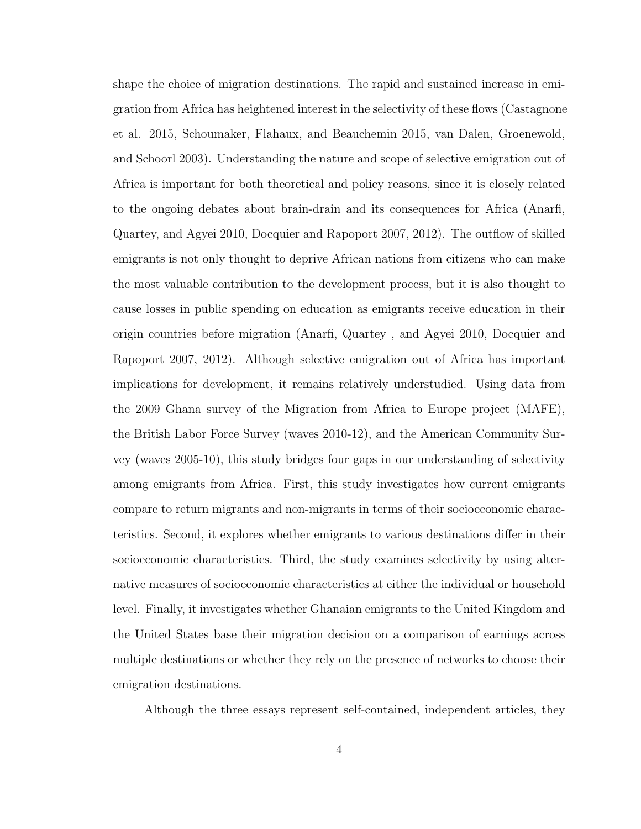shape the choice of migration destinations. The rapid and sustained increase in emigration from Africa has heightened interest in the selectivity of these flows (Castagnone et al. 2015, Schoumaker, Flahaux, and Beauchemin 2015, van Dalen, Groenewold, and Schoorl 2003). Understanding the nature and scope of selective emigration out of Africa is important for both theoretical and policy reasons, since it is closely related to the ongoing debates about brain-drain and its consequences for Africa (Anarfi, Quartey, and Agyei 2010, Docquier and Rapoport 2007, 2012). The outflow of skilled emigrants is not only thought to deprive African nations from citizens who can make the most valuable contribution to the development process, but it is also thought to cause losses in public spending on education as emigrants receive education in their origin countries before migration (Anarfi, Quartey , and Agyei 2010, Docquier and Rapoport 2007, 2012). Although selective emigration out of Africa has important implications for development, it remains relatively understudied. Using data from the 2009 Ghana survey of the Migration from Africa to Europe project (MAFE), the British Labor Force Survey (waves 2010-12), and the American Community Survey (waves 2005-10), this study bridges four gaps in our understanding of selectivity among emigrants from Africa. First, this study investigates how current emigrants compare to return migrants and non-migrants in terms of their socioeconomic characteristics. Second, it explores whether emigrants to various destinations differ in their socioeconomic characteristics. Third, the study examines selectivity by using alternative measures of socioeconomic characteristics at either the individual or household level. Finally, it investigates whether Ghanaian emigrants to the United Kingdom and the United States base their migration decision on a comparison of earnings across multiple destinations or whether they rely on the presence of networks to choose their emigration destinations.

Although the three essays represent self-contained, independent articles, they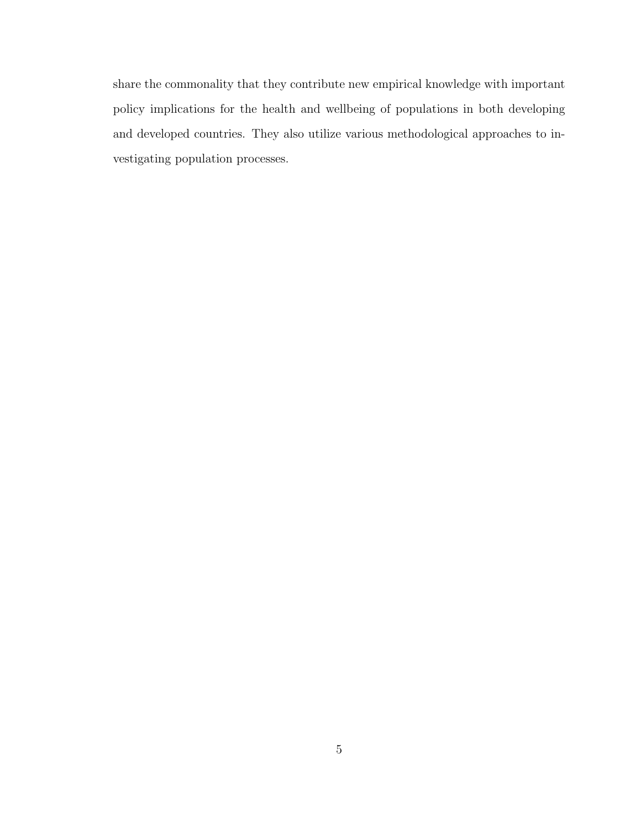share the commonality that they contribute new empirical knowledge with important policy implications for the health and wellbeing of populations in both developing and developed countries. They also utilize various methodological approaches to investigating population processes.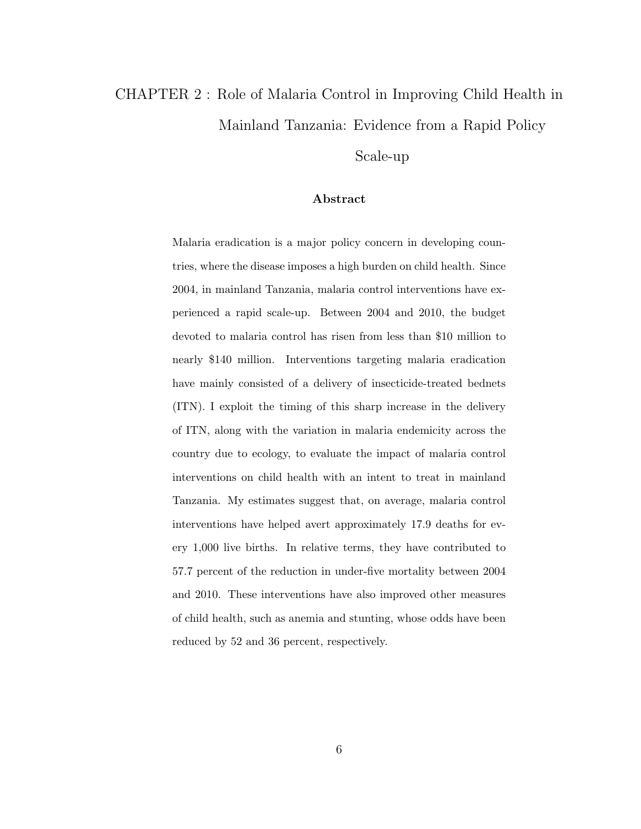# CHAPTER 2 : Role of Malaria Control in Improving Child Health in Mainland Tanzania: Evidence from a Rapid Policy

Scale-up

## Abstract

Malaria eradication is a major policy concern in developing countries, where the disease imposes a high burden on child health. Since 2004, in mainland Tanzania, malaria control interventions have experienced a rapid scale-up. Between 2004 and 2010, the budget devoted to malaria control has risen from less than \$10 million to nearly \$140 million. Interventions targeting malaria eradication have mainly consisted of a delivery of insecticide-treated bednets (ITN). I exploit the timing of this sharp increase in the delivery of ITN, along with the variation in malaria endemicity across the country due to ecology, to evaluate the impact of malaria control interventions on child health with an intent to treat in mainland Tanzania. My estimates suggest that, on average, malaria control interventions have helped avert approximately 17.9 deaths for every 1,000 live births. In relative terms, they have contributed to 57.7 percent of the reduction in under-five mortality between 2004 and 2010. These interventions have also improved other measures of child health, such as anemia and stunting, whose odds have been reduced by 52 and 36 percent, respectively.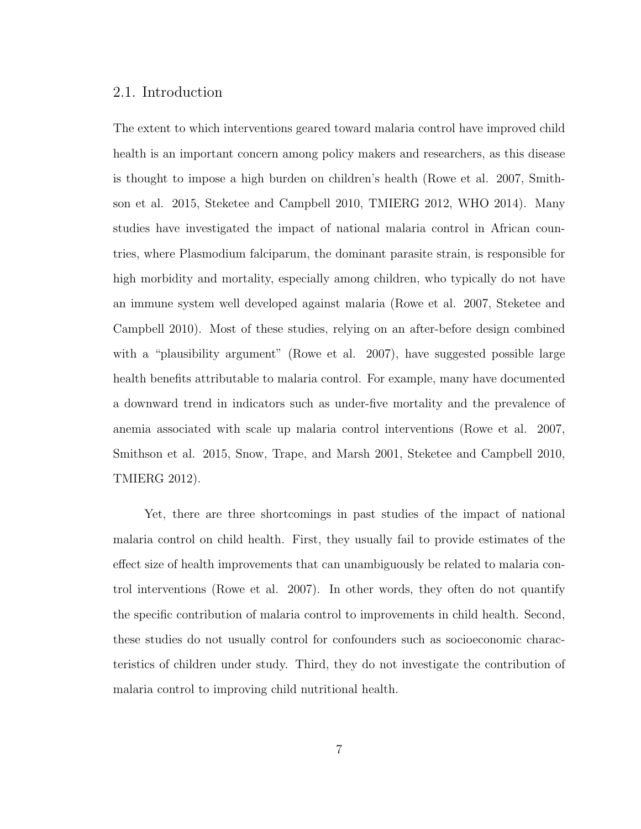## 2.1. Introduction

The extent to which interventions geared toward malaria control have improved child health is an important concern among policy makers and researchers, as this disease is thought to impose a high burden on children's health (Rowe et al. 2007, Smithson et al. 2015, Steketee and Campbell 2010, TMIERG 2012, WHO 2014). Many studies have investigated the impact of national malaria control in African countries, where Plasmodium falciparum, the dominant parasite strain, is responsible for high morbidity and mortality, especially among children, who typically do not have an immune system well developed against malaria (Rowe et al. 2007, Steketee and Campbell 2010). Most of these studies, relying on an after-before design combined with a "plausibility argument" (Rowe et al. 2007), have suggested possible large health benefits attributable to malaria control. For example, many have documented a downward trend in indicators such as under-five mortality and the prevalence of anemia associated with scale up malaria control interventions (Rowe et al. 2007, Smithson et al. 2015, Snow, Trape, and Marsh 2001, Steketee and Campbell 2010, TMIERG 2012).

Yet, there are three shortcomings in past studies of the impact of national malaria control on child health. First, they usually fail to provide estimates of the effect size of health improvements that can unambiguously be related to malaria control interventions (Rowe et al. 2007). In other words, they often do not quantify the specific contribution of malaria control to improvements in child health. Second, these studies do not usually control for confounders such as socioeconomic characteristics of children under study. Third, they do not investigate the contribution of malaria control to improving child nutritional health.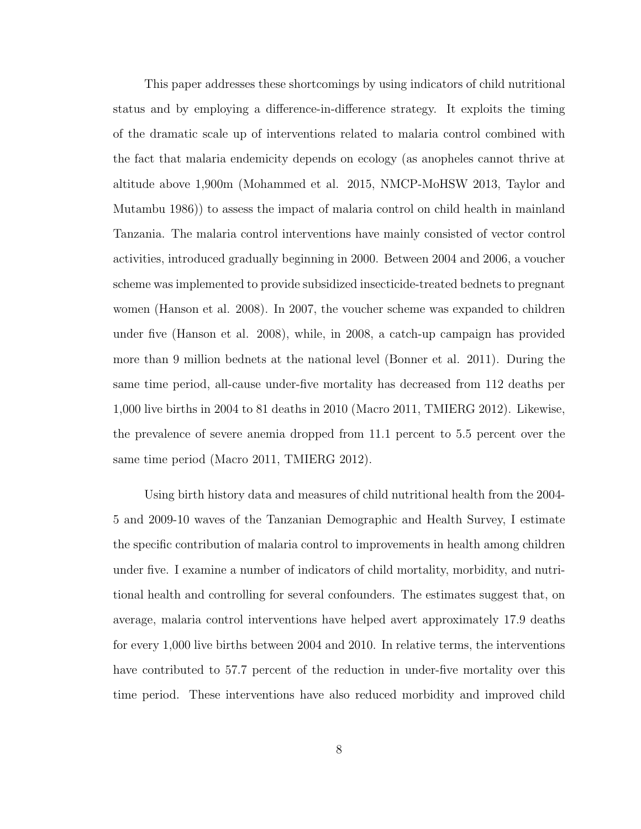This paper addresses these shortcomings by using indicators of child nutritional status and by employing a difference-in-difference strategy. It exploits the timing of the dramatic scale up of interventions related to malaria control combined with the fact that malaria endemicity depends on ecology (as anopheles cannot thrive at altitude above 1,900m (Mohammed et al. 2015, NMCP-MoHSW 2013, Taylor and Mutambu 1986)) to assess the impact of malaria control on child health in mainland Tanzania. The malaria control interventions have mainly consisted of vector control activities, introduced gradually beginning in 2000. Between 2004 and 2006, a voucher scheme was implemented to provide subsidized insecticide-treated bednets to pregnant women (Hanson et al. 2008). In 2007, the voucher scheme was expanded to children under five (Hanson et al. 2008), while, in 2008, a catch-up campaign has provided more than 9 million bednets at the national level (Bonner et al. 2011). During the same time period, all-cause under-five mortality has decreased from 112 deaths per 1,000 live births in 2004 to 81 deaths in 2010 (Macro 2011, TMIERG 2012). Likewise, the prevalence of severe anemia dropped from 11.1 percent to 5.5 percent over the same time period (Macro 2011, TMIERG 2012).

Using birth history data and measures of child nutritional health from the 2004- 5 and 2009-10 waves of the Tanzanian Demographic and Health Survey, I estimate the specific contribution of malaria control to improvements in health among children under five. I examine a number of indicators of child mortality, morbidity, and nutritional health and controlling for several confounders. The estimates suggest that, on average, malaria control interventions have helped avert approximately 17.9 deaths for every 1,000 live births between 2004 and 2010. In relative terms, the interventions have contributed to 57.7 percent of the reduction in under-five mortality over this time period. These interventions have also reduced morbidity and improved child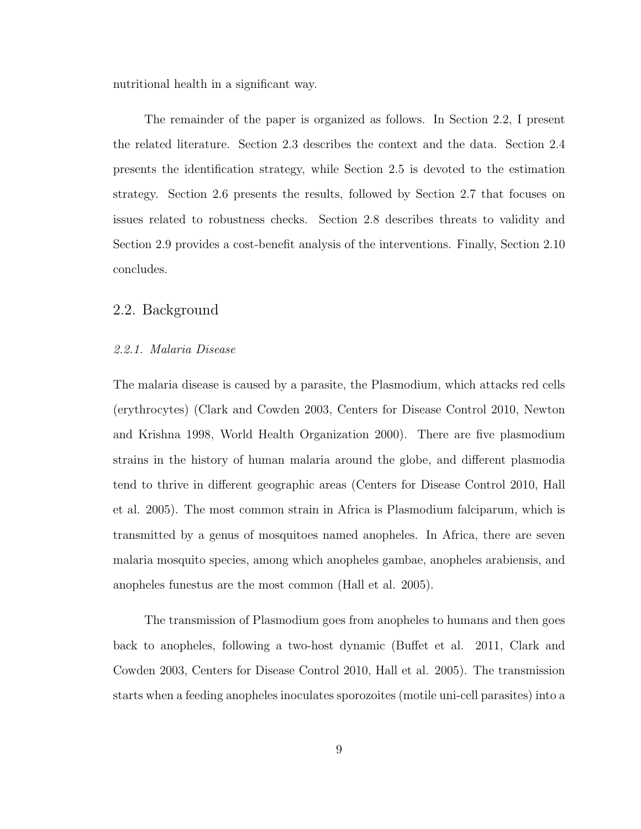nutritional health in a significant way.

The remainder of the paper is organized as follows. In Section 2.2, I present the related literature. Section 2.3 describes the context and the data. Section 2.4 presents the identification strategy, while Section 2.5 is devoted to the estimation strategy. Section 2.6 presents the results, followed by Section 2.7 that focuses on issues related to robustness checks. Section 2.8 describes threats to validity and Section 2.9 provides a cost-benefit analysis of the interventions. Finally, Section 2.10 concludes.

## 2.2. Background

#### 2.2.1. Malaria Disease

The malaria disease is caused by a parasite, the Plasmodium, which attacks red cells (erythrocytes) (Clark and Cowden 2003, Centers for Disease Control 2010, Newton and Krishna 1998, World Health Organization 2000). There are five plasmodium strains in the history of human malaria around the globe, and different plasmodia tend to thrive in different geographic areas (Centers for Disease Control 2010, Hall et al. 2005). The most common strain in Africa is Plasmodium falciparum, which is transmitted by a genus of mosquitoes named anopheles. In Africa, there are seven malaria mosquito species, among which anopheles gambae, anopheles arabiensis, and anopheles funestus are the most common (Hall et al. 2005).

The transmission of Plasmodium goes from anopheles to humans and then goes back to anopheles, following a two-host dynamic (Buffet et al. 2011, Clark and Cowden 2003, Centers for Disease Control 2010, Hall et al. 2005). The transmission starts when a feeding anopheles inoculates sporozoites (motile uni-cell parasites) into a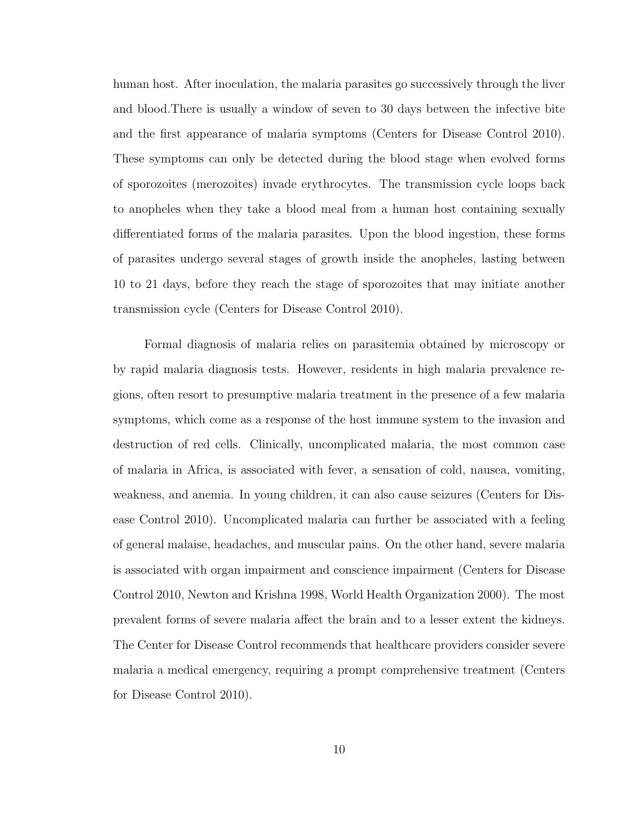human host. After inoculation, the malaria parasites go successively through the liver and blood.There is usually a window of seven to 30 days between the infective bite and the first appearance of malaria symptoms (Centers for Disease Control 2010). These symptoms can only be detected during the blood stage when evolved forms of sporozoites (merozoites) invade erythrocytes. The transmission cycle loops back to anopheles when they take a blood meal from a human host containing sexually differentiated forms of the malaria parasites. Upon the blood ingestion, these forms of parasites undergo several stages of growth inside the anopheles, lasting between 10 to 21 days, before they reach the stage of sporozoites that may initiate another transmission cycle (Centers for Disease Control 2010).

Formal diagnosis of malaria relies on parasitemia obtained by microscopy or by rapid malaria diagnosis tests. However, residents in high malaria prevalence regions, often resort to presumptive malaria treatment in the presence of a few malaria symptoms, which come as a response of the host immune system to the invasion and destruction of red cells. Clinically, uncomplicated malaria, the most common case of malaria in Africa, is associated with fever, a sensation of cold, nausea, vomiting, weakness, and anemia. In young children, it can also cause seizures (Centers for Disease Control 2010). Uncomplicated malaria can further be associated with a feeling of general malaise, headaches, and muscular pains. On the other hand, severe malaria is associated with organ impairment and conscience impairment (Centers for Disease Control 2010, Newton and Krishna 1998, World Health Organization 2000). The most prevalent forms of severe malaria affect the brain and to a lesser extent the kidneys. The Center for Disease Control recommends that healthcare providers consider severe malaria a medical emergency, requiring a prompt comprehensive treatment (Centers for Disease Control 2010).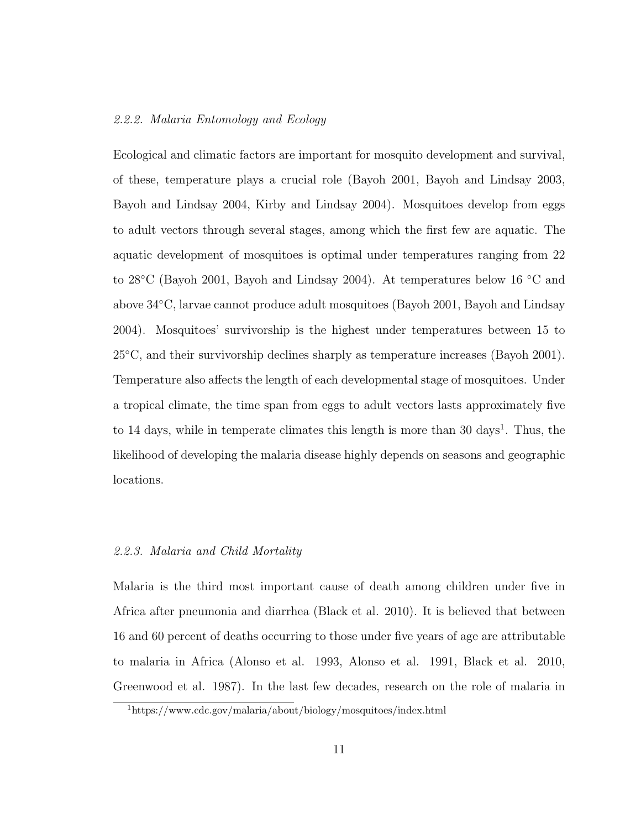#### 2.2.2. Malaria Entomology and Ecology

Ecological and climatic factors are important for mosquito development and survival, of these, temperature plays a crucial role (Bayoh 2001, Bayoh and Lindsay 2003, Bayoh and Lindsay 2004, Kirby and Lindsay 2004). Mosquitoes develop from eggs to adult vectors through several stages, among which the first few are aquatic. The aquatic development of mosquitoes is optimal under temperatures ranging from 22 to 28◦C (Bayoh 2001, Bayoh and Lindsay 2004). At temperatures below 16 ◦C and above 34◦C, larvae cannot produce adult mosquitoes (Bayoh 2001, Bayoh and Lindsay 2004). Mosquitoes' survivorship is the highest under temperatures between 15 to 25◦C, and their survivorship declines sharply as temperature increases (Bayoh 2001). Temperature also affects the length of each developmental stage of mosquitoes. Under a tropical climate, the time span from eggs to adult vectors lasts approximately five to 14 days, while in temperate climates this length is more than 30 days<sup>1</sup>. Thus, the likelihood of developing the malaria disease highly depends on seasons and geographic locations.

#### 2.2.3. Malaria and Child Mortality

Malaria is the third most important cause of death among children under five in Africa after pneumonia and diarrhea (Black et al. 2010). It is believed that between 16 and 60 percent of deaths occurring to those under five years of age are attributable to malaria in Africa (Alonso et al. 1993, Alonso et al. 1991, Black et al. 2010, Greenwood et al. 1987). In the last few decades, research on the role of malaria in

<sup>1</sup>https://www.cdc.gov/malaria/about/biology/mosquitoes/index.html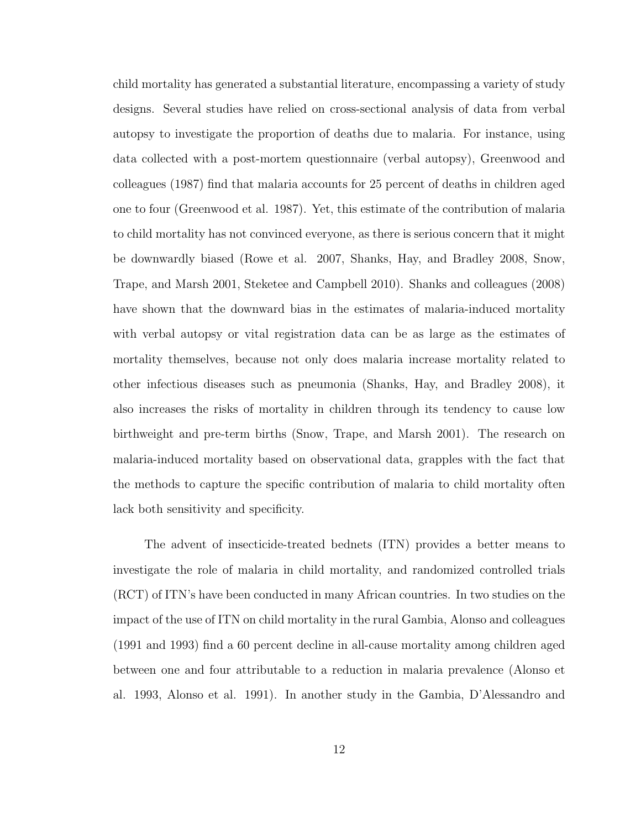child mortality has generated a substantial literature, encompassing a variety of study designs. Several studies have relied on cross-sectional analysis of data from verbal autopsy to investigate the proportion of deaths due to malaria. For instance, using data collected with a post-mortem questionnaire (verbal autopsy), Greenwood and colleagues (1987) find that malaria accounts for 25 percent of deaths in children aged one to four (Greenwood et al. 1987). Yet, this estimate of the contribution of malaria to child mortality has not convinced everyone, as there is serious concern that it might be downwardly biased (Rowe et al. 2007, Shanks, Hay, and Bradley 2008, Snow, Trape, and Marsh 2001, Steketee and Campbell 2010). Shanks and colleagues (2008) have shown that the downward bias in the estimates of malaria-induced mortality with verbal autopsy or vital registration data can be as large as the estimates of mortality themselves, because not only does malaria increase mortality related to other infectious diseases such as pneumonia (Shanks, Hay, and Bradley 2008), it also increases the risks of mortality in children through its tendency to cause low birthweight and pre-term births (Snow, Trape, and Marsh 2001). The research on malaria-induced mortality based on observational data, grapples with the fact that the methods to capture the specific contribution of malaria to child mortality often lack both sensitivity and specificity.

The advent of insecticide-treated bednets (ITN) provides a better means to investigate the role of malaria in child mortality, and randomized controlled trials (RCT) of ITN's have been conducted in many African countries. In two studies on the impact of the use of ITN on child mortality in the rural Gambia, Alonso and colleagues (1991 and 1993) find a 60 percent decline in all-cause mortality among children aged between one and four attributable to a reduction in malaria prevalence (Alonso et al. 1993, Alonso et al. 1991). In another study in the Gambia, D'Alessandro and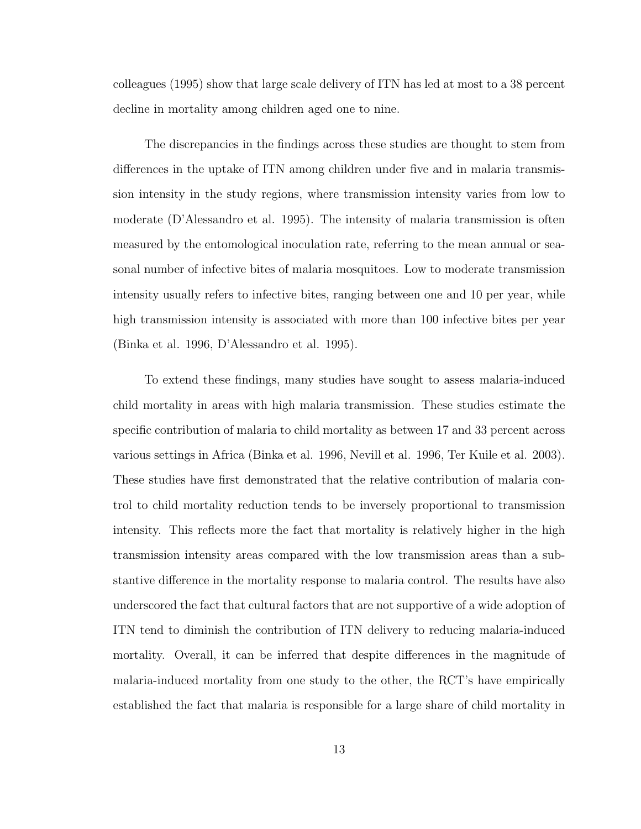colleagues (1995) show that large scale delivery of ITN has led at most to a 38 percent decline in mortality among children aged one to nine.

The discrepancies in the findings across these studies are thought to stem from differences in the uptake of ITN among children under five and in malaria transmission intensity in the study regions, where transmission intensity varies from low to moderate (D'Alessandro et al. 1995). The intensity of malaria transmission is often measured by the entomological inoculation rate, referring to the mean annual or seasonal number of infective bites of malaria mosquitoes. Low to moderate transmission intensity usually refers to infective bites, ranging between one and 10 per year, while high transmission intensity is associated with more than 100 infective bites per year (Binka et al. 1996, D'Alessandro et al. 1995).

To extend these findings, many studies have sought to assess malaria-induced child mortality in areas with high malaria transmission. These studies estimate the specific contribution of malaria to child mortality as between 17 and 33 percent across various settings in Africa (Binka et al. 1996, Nevill et al. 1996, Ter Kuile et al. 2003). These studies have first demonstrated that the relative contribution of malaria control to child mortality reduction tends to be inversely proportional to transmission intensity. This reflects more the fact that mortality is relatively higher in the high transmission intensity areas compared with the low transmission areas than a substantive difference in the mortality response to malaria control. The results have also underscored the fact that cultural factors that are not supportive of a wide adoption of ITN tend to diminish the contribution of ITN delivery to reducing malaria-induced mortality. Overall, it can be inferred that despite differences in the magnitude of malaria-induced mortality from one study to the other, the RCT's have empirically established the fact that malaria is responsible for a large share of child mortality in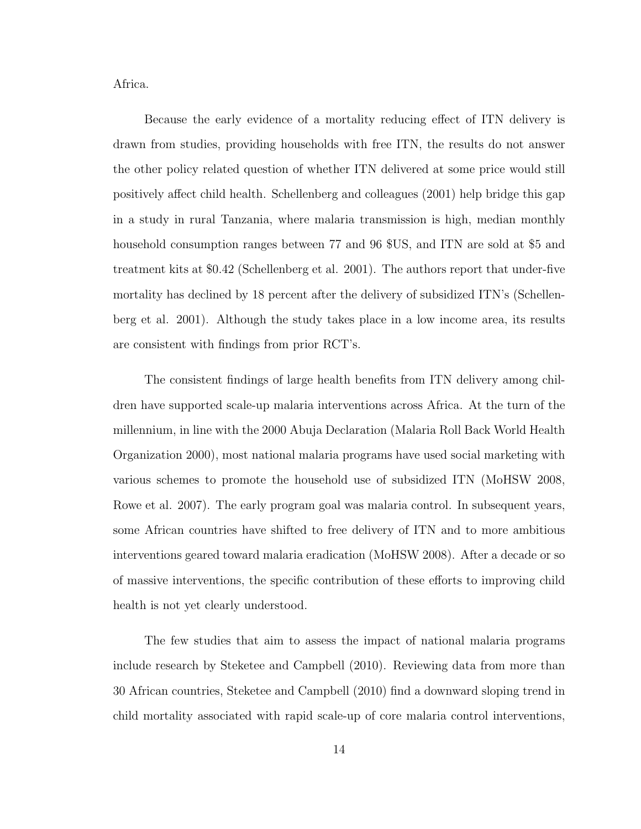Africa.

Because the early evidence of a mortality reducing effect of ITN delivery is drawn from studies, providing households with free ITN, the results do not answer the other policy related question of whether ITN delivered at some price would still positively affect child health. Schellenberg and colleagues (2001) help bridge this gap in a study in rural Tanzania, where malaria transmission is high, median monthly household consumption ranges between 77 and 96 \$US, and ITN are sold at \$5 and treatment kits at \$0.42 (Schellenberg et al. 2001). The authors report that under-five mortality has declined by 18 percent after the delivery of subsidized ITN's (Schellenberg et al. 2001). Although the study takes place in a low income area, its results are consistent with findings from prior RCT's.

The consistent findings of large health benefits from ITN delivery among children have supported scale-up malaria interventions across Africa. At the turn of the millennium, in line with the 2000 Abuja Declaration (Malaria Roll Back World Health Organization 2000), most national malaria programs have used social marketing with various schemes to promote the household use of subsidized ITN (MoHSW 2008, Rowe et al. 2007). The early program goal was malaria control. In subsequent years, some African countries have shifted to free delivery of ITN and to more ambitious interventions geared toward malaria eradication (MoHSW 2008). After a decade or so of massive interventions, the specific contribution of these efforts to improving child health is not yet clearly understood.

The few studies that aim to assess the impact of national malaria programs include research by Steketee and Campbell (2010). Reviewing data from more than 30 African countries, Steketee and Campbell (2010) find a downward sloping trend in child mortality associated with rapid scale-up of core malaria control interventions,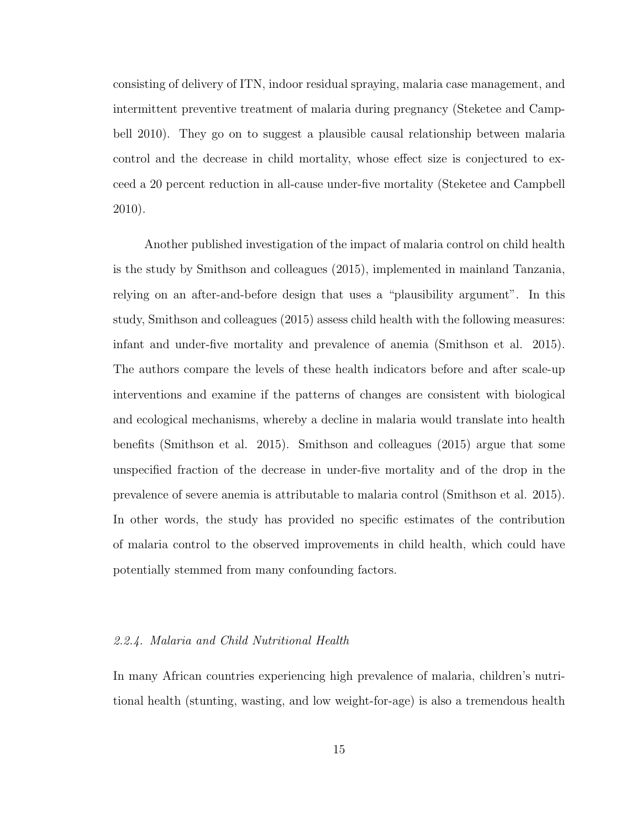consisting of delivery of ITN, indoor residual spraying, malaria case management, and intermittent preventive treatment of malaria during pregnancy (Steketee and Campbell 2010). They go on to suggest a plausible causal relationship between malaria control and the decrease in child mortality, whose effect size is conjectured to exceed a 20 percent reduction in all-cause under-five mortality (Steketee and Campbell 2010).

Another published investigation of the impact of malaria control on child health is the study by Smithson and colleagues (2015), implemented in mainland Tanzania, relying on an after-and-before design that uses a "plausibility argument". In this study, Smithson and colleagues (2015) assess child health with the following measures: infant and under-five mortality and prevalence of anemia (Smithson et al. 2015). The authors compare the levels of these health indicators before and after scale-up interventions and examine if the patterns of changes are consistent with biological and ecological mechanisms, whereby a decline in malaria would translate into health benefits (Smithson et al. 2015). Smithson and colleagues (2015) argue that some unspecified fraction of the decrease in under-five mortality and of the drop in the prevalence of severe anemia is attributable to malaria control (Smithson et al. 2015). In other words, the study has provided no specific estimates of the contribution of malaria control to the observed improvements in child health, which could have potentially stemmed from many confounding factors.

#### 2.2.4. Malaria and Child Nutritional Health

In many African countries experiencing high prevalence of malaria, children's nutritional health (stunting, wasting, and low weight-for-age) is also a tremendous health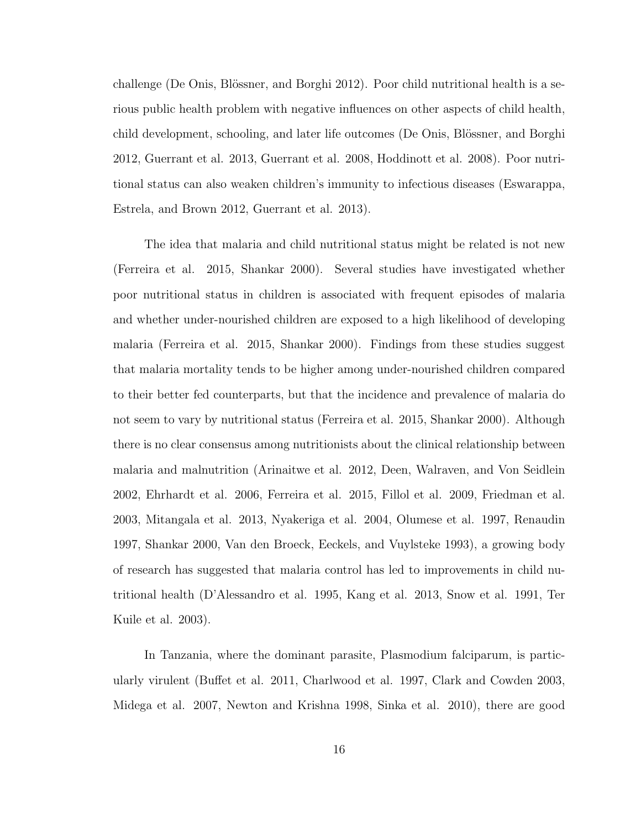challenge (De Onis, Blössner, and Borghi 2012). Poor child nutritional health is a serious public health problem with negative influences on other aspects of child health, child development, schooling, and later life outcomes (De Onis, Blössner, and Borghi 2012, Guerrant et al. 2013, Guerrant et al. 2008, Hoddinott et al. 2008). Poor nutritional status can also weaken children's immunity to infectious diseases (Eswarappa, Estrela, and Brown 2012, Guerrant et al. 2013).

The idea that malaria and child nutritional status might be related is not new (Ferreira et al. 2015, Shankar 2000). Several studies have investigated whether poor nutritional status in children is associated with frequent episodes of malaria and whether under-nourished children are exposed to a high likelihood of developing malaria (Ferreira et al. 2015, Shankar 2000). Findings from these studies suggest that malaria mortality tends to be higher among under-nourished children compared to their better fed counterparts, but that the incidence and prevalence of malaria do not seem to vary by nutritional status (Ferreira et al. 2015, Shankar 2000). Although there is no clear consensus among nutritionists about the clinical relationship between malaria and malnutrition (Arinaitwe et al. 2012, Deen, Walraven, and Von Seidlein 2002, Ehrhardt et al. 2006, Ferreira et al. 2015, Fillol et al. 2009, Friedman et al. 2003, Mitangala et al. 2013, Nyakeriga et al. 2004, Olumese et al. 1997, Renaudin 1997, Shankar 2000, Van den Broeck, Eeckels, and Vuylsteke 1993), a growing body of research has suggested that malaria control has led to improvements in child nutritional health (D'Alessandro et al. 1995, Kang et al. 2013, Snow et al. 1991, Ter Kuile et al. 2003).

In Tanzania, where the dominant parasite, Plasmodium falciparum, is particularly virulent (Buffet et al. 2011, Charlwood et al. 1997, Clark and Cowden 2003, Midega et al. 2007, Newton and Krishna 1998, Sinka et al. 2010), there are good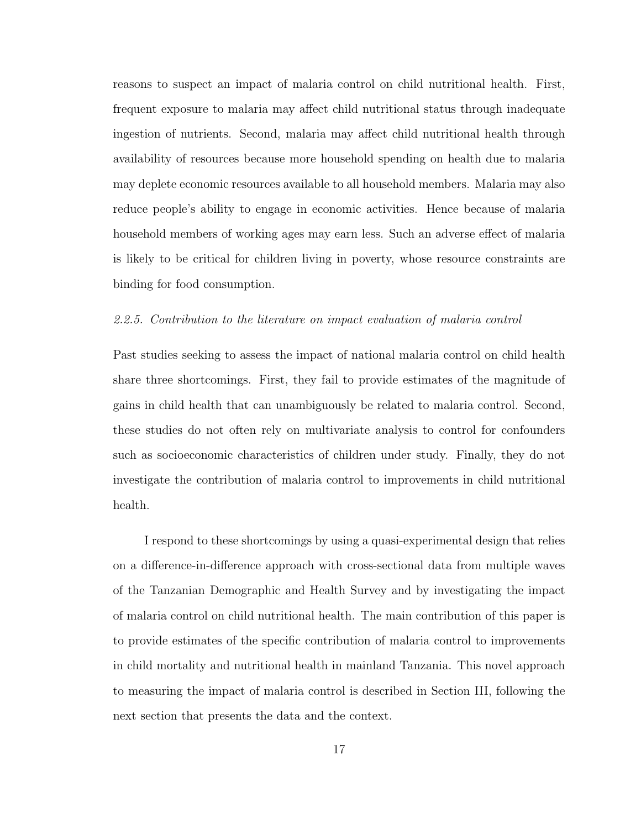reasons to suspect an impact of malaria control on child nutritional health. First, frequent exposure to malaria may affect child nutritional status through inadequate ingestion of nutrients. Second, malaria may affect child nutritional health through availability of resources because more household spending on health due to malaria may deplete economic resources available to all household members. Malaria may also reduce people's ability to engage in economic activities. Hence because of malaria household members of working ages may earn less. Such an adverse effect of malaria is likely to be critical for children living in poverty, whose resource constraints are binding for food consumption.

## 2.2.5. Contribution to the literature on impact evaluation of malaria control

Past studies seeking to assess the impact of national malaria control on child health share three shortcomings. First, they fail to provide estimates of the magnitude of gains in child health that can unambiguously be related to malaria control. Second, these studies do not often rely on multivariate analysis to control for confounders such as socioeconomic characteristics of children under study. Finally, they do not investigate the contribution of malaria control to improvements in child nutritional health.

I respond to these shortcomings by using a quasi-experimental design that relies on a difference-in-difference approach with cross-sectional data from multiple waves of the Tanzanian Demographic and Health Survey and by investigating the impact of malaria control on child nutritional health. The main contribution of this paper is to provide estimates of the specific contribution of malaria control to improvements in child mortality and nutritional health in mainland Tanzania. This novel approach to measuring the impact of malaria control is described in Section III, following the next section that presents the data and the context.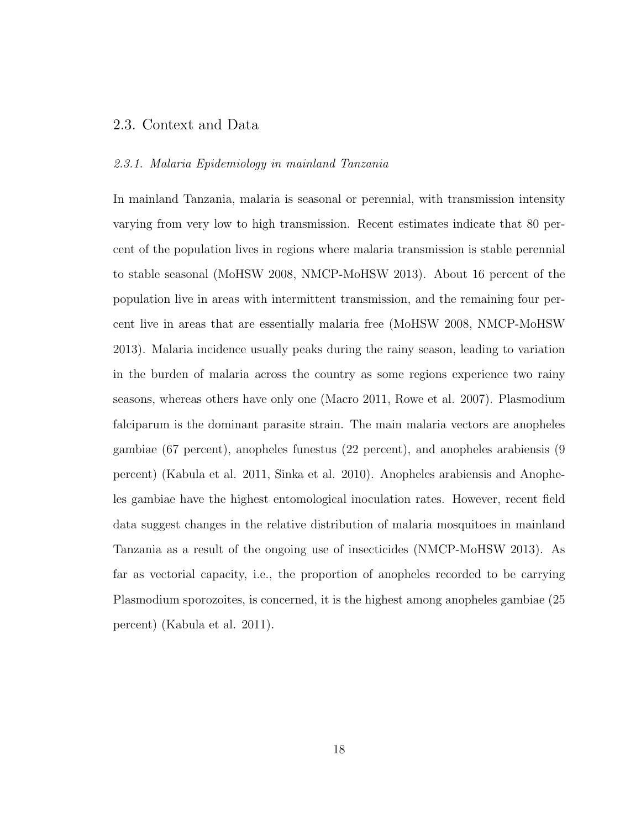## 2.3. Context and Data

#### 2.3.1. Malaria Epidemiology in mainland Tanzania

In mainland Tanzania, malaria is seasonal or perennial, with transmission intensity varying from very low to high transmission. Recent estimates indicate that 80 percent of the population lives in regions where malaria transmission is stable perennial to stable seasonal (MoHSW 2008, NMCP-MoHSW 2013). About 16 percent of the population live in areas with intermittent transmission, and the remaining four percent live in areas that are essentially malaria free (MoHSW 2008, NMCP-MoHSW 2013). Malaria incidence usually peaks during the rainy season, leading to variation in the burden of malaria across the country as some regions experience two rainy seasons, whereas others have only one (Macro 2011, Rowe et al. 2007). Plasmodium falciparum is the dominant parasite strain. The main malaria vectors are anopheles gambiae (67 percent), anopheles funestus (22 percent), and anopheles arabiensis (9 percent) (Kabula et al. 2011, Sinka et al. 2010). Anopheles arabiensis and Anopheles gambiae have the highest entomological inoculation rates. However, recent field data suggest changes in the relative distribution of malaria mosquitoes in mainland Tanzania as a result of the ongoing use of insecticides (NMCP-MoHSW 2013). As far as vectorial capacity, i.e., the proportion of anopheles recorded to be carrying Plasmodium sporozoites, is concerned, it is the highest among anopheles gambiae (25 percent) (Kabula et al. 2011).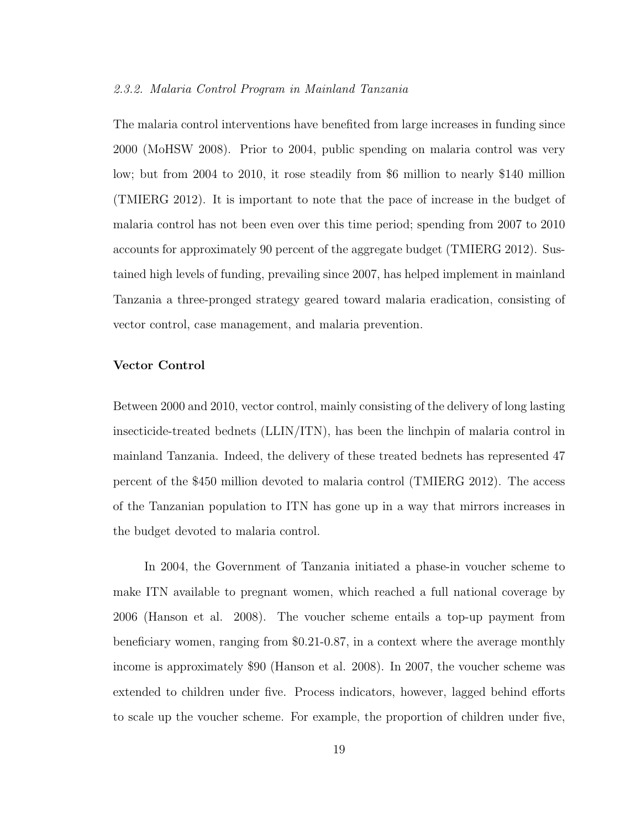#### 2.3.2. Malaria Control Program in Mainland Tanzania

The malaria control interventions have benefited from large increases in funding since 2000 (MoHSW 2008). Prior to 2004, public spending on malaria control was very low; but from 2004 to 2010, it rose steadily from \$6 million to nearly \$140 million (TMIERG 2012). It is important to note that the pace of increase in the budget of malaria control has not been even over this time period; spending from 2007 to 2010 accounts for approximately 90 percent of the aggregate budget (TMIERG 2012). Sustained high levels of funding, prevailing since 2007, has helped implement in mainland Tanzania a three-pronged strategy geared toward malaria eradication, consisting of vector control, case management, and malaria prevention.

#### Vector Control

Between 2000 and 2010, vector control, mainly consisting of the delivery of long lasting insecticide-treated bednets (LLIN/ITN), has been the linchpin of malaria control in mainland Tanzania. Indeed, the delivery of these treated bednets has represented 47 percent of the \$450 million devoted to malaria control (TMIERG 2012). The access of the Tanzanian population to ITN has gone up in a way that mirrors increases in the budget devoted to malaria control.

In 2004, the Government of Tanzania initiated a phase-in voucher scheme to make ITN available to pregnant women, which reached a full national coverage by 2006 (Hanson et al. 2008). The voucher scheme entails a top-up payment from beneficiary women, ranging from \$0.21-0.87, in a context where the average monthly income is approximately \$90 (Hanson et al. 2008). In 2007, the voucher scheme was extended to children under five. Process indicators, however, lagged behind efforts to scale up the voucher scheme. For example, the proportion of children under five,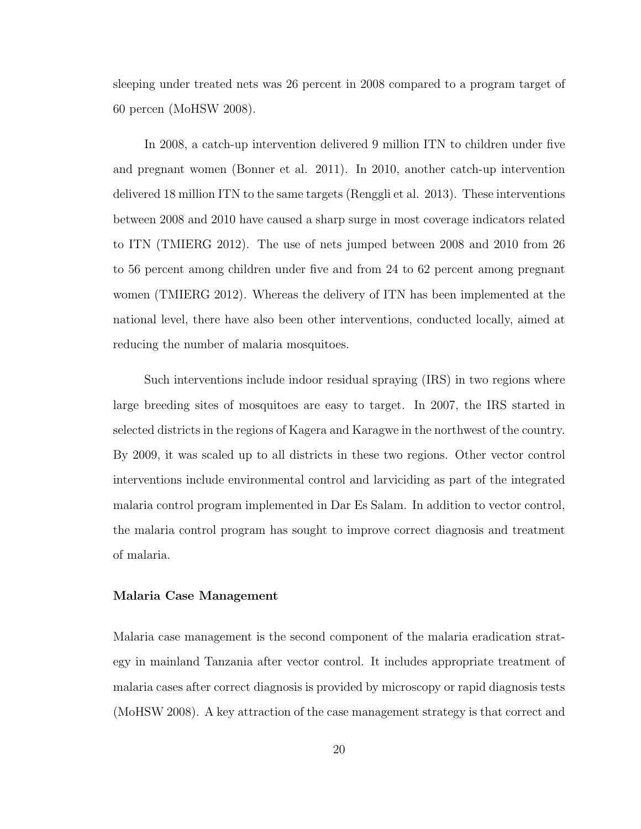sleeping under treated nets was 26 percent in 2008 compared to a program target of 60 percen (MoHSW 2008).

In 2008, a catch-up intervention delivered 9 million ITN to children under five and pregnant women (Bonner et al. 2011). In 2010, another catch-up intervention delivered 18 million ITN to the same targets (Renggli et al. 2013). These interventions between 2008 and 2010 have caused a sharp surge in most coverage indicators related to ITN (TMIERG 2012). The use of nets jumped between 2008 and 2010 from 26 to 56 percent among children under five and from 24 to 62 percent among pregnant women (TMIERG 2012). Whereas the delivery of ITN has been implemented at the national level, there have also been other interventions, conducted locally, aimed at reducing the number of malaria mosquitoes.

Such interventions include indoor residual spraying (IRS) in two regions where large breeding sites of mosquitoes are easy to target. In 2007, the IRS started in selected districts in the regions of Kagera and Karagwe in the northwest of the country. By 2009, it was scaled up to all districts in these two regions. Other vector control interventions include environmental control and larviciding as part of the integrated malaria control program implemented in Dar Es Salam. In addition to vector control, the malaria control program has sought to improve correct diagnosis and treatment of malaria.

#### Malaria Case Management

Malaria case management is the second component of the malaria eradication strategy in mainland Tanzania after vector control. It includes appropriate treatment of malaria cases after correct diagnosis is provided by microscopy or rapid diagnosis tests (MoHSW 2008). A key attraction of the case management strategy is that correct and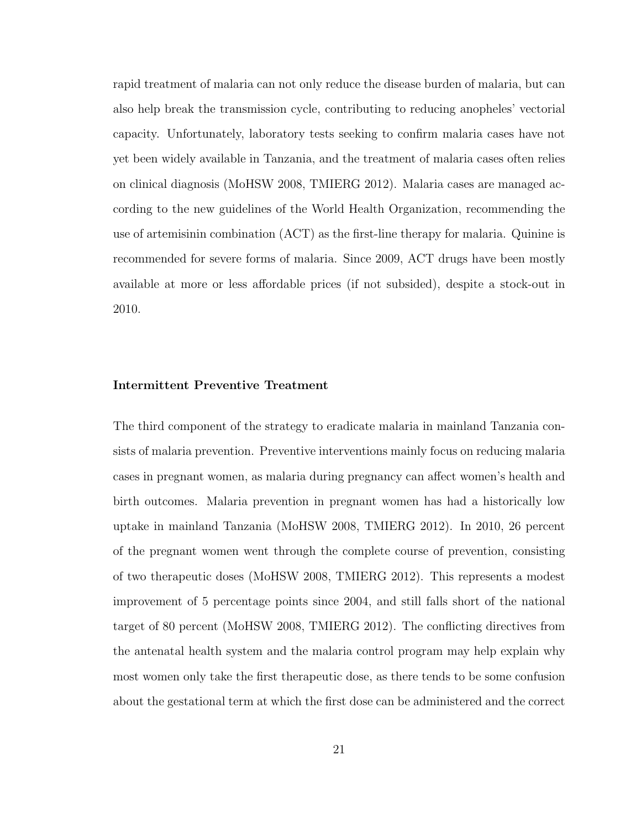rapid treatment of malaria can not only reduce the disease burden of malaria, but can also help break the transmission cycle, contributing to reducing anopheles' vectorial capacity. Unfortunately, laboratory tests seeking to confirm malaria cases have not yet been widely available in Tanzania, and the treatment of malaria cases often relies on clinical diagnosis (MoHSW 2008, TMIERG 2012). Malaria cases are managed according to the new guidelines of the World Health Organization, recommending the use of artemisinin combination (ACT) as the first-line therapy for malaria. Quinine is recommended for severe forms of malaria. Since 2009, ACT drugs have been mostly available at more or less affordable prices (if not subsided), despite a stock-out in 2010.

### Intermittent Preventive Treatment

The third component of the strategy to eradicate malaria in mainland Tanzania consists of malaria prevention. Preventive interventions mainly focus on reducing malaria cases in pregnant women, as malaria during pregnancy can affect women's health and birth outcomes. Malaria prevention in pregnant women has had a historically low uptake in mainland Tanzania (MoHSW 2008, TMIERG 2012). In 2010, 26 percent of the pregnant women went through the complete course of prevention, consisting of two therapeutic doses (MoHSW 2008, TMIERG 2012). This represents a modest improvement of 5 percentage points since 2004, and still falls short of the national target of 80 percent (MoHSW 2008, TMIERG 2012). The conflicting directives from the antenatal health system and the malaria control program may help explain why most women only take the first therapeutic dose, as there tends to be some confusion about the gestational term at which the first dose can be administered and the correct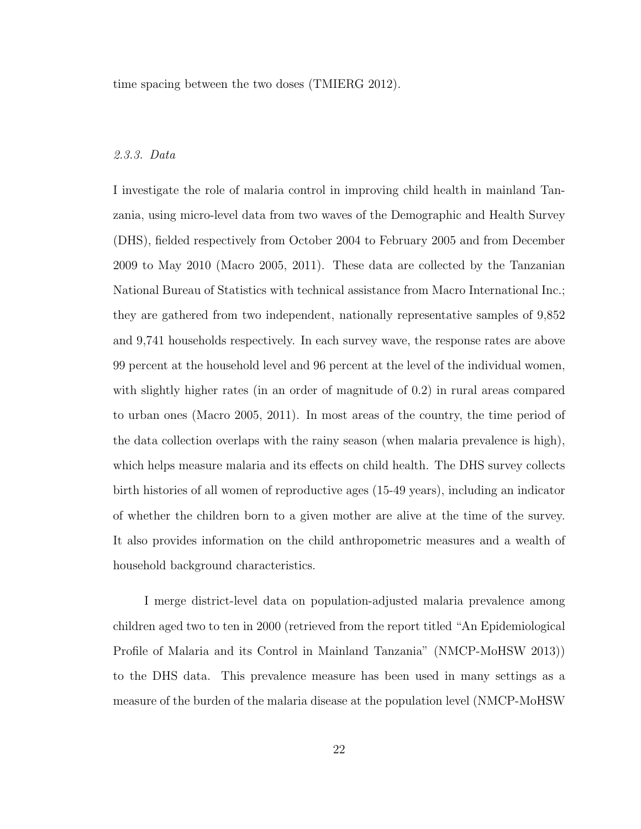time spacing between the two doses (TMIERG 2012).

### 2.3.3. Data

I investigate the role of malaria control in improving child health in mainland Tanzania, using micro-level data from two waves of the Demographic and Health Survey (DHS), fielded respectively from October 2004 to February 2005 and from December 2009 to May 2010 (Macro 2005, 2011). These data are collected by the Tanzanian National Bureau of Statistics with technical assistance from Macro International Inc.; they are gathered from two independent, nationally representative samples of 9,852 and 9,741 households respectively. In each survey wave, the response rates are above 99 percent at the household level and 96 percent at the level of the individual women, with slightly higher rates (in an order of magnitude of 0.2) in rural areas compared to urban ones (Macro 2005, 2011). In most areas of the country, the time period of the data collection overlaps with the rainy season (when malaria prevalence is high), which helps measure malaria and its effects on child health. The DHS survey collects birth histories of all women of reproductive ages (15-49 years), including an indicator of whether the children born to a given mother are alive at the time of the survey. It also provides information on the child anthropometric measures and a wealth of household background characteristics.

I merge district-level data on population-adjusted malaria prevalence among children aged two to ten in 2000 (retrieved from the report titled "An Epidemiological Profile of Malaria and its Control in Mainland Tanzania" (NMCP-MoHSW 2013)) to the DHS data. This prevalence measure has been used in many settings as a measure of the burden of the malaria disease at the population level (NMCP-MoHSW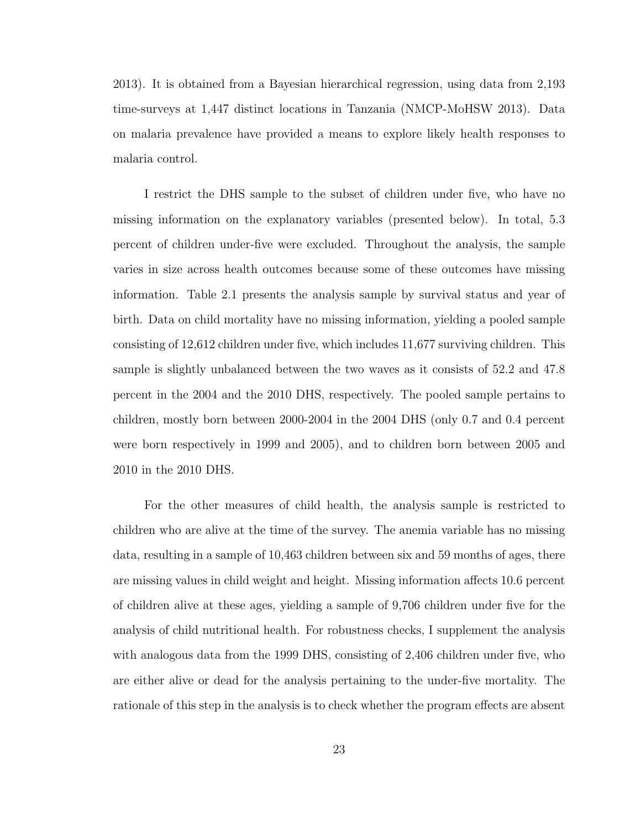2013). It is obtained from a Bayesian hierarchical regression, using data from 2,193 time-surveys at 1,447 distinct locations in Tanzania (NMCP-MoHSW 2013). Data on malaria prevalence have provided a means to explore likely health responses to malaria control.

I restrict the DHS sample to the subset of children under five, who have no missing information on the explanatory variables (presented below). In total, 5.3 percent of children under-five were excluded. Throughout the analysis, the sample varies in size across health outcomes because some of these outcomes have missing information. Table 2.1 presents the analysis sample by survival status and year of birth. Data on child mortality have no missing information, yielding a pooled sample consisting of 12,612 children under five, which includes 11,677 surviving children. This sample is slightly unbalanced between the two waves as it consists of 52.2 and 47.8 percent in the 2004 and the 2010 DHS, respectively. The pooled sample pertains to children, mostly born between 2000-2004 in the 2004 DHS (only 0.7 and 0.4 percent were born respectively in 1999 and 2005), and to children born between 2005 and 2010 in the 2010 DHS.

For the other measures of child health, the analysis sample is restricted to children who are alive at the time of the survey. The anemia variable has no missing data, resulting in a sample of 10,463 children between six and 59 months of ages, there are missing values in child weight and height. Missing information affects 10.6 percent of children alive at these ages, yielding a sample of 9,706 children under five for the analysis of child nutritional health. For robustness checks, I supplement the analysis with analogous data from the 1999 DHS, consisting of 2,406 children under five, who are either alive or dead for the analysis pertaining to the under-five mortality. The rationale of this step in the analysis is to check whether the program effects are absent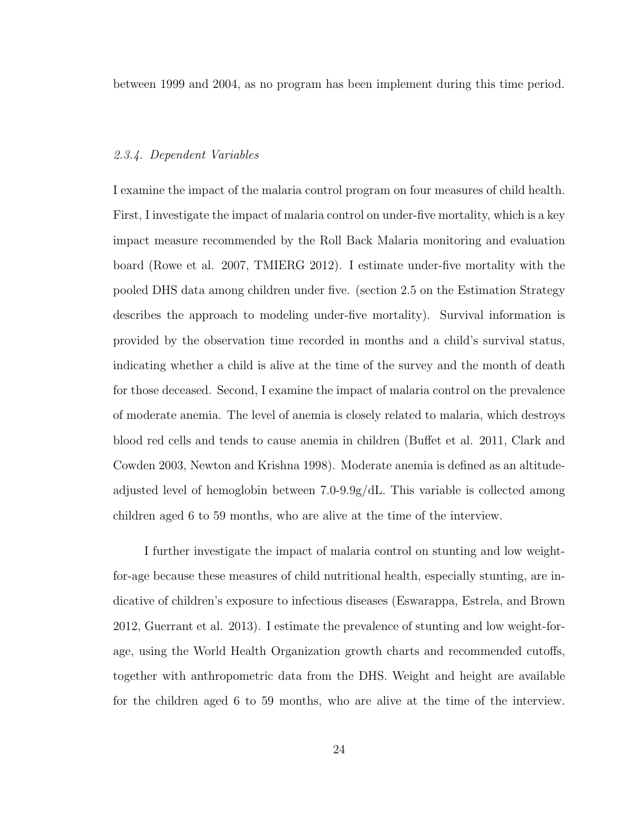between 1999 and 2004, as no program has been implement during this time period.

### 2.3.4. Dependent Variables

I examine the impact of the malaria control program on four measures of child health. First, I investigate the impact of malaria control on under-five mortality, which is a key impact measure recommended by the Roll Back Malaria monitoring and evaluation board (Rowe et al. 2007, TMIERG 2012). I estimate under-five mortality with the pooled DHS data among children under five. (section 2.5 on the Estimation Strategy describes the approach to modeling under-five mortality). Survival information is provided by the observation time recorded in months and a child's survival status, indicating whether a child is alive at the time of the survey and the month of death for those deceased. Second, I examine the impact of malaria control on the prevalence of moderate anemia. The level of anemia is closely related to malaria, which destroys blood red cells and tends to cause anemia in children (Buffet et al. 2011, Clark and Cowden 2003, Newton and Krishna 1998). Moderate anemia is defined as an altitudeadjusted level of hemoglobin between 7.0-9.9g/dL. This variable is collected among children aged 6 to 59 months, who are alive at the time of the interview.

I further investigate the impact of malaria control on stunting and low weightfor-age because these measures of child nutritional health, especially stunting, are indicative of children's exposure to infectious diseases (Eswarappa, Estrela, and Brown 2012, Guerrant et al. 2013). I estimate the prevalence of stunting and low weight-forage, using the World Health Organization growth charts and recommended cutoffs, together with anthropometric data from the DHS. Weight and height are available for the children aged 6 to 59 months, who are alive at the time of the interview.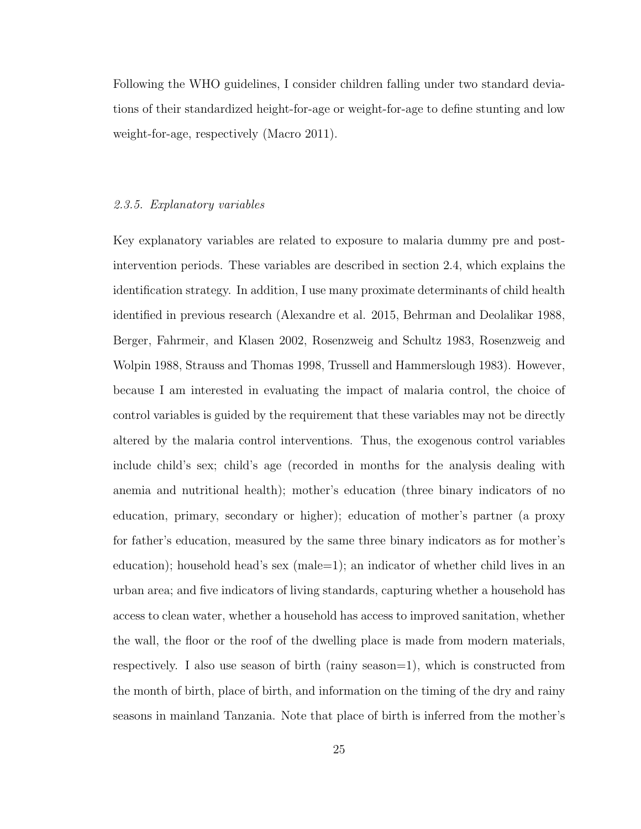Following the WHO guidelines, I consider children falling under two standard deviations of their standardized height-for-age or weight-for-age to define stunting and low weight-for-age, respectively (Macro 2011).

### 2.3.5. Explanatory variables

Key explanatory variables are related to exposure to malaria dummy pre and postintervention periods. These variables are described in section 2.4, which explains the identification strategy. In addition, I use many proximate determinants of child health identified in previous research (Alexandre et al. 2015, Behrman and Deolalikar 1988, Berger, Fahrmeir, and Klasen 2002, Rosenzweig and Schultz 1983, Rosenzweig and Wolpin 1988, Strauss and Thomas 1998, Trussell and Hammerslough 1983). However, because I am interested in evaluating the impact of malaria control, the choice of control variables is guided by the requirement that these variables may not be directly altered by the malaria control interventions. Thus, the exogenous control variables include child's sex; child's age (recorded in months for the analysis dealing with anemia and nutritional health); mother's education (three binary indicators of no education, primary, secondary or higher); education of mother's partner (a proxy for father's education, measured by the same three binary indicators as for mother's education); household head's sex (male  $=1$ ); an indicator of whether child lives in an urban area; and five indicators of living standards, capturing whether a household has access to clean water, whether a household has access to improved sanitation, whether the wall, the floor or the roof of the dwelling place is made from modern materials, respectively. I also use season of birth (rainy season=1), which is constructed from the month of birth, place of birth, and information on the timing of the dry and rainy seasons in mainland Tanzania. Note that place of birth is inferred from the mother's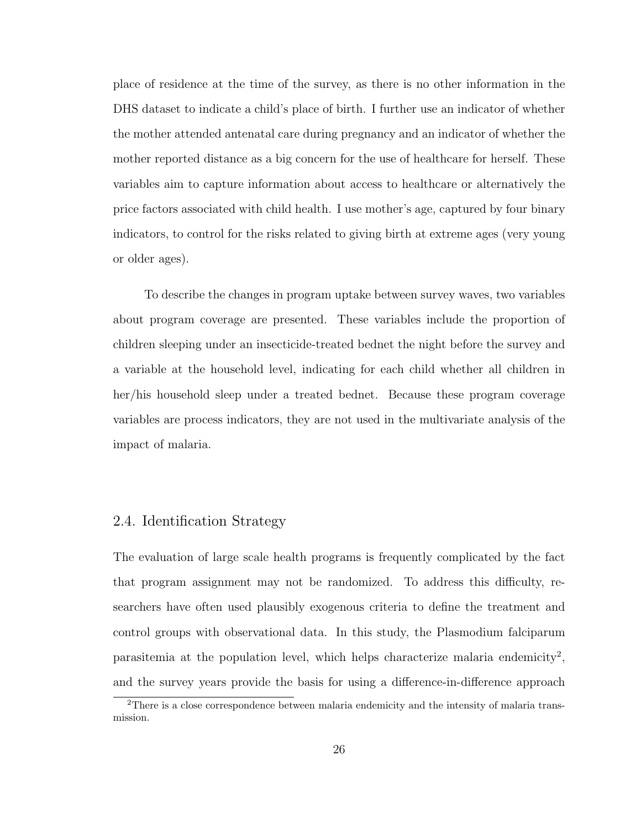place of residence at the time of the survey, as there is no other information in the DHS dataset to indicate a child's place of birth. I further use an indicator of whether the mother attended antenatal care during pregnancy and an indicator of whether the mother reported distance as a big concern for the use of healthcare for herself. These variables aim to capture information about access to healthcare or alternatively the price factors associated with child health. I use mother's age, captured by four binary indicators, to control for the risks related to giving birth at extreme ages (very young or older ages).

To describe the changes in program uptake between survey waves, two variables about program coverage are presented. These variables include the proportion of children sleeping under an insecticide-treated bednet the night before the survey and a variable at the household level, indicating for each child whether all children in her/his household sleep under a treated bednet. Because these program coverage variables are process indicators, they are not used in the multivariate analysis of the impact of malaria.

# 2.4. Identification Strategy

The evaluation of large scale health programs is frequently complicated by the fact that program assignment may not be randomized. To address this difficulty, researchers have often used plausibly exogenous criteria to define the treatment and control groups with observational data. In this study, the Plasmodium falciparum parasitemia at the population level, which helps characterize malaria endemicity<sup>2</sup>, and the survey years provide the basis for using a difference-in-difference approach

<sup>2</sup>There is a close correspondence between malaria endemicity and the intensity of malaria transmission.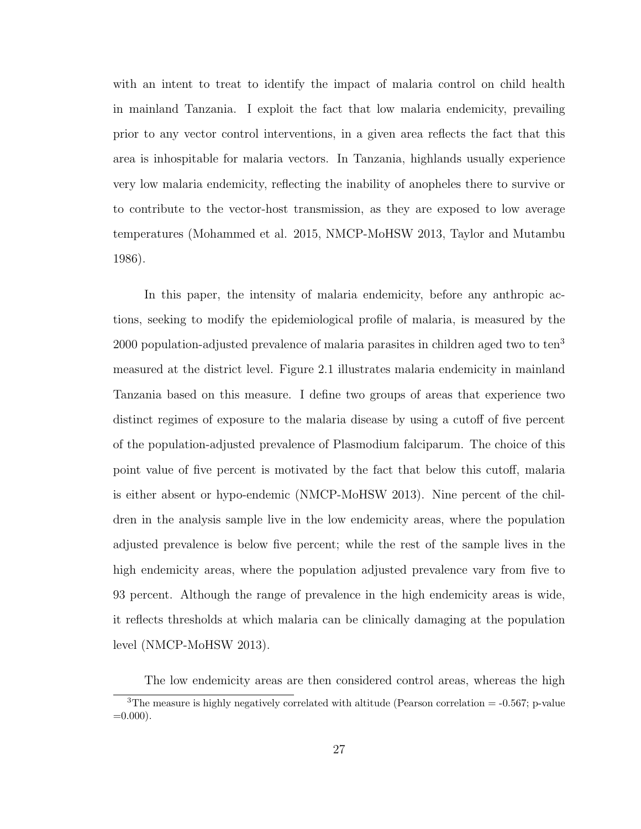with an intent to treat to identify the impact of malaria control on child health in mainland Tanzania. I exploit the fact that low malaria endemicity, prevailing prior to any vector control interventions, in a given area reflects the fact that this area is inhospitable for malaria vectors. In Tanzania, highlands usually experience very low malaria endemicity, reflecting the inability of anopheles there to survive or to contribute to the vector-host transmission, as they are exposed to low average temperatures (Mohammed et al. 2015, NMCP-MoHSW 2013, Taylor and Mutambu 1986).

In this paper, the intensity of malaria endemicity, before any anthropic actions, seeking to modify the epidemiological profile of malaria, is measured by the  $2000$  population-adjusted prevalence of malaria parasites in children aged two to ten<sup>3</sup> measured at the district level. Figure 2.1 illustrates malaria endemicity in mainland Tanzania based on this measure. I define two groups of areas that experience two distinct regimes of exposure to the malaria disease by using a cutoff of five percent of the population-adjusted prevalence of Plasmodium falciparum. The choice of this point value of five percent is motivated by the fact that below this cutoff, malaria is either absent or hypo-endemic (NMCP-MoHSW 2013). Nine percent of the children in the analysis sample live in the low endemicity areas, where the population adjusted prevalence is below five percent; while the rest of the sample lives in the high endemicity areas, where the population adjusted prevalence vary from five to 93 percent. Although the range of prevalence in the high endemicity areas is wide, it reflects thresholds at which malaria can be clinically damaging at the population level (NMCP-MoHSW 2013).

The low endemicity areas are then considered control areas, whereas the high <sup>3</sup>The measure is highly negatively correlated with altitude (Pearson correlation  $=$  -0.567; p-value  $=0.000$ ).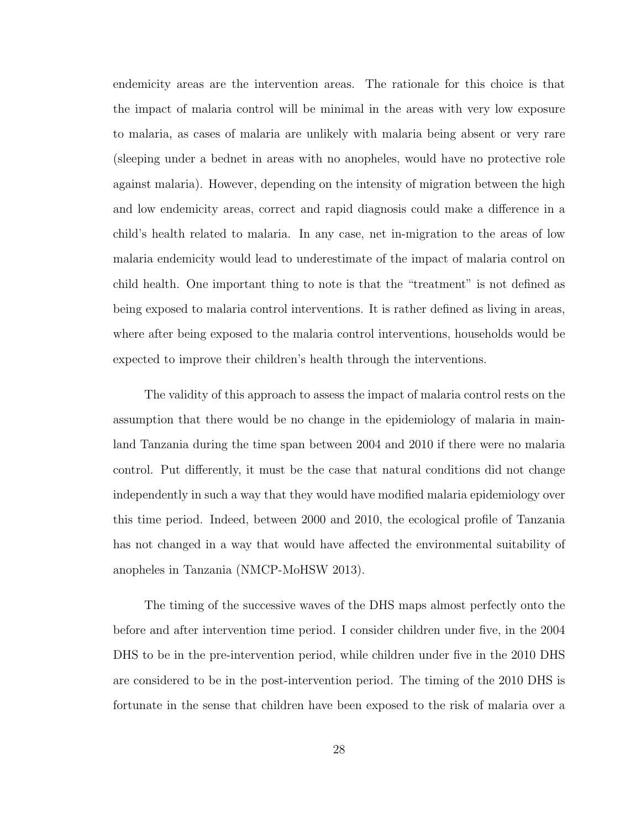endemicity areas are the intervention areas. The rationale for this choice is that the impact of malaria control will be minimal in the areas with very low exposure to malaria, as cases of malaria are unlikely with malaria being absent or very rare (sleeping under a bednet in areas with no anopheles, would have no protective role against malaria). However, depending on the intensity of migration between the high and low endemicity areas, correct and rapid diagnosis could make a difference in a child's health related to malaria. In any case, net in-migration to the areas of low malaria endemicity would lead to underestimate of the impact of malaria control on child health. One important thing to note is that the "treatment" is not defined as being exposed to malaria control interventions. It is rather defined as living in areas, where after being exposed to the malaria control interventions, households would be expected to improve their children's health through the interventions.

The validity of this approach to assess the impact of malaria control rests on the assumption that there would be no change in the epidemiology of malaria in mainland Tanzania during the time span between 2004 and 2010 if there were no malaria control. Put differently, it must be the case that natural conditions did not change independently in such a way that they would have modified malaria epidemiology over this time period. Indeed, between 2000 and 2010, the ecological profile of Tanzania has not changed in a way that would have affected the environmental suitability of anopheles in Tanzania (NMCP-MoHSW 2013).

The timing of the successive waves of the DHS maps almost perfectly onto the before and after intervention time period. I consider children under five, in the 2004 DHS to be in the pre-intervention period, while children under five in the 2010 DHS are considered to be in the post-intervention period. The timing of the 2010 DHS is fortunate in the sense that children have been exposed to the risk of malaria over a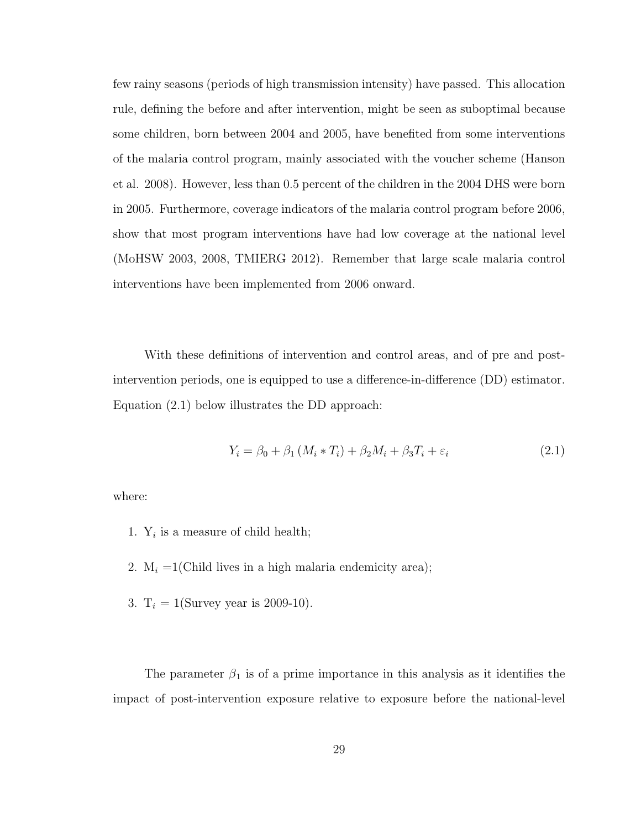few rainy seasons (periods of high transmission intensity) have passed. This allocation rule, defining the before and after intervention, might be seen as suboptimal because some children, born between 2004 and 2005, have benefited from some interventions of the malaria control program, mainly associated with the voucher scheme (Hanson et al. 2008). However, less than 0.5 percent of the children in the 2004 DHS were born in 2005. Furthermore, coverage indicators of the malaria control program before 2006, show that most program interventions have had low coverage at the national level (MoHSW 2003, 2008, TMIERG 2012). Remember that large scale malaria control interventions have been implemented from 2006 onward.

With these definitions of intervention and control areas, and of pre and postintervention periods, one is equipped to use a difference-in-difference (DD) estimator. Equation (2.1) below illustrates the DD approach:

$$
Y_i = \beta_0 + \beta_1 (M_i * T_i) + \beta_2 M_i + \beta_3 T_i + \varepsilon_i
$$
\n(2.1)

where:

- 1.  $Y_i$  is a measure of child health;
- 2.  $M_i = 1$ (Child lives in a high malaria endemicity area);
- 3.  $T_i = 1$ (Survey year is 2009-10).

The parameter  $\beta_1$  is of a prime importance in this analysis as it identifies the impact of post-intervention exposure relative to exposure before the national-level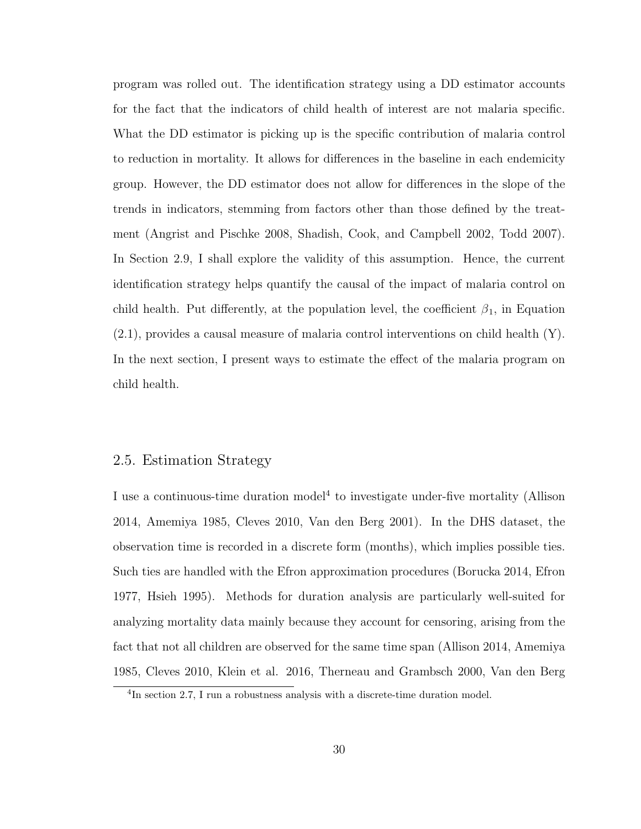program was rolled out. The identification strategy using a DD estimator accounts for the fact that the indicators of child health of interest are not malaria specific. What the DD estimator is picking up is the specific contribution of malaria control to reduction in mortality. It allows for differences in the baseline in each endemicity group. However, the DD estimator does not allow for differences in the slope of the trends in indicators, stemming from factors other than those defined by the treatment (Angrist and Pischke 2008, Shadish, Cook, and Campbell 2002, Todd 2007). In Section 2.9, I shall explore the validity of this assumption. Hence, the current identification strategy helps quantify the causal of the impact of malaria control on child health. Put differently, at the population level, the coefficient  $\beta_1$ , in Equation (2.1), provides a causal measure of malaria control interventions on child health (Y). In the next section, I present ways to estimate the effect of the malaria program on child health.

# 2.5. Estimation Strategy

I use a continuous-time duration model<sup>4</sup> to investigate under-five mortality (Allison 2014, Amemiya 1985, Cleves 2010, Van den Berg 2001). In the DHS dataset, the observation time is recorded in a discrete form (months), which implies possible ties. Such ties are handled with the Efron approximation procedures (Borucka 2014, Efron 1977, Hsieh 1995). Methods for duration analysis are particularly well-suited for analyzing mortality data mainly because they account for censoring, arising from the fact that not all children are observed for the same time span (Allison 2014, Amemiya 1985, Cleves 2010, Klein et al. 2016, Therneau and Grambsch 2000, Van den Berg

<sup>&</sup>lt;sup>4</sup>In section 2.7, I run a robustness analysis with a discrete-time duration model.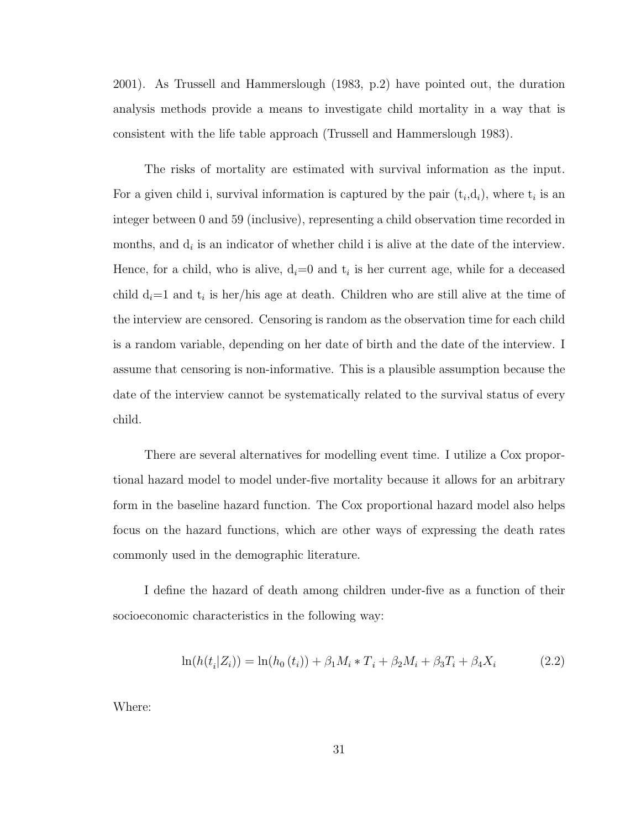2001). As Trussell and Hammerslough (1983, p.2) have pointed out, the duration analysis methods provide a means to investigate child mortality in a way that is consistent with the life table approach (Trussell and Hammerslough 1983).

The risks of mortality are estimated with survival information as the input. For a given child i, survival information is captured by the pair  $(t_i,d_i)$ , where  $t_i$  is an integer between 0 and 59 (inclusive), representing a child observation time recorded in months, and  $d_i$  is an indicator of whether child i is alive at the date of the interview. Hence, for a child, who is alive,  $d_i=0$  and  $t_i$  is her current age, while for a deceased child  $d_i=1$  and  $t_i$  is her/his age at death. Children who are still alive at the time of the interview are censored. Censoring is random as the observation time for each child is a random variable, depending on her date of birth and the date of the interview. I assume that censoring is non-informative. This is a plausible assumption because the date of the interview cannot be systematically related to the survival status of every child.

There are several alternatives for modelling event time. I utilize a Cox proportional hazard model to model under-five mortality because it allows for an arbitrary form in the baseline hazard function. The Cox proportional hazard model also helps focus on the hazard functions, which are other ways of expressing the death rates commonly used in the demographic literature.

I define the hazard of death among children under-five as a function of their socioeconomic characteristics in the following way:

$$
\ln(h(t_i|Z_i)) = \ln(h_0(t_i)) + \beta_1 M_i * T_i + \beta_2 M_i + \beta_3 T_i + \beta_4 X_i \tag{2.2}
$$

Where: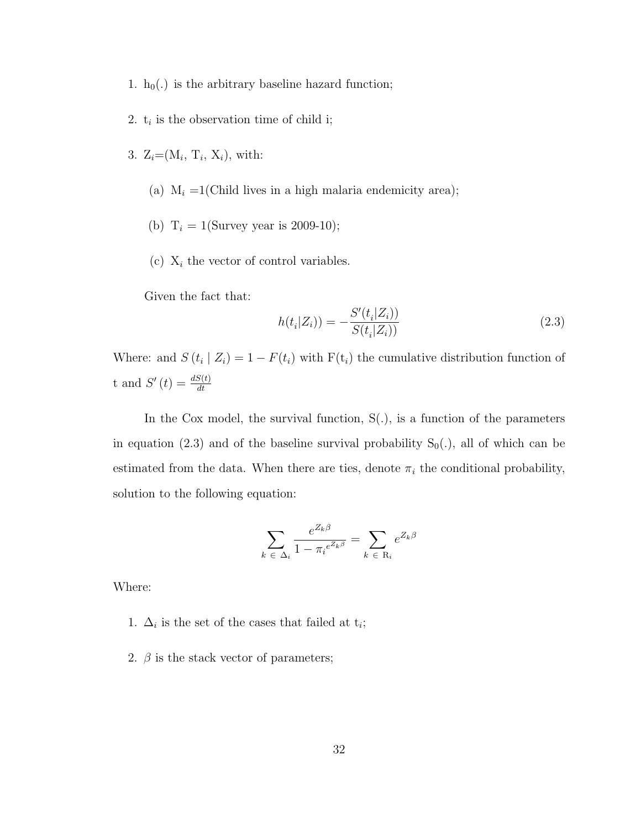- 1.  $h_0(.)$  is the arbitrary baseline hazard function;
- 2.  $t_i$  is the observation time of child i;
- 3.  $Z_i = (M_i, T_i, X_i)$ , with:
	- (a)  $M_i = 1$ (Child lives in a high malaria endemicity area);
	- (b)  $T_i = 1$ (Survey year is 2009-10);
	- (c)  $X_i$  the vector of control variables.

Given the fact that:

$$
h(t_i|Z_i)) = -\frac{S'(t_i|Z_i))}{S(t_i|Z_i)}
$$
\n(2.3)

Where: and  $S(t_i | Z_i) = 1 - F(t_i)$  with  $F(t_i)$  the cumulative distribution function of t and  $S'(t) = \frac{dS(t)}{dt}$ 

In the Cox model, the survival function, S(.), is a function of the parameters in equation (2.3) and of the baseline survival probability  $S_0(.)$ , all of which can be estimated from the data. When there are ties, denote  $\pi_i$  the conditional probability, solution to the following equation:

$$
\sum_{k \in \Delta_i} \frac{e^{Z_k \beta}}{1 - \pi_i e^{Z_k \beta}} = \sum_{k \in \mathcal{R}_i} e^{Z_k \beta}
$$

Where:

- 1.  $\Delta_i$  is the set of the cases that failed at  $t_i$ ;
- 2.  $\beta$  is the stack vector of parameters;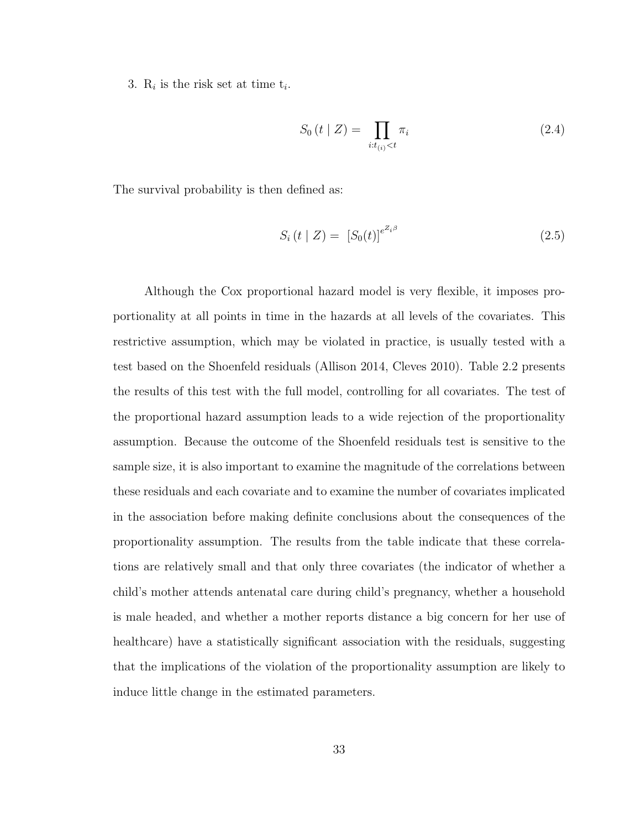3.  $R_i$  is the risk set at time  $t_i$ .

$$
S_0(t \mid Z) = \prod_{i:t_{(i)} < t} \pi_i \tag{2.4}
$$

The survival probability is then defined as:

$$
S_i(t \mid Z) = [S_0(t)]^{e^{Z_i\beta}} \tag{2.5}
$$

Although the Cox proportional hazard model is very flexible, it imposes proportionality at all points in time in the hazards at all levels of the covariates. This restrictive assumption, which may be violated in practice, is usually tested with a test based on the Shoenfeld residuals (Allison 2014, Cleves 2010). Table 2.2 presents the results of this test with the full model, controlling for all covariates. The test of the proportional hazard assumption leads to a wide rejection of the proportionality assumption. Because the outcome of the Shoenfeld residuals test is sensitive to the sample size, it is also important to examine the magnitude of the correlations between these residuals and each covariate and to examine the number of covariates implicated in the association before making definite conclusions about the consequences of the proportionality assumption. The results from the table indicate that these correlations are relatively small and that only three covariates (the indicator of whether a child's mother attends antenatal care during child's pregnancy, whether a household is male headed, and whether a mother reports distance a big concern for her use of healthcare) have a statistically significant association with the residuals, suggesting that the implications of the violation of the proportionality assumption are likely to induce little change in the estimated parameters.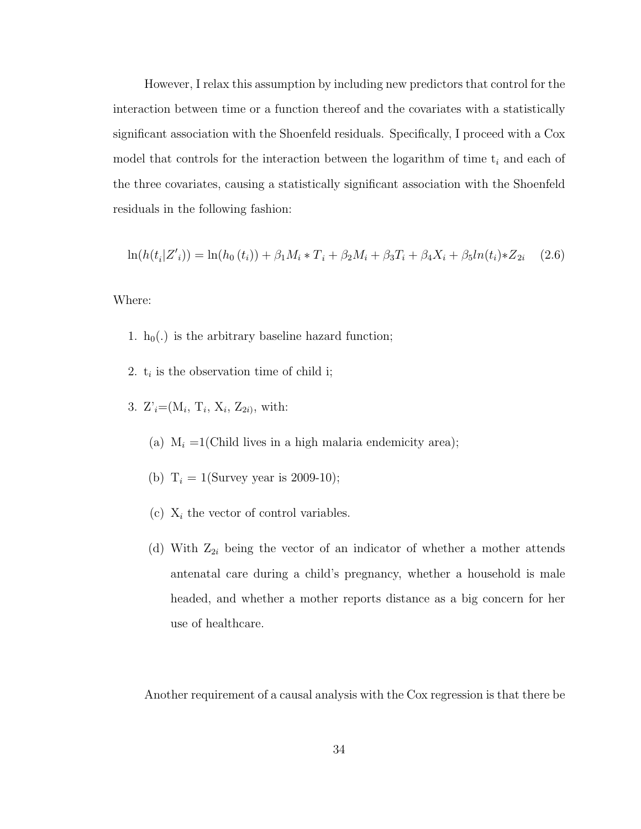However, I relax this assumption by including new predictors that control for the interaction between time or a function thereof and the covariates with a statistically significant association with the Shoenfeld residuals. Specifically, I proceed with a Cox model that controls for the interaction between the logarithm of time  $t_i$  and each of the three covariates, causing a statistically significant association with the Shoenfeld residuals in the following fashion:

$$
\ln(h(t_i|Z'_i)) = \ln(h_0(t_i)) + \beta_1 M_i * T_i + \beta_2 M_i + \beta_3 T_i + \beta_4 X_i + \beta_5 \ln(t_i) * Z_{2i} \quad (2.6)
$$

Where:

- 1.  $h_0(.)$  is the arbitrary baseline hazard function;
- 2.  $t_i$  is the observation time of child i;
- 3.  $Z_i = (M_i, T_i, X_i, Z_{2i}),$  with:
	- (a)  $M_i = 1$ (Child lives in a high malaria endemicity area);
	- (b)  $T_i = 1$ (Survey year is 2009-10);
	- (c)  $X_i$  the vector of control variables.
	- (d) With  $Z_{2i}$  being the vector of an indicator of whether a mother attends antenatal care during a child's pregnancy, whether a household is male headed, and whether a mother reports distance as a big concern for her use of healthcare.

Another requirement of a causal analysis with the Cox regression is that there be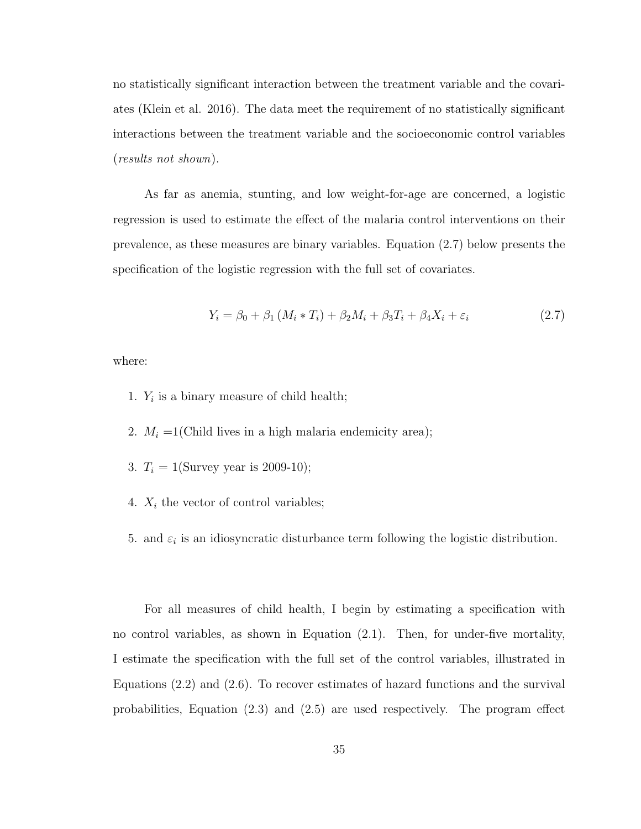no statistically significant interaction between the treatment variable and the covariates (Klein et al. 2016). The data meet the requirement of no statistically significant interactions between the treatment variable and the socioeconomic control variables (results not shown).

As far as anemia, stunting, and low weight-for-age are concerned, a logistic regression is used to estimate the effect of the malaria control interventions on their prevalence, as these measures are binary variables. Equation (2.7) below presents the specification of the logistic regression with the full set of covariates.

$$
Y_i = \beta_0 + \beta_1 (M_i * T_i) + \beta_2 M_i + \beta_3 T_i + \beta_4 X_i + \varepsilon_i
$$
\n(2.7)

where:

- 1.  $Y_i$  is a binary measure of child health;
- 2.  $M_i = 1$ (Child lives in a high malaria endemicity area);
- 3.  $T_i = 1$ (Survey year is 2009-10);
- 4.  $X_i$  the vector of control variables;
- 5. and  $\varepsilon_i$  is an idiosyncratic disturbance term following the logistic distribution.

For all measures of child health, I begin by estimating a specification with no control variables, as shown in Equation (2.1). Then, for under-five mortality, I estimate the specification with the full set of the control variables, illustrated in Equations (2.2) and (2.6). To recover estimates of hazard functions and the survival probabilities, Equation (2.3) and (2.5) are used respectively. The program effect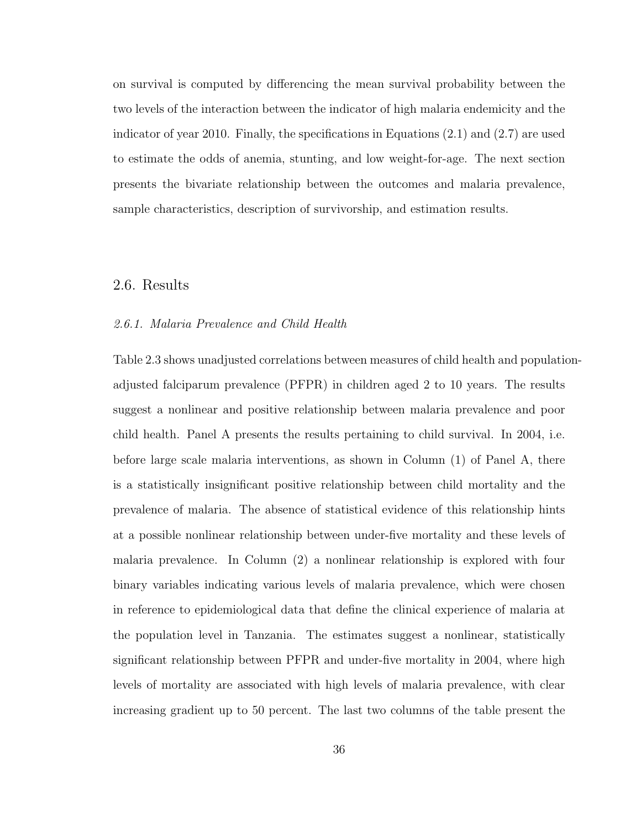on survival is computed by differencing the mean survival probability between the two levels of the interaction between the indicator of high malaria endemicity and the indicator of year 2010. Finally, the specifications in Equations  $(2.1)$  and  $(2.7)$  are used to estimate the odds of anemia, stunting, and low weight-for-age. The next section presents the bivariate relationship between the outcomes and malaria prevalence, sample characteristics, description of survivorship, and estimation results.

### 2.6. Results

#### 2.6.1. Malaria Prevalence and Child Health

Table 2.3 shows unadjusted correlations between measures of child health and populationadjusted falciparum prevalence (PFPR) in children aged 2 to 10 years. The results suggest a nonlinear and positive relationship between malaria prevalence and poor child health. Panel A presents the results pertaining to child survival. In 2004, i.e. before large scale malaria interventions, as shown in Column (1) of Panel A, there is a statistically insignificant positive relationship between child mortality and the prevalence of malaria. The absence of statistical evidence of this relationship hints at a possible nonlinear relationship between under-five mortality and these levels of malaria prevalence. In Column (2) a nonlinear relationship is explored with four binary variables indicating various levels of malaria prevalence, which were chosen in reference to epidemiological data that define the clinical experience of malaria at the population level in Tanzania. The estimates suggest a nonlinear, statistically significant relationship between PFPR and under-five mortality in 2004, where high levels of mortality are associated with high levels of malaria prevalence, with clear increasing gradient up to 50 percent. The last two columns of the table present the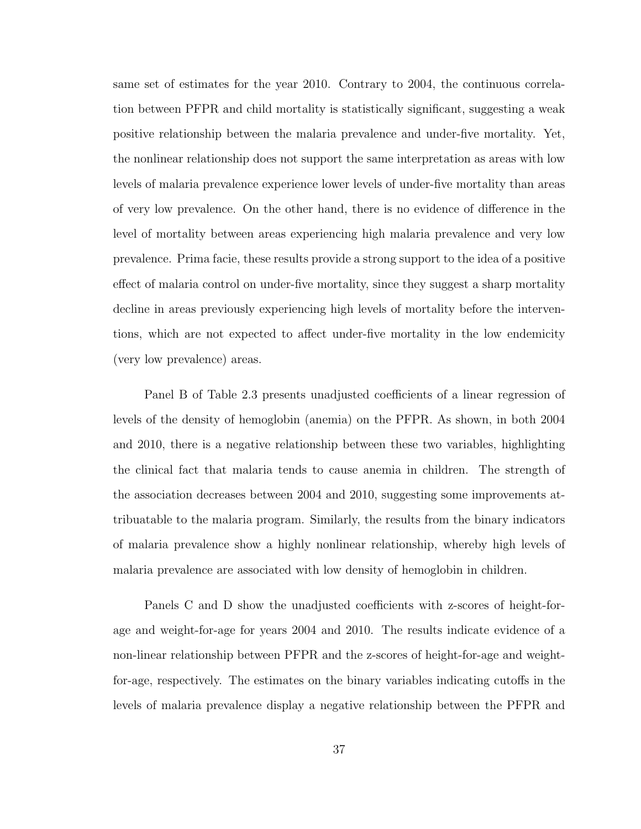same set of estimates for the year 2010. Contrary to 2004, the continuous correlation between PFPR and child mortality is statistically significant, suggesting a weak positive relationship between the malaria prevalence and under-five mortality. Yet, the nonlinear relationship does not support the same interpretation as areas with low levels of malaria prevalence experience lower levels of under-five mortality than areas of very low prevalence. On the other hand, there is no evidence of difference in the level of mortality between areas experiencing high malaria prevalence and very low prevalence. Prima facie, these results provide a strong support to the idea of a positive effect of malaria control on under-five mortality, since they suggest a sharp mortality decline in areas previously experiencing high levels of mortality before the interventions, which are not expected to affect under-five mortality in the low endemicity (very low prevalence) areas.

Panel B of Table 2.3 presents unadjusted coefficients of a linear regression of levels of the density of hemoglobin (anemia) on the PFPR. As shown, in both 2004 and 2010, there is a negative relationship between these two variables, highlighting the clinical fact that malaria tends to cause anemia in children. The strength of the association decreases between 2004 and 2010, suggesting some improvements attribuatable to the malaria program. Similarly, the results from the binary indicators of malaria prevalence show a highly nonlinear relationship, whereby high levels of malaria prevalence are associated with low density of hemoglobin in children.

Panels C and D show the unadjusted coefficients with z-scores of height-forage and weight-for-age for years 2004 and 2010. The results indicate evidence of a non-linear relationship between PFPR and the z-scores of height-for-age and weightfor-age, respectively. The estimates on the binary variables indicating cutoffs in the levels of malaria prevalence display a negative relationship between the PFPR and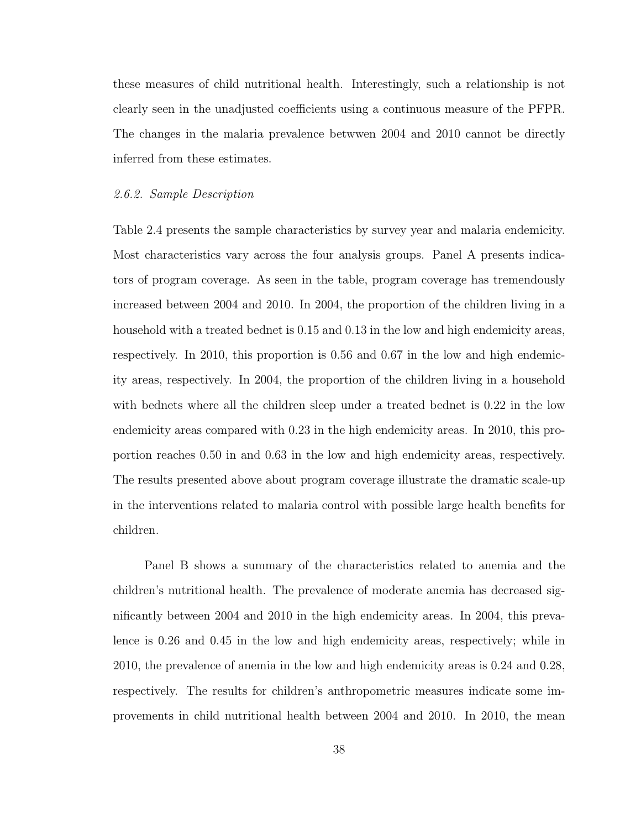these measures of child nutritional health. Interestingly, such a relationship is not clearly seen in the unadjusted coefficients using a continuous measure of the PFPR. The changes in the malaria prevalence betwwen 2004 and 2010 cannot be directly inferred from these estimates.

#### 2.6.2. Sample Description

Table 2.4 presents the sample characteristics by survey year and malaria endemicity. Most characteristics vary across the four analysis groups. Panel A presents indicators of program coverage. As seen in the table, program coverage has tremendously increased between 2004 and 2010. In 2004, the proportion of the children living in a household with a treated bednet is  $0.15$  and  $0.13$  in the low and high endemicity areas, respectively. In 2010, this proportion is 0.56 and 0.67 in the low and high endemicity areas, respectively. In 2004, the proportion of the children living in a household with bednets where all the children sleep under a treated bednet is 0.22 in the low endemicity areas compared with 0.23 in the high endemicity areas. In 2010, this proportion reaches 0.50 in and 0.63 in the low and high endemicity areas, respectively. The results presented above about program coverage illustrate the dramatic scale-up in the interventions related to malaria control with possible large health benefits for children.

Panel B shows a summary of the characteristics related to anemia and the children's nutritional health. The prevalence of moderate anemia has decreased significantly between 2004 and 2010 in the high endemicity areas. In 2004, this prevalence is 0.26 and 0.45 in the low and high endemicity areas, respectively; while in 2010, the prevalence of anemia in the low and high endemicity areas is 0.24 and 0.28, respectively. The results for children's anthropometric measures indicate some improvements in child nutritional health between 2004 and 2010. In 2010, the mean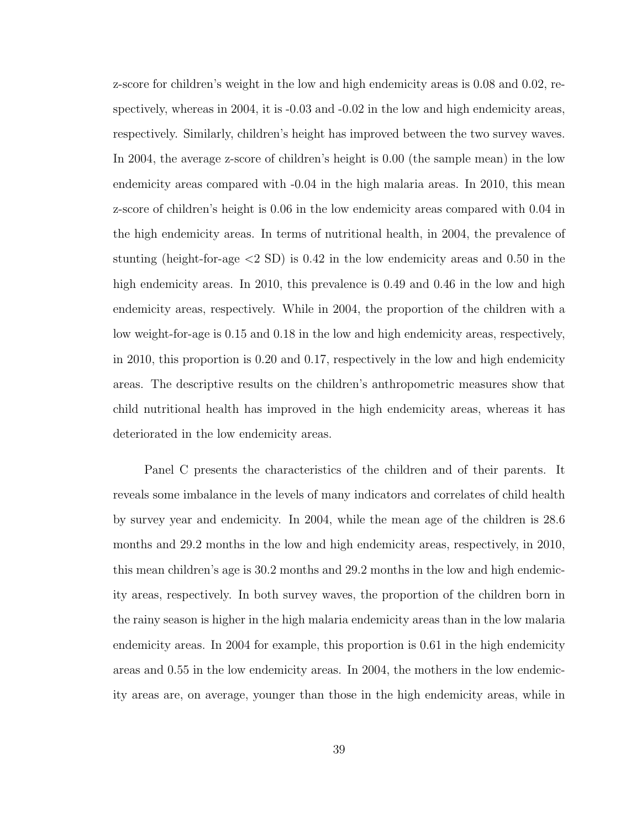z-score for children's weight in the low and high endemicity areas is 0.08 and 0.02, respectively, whereas in 2004, it is -0.03 and -0.02 in the low and high endemicity areas, respectively. Similarly, children's height has improved between the two survey waves. In 2004, the average z-score of children's height is 0.00 (the sample mean) in the low endemicity areas compared with -0.04 in the high malaria areas. In 2010, this mean z-score of children's height is 0.06 in the low endemicity areas compared with 0.04 in the high endemicity areas. In terms of nutritional health, in 2004, the prevalence of stunting (height-for-age <2 SD) is 0.42 in the low endemicity areas and 0.50 in the high endemicity areas. In 2010, this prevalence is 0.49 and 0.46 in the low and high endemicity areas, respectively. While in 2004, the proportion of the children with a low weight-for-age is 0.15 and 0.18 in the low and high endemicity areas, respectively, in 2010, this proportion is 0.20 and 0.17, respectively in the low and high endemicity areas. The descriptive results on the children's anthropometric measures show that child nutritional health has improved in the high endemicity areas, whereas it has deteriorated in the low endemicity areas.

Panel C presents the characteristics of the children and of their parents. It reveals some imbalance in the levels of many indicators and correlates of child health by survey year and endemicity. In 2004, while the mean age of the children is 28.6 months and 29.2 months in the low and high endemicity areas, respectively, in 2010, this mean children's age is 30.2 months and 29.2 months in the low and high endemicity areas, respectively. In both survey waves, the proportion of the children born in the rainy season is higher in the high malaria endemicity areas than in the low malaria endemicity areas. In 2004 for example, this proportion is 0.61 in the high endemicity areas and 0.55 in the low endemicity areas. In 2004, the mothers in the low endemicity areas are, on average, younger than those in the high endemicity areas, while in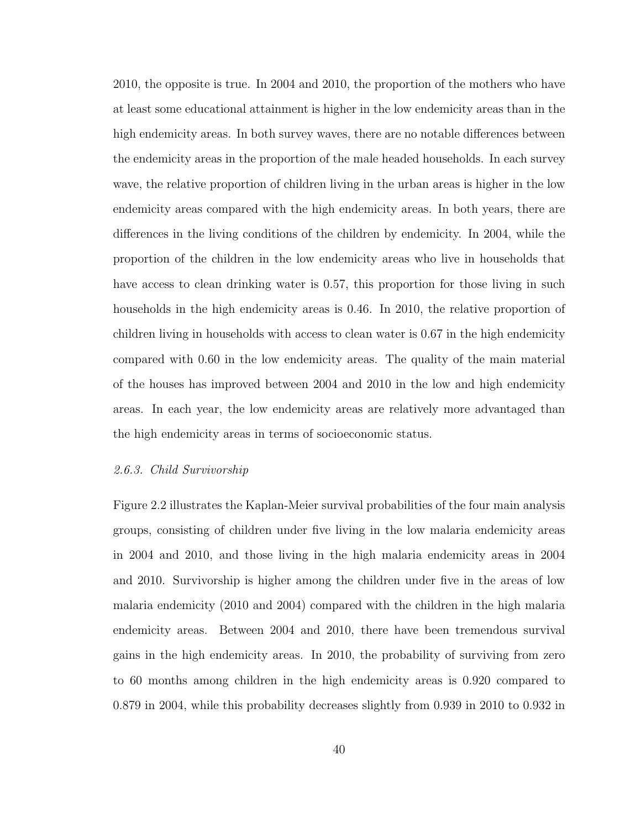2010, the opposite is true. In 2004 and 2010, the proportion of the mothers who have at least some educational attainment is higher in the low endemicity areas than in the high endemicity areas. In both survey waves, there are no notable differences between the endemicity areas in the proportion of the male headed households. In each survey wave, the relative proportion of children living in the urban areas is higher in the low endemicity areas compared with the high endemicity areas. In both years, there are differences in the living conditions of the children by endemicity. In 2004, while the proportion of the children in the low endemicity areas who live in households that have access to clean drinking water is 0.57, this proportion for those living in such households in the high endemicity areas is 0.46. In 2010, the relative proportion of children living in households with access to clean water is 0.67 in the high endemicity compared with 0.60 in the low endemicity areas. The quality of the main material of the houses has improved between 2004 and 2010 in the low and high endemicity areas. In each year, the low endemicity areas are relatively more advantaged than the high endemicity areas in terms of socioeconomic status.

#### 2.6.3. Child Survivorship

Figure 2.2 illustrates the Kaplan-Meier survival probabilities of the four main analysis groups, consisting of children under five living in the low malaria endemicity areas in 2004 and 2010, and those living in the high malaria endemicity areas in 2004 and 2010. Survivorship is higher among the children under five in the areas of low malaria endemicity (2010 and 2004) compared with the children in the high malaria endemicity areas. Between 2004 and 2010, there have been tremendous survival gains in the high endemicity areas. In 2010, the probability of surviving from zero to 60 months among children in the high endemicity areas is 0.920 compared to 0.879 in 2004, while this probability decreases slightly from 0.939 in 2010 to 0.932 in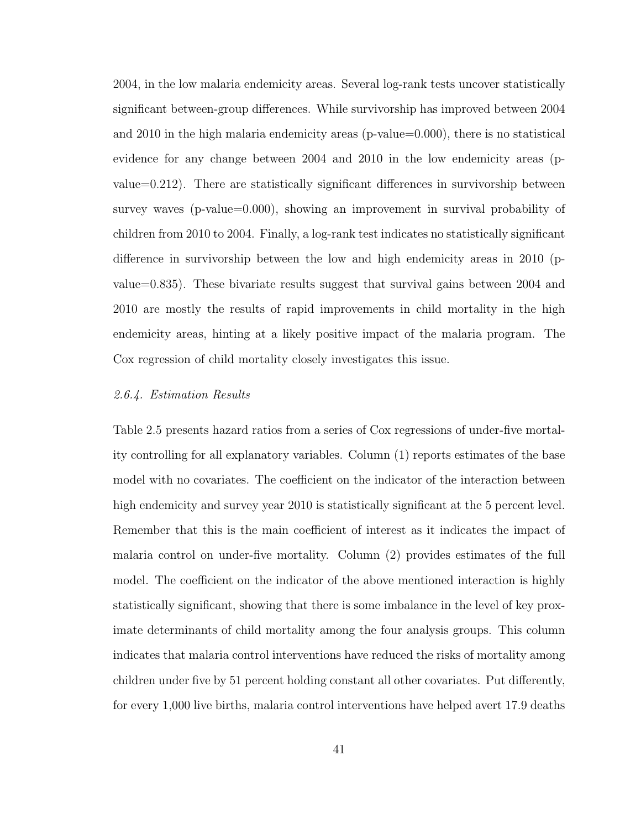2004, in the low malaria endemicity areas. Several log-rank tests uncover statistically significant between-group differences. While survivorship has improved between 2004 and 2010 in the high malaria endemicity areas (p-value=0.000), there is no statistical evidence for any change between 2004 and 2010 in the low endemicity areas (pvalue=0.212). There are statistically significant differences in survivorship between survey waves (p-value=0.000), showing an improvement in survival probability of children from 2010 to 2004. Finally, a log-rank test indicates no statistically significant difference in survivorship between the low and high endemicity areas in 2010 (pvalue=0.835). These bivariate results suggest that survival gains between 2004 and 2010 are mostly the results of rapid improvements in child mortality in the high endemicity areas, hinting at a likely positive impact of the malaria program. The Cox regression of child mortality closely investigates this issue.

#### 2.6.4. Estimation Results

Table 2.5 presents hazard ratios from a series of Cox regressions of under-five mortality controlling for all explanatory variables. Column (1) reports estimates of the base model with no covariates. The coefficient on the indicator of the interaction between high endemicity and survey year 2010 is statistically significant at the 5 percent level. Remember that this is the main coefficient of interest as it indicates the impact of malaria control on under-five mortality. Column (2) provides estimates of the full model. The coefficient on the indicator of the above mentioned interaction is highly statistically significant, showing that there is some imbalance in the level of key proximate determinants of child mortality among the four analysis groups. This column indicates that malaria control interventions have reduced the risks of mortality among children under five by 51 percent holding constant all other covariates. Put differently, for every 1,000 live births, malaria control interventions have helped avert 17.9 deaths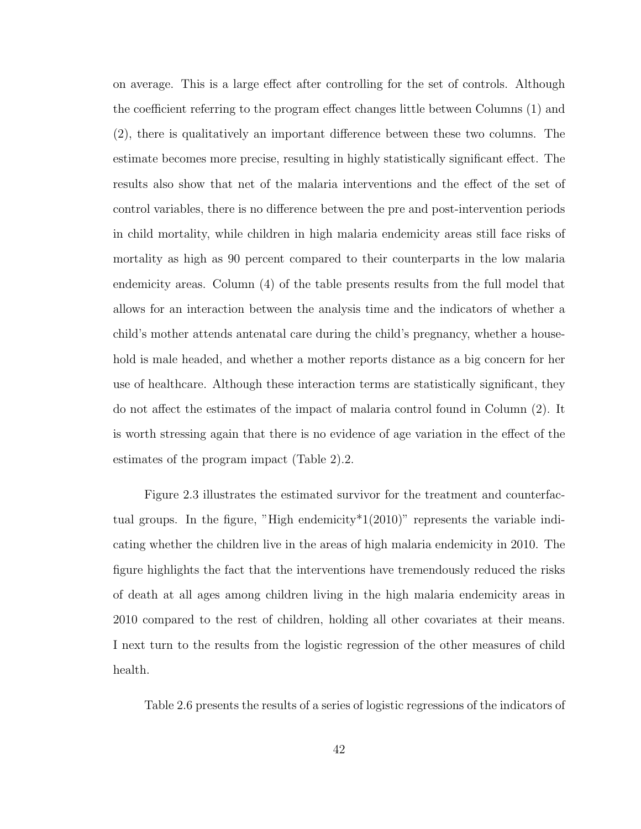on average. This is a large effect after controlling for the set of controls. Although the coefficient referring to the program effect changes little between Columns (1) and (2), there is qualitatively an important difference between these two columns. The estimate becomes more precise, resulting in highly statistically significant effect. The results also show that net of the malaria interventions and the effect of the set of control variables, there is no difference between the pre and post-intervention periods in child mortality, while children in high malaria endemicity areas still face risks of mortality as high as 90 percent compared to their counterparts in the low malaria endemicity areas. Column (4) of the table presents results from the full model that allows for an interaction between the analysis time and the indicators of whether a child's mother attends antenatal care during the child's pregnancy, whether a household is male headed, and whether a mother reports distance as a big concern for her use of healthcare. Although these interaction terms are statistically significant, they do not affect the estimates of the impact of malaria control found in Column (2). It is worth stressing again that there is no evidence of age variation in the effect of the estimates of the program impact (Table 2).2.

Figure 2.3 illustrates the estimated survivor for the treatment and counterfactual groups. In the figure, "High endemicity  $1(2010)$ " represents the variable indicating whether the children live in the areas of high malaria endemicity in 2010. The figure highlights the fact that the interventions have tremendously reduced the risks of death at all ages among children living in the high malaria endemicity areas in 2010 compared to the rest of children, holding all other covariates at their means. I next turn to the results from the logistic regression of the other measures of child health.

Table 2.6 presents the results of a series of logistic regressions of the indicators of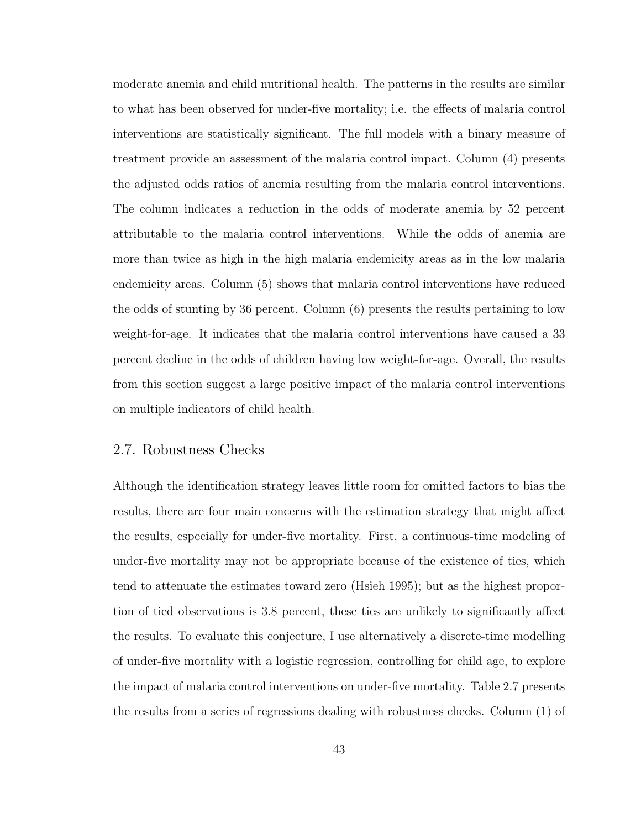moderate anemia and child nutritional health. The patterns in the results are similar to what has been observed for under-five mortality; i.e. the effects of malaria control interventions are statistically significant. The full models with a binary measure of treatment provide an assessment of the malaria control impact. Column (4) presents the adjusted odds ratios of anemia resulting from the malaria control interventions. The column indicates a reduction in the odds of moderate anemia by 52 percent attributable to the malaria control interventions. While the odds of anemia are more than twice as high in the high malaria endemicity areas as in the low malaria endemicity areas. Column (5) shows that malaria control interventions have reduced the odds of stunting by 36 percent. Column (6) presents the results pertaining to low weight-for-age. It indicates that the malaria control interventions have caused a 33 percent decline in the odds of children having low weight-for-age. Overall, the results from this section suggest a large positive impact of the malaria control interventions on multiple indicators of child health.

# 2.7. Robustness Checks

Although the identification strategy leaves little room for omitted factors to bias the results, there are four main concerns with the estimation strategy that might affect the results, especially for under-five mortality. First, a continuous-time modeling of under-five mortality may not be appropriate because of the existence of ties, which tend to attenuate the estimates toward zero (Hsieh 1995); but as the highest proportion of tied observations is 3.8 percent, these ties are unlikely to significantly affect the results. To evaluate this conjecture, I use alternatively a discrete-time modelling of under-five mortality with a logistic regression, controlling for child age, to explore the impact of malaria control interventions on under-five mortality. Table 2.7 presents the results from a series of regressions dealing with robustness checks. Column (1) of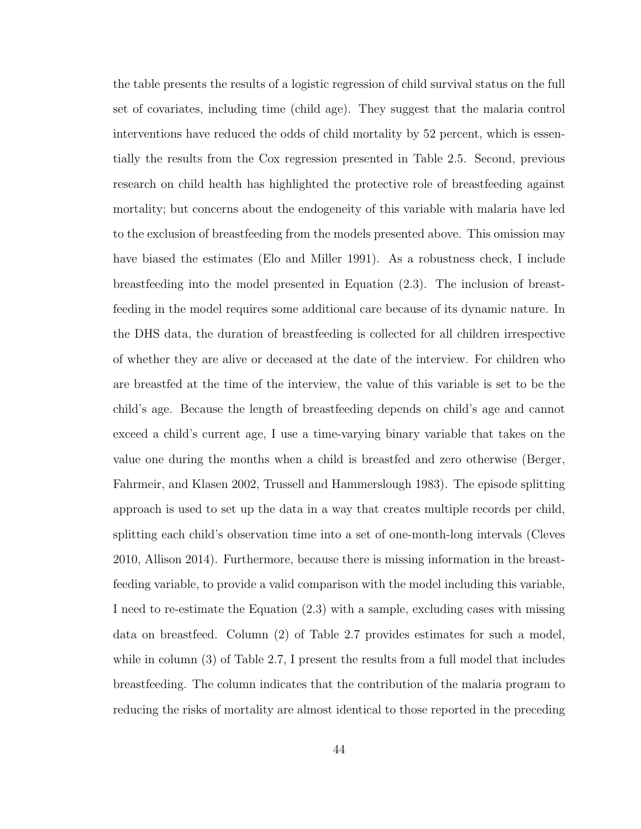the table presents the results of a logistic regression of child survival status on the full set of covariates, including time (child age). They suggest that the malaria control interventions have reduced the odds of child mortality by 52 percent, which is essentially the results from the Cox regression presented in Table 2.5. Second, previous research on child health has highlighted the protective role of breastfeeding against mortality; but concerns about the endogeneity of this variable with malaria have led to the exclusion of breastfeeding from the models presented above. This omission may have biased the estimates (Elo and Miller 1991). As a robustness check, I include breastfeeding into the model presented in Equation (2.3). The inclusion of breastfeeding in the model requires some additional care because of its dynamic nature. In the DHS data, the duration of breastfeeding is collected for all children irrespective of whether they are alive or deceased at the date of the interview. For children who are breastfed at the time of the interview, the value of this variable is set to be the child's age. Because the length of breastfeeding depends on child's age and cannot exceed a child's current age, I use a time-varying binary variable that takes on the value one during the months when a child is breastfed and zero otherwise (Berger, Fahrmeir, and Klasen 2002, Trussell and Hammerslough 1983). The episode splitting approach is used to set up the data in a way that creates multiple records per child, splitting each child's observation time into a set of one-month-long intervals (Cleves 2010, Allison 2014). Furthermore, because there is missing information in the breastfeeding variable, to provide a valid comparison with the model including this variable, I need to re-estimate the Equation (2.3) with a sample, excluding cases with missing data on breastfeed. Column (2) of Table 2.7 provides estimates for such a model, while in column (3) of Table 2.7, I present the results from a full model that includes breastfeeding. The column indicates that the contribution of the malaria program to reducing the risks of mortality are almost identical to those reported in the preceding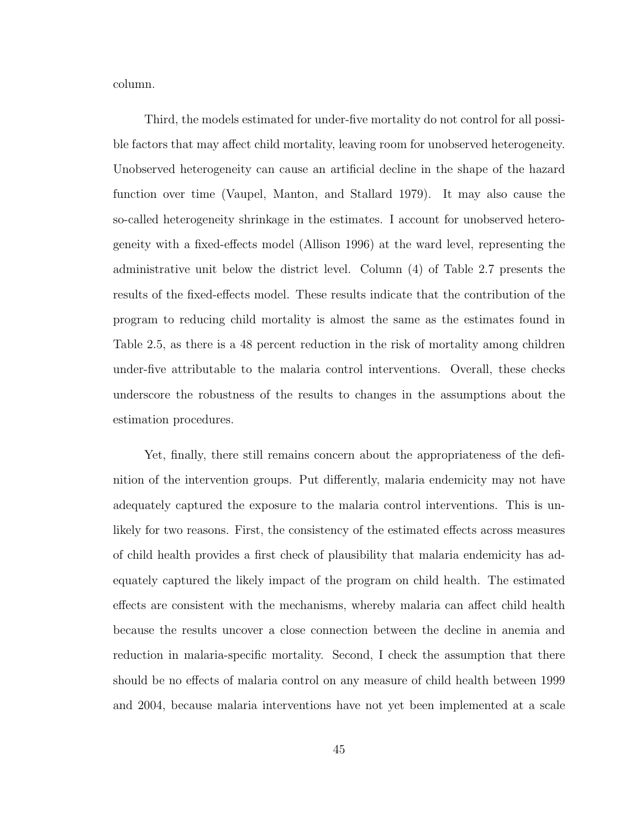column.

Third, the models estimated for under-five mortality do not control for all possible factors that may affect child mortality, leaving room for unobserved heterogeneity. Unobserved heterogeneity can cause an artificial decline in the shape of the hazard function over time (Vaupel, Manton, and Stallard 1979). It may also cause the so-called heterogeneity shrinkage in the estimates. I account for unobserved heterogeneity with a fixed-effects model (Allison 1996) at the ward level, representing the administrative unit below the district level. Column (4) of Table 2.7 presents the results of the fixed-effects model. These results indicate that the contribution of the program to reducing child mortality is almost the same as the estimates found in Table 2.5, as there is a 48 percent reduction in the risk of mortality among children under-five attributable to the malaria control interventions. Overall, these checks underscore the robustness of the results to changes in the assumptions about the estimation procedures.

Yet, finally, there still remains concern about the appropriateness of the definition of the intervention groups. Put differently, malaria endemicity may not have adequately captured the exposure to the malaria control interventions. This is unlikely for two reasons. First, the consistency of the estimated effects across measures of child health provides a first check of plausibility that malaria endemicity has adequately captured the likely impact of the program on child health. The estimated effects are consistent with the mechanisms, whereby malaria can affect child health because the results uncover a close connection between the decline in anemia and reduction in malaria-specific mortality. Second, I check the assumption that there should be no effects of malaria control on any measure of child health between 1999 and 2004, because malaria interventions have not yet been implemented at a scale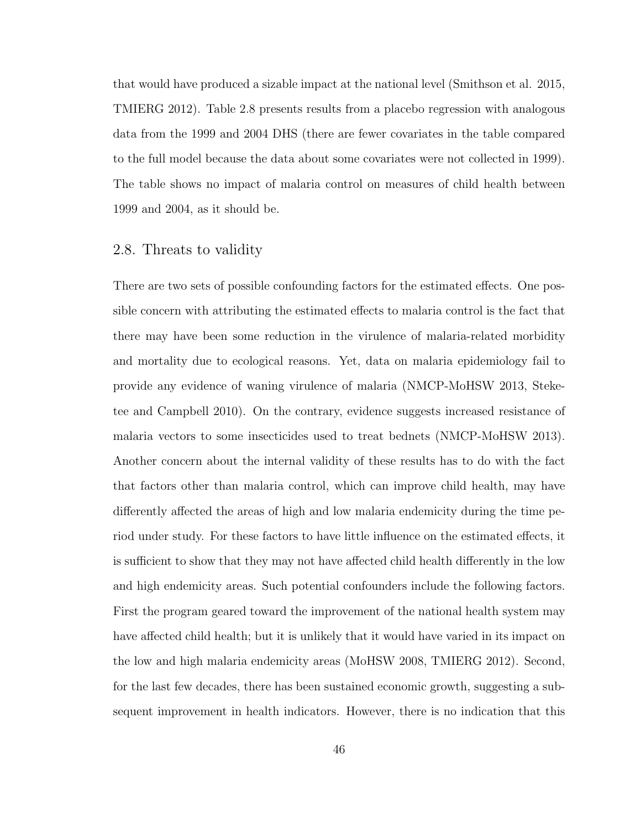that would have produced a sizable impact at the national level (Smithson et al. 2015, TMIERG 2012). Table 2.8 presents results from a placebo regression with analogous data from the 1999 and 2004 DHS (there are fewer covariates in the table compared to the full model because the data about some covariates were not collected in 1999). The table shows no impact of malaria control on measures of child health between 1999 and 2004, as it should be.

## 2.8. Threats to validity

There are two sets of possible confounding factors for the estimated effects. One possible concern with attributing the estimated effects to malaria control is the fact that there may have been some reduction in the virulence of malaria-related morbidity and mortality due to ecological reasons. Yet, data on malaria epidemiology fail to provide any evidence of waning virulence of malaria (NMCP-MoHSW 2013, Steketee and Campbell 2010). On the contrary, evidence suggests increased resistance of malaria vectors to some insecticides used to treat bednets (NMCP-MoHSW 2013). Another concern about the internal validity of these results has to do with the fact that factors other than malaria control, which can improve child health, may have differently affected the areas of high and low malaria endemicity during the time period under study. For these factors to have little influence on the estimated effects, it is sufficient to show that they may not have affected child health differently in the low and high endemicity areas. Such potential confounders include the following factors. First the program geared toward the improvement of the national health system may have affected child health; but it is unlikely that it would have varied in its impact on the low and high malaria endemicity areas (MoHSW 2008, TMIERG 2012). Second, for the last few decades, there has been sustained economic growth, suggesting a subsequent improvement in health indicators. However, there is no indication that this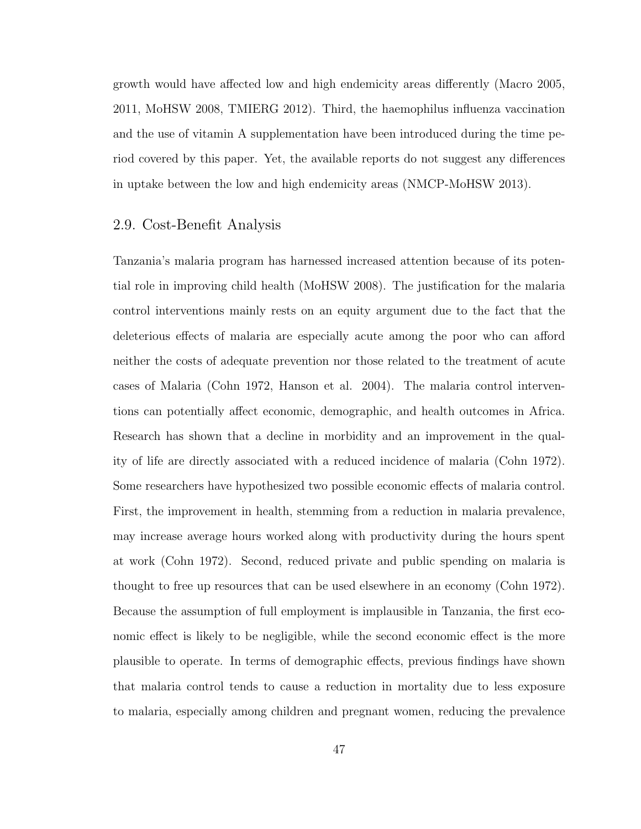growth would have affected low and high endemicity areas differently (Macro 2005, 2011, MoHSW 2008, TMIERG 2012). Third, the haemophilus influenza vaccination and the use of vitamin A supplementation have been introduced during the time period covered by this paper. Yet, the available reports do not suggest any differences in uptake between the low and high endemicity areas (NMCP-MoHSW 2013).

## 2.9. Cost-Benefit Analysis

Tanzania's malaria program has harnessed increased attention because of its potential role in improving child health (MoHSW 2008). The justification for the malaria control interventions mainly rests on an equity argument due to the fact that the deleterious effects of malaria are especially acute among the poor who can afford neither the costs of adequate prevention nor those related to the treatment of acute cases of Malaria (Cohn 1972, Hanson et al. 2004). The malaria control interventions can potentially affect economic, demographic, and health outcomes in Africa. Research has shown that a decline in morbidity and an improvement in the quality of life are directly associated with a reduced incidence of malaria (Cohn 1972). Some researchers have hypothesized two possible economic effects of malaria control. First, the improvement in health, stemming from a reduction in malaria prevalence, may increase average hours worked along with productivity during the hours spent at work (Cohn 1972). Second, reduced private and public spending on malaria is thought to free up resources that can be used elsewhere in an economy (Cohn 1972). Because the assumption of full employment is implausible in Tanzania, the first economic effect is likely to be negligible, while the second economic effect is the more plausible to operate. In terms of demographic effects, previous findings have shown that malaria control tends to cause a reduction in mortality due to less exposure to malaria, especially among children and pregnant women, reducing the prevalence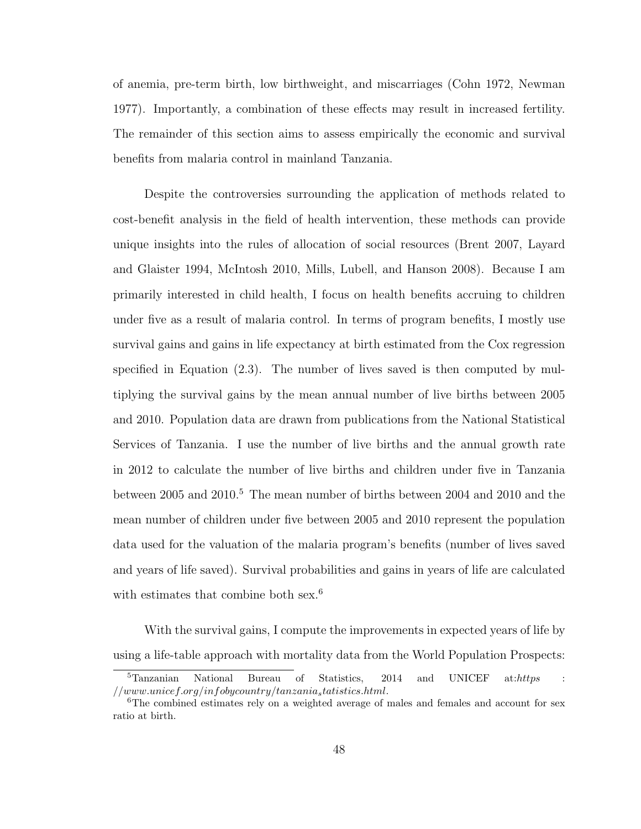of anemia, pre-term birth, low birthweight, and miscarriages (Cohn 1972, Newman 1977). Importantly, a combination of these effects may result in increased fertility. The remainder of this section aims to assess empirically the economic and survival benefits from malaria control in mainland Tanzania.

Despite the controversies surrounding the application of methods related to cost-benefit analysis in the field of health intervention, these methods can provide unique insights into the rules of allocation of social resources (Brent 2007, Layard and Glaister 1994, McIntosh 2010, Mills, Lubell, and Hanson 2008). Because I am primarily interested in child health, I focus on health benefits accruing to children under five as a result of malaria control. In terms of program benefits, I mostly use survival gains and gains in life expectancy at birth estimated from the Cox regression specified in Equation (2.3). The number of lives saved is then computed by multiplying the survival gains by the mean annual number of live births between 2005 and 2010. Population data are drawn from publications from the National Statistical Services of Tanzania. I use the number of live births and the annual growth rate in 2012 to calculate the number of live births and children under five in Tanzania between 2005 and 2010.<sup>5</sup> The mean number of births between 2004 and 2010 and the mean number of children under five between 2005 and 2010 represent the population data used for the valuation of the malaria program's benefits (number of lives saved and years of life saved). Survival probabilities and gains in years of life are calculated with estimates that combine both sex.<sup>6</sup>

With the survival gains, I compute the improvements in expected years of life by using a life-table approach with mortality data from the World Population Prospects:

 ${}^{5}$ Tanzanian National Bureau of Statistics, 2014 and UNICEF at: $\hbar t$ ttps //www.unicef.org/infobycountry/tanzaniastatistics.html.

 $6$ The combined estimates rely on a weighted average of males and females and account for sex ratio at birth.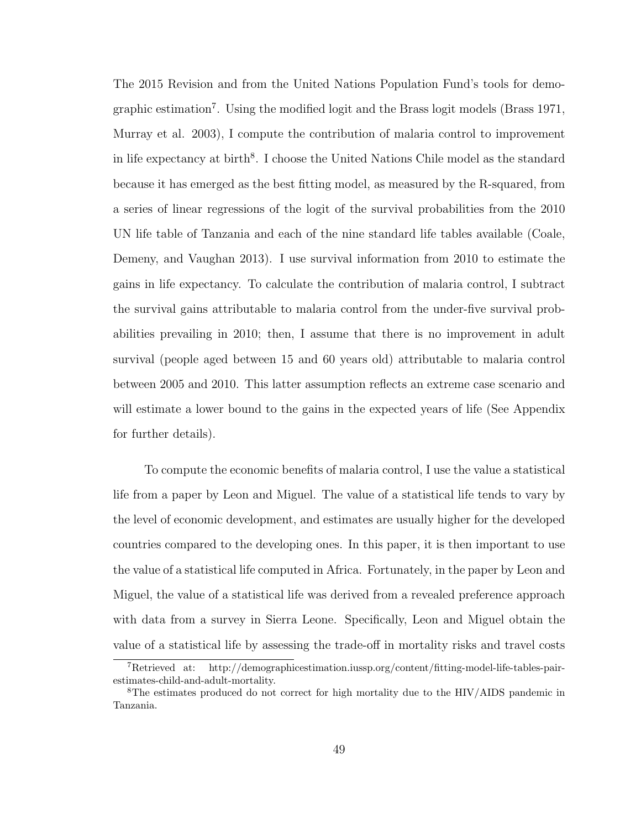The 2015 Revision and from the United Nations Population Fund's tools for demographic estimation<sup>7</sup>. Using the modified logit and the Brass logit models (Brass 1971, Murray et al. 2003), I compute the contribution of malaria control to improvement in life expectancy at birth<sup>8</sup>. I choose the United Nations Chile model as the standard because it has emerged as the best fitting model, as measured by the R-squared, from a series of linear regressions of the logit of the survival probabilities from the 2010 UN life table of Tanzania and each of the nine standard life tables available (Coale, Demeny, and Vaughan 2013). I use survival information from 2010 to estimate the gains in life expectancy. To calculate the contribution of malaria control, I subtract the survival gains attributable to malaria control from the under-five survival probabilities prevailing in 2010; then, I assume that there is no improvement in adult survival (people aged between 15 and 60 years old) attributable to malaria control between 2005 and 2010. This latter assumption reflects an extreme case scenario and will estimate a lower bound to the gains in the expected years of life (See Appendix for further details).

To compute the economic benefits of malaria control, I use the value a statistical life from a paper by Leon and Miguel. The value of a statistical life tends to vary by the level of economic development, and estimates are usually higher for the developed countries compared to the developing ones. In this paper, it is then important to use the value of a statistical life computed in Africa. Fortunately, in the paper by Leon and Miguel, the value of a statistical life was derived from a revealed preference approach with data from a survey in Sierra Leone. Specifically, Leon and Miguel obtain the value of a statistical life by assessing the trade-off in mortality risks and travel costs

<sup>7</sup>Retrieved at: http://demographicestimation.iussp.org/content/fitting-model-life-tables-pairestimates-child-and-adult-mortality.

<sup>8</sup>The estimates produced do not correct for high mortality due to the HIV/AIDS pandemic in Tanzania.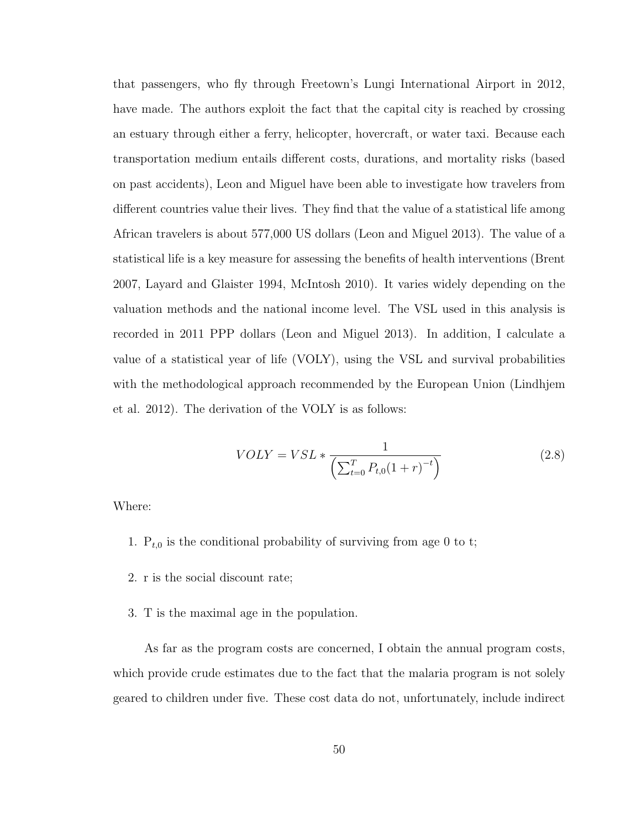that passengers, who fly through Freetown's Lungi International Airport in 2012, have made. The authors exploit the fact that the capital city is reached by crossing an estuary through either a ferry, helicopter, hovercraft, or water taxi. Because each transportation medium entails different costs, durations, and mortality risks (based on past accidents), Leon and Miguel have been able to investigate how travelers from different countries value their lives. They find that the value of a statistical life among African travelers is about 577,000 US dollars (Leon and Miguel 2013). The value of a statistical life is a key measure for assessing the benefits of health interventions (Brent 2007, Layard and Glaister 1994, McIntosh 2010). It varies widely depending on the valuation methods and the national income level. The VSL used in this analysis is recorded in 2011 PPP dollars (Leon and Miguel 2013). In addition, I calculate a value of a statistical year of life (VOLY), using the VSL and survival probabilities with the methodological approach recommended by the European Union (Lindhjem et al. 2012). The derivation of the VOLY is as follows:

$$
VOLY = VSL * \frac{1}{\left(\sum_{t=0}^{T} P_{t,0} (1+r)^{-t}\right)}
$$
\n(2.8)

Where:

- 1.  $P_{t,0}$  is the conditional probability of surviving from age 0 to t;
- 2. r is the social discount rate;
- 3. T is the maximal age in the population.

As far as the program costs are concerned, I obtain the annual program costs, which provide crude estimates due to the fact that the malaria program is not solely geared to children under five. These cost data do not, unfortunately, include indirect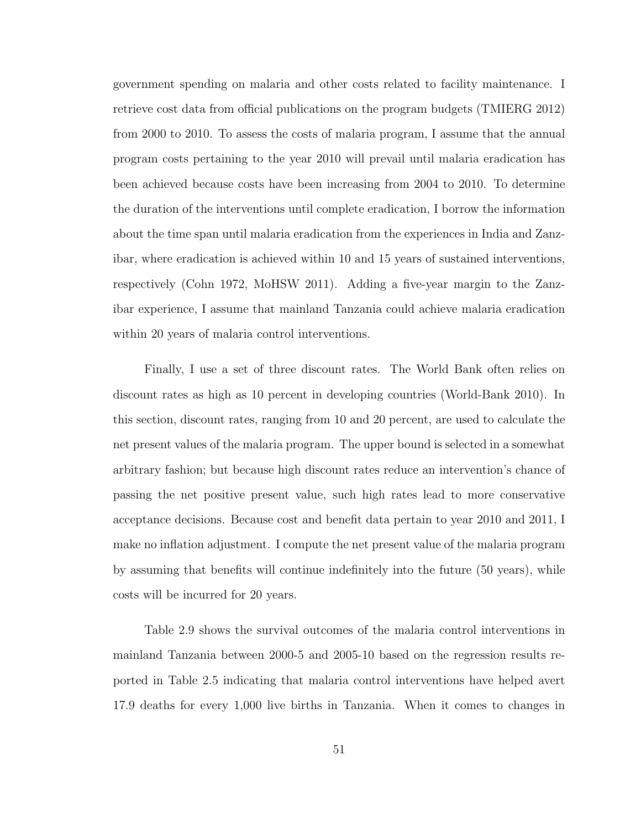government spending on malaria and other costs related to facility maintenance. I retrieve cost data from official publications on the program budgets (TMIERG 2012) from 2000 to 2010. To assess the costs of malaria program, I assume that the annual program costs pertaining to the year 2010 will prevail until malaria eradication has been achieved because costs have been increasing from 2004 to 2010. To determine the duration of the interventions until complete eradication, I borrow the information about the time span until malaria eradication from the experiences in India and Zanzibar, where eradication is achieved within 10 and 15 years of sustained interventions, respectively (Cohn 1972, MoHSW 2011). Adding a five-year margin to the Zanzibar experience, I assume that mainland Tanzania could achieve malaria eradication within 20 years of malaria control interventions.

Finally, I use a set of three discount rates. The World Bank often relies on discount rates as high as 10 percent in developing countries (World-Bank 2010). In this section, discount rates, ranging from 10 and 20 percent, are used to calculate the net present values of the malaria program. The upper bound is selected in a somewhat arbitrary fashion; but because high discount rates reduce an intervention's chance of passing the net positive present value, such high rates lead to more conservative acceptance decisions. Because cost and benefit data pertain to year 2010 and 2011, I make no inflation adjustment. I compute the net present value of the malaria program by assuming that benefits will continue indefinitely into the future (50 years), while costs will be incurred for 20 years.

Table 2.9 shows the survival outcomes of the malaria control interventions in mainland Tanzania between 2000-5 and 2005-10 based on the regression results reported in Table 2.5 indicating that malaria control interventions have helped avert 17.9 deaths for every 1,000 live births in Tanzania. When it comes to changes in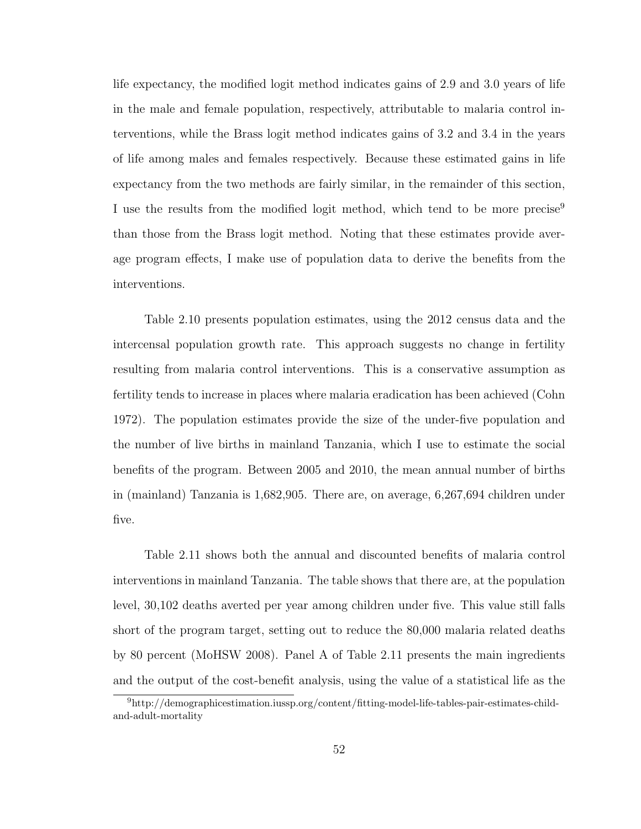life expectancy, the modified logit method indicates gains of 2.9 and 3.0 years of life in the male and female population, respectively, attributable to malaria control interventions, while the Brass logit method indicates gains of 3.2 and 3.4 in the years of life among males and females respectively. Because these estimated gains in life expectancy from the two methods are fairly similar, in the remainder of this section, I use the results from the modified logit method, which tend to be more precise<sup>9</sup> than those from the Brass logit method. Noting that these estimates provide average program effects, I make use of population data to derive the benefits from the interventions.

Table 2.10 presents population estimates, using the 2012 census data and the intercensal population growth rate. This approach suggests no change in fertility resulting from malaria control interventions. This is a conservative assumption as fertility tends to increase in places where malaria eradication has been achieved (Cohn 1972). The population estimates provide the size of the under-five population and the number of live births in mainland Tanzania, which I use to estimate the social benefits of the program. Between 2005 and 2010, the mean annual number of births in (mainland) Tanzania is 1,682,905. There are, on average, 6,267,694 children under five.

Table 2.11 shows both the annual and discounted benefits of malaria control interventions in mainland Tanzania. The table shows that there are, at the population level, 30,102 deaths averted per year among children under five. This value still falls short of the program target, setting out to reduce the 80,000 malaria related deaths by 80 percent (MoHSW 2008). Panel A of Table 2.11 presents the main ingredients and the output of the cost-benefit analysis, using the value of a statistical life as the

<sup>9</sup>http://demographicestimation.iussp.org/content/fitting-model-life-tables-pair-estimates-childand-adult-mortality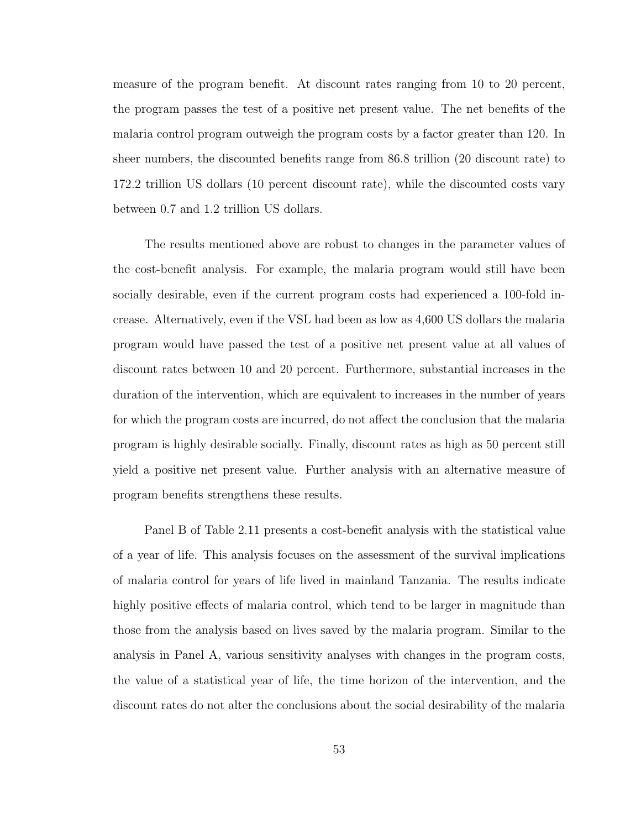measure of the program benefit. At discount rates ranging from 10 to 20 percent, the program passes the test of a positive net present value. The net benefits of the malaria control program outweigh the program costs by a factor greater than 120. In sheer numbers, the discounted benefits range from 86.8 trillion (20 discount rate) to 172.2 trillion US dollars (10 percent discount rate), while the discounted costs vary between 0.7 and 1.2 trillion US dollars.

The results mentioned above are robust to changes in the parameter values of the cost-benefit analysis. For example, the malaria program would still have been socially desirable, even if the current program costs had experienced a 100-fold increase. Alternatively, even if the VSL had been as low as 4,600 US dollars the malaria program would have passed the test of a positive net present value at all values of discount rates between 10 and 20 percent. Furthermore, substantial increases in the duration of the intervention, which are equivalent to increases in the number of years for which the program costs are incurred, do not affect the conclusion that the malaria program is highly desirable socially. Finally, discount rates as high as 50 percent still yield a positive net present value. Further analysis with an alternative measure of program benefits strengthens these results.

Panel B of Table 2.11 presents a cost-benefit analysis with the statistical value of a year of life. This analysis focuses on the assessment of the survival implications of malaria control for years of life lived in mainland Tanzania. The results indicate highly positive effects of malaria control, which tend to be larger in magnitude than those from the analysis based on lives saved by the malaria program. Similar to the analysis in Panel A, various sensitivity analyses with changes in the program costs, the value of a statistical year of life, the time horizon of the intervention, and the discount rates do not alter the conclusions about the social desirability of the malaria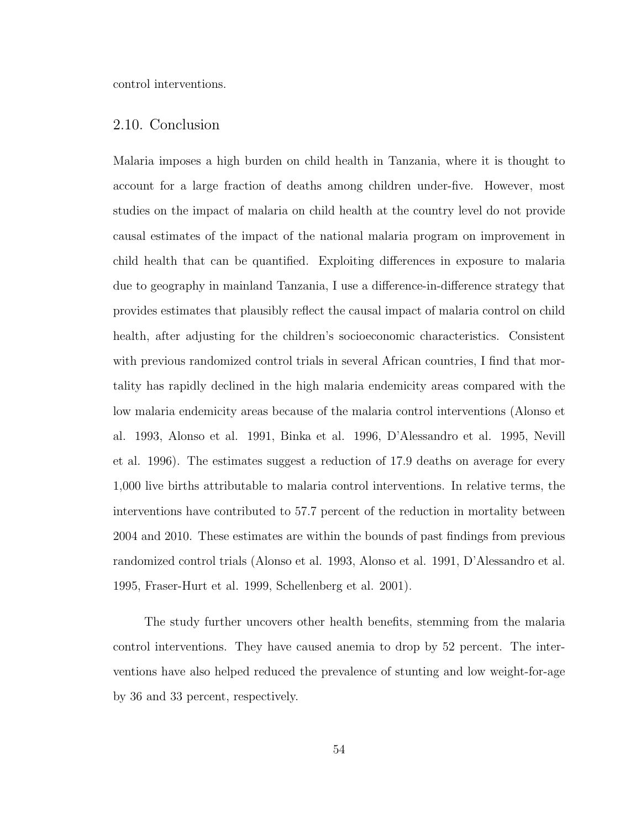control interventions.

### 2.10. Conclusion

Malaria imposes a high burden on child health in Tanzania, where it is thought to account for a large fraction of deaths among children under-five. However, most studies on the impact of malaria on child health at the country level do not provide causal estimates of the impact of the national malaria program on improvement in child health that can be quantified. Exploiting differences in exposure to malaria due to geography in mainland Tanzania, I use a difference-in-difference strategy that provides estimates that plausibly reflect the causal impact of malaria control on child health, after adjusting for the children's socioeconomic characteristics. Consistent with previous randomized control trials in several African countries, I find that mortality has rapidly declined in the high malaria endemicity areas compared with the low malaria endemicity areas because of the malaria control interventions (Alonso et al. 1993, Alonso et al. 1991, Binka et al. 1996, D'Alessandro et al. 1995, Nevill et al. 1996). The estimates suggest a reduction of 17.9 deaths on average for every 1,000 live births attributable to malaria control interventions. In relative terms, the interventions have contributed to 57.7 percent of the reduction in mortality between 2004 and 2010. These estimates are within the bounds of past findings from previous randomized control trials (Alonso et al. 1993, Alonso et al. 1991, D'Alessandro et al. 1995, Fraser-Hurt et al. 1999, Schellenberg et al. 2001).

The study further uncovers other health benefits, stemming from the malaria control interventions. They have caused anemia to drop by 52 percent. The interventions have also helped reduced the prevalence of stunting and low weight-for-age by 36 and 33 percent, respectively.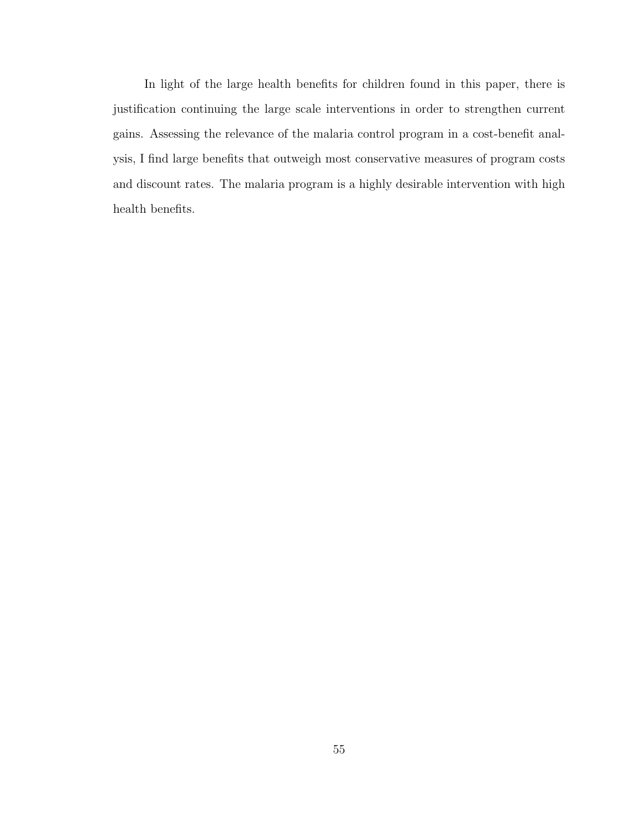In light of the large health benefits for children found in this paper, there is justification continuing the large scale interventions in order to strengthen current gains. Assessing the relevance of the malaria control program in a cost-benefit analysis, I find large benefits that outweigh most conservative measures of program costs and discount rates. The malaria program is a highly desirable intervention with high health benefits.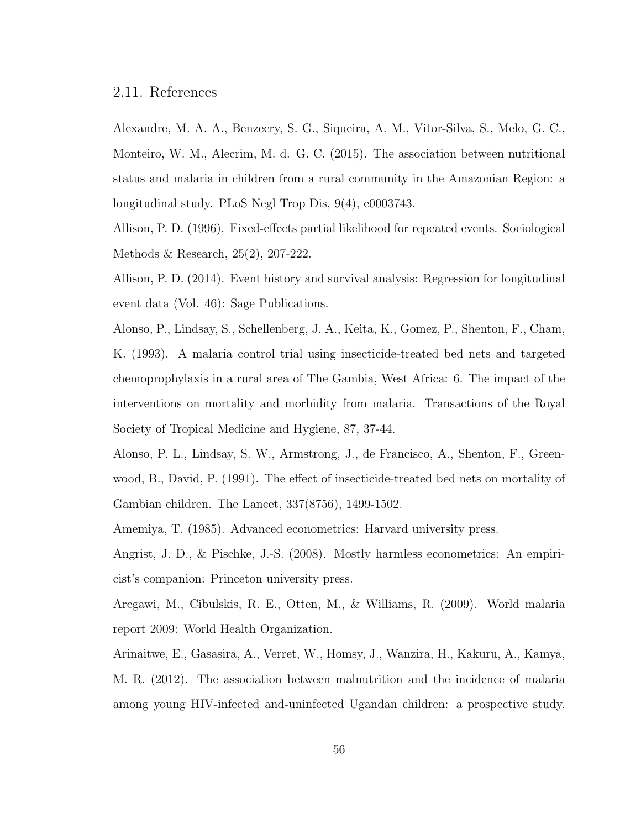#### 2.11. References

Alexandre, M. A. A., Benzecry, S. G., Siqueira, A. M., Vitor-Silva, S., Melo, G. C., Monteiro, W. M., Alecrim, M. d. G. C. (2015). The association between nutritional status and malaria in children from a rural community in the Amazonian Region: a longitudinal study. PLoS Negl Trop Dis, 9(4), e0003743.

Allison, P. D. (1996). Fixed-effects partial likelihood for repeated events. Sociological Methods & Research, 25(2), 207-222.

Allison, P. D. (2014). Event history and survival analysis: Regression for longitudinal event data (Vol. 46): Sage Publications.

Alonso, P., Lindsay, S., Schellenberg, J. A., Keita, K., Gomez, P., Shenton, F., Cham, K. (1993). A malaria control trial using insecticide-treated bed nets and targeted chemoprophylaxis in a rural area of The Gambia, West Africa: 6. The impact of the interventions on mortality and morbidity from malaria. Transactions of the Royal Society of Tropical Medicine and Hygiene, 87, 37-44.

Alonso, P. L., Lindsay, S. W., Armstrong, J., de Francisco, A., Shenton, F., Greenwood, B., David, P. (1991). The effect of insecticide-treated bed nets on mortality of Gambian children. The Lancet, 337(8756), 1499-1502.

Amemiya, T. (1985). Advanced econometrics: Harvard university press.

Angrist, J. D., & Pischke, J.-S. (2008). Mostly harmless econometrics: An empiricist's companion: Princeton university press.

Aregawi, M., Cibulskis, R. E., Otten, M., & Williams, R. (2009). World malaria report 2009: World Health Organization.

Arinaitwe, E., Gasasira, A., Verret, W., Homsy, J., Wanzira, H., Kakuru, A., Kamya, M. R. (2012). The association between malnutrition and the incidence of malaria among young HIV-infected and-uninfected Ugandan children: a prospective study.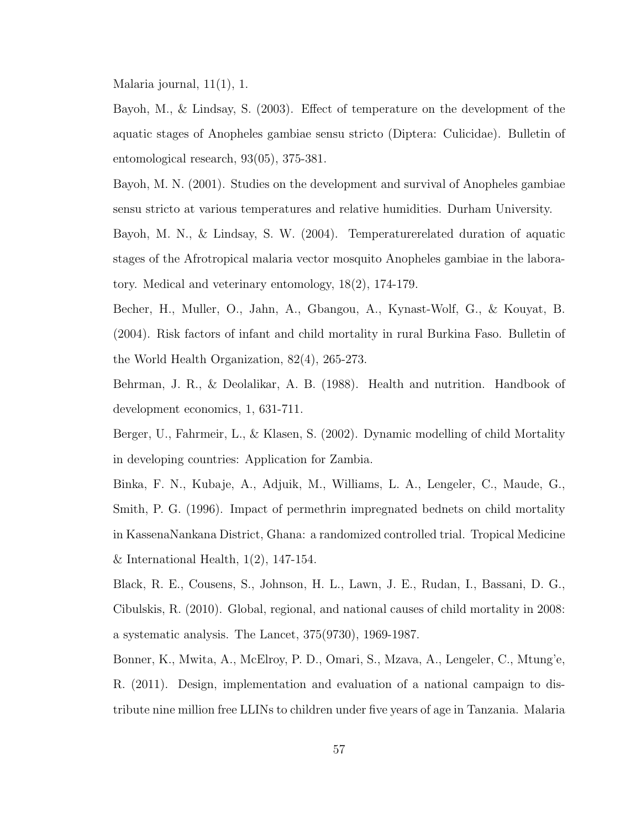Malaria journal, 11(1), 1.

Bayoh, M., & Lindsay, S. (2003). Effect of temperature on the development of the aquatic stages of Anopheles gambiae sensu stricto (Diptera: Culicidae). Bulletin of entomological research, 93(05), 375-381.

Bayoh, M. N. (2001). Studies on the development and survival of Anopheles gambiae sensu stricto at various temperatures and relative humidities. Durham University.

Bayoh, M. N., & Lindsay, S. W. (2004). Temperaturerelated duration of aquatic stages of the Afrotropical malaria vector mosquito Anopheles gambiae in the laboratory. Medical and veterinary entomology, 18(2), 174-179.

Becher, H., Muller, O., Jahn, A., Gbangou, A., Kynast-Wolf, G., & Kouyat, B. (2004). Risk factors of infant and child mortality in rural Burkina Faso. Bulletin of the World Health Organization, 82(4), 265-273.

Behrman, J. R., & Deolalikar, A. B. (1988). Health and nutrition. Handbook of development economics, 1, 631-711.

Berger, U., Fahrmeir, L., & Klasen, S. (2002). Dynamic modelling of child Mortality in developing countries: Application for Zambia.

Binka, F. N., Kubaje, A., Adjuik, M., Williams, L. A., Lengeler, C., Maude, G., Smith, P. G. (1996). Impact of permethrin impregnated bednets on child mortality in KassenaNankana District, Ghana: a randomized controlled trial. Tropical Medicine & International Health,  $1(2)$ , 147-154.

Black, R. E., Cousens, S., Johnson, H. L., Lawn, J. E., Rudan, I., Bassani, D. G., Cibulskis, R. (2010). Global, regional, and national causes of child mortality in 2008: a systematic analysis. The Lancet, 375(9730), 1969-1987.

Bonner, K., Mwita, A., McElroy, P. D., Omari, S., Mzava, A., Lengeler, C., Mtung'e, R. (2011). Design, implementation and evaluation of a national campaign to distribute nine million free LLINs to children under five years of age in Tanzania. Malaria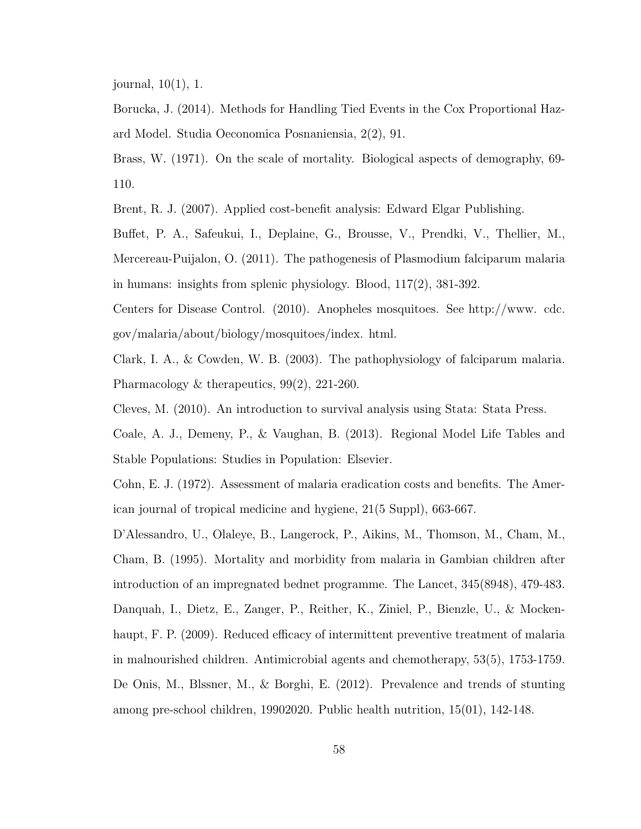journal, 10(1), 1.

Borucka, J. (2014). Methods for Handling Tied Events in the Cox Proportional Hazard Model. Studia Oeconomica Posnaniensia, 2(2), 91.

Brass, W. (1971). On the scale of mortality. Biological aspects of demography, 69- 110.

Brent, R. J. (2007). Applied cost-benefit analysis: Edward Elgar Publishing.

Buffet, P. A., Safeukui, I., Deplaine, G., Brousse, V., Prendki, V., Thellier, M., Mercereau-Puijalon, O. (2011). The pathogenesis of Plasmodium falciparum malaria in humans: insights from splenic physiology. Blood, 117(2), 381-392.

Centers for Disease Control. (2010). Anopheles mosquitoes. See http://www. cdc. gov/malaria/about/biology/mosquitoes/index. html.

Clark, I. A., & Cowden, W. B. (2003). The pathophysiology of falciparum malaria. Pharmacology & therapeutics, 99(2), 221-260.

Cleves, M. (2010). An introduction to survival analysis using Stata: Stata Press.

Coale, A. J., Demeny, P., & Vaughan, B. (2013). Regional Model Life Tables and Stable Populations: Studies in Population: Elsevier.

Cohn, E. J. (1972). Assessment of malaria eradication costs and benefits. The American journal of tropical medicine and hygiene, 21(5 Suppl), 663-667.

D'Alessandro, U., Olaleye, B., Langerock, P., Aikins, M., Thomson, M., Cham, M., Cham, B. (1995). Mortality and morbidity from malaria in Gambian children after introduction of an impregnated bednet programme. The Lancet, 345(8948), 479-483. Danquah, I., Dietz, E., Zanger, P., Reither, K., Ziniel, P., Bienzle, U., & Mockenhaupt, F. P. (2009). Reduced efficacy of intermittent preventive treatment of malaria in malnourished children. Antimicrobial agents and chemotherapy, 53(5), 1753-1759. De Onis, M., Blssner, M., & Borghi, E. (2012). Prevalence and trends of stunting among pre-school children, 19902020. Public health nutrition, 15(01), 142-148.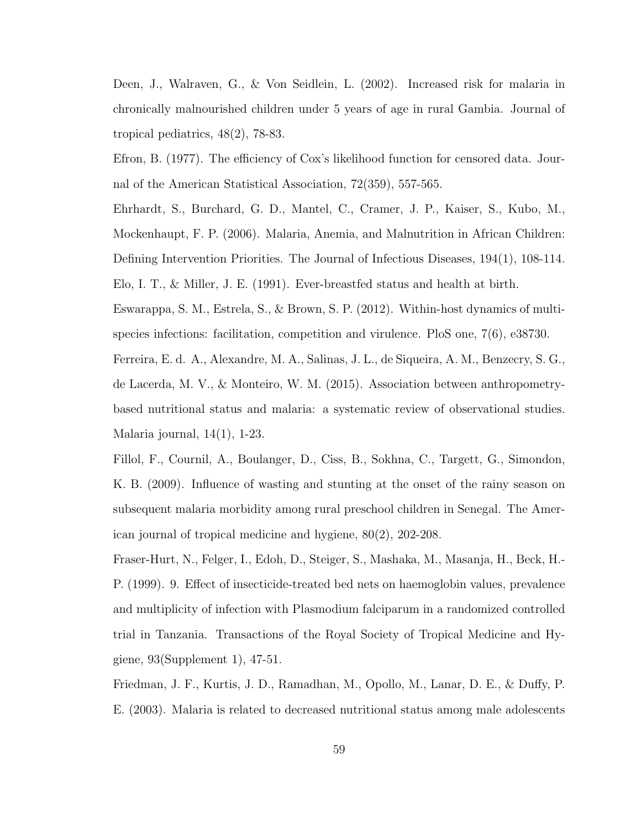Deen, J., Walraven, G., & Von Seidlein, L. (2002). Increased risk for malaria in chronically malnourished children under 5 years of age in rural Gambia. Journal of tropical pediatrics, 48(2), 78-83.

Efron, B. (1977). The efficiency of Cox's likelihood function for censored data. Journal of the American Statistical Association, 72(359), 557-565.

Ehrhardt, S., Burchard, G. D., Mantel, C., Cramer, J. P., Kaiser, S., Kubo, M., Mockenhaupt, F. P. (2006). Malaria, Anemia, and Malnutrition in African Children: Defining Intervention Priorities. The Journal of Infectious Diseases, 194(1), 108-114. Elo, I. T., & Miller, J. E. (1991). Ever-breastfed status and health at birth.

Eswarappa, S. M., Estrela, S., & Brown, S. P. (2012). Within-host dynamics of multispecies infections: facilitation, competition and virulence. PloS one, 7(6), e38730.

Ferreira, E. d. A., Alexandre, M. A., Salinas, J. L., de Siqueira, A. M., Benzecry, S. G., de Lacerda, M. V., & Monteiro, W. M. (2015). Association between anthropometrybased nutritional status and malaria: a systematic review of observational studies. Malaria journal, 14(1), 1-23.

Fillol, F., Cournil, A., Boulanger, D., Ciss, B., Sokhna, C., Targett, G., Simondon, K. B. (2009). Influence of wasting and stunting at the onset of the rainy season on subsequent malaria morbidity among rural preschool children in Senegal. The American journal of tropical medicine and hygiene, 80(2), 202-208.

Fraser-Hurt, N., Felger, I., Edoh, D., Steiger, S., Mashaka, M., Masanja, H., Beck, H.- P. (1999). 9. Effect of insecticide-treated bed nets on haemoglobin values, prevalence and multiplicity of infection with Plasmodium falciparum in a randomized controlled trial in Tanzania. Transactions of the Royal Society of Tropical Medicine and Hygiene, 93(Supplement 1), 47-51.

Friedman, J. F., Kurtis, J. D., Ramadhan, M., Opollo, M., Lanar, D. E., & Duffy, P. E. (2003). Malaria is related to decreased nutritional status among male adolescents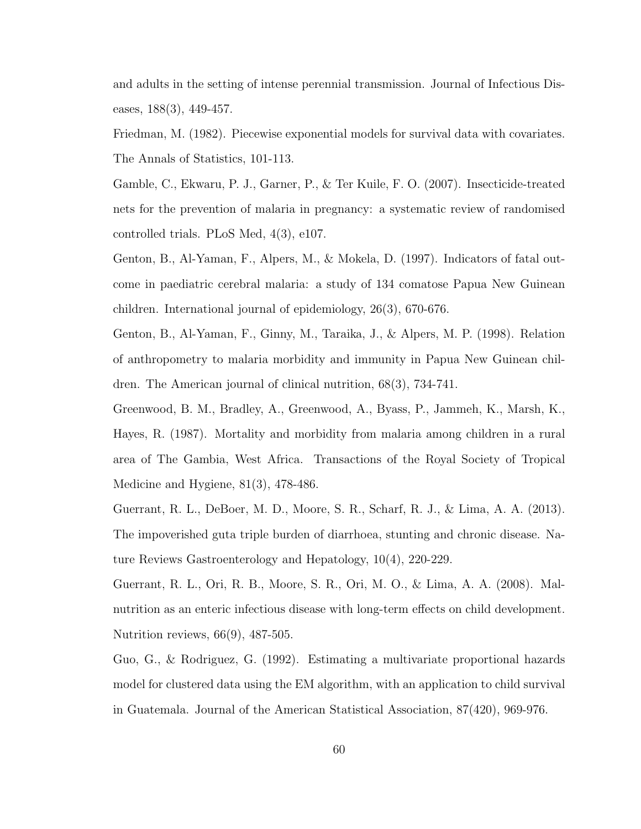and adults in the setting of intense perennial transmission. Journal of Infectious Diseases,  $188(3)$ ,  $449-457$ .

Friedman, M. (1982). Piecewise exponential models for survival data with covariates. The Annals of Statistics, 101-113.

Gamble, C., Ekwaru, P. J., Garner, P., & Ter Kuile, F. O. (2007). Insecticide-treated nets for the prevention of malaria in pregnancy: a systematic review of randomised controlled trials. PLoS Med, 4(3), e107.

Genton, B., Al-Yaman, F., Alpers, M., & Mokela, D. (1997). Indicators of fatal outcome in paediatric cerebral malaria: a study of 134 comatose Papua New Guinean children. International journal of epidemiology, 26(3), 670-676.

Genton, B., Al-Yaman, F., Ginny, M., Taraika, J., & Alpers, M. P. (1998). Relation of anthropometry to malaria morbidity and immunity in Papua New Guinean children. The American journal of clinical nutrition, 68(3), 734-741.

Greenwood, B. M., Bradley, A., Greenwood, A., Byass, P., Jammeh, K., Marsh, K., Hayes, R. (1987). Mortality and morbidity from malaria among children in a rural area of The Gambia, West Africa. Transactions of the Royal Society of Tropical Medicine and Hygiene, 81(3), 478-486.

Guerrant, R. L., DeBoer, M. D., Moore, S. R., Scharf, R. J., & Lima, A. A. (2013). The impoverished guta triple burden of diarrhoea, stunting and chronic disease. Nature Reviews Gastroenterology and Hepatology, 10(4), 220-229.

Guerrant, R. L., Ori, R. B., Moore, S. R., Ori, M. O., & Lima, A. A. (2008). Malnutrition as an enteric infectious disease with long-term effects on child development. Nutrition reviews, 66(9), 487-505.

Guo, G., & Rodriguez, G. (1992). Estimating a multivariate proportional hazards model for clustered data using the EM algorithm, with an application to child survival in Guatemala. Journal of the American Statistical Association, 87(420), 969-976.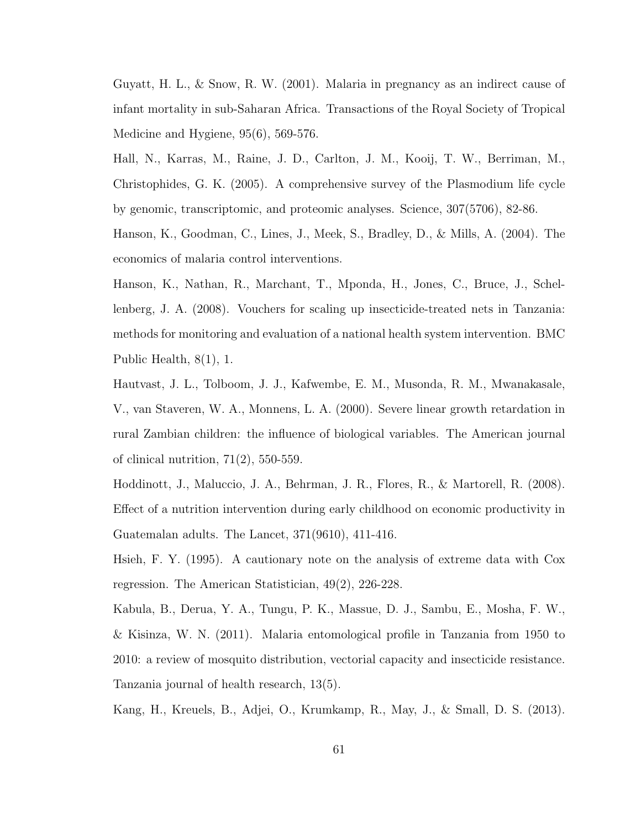Guyatt, H. L.,  $\&$  Snow, R. W. (2001). Malaria in pregnancy as an indirect cause of infant mortality in sub-Saharan Africa. Transactions of the Royal Society of Tropical Medicine and Hygiene, 95(6), 569-576.

Hall, N., Karras, M., Raine, J. D., Carlton, J. M., Kooij, T. W., Berriman, M., Christophides, G. K. (2005). A comprehensive survey of the Plasmodium life cycle by genomic, transcriptomic, and proteomic analyses. Science, 307(5706), 82-86.

Hanson, K., Goodman, C., Lines, J., Meek, S., Bradley, D., & Mills, A. (2004). The economics of malaria control interventions.

Hanson, K., Nathan, R., Marchant, T., Mponda, H., Jones, C., Bruce, J., Schellenberg, J. A. (2008). Vouchers for scaling up insecticide-treated nets in Tanzania: methods for monitoring and evaluation of a national health system intervention. BMC Public Health, 8(1), 1.

Hautvast, J. L., Tolboom, J. J., Kafwembe, E. M., Musonda, R. M., Mwanakasale, V., van Staveren, W. A., Monnens, L. A. (2000). Severe linear growth retardation in rural Zambian children: the influence of biological variables. The American journal of clinical nutrition,  $71(2)$ , 550-559.

Hoddinott, J., Maluccio, J. A., Behrman, J. R., Flores, R., & Martorell, R. (2008). Effect of a nutrition intervention during early childhood on economic productivity in Guatemalan adults. The Lancet, 371(9610), 411-416.

Hsieh, F. Y. (1995). A cautionary note on the analysis of extreme data with Cox regression. The American Statistician, 49(2), 226-228.

Kabula, B., Derua, Y. A., Tungu, P. K., Massue, D. J., Sambu, E., Mosha, F. W., & Kisinza, W. N. (2011). Malaria entomological profile in Tanzania from 1950 to 2010: a review of mosquito distribution, vectorial capacity and insecticide resistance. Tanzania journal of health research, 13(5).

Kang, H., Kreuels, B., Adjei, O., Krumkamp, R., May, J., & Small, D. S. (2013).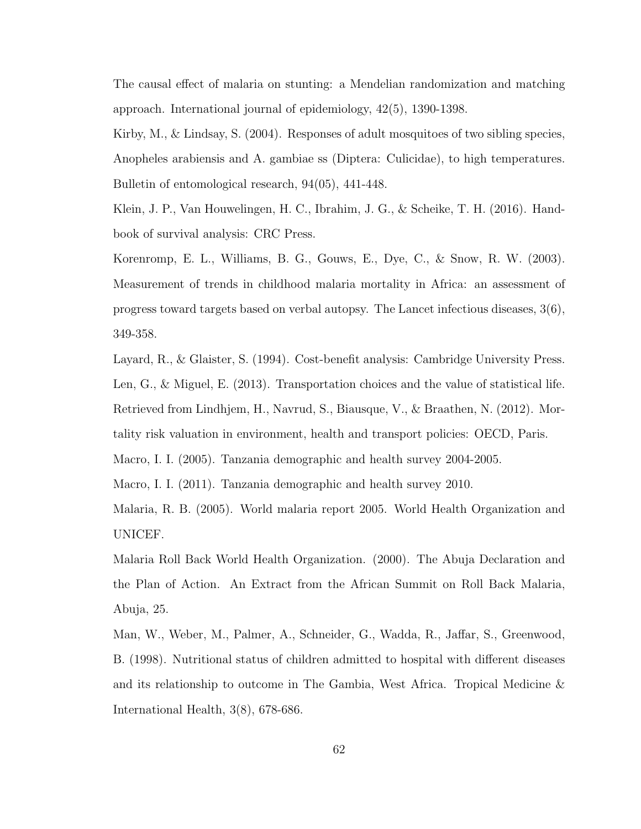The causal effect of malaria on stunting: a Mendelian randomization and matching approach. International journal of epidemiology, 42(5), 1390-1398.

Kirby, M., & Lindsay, S. (2004). Responses of adult mosquitoes of two sibling species, Anopheles arabiensis and A. gambiae ss (Diptera: Culicidae), to high temperatures. Bulletin of entomological research, 94(05), 441-448.

Klein, J. P., Van Houwelingen, H. C., Ibrahim, J. G., & Scheike, T. H. (2016). Handbook of survival analysis: CRC Press.

Korenromp, E. L., Williams, B. G., Gouws, E., Dye, C., & Snow, R. W. (2003). Measurement of trends in childhood malaria mortality in Africa: an assessment of progress toward targets based on verbal autopsy. The Lancet infectious diseases, 3(6), 349-358.

Layard, R., & Glaister, S. (1994). Cost-benefit analysis: Cambridge University Press. Len, G., & Miguel, E. (2013). Transportation choices and the value of statistical life. Retrieved from Lindhjem, H., Navrud, S., Biausque, V., & Braathen, N. (2012). Mortality risk valuation in environment, health and transport policies: OECD, Paris.

Macro, I. I. (2005). Tanzania demographic and health survey 2004-2005.

Macro, I. I. (2011). Tanzania demographic and health survey 2010.

Malaria, R. B. (2005). World malaria report 2005. World Health Organization and UNICEF.

Malaria Roll Back World Health Organization. (2000). The Abuja Declaration and the Plan of Action. An Extract from the African Summit on Roll Back Malaria, Abuja, 25.

Man, W., Weber, M., Palmer, A., Schneider, G., Wadda, R., Jaffar, S., Greenwood, B. (1998). Nutritional status of children admitted to hospital with different diseases and its relationship to outcome in The Gambia, West Africa. Tropical Medicine & International Health, 3(8), 678-686.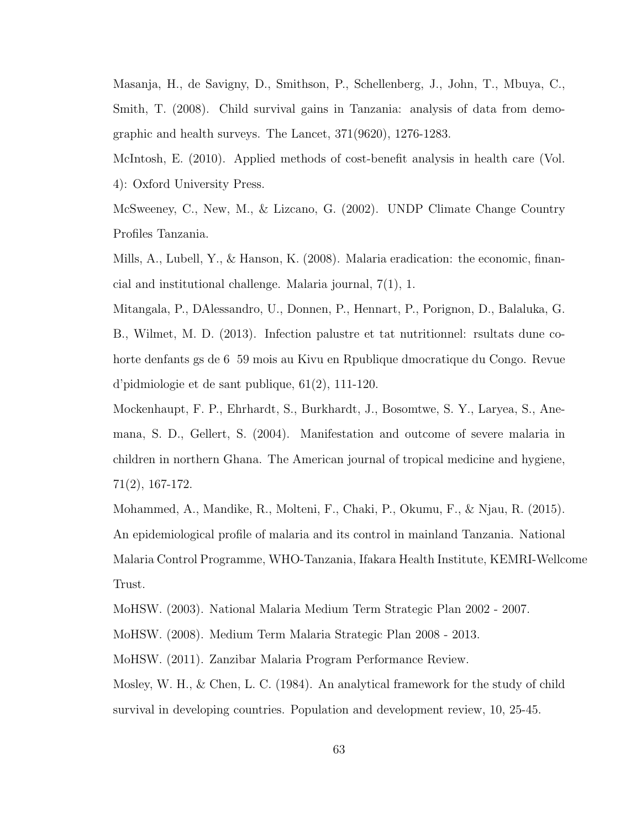Masanja, H., de Savigny, D., Smithson, P., Schellenberg, J., John, T., Mbuya, C., Smith, T. (2008). Child survival gains in Tanzania: analysis of data from demographic and health surveys. The Lancet, 371(9620), 1276-1283.

McIntosh, E. (2010). Applied methods of cost-benefit analysis in health care (Vol. 4): Oxford University Press.

McSweeney, C., New, M., & Lizcano, G. (2002). UNDP Climate Change Country Profiles Tanzania.

Mills, A., Lubell, Y., & Hanson, K. (2008). Malaria eradication: the economic, financial and institutional challenge. Malaria journal, 7(1), 1.

Mitangala, P., DAlessandro, U., Donnen, P., Hennart, P., Porignon, D., Balaluka, G. B., Wilmet, M. D. (2013). Infection palustre et tat nutritionnel: rsultats dune cohorte denfants gs de 6 59 mois au Kivu en Rpublique dmocratique du Congo. Revue d'pidmiologie et de sant publique, 61(2), 111-120.

Mockenhaupt, F. P., Ehrhardt, S., Burkhardt, J., Bosomtwe, S. Y., Laryea, S., Anemana, S. D., Gellert, S. (2004). Manifestation and outcome of severe malaria in children in northern Ghana. The American journal of tropical medicine and hygiene, 71(2), 167-172.

Mohammed, A., Mandike, R., Molteni, F., Chaki, P., Okumu, F., & Njau, R. (2015). An epidemiological profile of malaria and its control in mainland Tanzania. National Malaria Control Programme, WHO-Tanzania, Ifakara Health Institute, KEMRI-Wellcome Trust.

MoHSW. (2003). National Malaria Medium Term Strategic Plan 2002 - 2007.

MoHSW. (2008). Medium Term Malaria Strategic Plan 2008 - 2013.

MoHSW. (2011). Zanzibar Malaria Program Performance Review.

Mosley, W. H., & Chen, L. C. (1984). An analytical framework for the study of child survival in developing countries. Population and development review, 10, 25-45.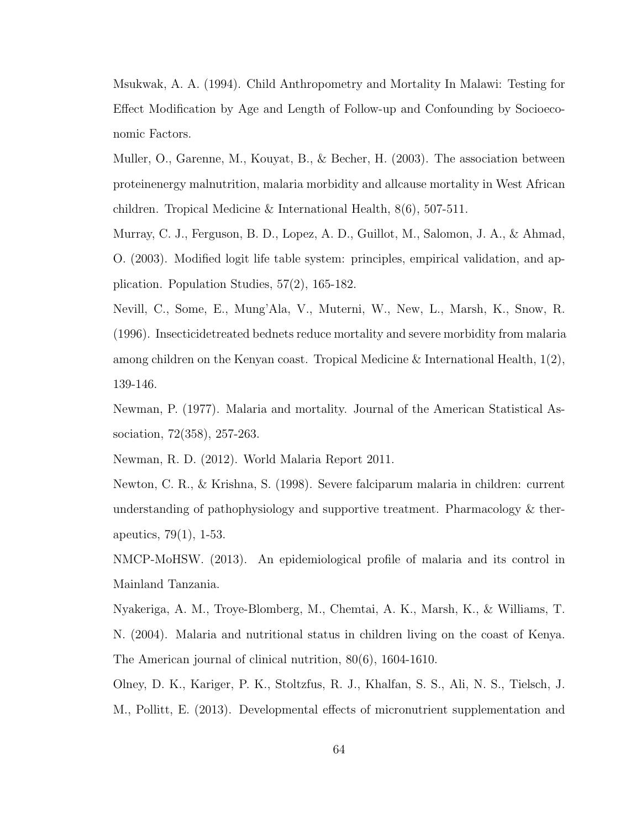Msukwak, A. A. (1994). Child Anthropometry and Mortality In Malawi: Testing for Effect Modification by Age and Length of Follow-up and Confounding by Socioeconomic Factors.

Muller, O., Garenne, M., Kouyat, B., & Becher, H. (2003). The association between proteinenergy malnutrition, malaria morbidity and allcause mortality in West African children. Tropical Medicine & International Health, 8(6), 507-511.

Murray, C. J., Ferguson, B. D., Lopez, A. D., Guillot, M., Salomon, J. A., & Ahmad, O. (2003). Modified logit life table system: principles, empirical validation, and application. Population Studies, 57(2), 165-182.

Nevill, C., Some, E., Mung'Ala, V., Muterni, W., New, L., Marsh, K., Snow, R. (1996). Insecticidetreated bednets reduce mortality and severe morbidity from malaria among children on the Kenyan coast. Tropical Medicine & International Health, 1(2), 139-146.

Newman, P. (1977). Malaria and mortality. Journal of the American Statistical Association, 72(358), 257-263.

Newman, R. D. (2012). World Malaria Report 2011.

Newton, C. R., & Krishna, S. (1998). Severe falciparum malaria in children: current understanding of pathophysiology and supportive treatment. Pharmacology & therapeutics, 79(1), 1-53.

NMCP-MoHSW. (2013). An epidemiological profile of malaria and its control in Mainland Tanzania.

Nyakeriga, A. M., Troye-Blomberg, M., Chemtai, A. K., Marsh, K., & Williams, T. N. (2004). Malaria and nutritional status in children living on the coast of Kenya. The American journal of clinical nutrition, 80(6), 1604-1610.

Olney, D. K., Kariger, P. K., Stoltzfus, R. J., Khalfan, S. S., Ali, N. S., Tielsch, J. M., Pollitt, E. (2013). Developmental effects of micronutrient supplementation and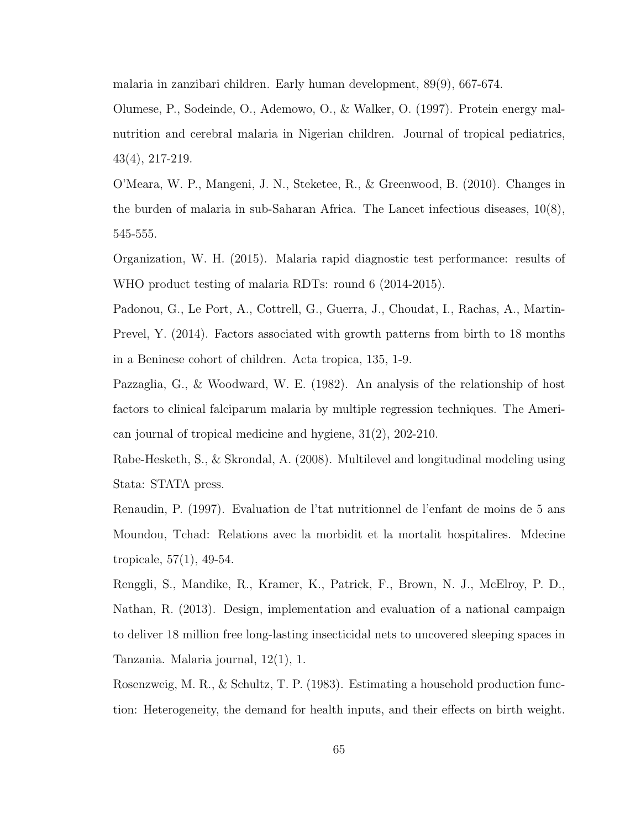malaria in zanzibari children. Early human development, 89(9), 667-674.

Olumese, P., Sodeinde, O., Ademowo, O., & Walker, O. (1997). Protein energy malnutrition and cerebral malaria in Nigerian children. Journal of tropical pediatrics, 43(4), 217-219.

O'Meara, W. P., Mangeni, J. N., Steketee, R., & Greenwood, B. (2010). Changes in the burden of malaria in sub-Saharan Africa. The Lancet infectious diseases, 10(8), 545-555.

Organization, W. H. (2015). Malaria rapid diagnostic test performance: results of WHO product testing of malaria RDTs: round 6 (2014-2015).

Padonou, G., Le Port, A., Cottrell, G., Guerra, J., Choudat, I., Rachas, A., Martin-Prevel, Y. (2014). Factors associated with growth patterns from birth to 18 months in a Beninese cohort of children. Acta tropica, 135, 1-9.

Pazzaglia, G., & Woodward, W. E. (1982). An analysis of the relationship of host factors to clinical falciparum malaria by multiple regression techniques. The American journal of tropical medicine and hygiene, 31(2), 202-210.

Rabe-Hesketh, S., & Skrondal, A. (2008). Multilevel and longitudinal modeling using Stata: STATA press.

Renaudin, P. (1997). Evaluation de l'tat nutritionnel de l'enfant de moins de 5 ans Moundou, Tchad: Relations avec la morbidit et la mortalit hospitalires. Mdecine tropicale, 57(1), 49-54.

Renggli, S., Mandike, R., Kramer, K., Patrick, F., Brown, N. J., McElroy, P. D., Nathan, R. (2013). Design, implementation and evaluation of a national campaign to deliver 18 million free long-lasting insecticidal nets to uncovered sleeping spaces in Tanzania. Malaria journal, 12(1), 1.

Rosenzweig, M. R., & Schultz, T. P. (1983). Estimating a household production function: Heterogeneity, the demand for health inputs, and their effects on birth weight.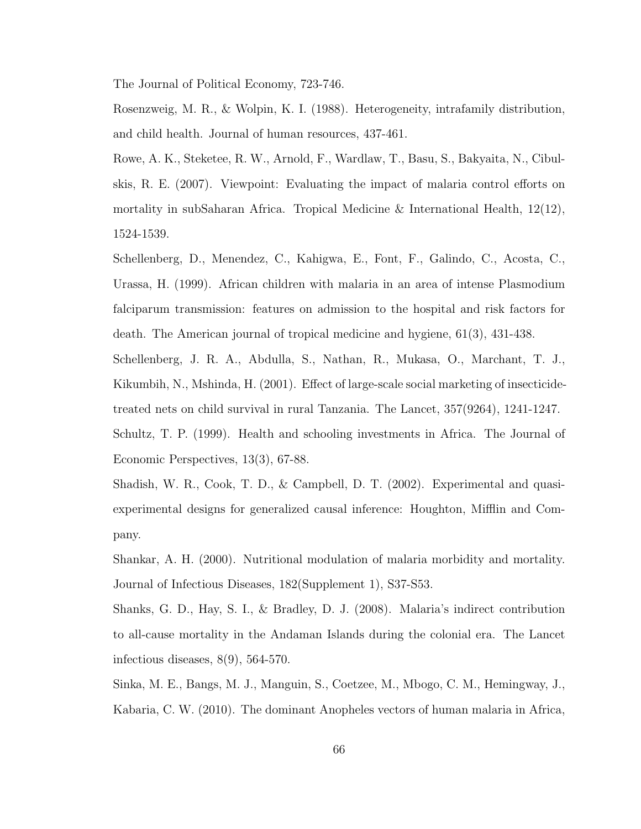The Journal of Political Economy, 723-746.

Rosenzweig, M. R., & Wolpin, K. I. (1988). Heterogeneity, intrafamily distribution, and child health. Journal of human resources, 437-461.

Rowe, A. K., Steketee, R. W., Arnold, F., Wardlaw, T., Basu, S., Bakyaita, N., Cibulskis, R. E. (2007). Viewpoint: Evaluating the impact of malaria control efforts on mortality in subSaharan Africa. Tropical Medicine & International Health,  $12(12)$ , 1524-1539.

Schellenberg, D., Menendez, C., Kahigwa, E., Font, F., Galindo, C., Acosta, C., Urassa, H. (1999). African children with malaria in an area of intense Plasmodium falciparum transmission: features on admission to the hospital and risk factors for death. The American journal of tropical medicine and hygiene, 61(3), 431-438.

Schellenberg, J. R. A., Abdulla, S., Nathan, R., Mukasa, O., Marchant, T. J., Kikumbih, N., Mshinda, H. (2001). Effect of large-scale social marketing of insecticidetreated nets on child survival in rural Tanzania. The Lancet, 357(9264), 1241-1247.

Schultz, T. P. (1999). Health and schooling investments in Africa. The Journal of Economic Perspectives, 13(3), 67-88.

Shadish, W. R., Cook, T. D., & Campbell, D. T. (2002). Experimental and quasiexperimental designs for generalized causal inference: Houghton, Mifflin and Company.

Shankar, A. H. (2000). Nutritional modulation of malaria morbidity and mortality. Journal of Infectious Diseases, 182(Supplement 1), S37-S53.

Shanks, G. D., Hay, S. I., & Bradley, D. J. (2008). Malaria's indirect contribution to all-cause mortality in the Andaman Islands during the colonial era. The Lancet infectious diseases, 8(9), 564-570.

Sinka, M. E., Bangs, M. J., Manguin, S., Coetzee, M., Mbogo, C. M., Hemingway, J., Kabaria, C. W. (2010). The dominant Anopheles vectors of human malaria in Africa,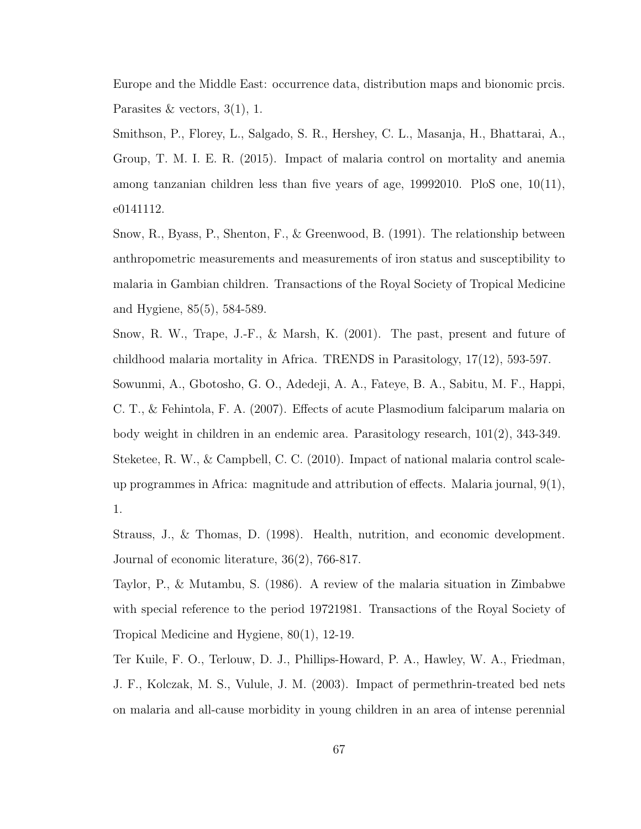Europe and the Middle East: occurrence data, distribution maps and bionomic prcis. Parasites & vectors,  $3(1)$ , 1.

Smithson, P., Florey, L., Salgado, S. R., Hershey, C. L., Masanja, H., Bhattarai, A., Group, T. M. I. E. R. (2015). Impact of malaria control on mortality and anemia among tanzanian children less than five years of age, 19992010. PloS one, 10(11), e0141112.

Snow, R., Byass, P., Shenton, F., & Greenwood, B. (1991). The relationship between anthropometric measurements and measurements of iron status and susceptibility to malaria in Gambian children. Transactions of the Royal Society of Tropical Medicine and Hygiene, 85(5), 584-589.

Snow, R. W., Trape, J.-F., & Marsh, K. (2001). The past, present and future of childhood malaria mortality in Africa. TRENDS in Parasitology, 17(12), 593-597.

Sowunmi, A., Gbotosho, G. O., Adedeji, A. A., Fateye, B. A., Sabitu, M. F., Happi, C. T., & Fehintola, F. A. (2007). Effects of acute Plasmodium falciparum malaria on body weight in children in an endemic area. Parasitology research, 101(2), 343-349. Steketee, R. W., & Campbell, C. C. (2010). Impact of national malaria control scaleup programmes in Africa: magnitude and attribution of effects. Malaria journal, 9(1), 1.

Strauss, J., & Thomas, D. (1998). Health, nutrition, and economic development. Journal of economic literature, 36(2), 766-817.

Taylor, P., & Mutambu, S. (1986). A review of the malaria situation in Zimbabwe with special reference to the period 19721981. Transactions of the Royal Society of Tropical Medicine and Hygiene, 80(1), 12-19.

Ter Kuile, F. O., Terlouw, D. J., Phillips-Howard, P. A., Hawley, W. A., Friedman, J. F., Kolczak, M. S., Vulule, J. M. (2003). Impact of permethrin-treated bed nets on malaria and all-cause morbidity in young children in an area of intense perennial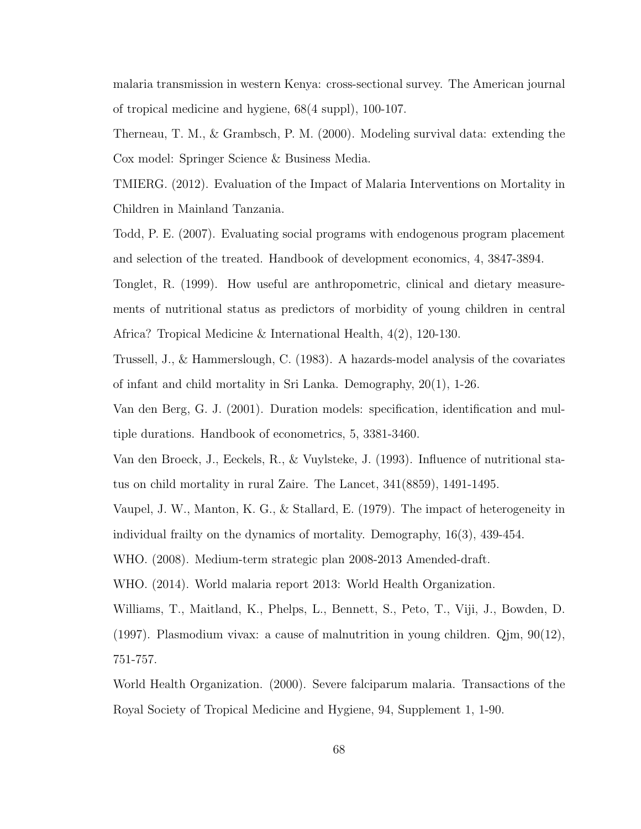malaria transmission in western Kenya: cross-sectional survey. The American journal of tropical medicine and hygiene, 68(4 suppl), 100-107.

Therneau, T. M., & Grambsch, P. M. (2000). Modeling survival data: extending the Cox model: Springer Science & Business Media.

TMIERG. (2012). Evaluation of the Impact of Malaria Interventions on Mortality in Children in Mainland Tanzania.

Todd, P. E. (2007). Evaluating social programs with endogenous program placement and selection of the treated. Handbook of development economics, 4, 3847-3894.

Tonglet, R. (1999). How useful are anthropometric, clinical and dietary measurements of nutritional status as predictors of morbidity of young children in central Africa? Tropical Medicine & International Health, 4(2), 120-130.

Trussell, J., & Hammerslough, C. (1983). A hazards-model analysis of the covariates of infant and child mortality in Sri Lanka. Demography, 20(1), 1-26.

Van den Berg, G. J. (2001). Duration models: specification, identification and multiple durations. Handbook of econometrics, 5, 3381-3460.

Van den Broeck, J., Eeckels, R., & Vuylsteke, J. (1993). Influence of nutritional status on child mortality in rural Zaire. The Lancet, 341(8859), 1491-1495.

Vaupel, J. W., Manton, K. G., & Stallard, E. (1979). The impact of heterogeneity in individual frailty on the dynamics of mortality. Demography, 16(3), 439-454.

WHO. (2008). Medium-term strategic plan 2008-2013 Amended-draft.

WHO. (2014). World malaria report 2013: World Health Organization.

Williams, T., Maitland, K., Phelps, L., Bennett, S., Peto, T., Viji, J., Bowden, D. (1997). Plasmodium vivax: a cause of malnutrition in young children. Qjm, 90(12), 751-757.

World Health Organization. (2000). Severe falciparum malaria. Transactions of the Royal Society of Tropical Medicine and Hygiene, 94, Supplement 1, 1-90.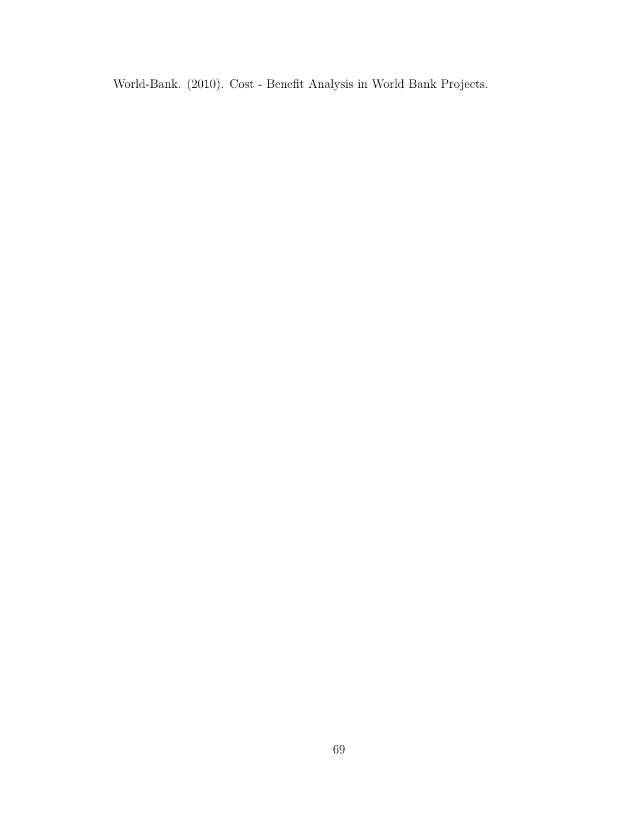World-Bank. (2010). Cost - Benefit Analysis in World Bank Projects.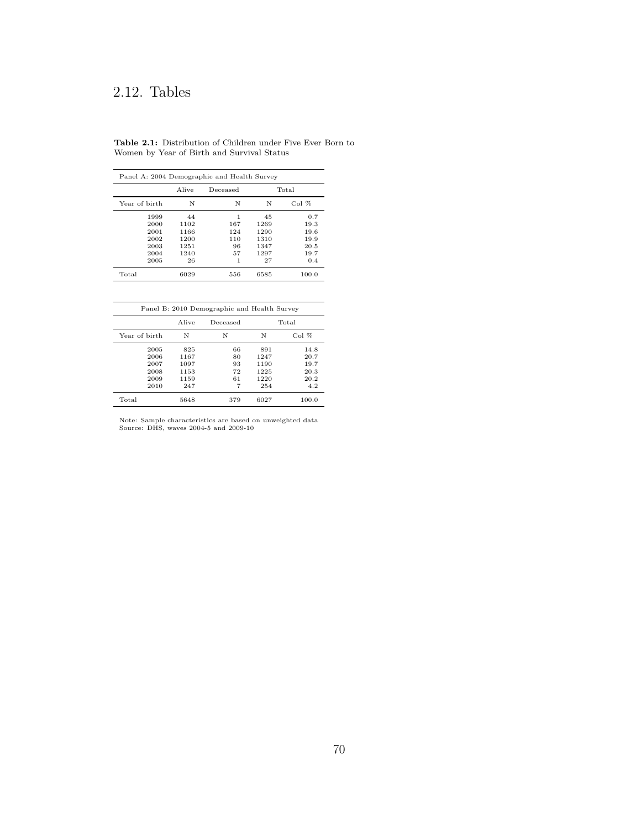# 2.12. Tables

Table 2.1: Distribution of Children under Five Ever Born to Women by Year of Birth and Survival Status

| Panel A: 2004 Demographic and Health Survey |       |          |      |       |  |  |
|---------------------------------------------|-------|----------|------|-------|--|--|
|                                             | Alive | Deceased |      | Total |  |  |
| Year of birth                               | N     | N        | N    | Col%  |  |  |
| 1999                                        | 44    | 1        | 45   | 0.7   |  |  |
| 2000                                        | 1102  | 167      | 1269 | 19.3  |  |  |
| 2001                                        | 1166  | 124      | 1290 | 19.6  |  |  |
| 2002                                        | 1200  | 110      | 1310 | 19.9  |  |  |
| 2003                                        | 1251  | 96       | 1347 | 20.5  |  |  |
| 2004                                        | 1240  | 57       | 1297 | 19.7  |  |  |
| 2005                                        | 26    | 1        | 27   | 0.4   |  |  |
| Total                                       | 6029  | 556      | 6585 | 100.0 |  |  |

|               |       | Panel B: 2010 Demographic and Health Survey |      |         |
|---------------|-------|---------------------------------------------|------|---------|
|               | Alive | Deceased                                    |      | Total   |
| Year of birth | N     | N                                           | N    | $Co1\%$ |
| 2005          | 825   | 66                                          | 891  | 14.8    |
| 2006          | 1167  | 80                                          | 1247 | 20.7    |
| 2007          | 1097  | 93                                          | 1190 | 19.7    |
| 2008          | 1153  | 72                                          | 1225 | 20.3    |
| 2009          | 1159  | 61                                          | 1220 | 20.2    |
| 2010          | 247   | 7                                           | 254  | 4.2     |
| Total         | 5648  | 379                                         | 6027 | 100.0   |

Note: Sample characteristics are based on unweighted data Source: DHS, waves 2004-5 and 2009-10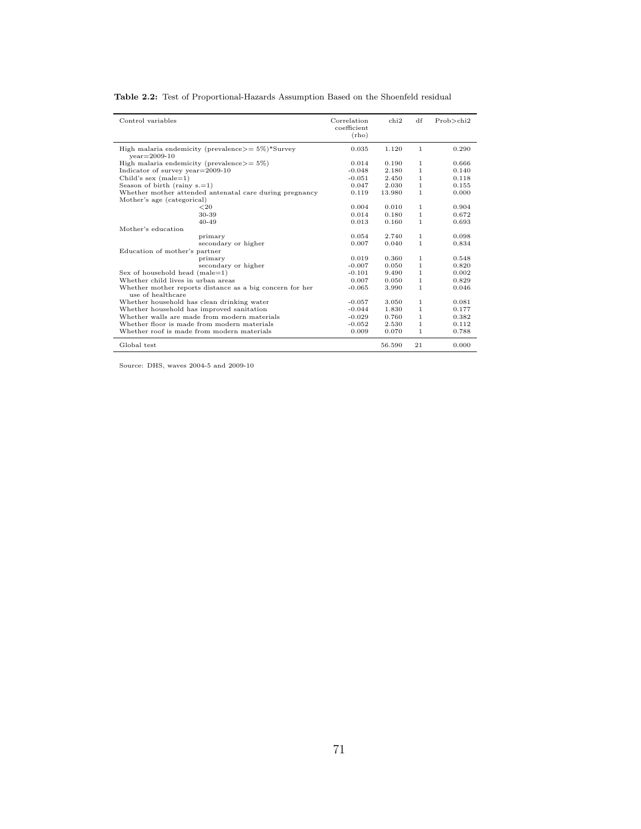|  | Table 2.2: Test of Proportional-Hazards Assumption Based on the Shoenfeld residual |
|--|------------------------------------------------------------------------------------|
|--|------------------------------------------------------------------------------------|

| Control variables                                                                     | Correlation<br>coefficient<br>(rho) | chi2   | df           | $Prob$ >chi2 |
|---------------------------------------------------------------------------------------|-------------------------------------|--------|--------------|--------------|
| High malaria endemicity (prevalence $>= 5\%$ )*Survey<br>$year = 2009 - 10$           | 0.035                               | 1.120  | 1            | 0.290        |
| High malaria endemicity (prevalence $>= 5\%$ )                                        | 0.014                               | 0.190  | 1            | 0.666        |
| Indicator of survey year $=$ 2009-10                                                  | $-0.048$                            | 2.180  | 1.           | 0.140        |
| Child's sex $(male=1)$                                                                | $-0.051$                            | 2.450  | 1.           | 0.118        |
| Season of birth (rainy $s = 1$ )                                                      | 0.047                               | 2.030  | 1.           | 0.155        |
| Whether mother attended antenatal care during pregnancy<br>Mother's age (categorical) | 0.119                               | 13.980 | 1.           | 0.000        |
| ${<}20$                                                                               | 0.004                               | 0.010  | 1.           | 0.904        |
| 30-39                                                                                 | 0.014                               | 0.180  | 1.           | 0.672        |
| $40 - 49$                                                                             | 0.013                               | 0.160  | 1.           | 0.693        |
| Mother's education                                                                    |                                     |        |              |              |
| primary                                                                               | 0.054                               | 2.740  | 1.           | 0.098        |
| secondary or higher                                                                   | 0.007                               | 0.040  | 1.           | 0.834        |
| Education of mother's partner                                                         |                                     |        |              |              |
| primary                                                                               | 0.019                               | 0.360  | 1.           | 0.548        |
| secondary or higher                                                                   | $-0.007$                            | 0.050  | 1.           | 0.820        |
| Sex of household head $(male=1)$                                                      | $-0.101$                            | 9.490  | 1.           | 0.002        |
| Whether child lives in urban areas                                                    | 0.007                               | 0.050  | 1.           | 0.829        |
| Whether mother reports distance as a big concern for her<br>use of healthcare         | $-0.065$                            | 3.990  | 1.           | 0.046        |
| Whether household has clean drinking water                                            | $-0.057$                            | 3.050  | 1            | 0.081        |
| Whether household has improved sanitation                                             | $-0.044$                            | 1.830  | $\mathbf{1}$ | 0.177        |
| Whether walls are made from modern materials                                          | $-0.029$                            | 0.760  | 1.           | 0.382        |
| Whether floor is made from modern materials                                           | $-0.052$                            | 2.530  | 1.           | 0.112        |
| Whether roof is made from modern materials                                            | 0.009                               | 0.070  | 1.           | 0.788        |
| Global test                                                                           |                                     | 56.590 | 21           | 0.000        |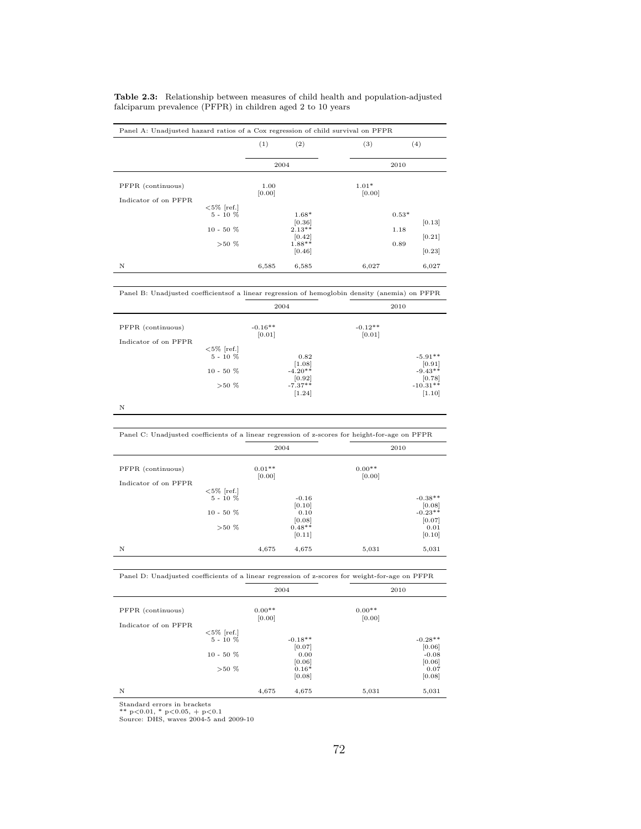|                              | (1)            | (2)                | (3)               |         | (4)    |
|------------------------------|----------------|--------------------|-------------------|---------|--------|
|                              | 2004           |                    |                   | 2010    |        |
| PFPR (continuous)            | 1.00<br>[0.00] |                    | $1.01*$<br>[0.00] |         |        |
| Indicator of on PFPR         |                |                    |                   |         |        |
| $<$ 5% [ref.]<br>$5 - 10 \%$ |                | $1.68*$<br>[0.36]  |                   | $0.53*$ | [0.13] |
| $10 - 50%$                   |                | $2.13**$<br>[0.42] |                   | 1.18    | [0.21] |
| $>50\%$                      |                | 1.88**<br>[0.46]   |                   | 0.89    | [0.23] |
| N                            | 6,585          | 6,585              | 6,027             |         | 6,027  |

Table 2.3: Relationship between measures of child health and population-adjusted falciparum prevalence (PFPR) in children aged 2 to 10 years

|                      | 2004                |                                  |                     | 2010                 |  |
|----------------------|---------------------|----------------------------------|---------------------|----------------------|--|
| PFPR (continuous)    | $-0.16**$<br>[0.01] |                                  | $-0.12**$<br>[0.01] |                      |  |
| Indicator of on PFPR |                     |                                  |                     |                      |  |
| $<$ 5% [ref.]        |                     |                                  |                     |                      |  |
| $5 - 10 \%$          |                     | 0.82                             |                     | $-5.91**$            |  |
|                      |                     | [1.08]                           |                     | [0.91]               |  |
| $10 - 50%$           |                     | $-4.20**$<br>$[0.92]$<br>-7.37** |                     | $-9.43**$<br>[0.78]  |  |
| $>50\%$              |                     | [1.24]                           |                     | $-10.31**$<br>[1.10] |  |

N

|                      | 2004     |          |          | 2010      |
|----------------------|----------|----------|----------|-----------|
| PFPR (continuous)    | $0.01**$ |          | $0.00**$ |           |
|                      | [0.00]   |          | [0.00]   |           |
| Indicator of on PFPR |          |          |          |           |
| $<$ 5% [ref.]        |          |          |          |           |
| $5 - 10 \%$          |          | $-0.16$  |          | $-0.38**$ |
|                      |          | [0.10]   |          | [0.08]    |
| $10 - 50 \%$         |          | 0.10     |          | $-0.23**$ |
|                      |          | [0.08]   |          | [0.07]    |
| $>50\%$              |          | $0.48**$ |          | 0.01      |
|                      |          | [0.11]   |          | [0.10]    |
| N                    | 4,675    | 4,675    | 5,031    | 5,031     |

| Panel D: Unadjusted coefficients of a linear regression of z-scores for weight-for-age on PFPR |                     |                     |
|------------------------------------------------------------------------------------------------|---------------------|---------------------|
|                                                                                                | 2004                | 2010                |
| PFPR (continuous)                                                                              | $0.00**$<br>[0.00]  | $0.00**$<br>[0.00]  |
| Indicator of on PFPR.<br>$<$ 5% [ref.]                                                         |                     |                     |
| $5 - 10 \%$                                                                                    | $-0.18**$<br>[0.07] | $-0.28**$<br>[0.06] |
| $10 - 50 \%$                                                                                   | 0.00<br>[0.06]      | $-0.08$<br>[0.06]   |
| $>50\%$                                                                                        | $0.16*$<br>[0.08]   | 0.07<br>[0.08]      |

N 4,675 4,675 5,031 5,031

Standard errors in brackets \*\* p<0.01, \* p<0.05, + p<0.1 Source: DHS, waves 2004-5 and 2009-10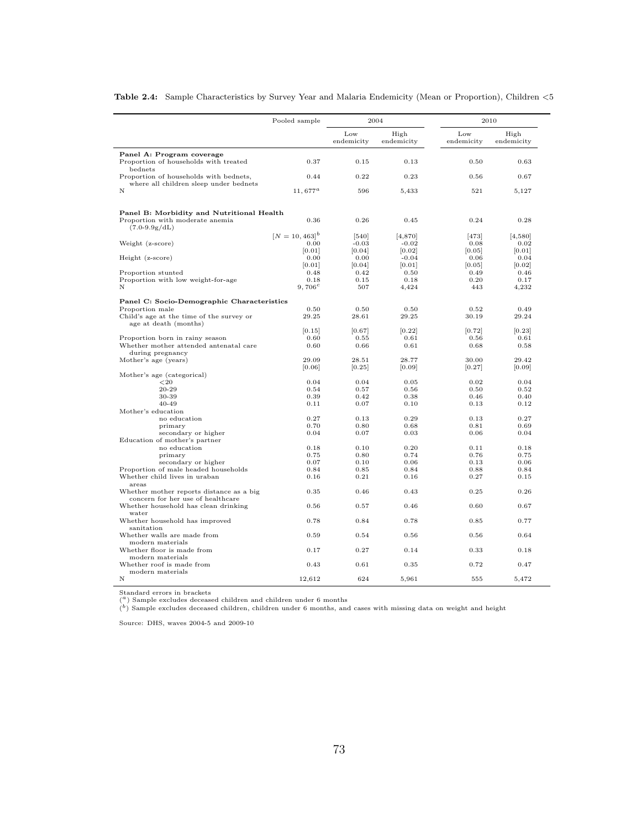|                                                                           | Pooled sample                   |                   | 2004               | 2010              |                    |
|---------------------------------------------------------------------------|---------------------------------|-------------------|--------------------|-------------------|--------------------|
|                                                                           |                                 | Low<br>endemicity | High<br>endemicity | Low<br>endemicity | High<br>endemicity |
| Panel A: Program coverage                                                 |                                 |                   |                    |                   |                    |
| Proportion of households with treated<br>bednets                          | 0.37                            | 0.15              | 0.13               | 0.50              | 0.63               |
| Proportion of households with bednets,                                    | 0.44                            | 0.22              | 0.23               | 0.56              | 0.67               |
| where all children sleep under bednets<br>N                               | $11,677^a$                      | 596               | 5,433              | 521               | 5,127              |
| Panel B: Morbidity and Nutritional Health                                 |                                 |                   |                    |                   |                    |
| Proportion with moderate anemia<br>$(7.0-9.9g/dL)$                        | 0.36                            | 0.26              | 0.45               | 0.24              | 0.28               |
|                                                                           | $[N = 10, 463]^{b}$             | $[540]$           | [4,870]            | $[473]$           | [4,580]            |
| Weight (z-score)                                                          | 0.00                            | $-0.03$           | $-0.02$            | 0.08              | 0.02               |
|                                                                           | [0.01]                          | [0.04]            | [0.02]             | [0.05]            | 0.01               |
| Height (z-score)                                                          | 0.00                            | 0.00              | $-0.04$            | 0.06              | 0.04               |
|                                                                           | [0.01]                          | [0.04]            | [0.01]             | [0.05]            | [0.02]             |
| Proportion stunted                                                        | 0.48                            | 0.42              | 0.50               | 0.49              | 0.46               |
| Proportion with low weight-for-age                                        | 0.18                            | 0.15              | 0.18               | 0.20              | 0.17               |
| N                                                                         | 9,706 <sup><math>c</math></sup> | 507               | 4,424              | 443               | 4,232              |
| Panel C: Socio-Demographic Characteristics                                |                                 |                   |                    |                   |                    |
| Proportion male                                                           | 0.50                            | 0.50              | 0.50               | 0.52              | 0.49               |
| Child's age at the time of the survey or<br>age at death (months)         | 29.25                           | 28.61             | 29.25              | 30.19             | 29.24              |
|                                                                           | [0.15]                          | [0.67]            | [0.22]             | [0.72]            | [0.23]             |
| Proportion born in rainy season                                           | 0.60                            | 0.55              | 0.61               | 0.56              | 0.61               |
| Whether mother attended antenatal care                                    | 0.60                            | 0.66              | 0.61               | 0.68              | 0.58               |
| during pregnancy                                                          |                                 |                   |                    |                   |                    |
| Mother's age (years)                                                      | 29.09                           | 28.51             | 28.77              | 30.00             | 29.42              |
| Mother's age (categorical)                                                | [0.06]                          | [0.25]            | [0.09]             | [0.27]            | [0.09]             |
| ${<}20$                                                                   | 0.04                            | 0.04              | 0.05               | 0.02              | 0.04               |
| 20-29                                                                     | 0.54                            | 0.57              | 0.56               | 0.50              | 0.52               |
| 30-39                                                                     | 0.39                            | 0.42              | 0.38               | 0.46              | 0.40               |
| $40 - 49$                                                                 | 0.11                            | 0.07              | 0.10               | 0.13              | 0.12               |
| Mother's education                                                        |                                 |                   |                    |                   |                    |
| no education                                                              | 0.27                            | 0.13              | 0.29               | 0.13              | 0.27               |
| primary                                                                   | 0.70                            | 0.80              | 0.68               | 0.81              | 0.69               |
| secondary or higher                                                       | 0.04                            | 0.07              | 0.03               | 0.06              | 0.04               |
| Education of mother's partner                                             |                                 |                   |                    |                   |                    |
| no education                                                              | 0.18                            | 0.10              | 0.20               | 0.11              | 0.18               |
| primary                                                                   | 0.75                            | 0.80              | 0.74               | 0.76              | 0.75               |
| secondary or higher                                                       | 0.07                            | 0.10              | 0.06               | 0.13              | 0.06               |
| Proportion of male headed households                                      | 0.84                            | 0.85              | 0.84               | 0.88              | 0.84               |
| Whether child lives in uraban<br>areas                                    | 0.16                            | 0.21              | 0.16               | 0.27              | 0.15               |
| Whether mother reports distance as a big                                  | 0.35                            | 0.46              | 0.43               | 0.25              | 0.26               |
| concern for her use of healthcare<br>Whether household has clean drinking | 0.56                            | 0.57              | 0.46               | 0.60              | 0.67               |
| water                                                                     |                                 |                   |                    |                   |                    |
| Whether household has improved<br>sanitation                              | 0.78                            | 0.84              | 0.78               | 0.85              | 0.77               |
| Whether walls are made from<br>modern materials                           | 0.59                            | 0.54              | 0.56               | 0.56              | 0.64               |
| Whether floor is made from<br>modern materials                            | 0.17                            | 0.27              | 0.14               | 0.33              | 0.18               |
| Whether roof is made from<br>modern materials                             | 0.43                            | 0.61              | 0.35               | 0.72              | 0.47               |
|                                                                           |                                 |                   |                    |                   |                    |

Table 2.4: Sample Characteristics by Survey Year and Malaria Endemicity (Mean or Proportion), Children <5

Standard errors in brackets ( <sup>a</sup>) Sample excludes deceased children and children under 6 months

 $\binom{b}{b}$  Sample excludes deceased children, children under 6 months, and cases with missing data on weight and height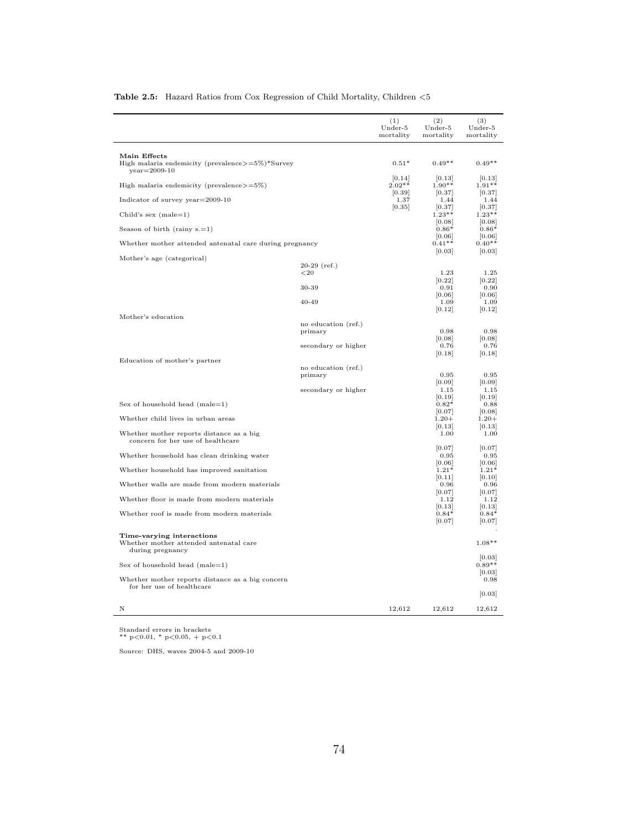|                                                                                          |                     | (1)<br>Under-5<br>mortality | (2)<br>Under-5<br>mortality | (3)<br>Under-5<br>mortality |
|------------------------------------------------------------------------------------------|---------------------|-----------------------------|-----------------------------|-----------------------------|
|                                                                                          |                     |                             |                             |                             |
| Main Effects<br>High malaria endemicity (prevalence $>=5\%$ )*Survey<br>$year = 2009-10$ |                     | $0.51*$                     | $0.49**$                    | $0.49**$                    |
| High malaria endemicity (prevalence $>=5\%$ )                                            |                     | [0.14]<br>$2.02**$          | [0.13]<br>$1.90**$          | [0.13]<br>$1.91**$          |
| Indicator of survey year=2009-10                                                         |                     | [0.39]<br>1.37              | [0.37]<br>1.44              | [0.37]<br>1.44              |
| Child's sex $(male=1)$                                                                   |                     | [0.35]                      | [0.37]<br>$1.23**$          | [0.37]<br>$1.23**$          |
| Season of birth (rainy $s = 1$ )                                                         |                     |                             | 0.08 <br>$0.86*$            | [0.08]<br>$0.86*$           |
| Whether mother attended antenatal care during pregnancy                                  |                     |                             | [0.06]<br>$0.41**$          | [0.06]<br>$0.40**$          |
| Mother's age (categorical)                                                               |                     |                             | [0.03]                      | [0.03]                      |
|                                                                                          | $20-29$ (ref.)      |                             |                             |                             |
|                                                                                          | ${<}20$             |                             | 1.23                        | 1.25                        |
|                                                                                          | 30-39               |                             | [0.22]<br>0.91              | [0.22]<br>0.90              |
|                                                                                          |                     |                             | [0.06]                      | [0.06]                      |
|                                                                                          | $40 - 49$           |                             | 1.09<br>[0.12]              | 1.09<br>[0.12]              |
| Mother's education                                                                       |                     |                             |                             |                             |
|                                                                                          | no education (ref.) |                             |                             |                             |
|                                                                                          | primary             |                             | 0.98<br>[0.08]              | 0.98<br>[0.08]              |
|                                                                                          | secondary or higher |                             | 0.76                        | 0.76                        |
|                                                                                          |                     |                             | [0.18]                      | [0.18]                      |
| Education of mother's partner                                                            | no education (ref.) |                             |                             |                             |
|                                                                                          | primary             |                             | 0.95                        | 0.95                        |
|                                                                                          |                     |                             | [0.09]                      | [0.09]                      |
|                                                                                          | secondary or higher |                             | $1.15\,$                    | 1.15                        |
| Sex of household head $(male=1)$                                                         |                     |                             | [0.19]<br>$0.82*$           | [0.19]<br>0.88              |
|                                                                                          |                     |                             | [0.07]                      | [0.08]                      |
| Whether child lives in urban areas                                                       |                     |                             | $1.20 +$                    | $1.20 +$                    |
|                                                                                          |                     |                             | [0.13]                      | [0.13]                      |
| Whether mother reports distance as a big<br>concern for her use of healthcare            |                     |                             | 1.00                        | 1.00                        |
| Whether household has clean drinking water                                               |                     |                             | [0.07]<br>0.95              | [0.07]<br>0.95              |
| Whether household has improved sanitation                                                |                     |                             | [0.06]<br>$1.21*$           | [0.06]<br>$1.21*$           |
| Whether walls are made from modern materials                                             |                     |                             | [0.11]<br>0.96              | [0.10]<br>0.96              |
| Whether floor is made from modern materials                                              |                     |                             | [0.07]<br>1.12              | [0.07]<br>1.12              |
|                                                                                          |                     |                             | [0.13]                      | [0.13]                      |
| Whether roof is made from modern materials                                               |                     |                             | $0.84*$<br>[0.07]           | $0.84*$<br>[0.07]           |
| Time-varying interactions<br>Whether mother attended antenatal care<br>during pregnancy  |                     |                             |                             | $1.08**$                    |
| Sex of household head $(male=1)$                                                         |                     |                             |                             | [0.03]<br>$0.89**$          |
|                                                                                          |                     |                             |                             | [0.03]                      |
| Whether mother reports distance as a big concern<br>for her use of healthcare            |                     |                             |                             | 0.98                        |
|                                                                                          |                     |                             |                             | [0.03]                      |
| N                                                                                        |                     | 12,612                      | 12,612                      | 12,612                      |

#### Table 2.5: Hazard Ratios from Cox Regression of Child Mortality, Children  $<\!5$

Standard errors in brackets \*\* p<0.01, \* p<0.05, + p<0.1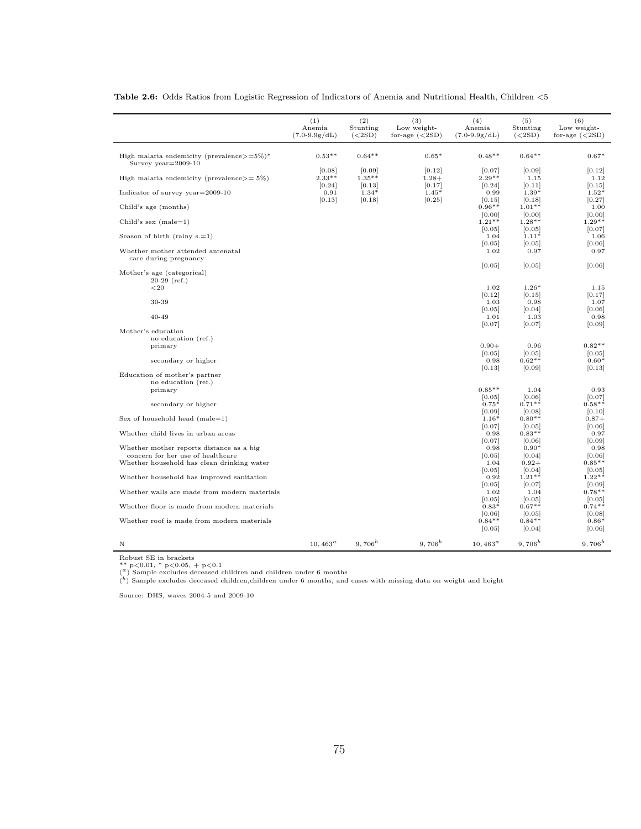|                                                                               | (1)<br>Anemia<br>$(7.0-9.9g/dL)$ | (2)<br>Stunting<br>(<2SD)   | (3)<br>Low weight-<br>for-age $(<2SD)$ | (4)<br>Anemia<br>$(7.0-9.9g/dL)$ | (5)<br>Stunting<br>(<2SD)   | (6)<br>Low weight-<br>for-age $(<2SD)$ |
|-------------------------------------------------------------------------------|----------------------------------|-----------------------------|----------------------------------------|----------------------------------|-----------------------------|----------------------------------------|
|                                                                               |                                  |                             |                                        |                                  |                             |                                        |
| High malaria endemicity (prevalence $>=5\%)*$<br>Survey $year=2009-10$        | $0.53**$                         | $0.64**$                    | $0.65*$                                | $0.48**$                         | $0.64**$                    | $0.67*$                                |
| High malaria endemicity (prevalence $>= 5\%$ )                                | [0.08]<br>$2.33***$              | [0.09]<br>$1.35**$          | [0.12]<br>$1.28+$                      | [0.07]<br>$2.29**$               | [0.09]<br>1.15              | [0.12]<br>1.12                         |
| Indicator of survey $year=2009-10$                                            | [0.24]<br>0.91<br>[0.13]         | [0.13]<br>$1.34*$<br>[0.18] | [0.17]<br>$1.45*$<br>[0.25]            | [0.24]<br>0.99<br>[0.15]         | [0.11]<br>$1.39*$<br>[0.18] | [0.15]<br>$1.52*$<br>[0.27]            |
| Child's age (months)                                                          |                                  |                             |                                        | $0.96**$                         | $1.01**$                    | 1.00                                   |
| Child's sex $(male=1)$                                                        |                                  |                             |                                        | [0.00]<br>$1.21**$               | [0.00]<br>$1.28**$          | [0.00]<br>$1.29**$                     |
| Season of birth (rainy $s = 1$ )                                              |                                  |                             |                                        | [0.05]<br>1.04                   | [0.05]<br>$1.11*$           | $[0.07]$<br>1.06                       |
| Whether mother attended antenatal                                             |                                  |                             |                                        | [0.05]<br>1.02                   | [0.05]<br>0.97              | [0.06]<br>0.97                         |
| care during pregnancy                                                         |                                  |                             |                                        | [0.05]                           | [0.05]                      | [0.06]                                 |
| Mother's age (categorical)<br>$20-29$ (ref.)                                  |                                  |                             |                                        |                                  |                             |                                        |
| ${<}20\,$                                                                     |                                  |                             |                                        | 1.02<br>[0.12]                   | $1.26*$<br>[0.15]           | 1.15                                   |
| 30-39                                                                         |                                  |                             |                                        | 1.03                             | 0.98                        | [0.17]<br>1.07                         |
| 40-49                                                                         |                                  |                             |                                        | [0.05]<br>1.01                   | [0.04]<br>1.03              | [0.06]<br>0.98                         |
|                                                                               |                                  |                             |                                        | [0.07]                           | [0.07]                      | [0.09]                                 |
| Mother's education<br>no education (ref.)                                     |                                  |                             |                                        |                                  |                             |                                        |
| primary                                                                       |                                  |                             |                                        | $0.90+$                          | 0.96                        | $0.82**$                               |
| secondary or higher                                                           |                                  |                             |                                        | [0.05]<br>0.98                   | [0.05]<br>$0.62**$          | [0.05]<br>$0.60*$                      |
|                                                                               |                                  |                             |                                        | [0.13]                           | [0.09]                      | [0.13]                                 |
| Education of mother's partner<br>no education (ref.)                          |                                  |                             |                                        |                                  |                             |                                        |
| primary                                                                       |                                  |                             |                                        | $0.85**$                         | 1.04                        | 0.93                                   |
|                                                                               |                                  |                             |                                        | [0.05]                           | [0.06]                      | $[0.07]$                               |
| secondary or higher                                                           |                                  |                             |                                        | $0.75*$<br>[0.09]                | $0.71**$<br>[0.08]          | $0.58**$<br>[0.10]                     |
| Sex of household head $(male=1)$                                              |                                  |                             |                                        | $1.16*$                          | $0.80**$                    | $0.87+$                                |
| Whether child lives in urban areas                                            |                                  |                             |                                        | [0.07]<br>0.98                   | [0.05]<br>$0.83**$          | [0.06]<br>0.97                         |
|                                                                               |                                  |                             |                                        | [0.07]                           | [0.06]                      | [0.09]                                 |
| Whether mother reports distance as a big<br>concern for her use of healthcare |                                  |                             |                                        | 0.98<br>[0.05]                   | $0.90*$<br>[0.04]           | 0.98<br>[0.06]                         |
| Whether household has clean drinking water                                    |                                  |                             |                                        | 1.04                             | $0.92+$                     | $0.85**$                               |
|                                                                               |                                  |                             |                                        | [0.05]                           | [0.04]                      | [0.05]                                 |
| Whether household has improved sanitation                                     |                                  |                             |                                        | 0.92<br>[0.05]                   | $1.21**$<br>[0.07]          | $1.22**$<br>[0.09]                     |
| Whether walls are made from modern materials                                  |                                  |                             |                                        | 1.02                             | 1.04                        | $0.78**$                               |
| Whether floor is made from modern materials                                   |                                  |                             |                                        | [0.05]<br>$0.83*$                | [0.05]<br>$0.67**$          | [0.05]<br>$0.74**$                     |
|                                                                               |                                  |                             |                                        | [0.06]                           | [0.05]                      | [0.08]                                 |
| Whether roof is made from modern materials                                    |                                  |                             |                                        | $0.84**$<br>[0.05]               | $0.84**$<br>[0.04]          | $0.86*$<br>[0.06]                      |
| Ν                                                                             | $10,463^{\circ}$                 | 9.706 <sup>b</sup>          | 9.706 <sup>b</sup>                     | $10,463^a$                       | 9.706 <sup>b</sup>          | $9,706^b$                              |

Table 2.6: Odds Ratios from Logistic Regression of Indicators of Anemia and Nutritional Health, Children <5

Robust SE in brackets

\*\*  $p < 0.01$ , \*  $p < 0.05$ , +  $p < 0.1$ <br>(<sup>a</sup>) Sample excludes deceased children and children under 6 months

 $\binom{b}{b}$  Sample excludes deceased children,children under 6 months, and cases with missing data on weight and height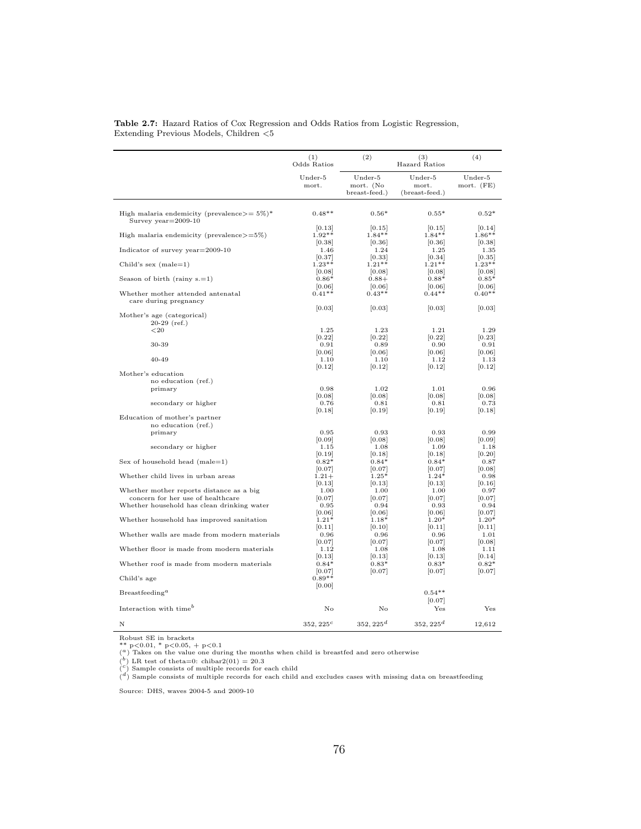|                                                                               | (1)<br>Odds Ratios | (2)                                   | (3)<br>Hazard Ratios               | (4)                   |
|-------------------------------------------------------------------------------|--------------------|---------------------------------------|------------------------------------|-----------------------|
|                                                                               | Under-5<br>mort.   | Under-5<br>mort. (No<br>breast-feed.) | Under-5<br>mort.<br>(breast-feed.) | Under-5<br>mort. (FE) |
|                                                                               |                    |                                       |                                    |                       |
| High malaria endemicity (prevalence $>= 5\%)^*$<br>Survey year=2009-10        | $0.48**$           | $0.56*$                               | $0.55*$                            | $0.52*$               |
| High malaria endemicity (prevalence $>=5\%$ )                                 | [0.13]<br>$1.92**$ | [0.15]<br>$1.84**$                    | [0.15]<br>$1.84**$                 | [0.14]<br>$1.86**$    |
| Indicator of survey year=2009-10                                              | [0.38]<br>1.46     | [0.36]<br>1.24                        | [0.36]<br>1.25                     | [0.38]<br>1.35        |
| Child's sex $(male=1)$                                                        | [0.37]<br>$1.23**$ | [0.33]<br>$1.21**$                    | [0.34]<br>$1.21**$                 | [0.35]<br>$1.23**$    |
| Season of birth (rainy $s = 1$ )                                              | [0.08]<br>$0.86*$  | [0.08]<br>$0.88+$                     | [0.08]<br>$0.88*$                  | [0.08]<br>$0.85*$     |
| Whether mother attended antenatal                                             | [0.06]<br>$0.41**$ | [0.06]<br>$0.43**$                    | [0.06]<br>$0.44**$                 | [0.06]<br>$0.40**$    |
| care during pregnancy                                                         | [0.03]             | [0.03]                                | [0.03]                             | [0.03]                |
| Mother's age (categorical)<br>$20-29$ (ref.)                                  |                    |                                       |                                    |                       |
| ${<}20$                                                                       | 1.25<br>[0.22]     | 1.23<br>[0.22]                        | 1.21<br>[0.22]                     | 1.29<br>[0.23]        |
| 30-39                                                                         | 0.91<br>[0.06]     | 0.89<br>[0.06]                        | 0.90<br>[0.06]                     | 0.91<br>[0.06]        |
| $40 - 49$                                                                     | 1.10               | 1.10                                  | 1.12                               | 1.13                  |
| Mother's education                                                            | [0.12]             | 0.12                                  | [0.12]                             | 0.12                  |
| no education (ref.)<br>primary                                                | 0.98               | 1.02                                  | 1.01                               | 0.96                  |
| secondary or higher                                                           | [0.08]<br>0.76     | [0.08]<br>0.81                        | [0.08]<br>0.81                     | [0.08]<br>0.73        |
| Education of mother's partner                                                 | [0.18]             | [0.19]                                | [0.19]                             | [0.18]                |
| no education (ref.)                                                           |                    |                                       |                                    |                       |
| primary                                                                       | 0.95<br>[0.09]     | 0.93<br>[0.08]                        | 0.93<br>[0.08]                     | 0.99<br>[0.09]        |
| secondary or higher                                                           | 1.15               | 1.08                                  | 1.09                               | 1.18                  |
| Sex of household head $(male=1)$                                              | 0.19 <br>$0.82*$   | 0.18                                  | 0.18 <br>$0.84*$                   | 0.20                  |
|                                                                               | $[0.07]$           | $0.84*$<br>[0.07]                     | [0.07]                             | 0.87<br> 0.08         |
| Whether child lives in urban areas                                            | $1.21 +$           | $1.25*$                               | $1.24*$                            | 0.98                  |
|                                                                               | [0.13]             | [0.13]                                | [0.13]                             | 0.16                  |
| Whether mother reports distance as a big<br>concern for her use of healthcare | 1.00<br> 0.07      | 1.00<br> 0.07                         | 1.00<br> 0.07                      | 0.97<br> 0.07         |
| Whether household has clean drinking water                                    | 0.95               | 0.94                                  | 0.93                               | 0.94                  |
|                                                                               | [0.06]             | [0.06]                                | [0.06]                             | [0.07]                |
| Whether household has improved sanitation                                     | $1.21*$            | $1.18*$                               | $1.20*$                            | $1.20*$               |
| Whether walls are made from modern materials                                  | [0.11]<br>0.96     | [0.10]<br>0.96                        | [0.11]<br>0.96                     | [0.11]<br>1.01        |
| Whether floor is made from modern materials                                   | [0.07]<br>1.12     | [0.07]<br>1.08                        | [0.07]<br>1.08                     | [0.08]<br>1.11        |
| Whether roof is made from modern materials                                    | 0.13 <br>$0.84*$   | 0.13 <br>$0.83*$                      | 0.13 <br>$0.83*$                   | 0.14 <br>$0.82*$      |
| Child's age                                                                   | [0.07]<br>$0.89**$ | 0.07                                  | 0.07                               | 0.07                  |
| $Breast feeding^a$                                                            | [0.00]             |                                       | $0.54**$                           |                       |
|                                                                               |                    |                                       | [0.07]                             |                       |
| Interaction with time <sup>b</sup>                                            | No                 | No                                    | Yes                                | $_{\rm Yes}$          |

Table 2.7: Hazard Ratios of Cox Regression and Odds Ratios from Logistic Regression, Extending Previous Models, Children <5

Robust SE in brackets<br>\*\* p<0.01, \* p<0.05, + p<0.1<br>(<sup>a</sup> ) Takes on the value one during the months when child is breastfed and zero otherwise

 $\binom{b}{c}$  LR test of theta=0: chibar2(01) = 20.3<br>(c) Sample consists of multiple records for each child

 $\binom{d}{k}$  Sample consists of multiple records for each child and excludes cases with missing data on breastfeeding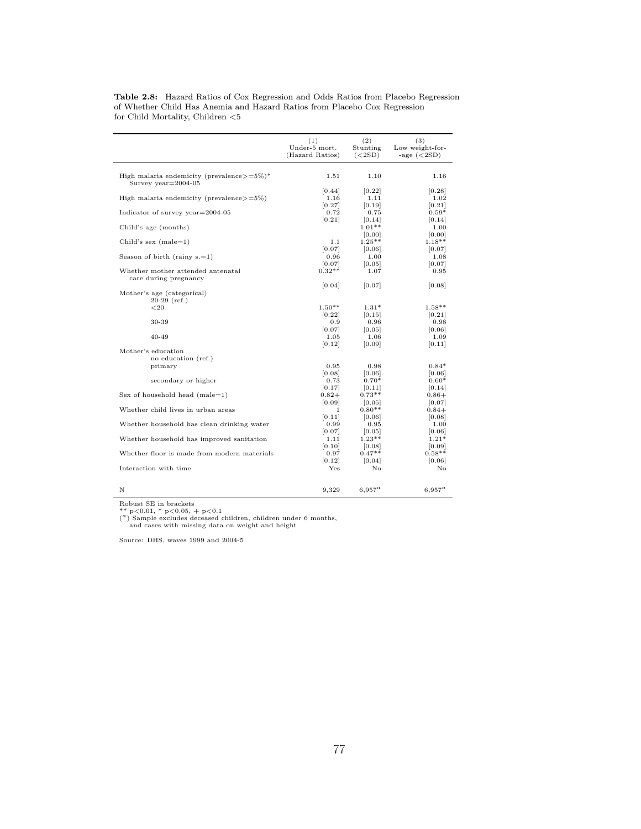|                                                            | (1)             | (2)                | (3)             |
|------------------------------------------------------------|-----------------|--------------------|-----------------|
|                                                            | Under-5 mort.   | Stunting           | Low weight-for- |
|                                                            | (Hazard Ratios) | (<2SD)             | -age $(<2SD$ )  |
| High malaria endemicity (prevalence $>=5\%$ )*             | 1.51            | 1.10               | 1.16            |
| Survey $year=2004-05$                                      |                 |                    |                 |
| High malaria endemicity (prevalence $>=5\%$ )              | [0.44]          | [0.22]             | [0.28]          |
|                                                            | 1.16            | 1.11               | 1.02            |
| Indicator of survey year $=$ 2004-05                       | [0.27]          | [0.19]             | [0.21]          |
|                                                            | 0.72            | 0.75               | $0.59*$         |
|                                                            | [0.21]          | [0.14]             | [0.14]          |
| Child's age (months)                                       |                 | $1.01**$<br>[0.00] | 1.00<br>[0.00]  |
| Child's sex $(male=1)$                                     | 1.1             | $1.25**$           | $1.18**$        |
|                                                            | [0.07]          | [0.06]             | [0.07]          |
| Season of birth (rainy $s = 1$ )                           | 0.96            | 1.00               | 1.08            |
|                                                            | [0.07]          | [0.05]             | [0.07]          |
| Whether mother attended antenatal<br>care during pregnancy | $0.32**$        | 1.07               | 0.95            |
| Mother's age (categorical)                                 | [0.04]          | [0.07]             | [0.08]          |
| $20-29$ (ref.)<br>${<}20$                                  | $1.50**$        | $1.31*$            | $1.58**$        |
| 30-39                                                      | [0.22]          | [0.15]             | 0.21            |
|                                                            | 0.9             | 0.96               | 0.98            |
| $40 - 49$                                                  | [0.07]          | [0.05]             | 0.06            |
|                                                            | 1.05            | 1.06               | 1.09            |
| Mother's education                                         | [0.12]          | [0.09]             | 0.11            |
| no education (ref.)                                        |                 |                    |                 |
| primary                                                    | 0.95            | 0.98               | $0.84*$         |
|                                                            | [0.08]          | [0.06]             | [0.06]          |
| secondary or higher                                        | 0.73            | $0.70*$            | $0.60*$         |
|                                                            | [0.17]          | 0.11               | 0.14            |
| Sex of household head $(male=1)$                           | $0.82+$         | $0.73**$           | $0.86 +$        |
|                                                            | [0.09]          | 0.05               | 0.07            |
| Whether child lives in urban areas                         | 1.              | $0.80**$           | $0.84+$         |
|                                                            | [0.11]          | 0.06               | 0.08            |
| Whether household has clean drinking water                 | 0.99            | 0.95               | 1.00            |
|                                                            | 0.07            | 0.05               | 0.06            |
| Whether household has improved sanitation                  | 1.11            | $1.23**$           | $1.21*$         |
|                                                            | [0.10]          | 0.08               | 0.09            |
| Whether floor is made from modern materials                | 0.97            | $0.47**$           | $0.58**$        |
|                                                            | [0.12]          | [0.04]             | 0.06            |
| Interaction with time                                      | Yes             | No                 | No              |
| N                                                          | 9,329           | $6.957^a$          | $6.957^a$       |

Table 2.8: Hazard Ratios of Cox Regression and Odds Ratios from Placebo Regression of Whether Child Has Anemia and Hazard Ratios from Placebo Cox Regression for Child Mortality, Children $< \! 5$ 

Robust SE in brackets

\*\* p<0.01, \* p<0.05, + p<0.1 ( <sup>a</sup>) Sample excludes deceased children, children under 6 months, and cases with missing data on weight and height

Source: DHS, waves 1999 and 2004-5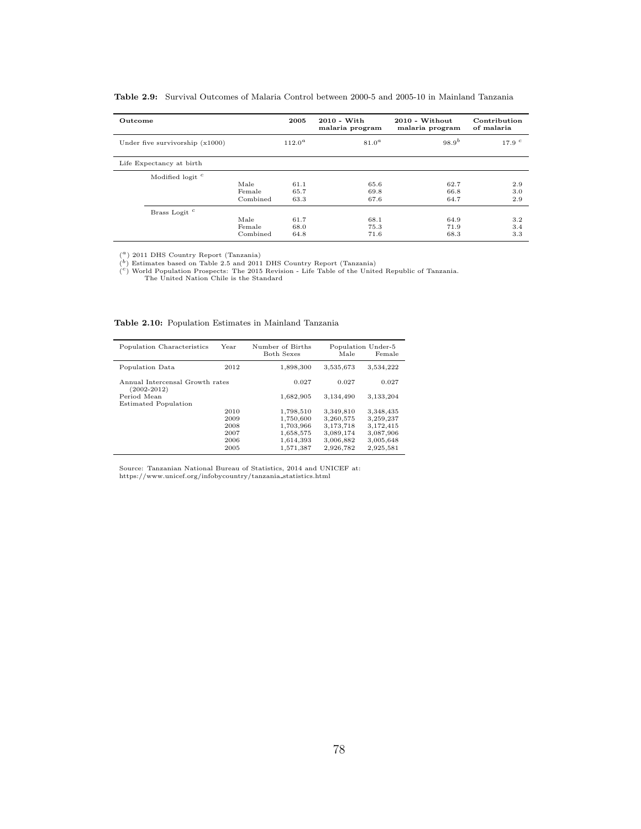| Outcome                           |          | 2005      | $2010 - With$<br>malaria program | 2010 - Without<br>malaria program | Contribution<br>of malaria |
|-----------------------------------|----------|-----------|----------------------------------|-----------------------------------|----------------------------|
| Under five survivorship $(x1000)$ |          | $112.0^a$ | 81.0 <sup>a</sup>                | $98.9^{b}$                        | 17.9 <sup>c</sup>          |
| Life Expectancy at birth          |          |           |                                  |                                   |                            |
| Modified logit <sup>c</sup>       |          |           |                                  |                                   |                            |
|                                   | Male     | 61.1      | 65.6                             | 62.7                              | 2.9                        |
|                                   | Female   | 65.7      | 69.8                             | 66.8                              | 3.0                        |
|                                   | Combined | 63.3      | 67.6                             | 64.7                              | 2.9                        |
| Brass Logit <sup>c</sup>          |          |           |                                  |                                   |                            |
|                                   | Male     | 61.7      | 68.1                             | 64.9                              | 3.2                        |
|                                   | Female   | 68.0      | 75.3                             | 71.9                              | 3.4                        |
|                                   | Combined | 64.8      | 71.6                             | 68.3                              | 3.3                        |

Table 2.9: Survival Outcomes of Malaria Control between 2000-5 and 2005-10 in Mainland Tanzania

 $\binom{a}{b}$  2011 DHS Country Report (Tanzania)

(<sup>b</sup>) Estimates based on Table 2.5 and 2011 DHS Country Report (Tanzania)<br>
(<sup>c</sup>) World Population Prospects: The 2015 Revision - Life Table of the United Republic of Tanzania.<br>
The United Nation Chile is the Standard

| Table 2.10: Population Estimates in Mainland Tanzania |  |  |  |  |  |
|-------------------------------------------------------|--|--|--|--|--|
|-------------------------------------------------------|--|--|--|--|--|

| Population Characteristics                         | Year | Number of Births<br><b>Both Sexes</b> | Male      | Population Under-5<br>Female |
|----------------------------------------------------|------|---------------------------------------|-----------|------------------------------|
| Population Data                                    | 2012 | 1,898,300                             | 3,535,673 | 3,534,222                    |
| Annual Intercensal Growth rates<br>$(2002 - 2012)$ |      | 0.027                                 | 0.027     | 0.027                        |
| Period Mean                                        |      | 1,682,905                             | 3,134,490 | 3.133.204                    |
| <b>Estimated Population</b>                        |      |                                       |           |                              |
|                                                    | 2010 | 1,798,510                             | 3,349,810 | 3,348,435                    |
|                                                    | 2009 | 1,750,600                             | 3,260,575 | 3,259,237                    |
|                                                    | 2008 | 1,703,966                             | 3,173,718 | 3,172,415                    |
|                                                    | 2007 | 1,658,575                             | 3,089,174 | 3,087,906                    |
|                                                    | 2006 | 1,614,393                             | 3,006,882 | 3,005,648                    |
|                                                    | 2005 | 1,571,387                             | 2,926,782 | 2,925,581                    |

Source: Tanzanian National Bureau of Statistics, 2014 and UNICEF at: https://www.unicef.org/infobycountry/tanzania statistics.html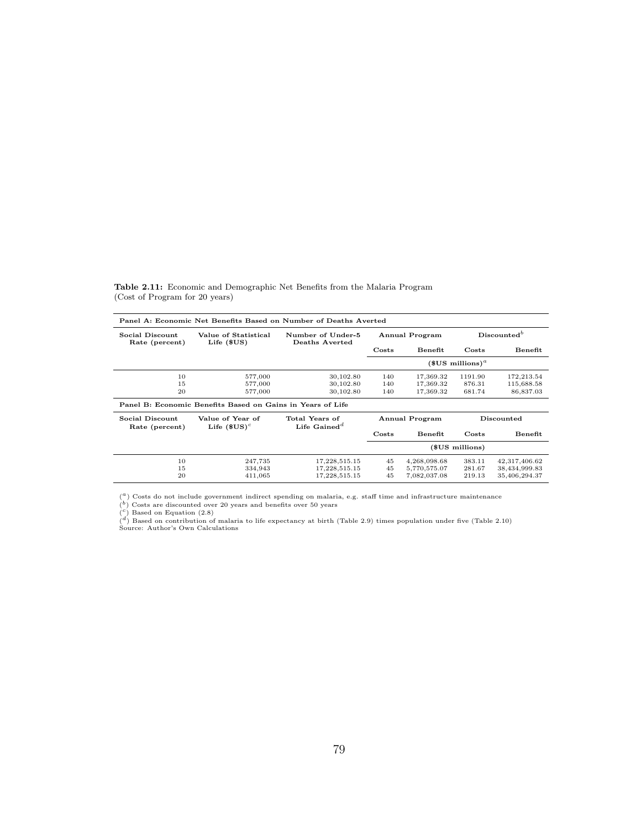| Panel A: Economic Net Benefits Based on Number of Deaths Averted |                                                            |                                                         |                       |                |                                     |               |  |  |
|------------------------------------------------------------------|------------------------------------------------------------|---------------------------------------------------------|-----------------------|----------------|-------------------------------------|---------------|--|--|
| Social Discount<br>Rate (percent)                                | Value of Statistical<br>Life $(SUS)$                       | Number of Under-5<br>Deaths Averted                     | <b>Annual Program</b> |                | Discounted <sup>b</sup>             |               |  |  |
|                                                                  |                                                            |                                                         | Costs                 | Benefit        | Costs                               | Benefit       |  |  |
|                                                                  |                                                            |                                                         |                       |                | $$US$ millions) <sup><i>a</i></sup> |               |  |  |
| 10                                                               | 577,000                                                    | 30,102.80                                               | 140                   | 17,369.32      | 1191.90                             | 172,213.54    |  |  |
| 15                                                               | 577,000                                                    | 30,102.80                                               | 140                   | 17,369.32      | 876.31                              | 115,688.58    |  |  |
| 20                                                               | 577,000                                                    | 30,102.80                                               | 140                   | 17,369.32      | 681.74                              | 86,837.03     |  |  |
|                                                                  | Panel B: Economic Benefits Based on Gains in Years of Life |                                                         |                       |                |                                     |               |  |  |
| Social Discount<br>Rate (percent)                                | Value of Year of<br>Life $$US)^c$                          | Total Years of<br>Life Gained <sup><math>d</math></sup> |                       | Annual Program |                                     | Discounted    |  |  |
|                                                                  |                                                            |                                                         | Costs                 | Benefit        | Costs                               | Benefit       |  |  |
|                                                                  |                                                            |                                                         |                       |                | (\$US millions)                     |               |  |  |
| 10                                                               | 247,735                                                    | 17,228,515.15                                           | 45                    | 4,268,098.68   | 383.11                              | 42,317,406.62 |  |  |
| 15                                                               | 334,943                                                    | 17,228,515.15                                           | 45                    | 5,770,575.07   | 281.67                              | 38,434,999.83 |  |  |
| 20                                                               | 411,065                                                    | 17,228,515.15                                           | 45                    | 7,082,037.08   | 219.13                              | 35,406,294.37 |  |  |

Table 2.11: Economic and Demographic Net Benefits from the Malaria Program (Cost of Program for 20 years)

 $\binom{a}{b}$  Costs do not include government indirect spending on malaria, e.g. staff time and infrastructure maintenance

 $\binom{b}{c}$  Costs are discounted over 20 years and benefits over 50 years  $\binom{c}{c}$  Based on Equation (2.8)

 $\binom{d}{k}$  Based on contribution of malaria to life expectancy at birth (Table 2.9) times population under five (Table 2.10)<br>Source: Author's Own Calculations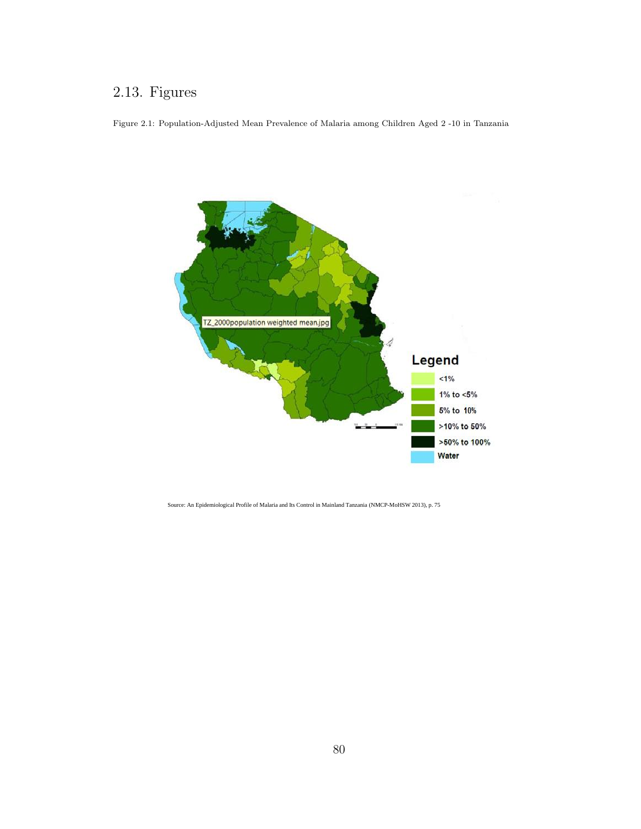## 2.13. Figures

Figure 2.1: Population-Adjusted Mean Prevalence of Malaria among Children Aged 2 -10 in Tanzania



Source: An Epidemiological Profile of Malaria and Its Control in Mainland Tanzania (NMCP-MoHSW 2013), p. 75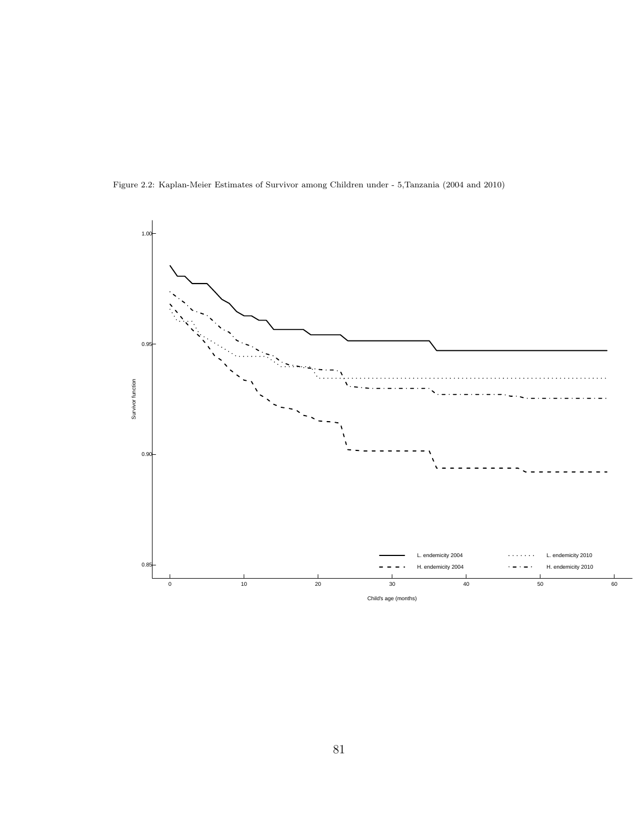Figure 2.2: Kaplan-Meier Estimates of Survivor among Children under - 5,Tanzania (2004 and 2010)

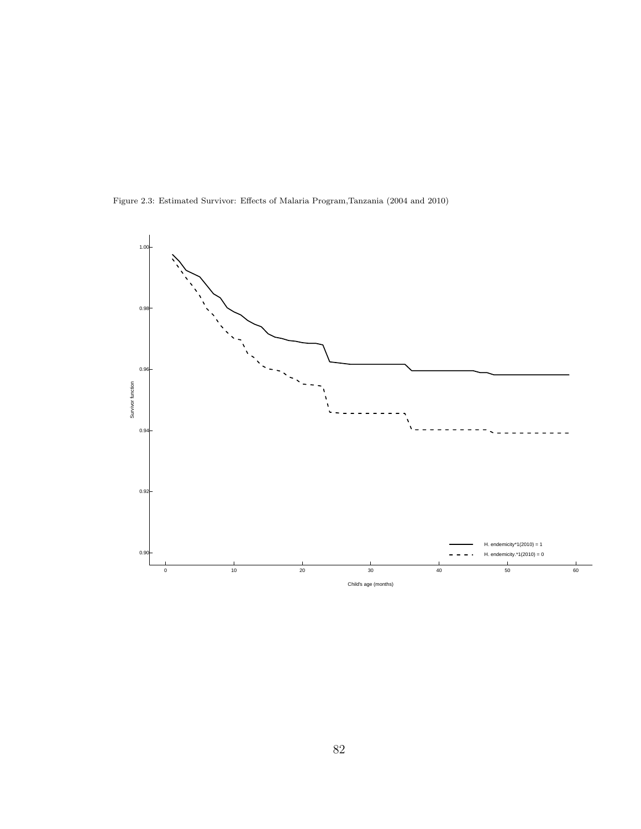Figure 2.3: Estimated Survivor: Effects of Malaria Program,Tanzania (2004 and 2010)

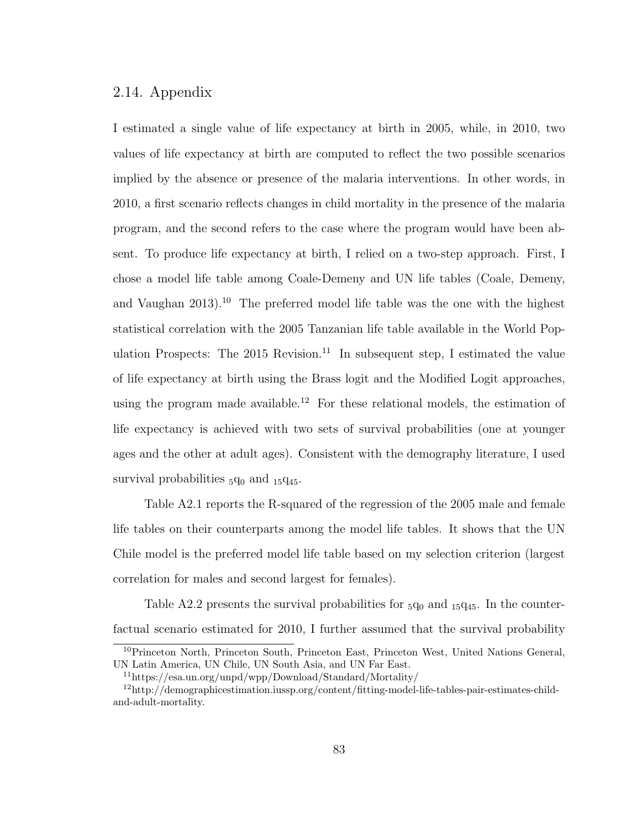## 2.14. Appendix

I estimated a single value of life expectancy at birth in 2005, while, in 2010, two values of life expectancy at birth are computed to reflect the two possible scenarios implied by the absence or presence of the malaria interventions. In other words, in 2010, a first scenario reflects changes in child mortality in the presence of the malaria program, and the second refers to the case where the program would have been absent. To produce life expectancy at birth, I relied on a two-step approach. First, I chose a model life table among Coale-Demeny and UN life tables (Coale, Demeny, and Vaughan  $2013$ <sup>10</sup> The preferred model life table was the one with the highest statistical correlation with the 2005 Tanzanian life table available in the World Population Prospects: The 2015 Revision.<sup>11</sup> In subsequent step, I estimated the value of life expectancy at birth using the Brass logit and the Modified Logit approaches, using the program made available.<sup>12</sup> For these relational models, the estimation of life expectancy is achieved with two sets of survival probabilities (one at younger ages and the other at adult ages). Consistent with the demography literature, I used survival probabilities  $_5q_0$  and  $_{15}q_{45}$ .

Table A2.1 reports the R-squared of the regression of the 2005 male and female life tables on their counterparts among the model life tables. It shows that the UN Chile model is the preferred model life table based on my selection criterion (largest correlation for males and second largest for females).

Table A2.2 presents the survival probabilities for  $_5q_0$  and  $_{15}q_{45}$ . In the counterfactual scenario estimated for 2010, I further assumed that the survival probability

<sup>10</sup>Princeton North, Princeton South, Princeton East, Princeton West, United Nations General, UN Latin America, UN Chile, UN South Asia, and UN Far East.

<sup>11</sup>https://esa.un.org/unpd/wpp/Download/Standard/Mortality/

<sup>12</sup>http://demographicestimation.iussp.org/content/fitting-model-life-tables-pair-estimates-childand-adult-mortality.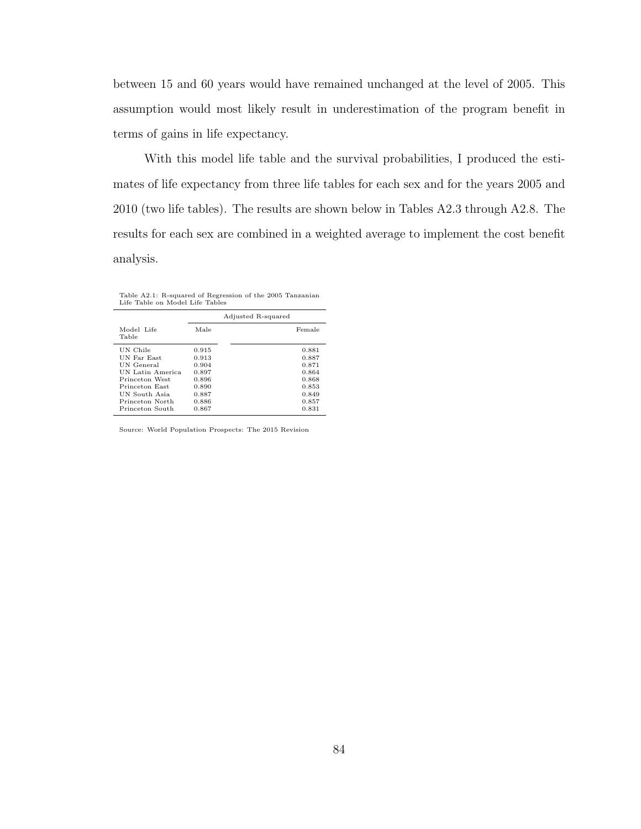between 15 and 60 years would have remained unchanged at the level of 2005. This assumption would most likely result in underestimation of the program benefit in terms of gains in life expectancy.

With this model life table and the survival probabilities, I produced the estimates of life expectancy from three life tables for each sex and for the years 2005 and 2010 (two life tables). The results are shown below in Tables A2.3 through A2.8. The results for each sex are combined in a weighted average to implement the cost benefit analysis.

Table A2.1: R-squared of Regression of the 2005 Tanzanian Life Table on Model Life Tables

|                     |       | Adjusted R-squared |        |
|---------------------|-------|--------------------|--------|
| Model Life<br>Table | Male  |                    | Female |
| UN Chile            | 0.915 |                    | 0.881  |
| UN Far East         | 0.913 |                    | 0.887  |
| UN General          | 0.904 |                    | 0.871  |
| UN Latin America    | 0.897 |                    | 0.864  |
| Princeton West      | 0.896 |                    | 0.868  |
| Princeton East      | 0.890 |                    | 0.853  |
| UN South Asia       | 0.887 |                    | 0.849  |
| Princeton North     | 0.886 |                    | 0.857  |
| Princeton South     | 0.867 |                    | 0.831  |

Source: World Population Prospects: The 2015 Revision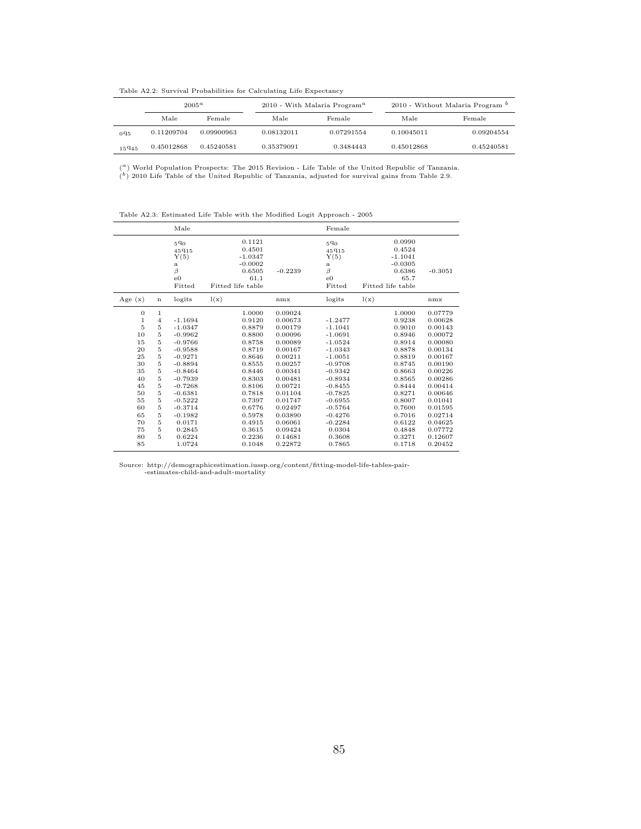Table A2.2: Survival Probabilities for Calculating Life Expectancy

|        | $2005^a$<br>Male<br>Female |            |            | 2010 - With Malaria Program <sup>a</sup> | 2010 - Without Malaria Program <sup>b</sup> |            |  |
|--------|----------------------------|------------|------------|------------------------------------------|---------------------------------------------|------------|--|
|        |                            |            | Male       | Female                                   | Male                                        | Female     |  |
| $0q_5$ | 0.11209704                 | 0.09900963 | 0.08132011 | 0.07291554                               | 0.10045011                                  | 0.09204554 |  |
| 15945  | 0.45012868                 | 0.45240581 | 0.35379091 | 0.3484443                                | 0.45012868                                  | 0.45240581 |  |

( <sup>a</sup>) World Population Prospects: The 2015 Revision - Life Table of the United Republic of Tanzania.

 $\binom{b}{k}$  2010 Life Table of the United Republic of Tanzania, adjusted for survival gains from Table 2.9.

Table A2.3: Estimated Life Table with the Modified Logit Approach - 2005

|                                                                        |                                                                  | Male                                                                                                                           |                                                                                                            |                                                                                                                       | Female                                                                                                                         |                                                                                                            |                                                                                                                       |
|------------------------------------------------------------------------|------------------------------------------------------------------|--------------------------------------------------------------------------------------------------------------------------------|------------------------------------------------------------------------------------------------------------|-----------------------------------------------------------------------------------------------------------------------|--------------------------------------------------------------------------------------------------------------------------------|------------------------------------------------------------------------------------------------------------|-----------------------------------------------------------------------------------------------------------------------|
|                                                                        |                                                                  | 590<br>45915<br>Y(5)<br>$\mathbf{a}$<br>β<br>$_{\rm e0}$<br>Fitted                                                             | 0.1121<br>0.4501<br>$-1.0347$<br>$-0.0002$<br>0.6505<br>61.1<br>Fitted life table                          | $-0.2239$                                                                                                             | 590<br>45915<br>Y(5)<br>$\mathbf{a}$<br>$\beta$<br>$_{\rm e0}$<br>Fitted                                                       | 0.0990<br>0.4524<br>$-1.1041$<br>$-0.0305$<br>0.6386<br>65.7<br>Fitted life table                          | $-0.3051$                                                                                                             |
| Age $(x)$                                                              | n                                                                | logits                                                                                                                         | l(x)                                                                                                       | nmx                                                                                                                   | logits                                                                                                                         | l(x)                                                                                                       | nmx                                                                                                                   |
| 0<br>$\mathbf{1}$<br>5<br>10<br>15<br>20<br>25<br>30<br>35<br>40<br>45 | 1<br>$\overline{4}$<br>5<br>5<br>5<br>5<br>5<br>5<br>5<br>5<br>5 | $-1.1694$<br>$-1.0347$<br>$-0.9962$<br>$-0.9766$<br>$-0.9588$<br>$-0.9271$<br>$-0.8894$<br>$-0.8464$<br>$-0.7939$<br>$-0.7268$ | 1.0000<br>0.9120<br>0.8879<br>0.8800<br>0.8758<br>0.8719<br>0.8646<br>0.8555<br>0.8446<br>0.8303<br>0.8106 | 0.09024<br>0.00673<br>0.00179<br>0.00096<br>0.00089<br>0.00167<br>0.00211<br>0.00257<br>0.00341<br>0.00481<br>0.00721 | $-1.2477$<br>$-1.1041$<br>$-1.0691$<br>$-1.0524$<br>$-1.0343$<br>$-1.0051$<br>$-0.9708$<br>$-0.9342$<br>$-0.8934$<br>$-0.8455$ | 1.0000<br>0.9238<br>0.9010<br>0.8946<br>0.8914<br>0.8878<br>0.8819<br>0.8745<br>0.8663<br>0.8565<br>0.8444 | 0.07779<br>0.00628<br>0.00143<br>0.00072<br>0.00080<br>0.00134<br>0.00167<br>0.00190<br>0.00226<br>0.00286<br>0.00414 |
| 50<br>55<br>60<br>65<br>70<br>75<br>80<br>85                           | 5<br>5<br>5<br>5<br>5<br>5<br>5                                  | $-0.6381$<br>$-0.5222$<br>$-0.3714$<br>$-0.1982$<br>0.0171<br>0.2845<br>0.6224<br>1.0724                                       | 0.7818<br>0.7397<br>0.6776<br>0.5978<br>0.4915<br>0.3615<br>0.2236<br>0.1048                               | 0.01104<br>0.01747<br>0.02497<br>0.03890<br>0.06061<br>0.09424<br>0.14681<br>0.22872                                  | $-0.7825$<br>$-0.6955$<br>$-0.5764$<br>$-0.4276$<br>$-0.2284$<br>0.0304<br>0.3608<br>0.7865                                    | 0.8271<br>0.8007<br>0.7600<br>0.7016<br>0.6122<br>0.4848<br>0.3271<br>0.1718                               | 0.00646<br>0.01041<br>0.01595<br>0.02714<br>0.04625<br>0.07772<br>0.12607<br>0.20452                                  |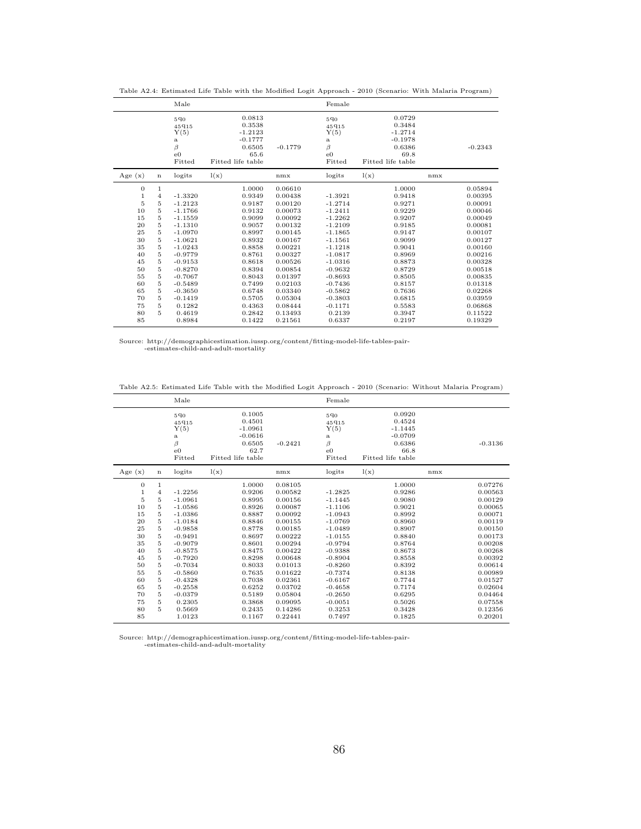|                                                                                                    |                                                                                  | Male                                                                                                                           |                                                                                                            |                                                                                                                       | Female                                                                                                                         |                                                                                                            |                                                                                                                       |
|----------------------------------------------------------------------------------------------------|----------------------------------------------------------------------------------|--------------------------------------------------------------------------------------------------------------------------------|------------------------------------------------------------------------------------------------------------|-----------------------------------------------------------------------------------------------------------------------|--------------------------------------------------------------------------------------------------------------------------------|------------------------------------------------------------------------------------------------------------|-----------------------------------------------------------------------------------------------------------------------|
|                                                                                                    |                                                                                  | 590<br>45915<br>Y(5)<br>a<br>β<br>$_{\rm e0}$<br>Fitted                                                                        | 0.0813<br>0.3538<br>$-1.2123$<br>$-0.1777$<br>0.6505<br>65.6<br>Fitted life table                          | $-0.1779$                                                                                                             | 590<br>45915<br>Y(5)<br>a<br>$\beta$<br>$_{\rm e0}$<br>Fitted                                                                  | 0.0729<br>0.3484<br>$-1.2714$<br>$-0.1978$<br>0.6386<br>69.8<br>Fitted life table                          | $-0.2343$                                                                                                             |
| Age $(x)$                                                                                          | n                                                                                | logits                                                                                                                         | l(x)                                                                                                       | nmx                                                                                                                   | logits                                                                                                                         | l(x)                                                                                                       | nmx                                                                                                                   |
| $\boldsymbol{0}$<br>$\mathbf{1}$<br>$\overline{5}$<br>10<br>15<br>20<br>25<br>30<br>35<br>40<br>45 | $\mathbf{1}$<br>4<br>5<br>5<br>5<br>$\bf 5$<br>5<br>$\bf 5$<br>5<br>5<br>$\bf 5$ | $-1.3320$<br>$-1.2123$<br>$-1.1766$<br>$-1.1559$<br>$-1.1310$<br>$-1.0970$<br>$-1.0621$<br>$-1.0243$<br>$-0.9779$<br>$-0.9153$ | 1.0000<br>0.9349<br>0.9187<br>0.9132<br>0.9099<br>0.9057<br>0.8997<br>0.8932<br>0.8858<br>0.8761<br>0.8618 | 0.06610<br>0.00438<br>0.00120<br>0.00073<br>0.00092<br>0.00132<br>0.00145<br>0.00167<br>0.00221<br>0.00327<br>0.00526 | $-1.3921$<br>$-1.2714$<br>$-1.2411$<br>$-1.2262$<br>$-1.2109$<br>$-1.1865$<br>$-1.1561$<br>$-1.1218$<br>$-1.0817$<br>$-1.0316$ | 1.0000<br>0.9418<br>0.9271<br>0.9229<br>0.9207<br>0.9185<br>0.9147<br>0.9099<br>0.9041<br>0.8969<br>0.8873 | 0.05894<br>0.00395<br>0.00091<br>0.00046<br>0.00049<br>0.00081<br>0.00107<br>0.00127<br>0.00160<br>0.00216<br>0.00328 |
| 50<br>55<br>60<br>65<br>70<br>75<br>80<br>85                                                       | 5<br>$\bf 5$<br>$\bf 5$<br>5<br>$\bf 5$<br>5<br>5                                | $-0.8270$<br>$-0.7067$<br>$-0.5489$<br>$-0.3650$<br>$-0.1419$<br>0.1282<br>0.4619<br>0.8984                                    | 0.8394<br>0.8043<br>0.7499<br>0.6748<br>0.5705<br>0.4363<br>0.2842<br>0.1422                               | 0.00854<br>0.01397<br>0.02103<br>0.03340<br>0.05304<br>0.08444<br>0.13493<br>0.21561                                  | $-0.9632$<br>$-0.8693$<br>$-0.7436$<br>$-0.5862$<br>$-0.3803$<br>$-0.1171$<br>0.2139<br>0.6337                                 | 0.8729<br>0.8505<br>0.8157<br>0.7636<br>0.6815<br>0.5583<br>0.3947<br>0.2197                               | 0.00518<br>0.00835<br>0.01318<br>0.02268<br>0.03959<br>0.06868<br>0.11522<br>0.19329                                  |

Table A2.4: Estimated Life Table with the Modified Logit Approach - 2010 (Scenario: With Malaria Program)

Table A2.5: Estimated Life Table with the Modified Logit Approach - 2010 (Scenario: Without Malaria Program)

|                  |                | Male                                                                     |                                                                                   |           | Female                                                        |                                                                                   |           |
|------------------|----------------|--------------------------------------------------------------------------|-----------------------------------------------------------------------------------|-----------|---------------------------------------------------------------|-----------------------------------------------------------------------------------|-----------|
|                  |                | 590<br>45915<br>Y(5)<br>$\mathbf{a}$<br>$\beta$<br>$_{\rm e0}$<br>Fitted | 0.1005<br>0.4501<br>$-1.0961$<br>$-0.0616$<br>0.6505<br>62.7<br>Fitted life table | $-0.2421$ | 590<br>45915<br>Y(5)<br>a<br>$\beta$<br>$_{\rm e0}$<br>Fitted | 0.0920<br>0.4524<br>$-1.1445$<br>$-0.0709$<br>0.6386<br>66.8<br>Fitted life table | $-0.3136$ |
| Age $(x)$        | $\mathbf n$    | logits                                                                   | l(x)                                                                              | nmx       | logits                                                        | l(x)                                                                              | nmx       |
| $\boldsymbol{0}$ | 1              |                                                                          | 1.0000                                                                            | 0.08105   |                                                               | 1.0000                                                                            | 0.07276   |
| $\mathbf{1}$     | $\overline{4}$ | $-1.2256$                                                                | 0.9206                                                                            | 0.00582   | $-1.2825$                                                     | 0.9286                                                                            | 0.00563   |
| 5                | 5              | $-1.0961$                                                                | 0.8995                                                                            | 0.00156   | $-1.1445$                                                     | 0.9080                                                                            | 0.00129   |
| 10               | 5              | $-1.0586$                                                                | 0.8926                                                                            | 0.00087   | $-1.1106$                                                     | 0.9021                                                                            | 0.00065   |
| 15               | 5              | $-1.0386$                                                                | 0.8887                                                                            | 0.00092   | $-1.0943$                                                     | 0.8992                                                                            | 0.00071   |
| 20               | 5              | $-1.0184$                                                                | 0.8846                                                                            | 0.00155   | $-1.0769$                                                     | 0.8960                                                                            | 0.00119   |
| 25               | 5              | $-0.9858$                                                                | 0.8778                                                                            | 0.00185   | $-1.0489$                                                     | 0.8907                                                                            | 0.00150   |
| 30               | 5              | $-0.9491$                                                                | 0.8697                                                                            | 0.00222   | $-1.0155$                                                     | 0.8840                                                                            | 0.00173   |
| 35               | 5              | $-0.9079$                                                                | 0.8601                                                                            | 0.00294   | $-0.9794$                                                     | 0.8764                                                                            | 0.00208   |
| 40               | 5              | $-0.8575$                                                                | 0.8475                                                                            | 0.00422   | $-0.9388$                                                     | 0.8673                                                                            | 0.00268   |
| 45               | 5              | $-0.7920$                                                                | 0.8298                                                                            | 0.00648   | $-0.8904$                                                     | 0.8558                                                                            | 0.00392   |
| 50               | 5              | $-0.7034$                                                                | 0.8033                                                                            | 0.01013   | $-0.8260$                                                     | 0.8392                                                                            | 0.00614   |
| 55               | 5              | $-0.5860$                                                                | 0.7635                                                                            | 0.01622   | $-0.7374$                                                     | 0.8138                                                                            | 0.00989   |
| 60               | 5              | $-0.4328$                                                                | 0.7038                                                                            | 0.02361   | $-0.6167$                                                     | 0.7744                                                                            | 0.01527   |
| 65               | 5              | $-0.2558$                                                                | 0.6252                                                                            | 0.03702   | $-0.4658$                                                     | 0.7174                                                                            | 0.02604   |
| 70               | 5              | $-0.0379$                                                                | 0.5189                                                                            | 0.05804   | $-0.2650$                                                     | 0.6295                                                                            | 0.04464   |
| 75               | 5              | 0.2305                                                                   | 0.3868                                                                            | 0.09095   | $-0.0051$                                                     | 0.5026                                                                            | 0.07558   |
| 80               | 5              | 0.5669                                                                   | 0.2435                                                                            | 0.14286   | 0.3253                                                        | 0.3428                                                                            | 0.12356   |
| 85               |                | 1.0123                                                                   | 0.1167                                                                            | 0.22441   | 0.7497                                                        | 0.1825                                                                            | 0.20201   |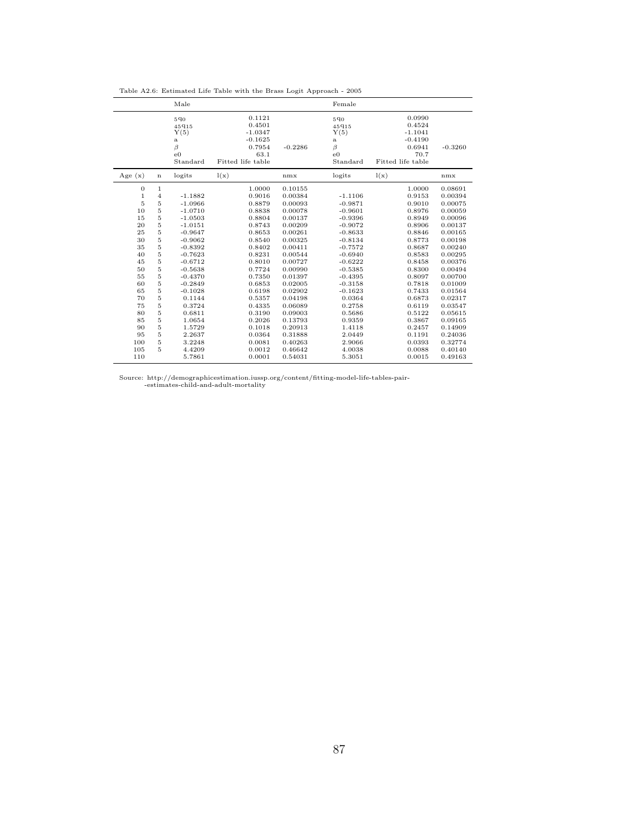|                  |                     | Male                                                                   |                                                                                   |                    | Female                                                                        |                                                                                   |                    |
|------------------|---------------------|------------------------------------------------------------------------|-----------------------------------------------------------------------------------|--------------------|-------------------------------------------------------------------------------|-----------------------------------------------------------------------------------|--------------------|
|                  |                     | 590<br>45915<br>Y(5)<br>$\rm{a}$<br>$\beta$<br>$_{\rm e0}$<br>Standard | 0.1121<br>0.4501<br>$-1.0347$<br>$-0.1625$<br>0.7954<br>63.1<br>Fitted life table | $-0.2286$          | $5q_0$<br>45915<br>Y(5)<br>$\mathbf{a}$<br>$\beta$<br>$_{\rm e0}$<br>Standard | 0.0990<br>0.4524<br>$-1.1041$<br>$-0.4190$<br>0.6941<br>70.7<br>Fitted life table | $-0.3260$          |
| Age $(x)$        | $\mathbf n$         | logits                                                                 | l(x)                                                                              | nmx                | logits                                                                        | l(x)                                                                              | nmx                |
| $\boldsymbol{0}$ | $\,1$               |                                                                        | 1.0000                                                                            | 0.10155            |                                                                               | 1.0000                                                                            | 0.08691            |
| $\,1$            | $\bf{4}$            | $-1.1882$                                                              | 0.9016                                                                            | 0.00384            | $-1.1106$                                                                     | 0.9153                                                                            | 0.00394            |
| $\overline{5}$   | $\overline{5}$      | $-1.0966$                                                              | 0.8879                                                                            | 0.00093            | $-0.9871$                                                                     | 0.9010                                                                            | 0.00075            |
| 10               | $\overline{5}$      | $-1.0710$                                                              | 0.8838                                                                            | 0.00078            | $-0.9601$                                                                     | 0.8976                                                                            | 0.00059            |
| 15               | 5                   | $-1.0503$                                                              | 0.8804<br>0.8743                                                                  | 0.00137<br>0.00209 | $-0.9396$                                                                     | 0.8949                                                                            | 0.00096<br>0.00137 |
| 20<br>25         | $\overline{5}$<br>5 | $-1.0151$<br>$-0.9647$                                                 | 0.8653                                                                            | 0.00261            | $-0.9072$<br>$-0.8633$                                                        | 0.8906<br>0.8846                                                                  | 0.00165            |
| 30               | $\overline{5}$      | $-0.9062$                                                              | 0.8540                                                                            | 0.00325            | $-0.8134$                                                                     | 0.8773                                                                            | 0.00198            |
| 35               | $\overline{5}$      | $-0.8392$                                                              | 0.8402                                                                            | 0.00411            | $-0.7572$                                                                     | 0.8687                                                                            | 0.00240            |
| 40               | $\overline{5}$      | $-0.7623$                                                              | 0.8231                                                                            | 0.00544            | $-0.6940$                                                                     | 0.8583                                                                            | 0.00295            |
| 45               | $\overline{5}$      | $-0.6712$                                                              | 0.8010                                                                            | 0.00727            | $-0.6222$                                                                     | 0.8458                                                                            | 0.00376            |
| 50               | $\overline{5}$      | $-0.5638$                                                              | 0.7724                                                                            | 0.00990            | $-0.5385$                                                                     | 0.8300                                                                            | 0.00494            |
| 55               | $\overline{5}$      | $-0.4370$                                                              | 0.7350                                                                            | 0.01397            | $-0.4395$                                                                     | 0.8097                                                                            | 0.00700            |
| 60               | $\overline{5}$      | $-0.2849$                                                              | 0.6853                                                                            | 0.02005            | $-0.3158$                                                                     | 0.7818                                                                            | 0.01009            |
| 65               | $\overline{5}$      | $-0.1028$                                                              | 0.6198                                                                            | 0.02902            | $-0.1623$                                                                     | 0.7433                                                                            | 0.01564            |
| 70               | $\overline{5}$      | 0.1144                                                                 | 0.5357                                                                            | 0.04198            | 0.0364                                                                        | 0.6873                                                                            | 0.02317            |
| 75               | $\overline{5}$      | 0.3724                                                                 | 0.4335                                                                            | 0.06089            | 0.2758                                                                        | 0.6119                                                                            | 0.03547            |
| 80               | $\overline{5}$      | 0.6811                                                                 | 0.3190                                                                            | 0.09003            | 0.5686                                                                        | 0.5122                                                                            | 0.05615            |
| 85               | $\overline{5}$      | 1.0654                                                                 | 0.2026                                                                            | 0.13793            | 0.9359                                                                        | 0.3867                                                                            | 0.09165            |
| 90               | $\overline{5}$      | 1.5729                                                                 | 0.1018                                                                            | 0.20913            | 1.4118                                                                        | 0.2457                                                                            | 0.14909            |
| 95               | $\overline{5}$      | 2.2637                                                                 | 0.0364                                                                            | 0.31888            | 2.0449                                                                        | 0.1191                                                                            | 0.24036            |
| 100              | 5                   | 3.2248                                                                 | 0.0081                                                                            | 0.40263            | 2.9066                                                                        | 0.0393                                                                            | 0.32774            |
| 105              | 5                   | 4.4209                                                                 | 0.0012                                                                            | 0.46642            | 4.0038                                                                        | 0.0088                                                                            | 0.40140            |
| 110              |                     | 5.7861                                                                 | 0.0001                                                                            | 0.54031            | 5.3051                                                                        | 0.0015                                                                            | 0.49163            |

Table A2.6: Estimated Life Table with the Brass Logit Approach - 2005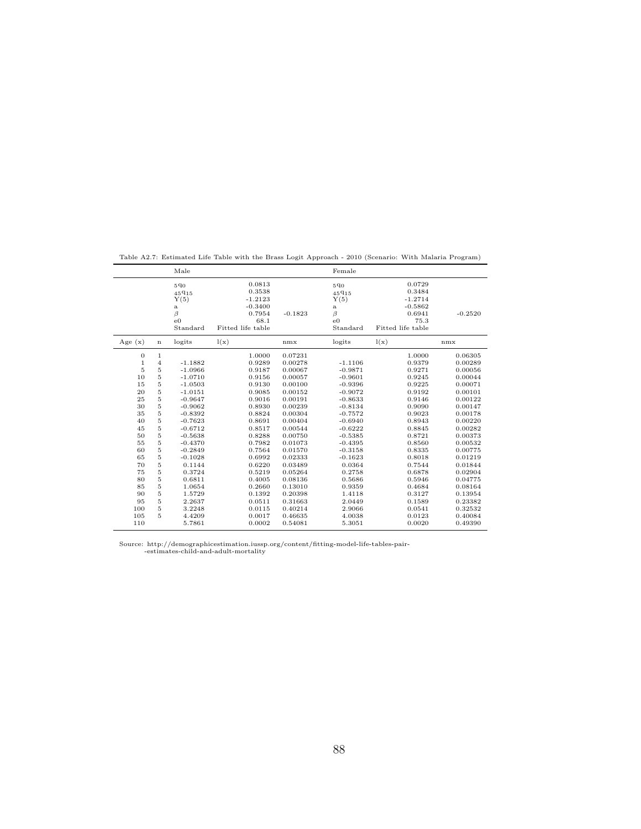|                                                                 |                                                                                                                                           | Male                                                                                                     |                                                                                        |                                                                                                            | Female                                                                                                   |                                                                                        |                                                                                                 |
|-----------------------------------------------------------------|-------------------------------------------------------------------------------------------------------------------------------------------|----------------------------------------------------------------------------------------------------------|----------------------------------------------------------------------------------------|------------------------------------------------------------------------------------------------------------|----------------------------------------------------------------------------------------------------------|----------------------------------------------------------------------------------------|-------------------------------------------------------------------------------------------------|
|                                                                 |                                                                                                                                           | 590<br>45915<br>Y(5)<br>$\rm{a}$<br>$\beta$<br>$_{\rm e0}$<br>Standard                                   | 0.0813<br>0.3538<br>$-1.2123$<br>$-0.3400$<br>0.7954<br>68.1<br>Fitted life table      | $-0.1823$                                                                                                  | $5q_0$<br>45915<br>Y(5)<br>$\rm{a}$<br>$\beta$<br>$_{\rm e0}$<br>Standard                                | 0.0729<br>0.3484<br>$-1.2714$<br>$-0.5862$<br>0.6941<br>75.3<br>Fitted life table      | $-0.2520$                                                                                       |
| Age $(x)$                                                       | n                                                                                                                                         | logits                                                                                                   | l(x)                                                                                   | nmx                                                                                                        | logits                                                                                                   | l(x)                                                                                   | nmx                                                                                             |
| 0<br>$\mathbf 1$<br>5<br>10<br>15<br>20<br>25<br>30<br>35<br>40 | $\mathbf{1}$<br>$\overline{4}$<br>$\overline{5}$<br>$\overline{5}$<br>$\overline{5}$<br>$\overline{5}$<br>$\frac{5}{5}$<br>$\overline{5}$ | $-1.1882$<br>$-1.0966$<br>$-1.0710$<br>$-1.0503$<br>$-1.0151$<br>$-0.9647$<br>$-0.9062$<br>$-0.8392$     | 1.0000<br>0.9289<br>0.9187<br>0.9156<br>0.9130<br>0.9085<br>0.9016<br>0.8930<br>0.8824 | 0.07231<br>0.00278<br>0.00067<br>0.00057<br>0.00100<br>0.00152<br>0.00191<br>0.00239<br>0.00304<br>0.00404 | $-1.1106$<br>$-0.9871$<br>$-0.9601$<br>$-0.9396$<br>$-0.9072$<br>$-0.8633$<br>$-0.8134$<br>$-0.7572$     | 1.0000<br>0.9379<br>0.9271<br>0.9245<br>0.9225<br>0.9192<br>0.9146<br>0.9090<br>0.9023 | 0.06305<br>0.00289<br>0.00056<br>0.00044<br>0.00071<br>0.00101<br>0.00122<br>0.00147<br>0.00178 |
| 45<br>50<br>55<br>60<br>65<br>70<br>75<br>80                    | 5<br>5<br>$\overline{5}$<br>$\overline{5}$<br>$\overline{5}$<br>5<br>$\overline{5}$<br>$\overline{5}$<br>$\overline{5}$                   | $-0.7623$<br>$-0.6712$<br>$-0.5638$<br>$-0.4370$<br>$-0.2849$<br>$-0.1028$<br>0.1144<br>0.3724<br>0.6811 | 0.8691<br>0.8517<br>0.8288<br>0.7982<br>0.7564<br>0.6992<br>0.6220<br>0.5219<br>0.4005 | 0.00544<br>0.00750<br>0.01073<br>0.01570<br>0.02333<br>0.03489<br>0.05264<br>0.08136                       | $-0.6940$<br>$-0.6222$<br>$-0.5385$<br>$-0.4395$<br>$-0.3158$<br>$-0.1623$<br>0.0364<br>0.2758<br>0.5686 | 0.8943<br>0.8845<br>0.8721<br>0.8560<br>0.8335<br>0.8018<br>0.7544<br>0.6878<br>0.5946 | 0.00220<br>0.00282<br>0.00373<br>0.00532<br>0.00775<br>0.01219<br>0.01844<br>0.02904<br>0.04775 |
| 85<br>90<br>95<br>100<br>105<br>110                             | $\overline{5}$<br>$\overline{5}$<br>$\overline{5}$<br>$\overline{5}$<br>5                                                                 | 1.0654<br>1.5729<br>2.2637<br>3.2248<br>4.4209<br>5.7861                                                 | 0.2660<br>0.1392<br>0.0511<br>0.0115<br>0.0017<br>0.0002                               | 0.13010<br>0.20398<br>0.31663<br>0.40214<br>0.46635<br>0.54081                                             | 0.9359<br>1.4118<br>2.0449<br>2.9066<br>4.0038<br>5.3051                                                 | 0.4684<br>0.3127<br>0.1589<br>0.0541<br>0.0123<br>0.0020                               | 0.08164<br>0.13954<br>0.23382<br>0.32532<br>0.40084<br>0.49390                                  |

Table A2.7: Estimated Life Table with the Brass Logit Approach - 2010 (Scenario: With Malaria Program)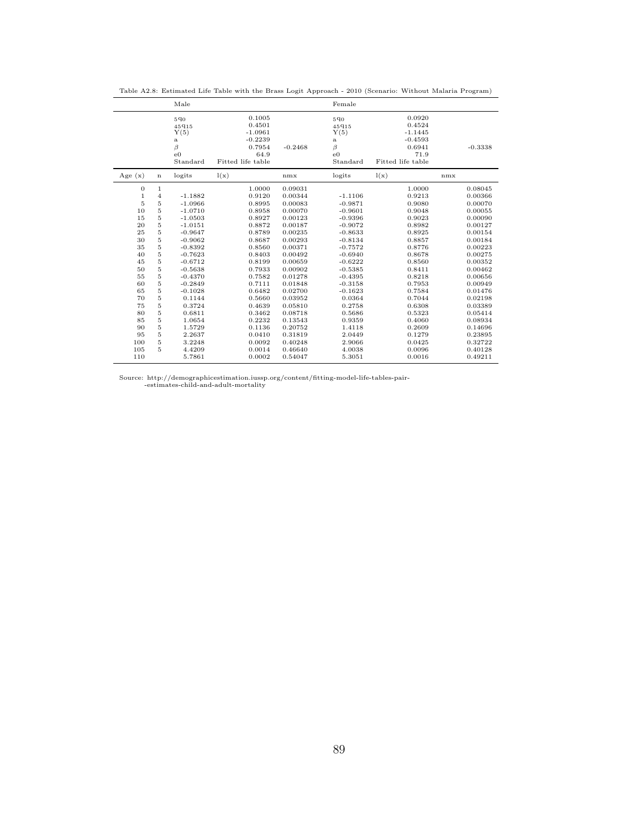|                  |                | Male                                                                      |                                                                                   |           | Female                                                                 |                                                                                   |           |
|------------------|----------------|---------------------------------------------------------------------------|-----------------------------------------------------------------------------------|-----------|------------------------------------------------------------------------|-----------------------------------------------------------------------------------|-----------|
|                  |                | $5q_0$<br>45915<br>Y(5)<br>$\rm{a}$<br>$\beta$<br>$_{\rm e0}$<br>Standard | 0.1005<br>0.4501<br>$-1.0961$<br>$-0.2239$<br>0.7954<br>64.9<br>Fitted life table | $-0.2468$ | 590<br>45915<br>Y(5)<br>$\rm{a}$<br>$\beta$<br>$_{\rm e0}$<br>Standard | 0.0920<br>0.4524<br>$-1.1445$<br>$-0.4593$<br>0.6941<br>71.9<br>Fitted life table | $-0.3338$ |
| Age $(x)$        | $\mathbf n$    | logits                                                                    | l(x)                                                                              | nmx       | logits                                                                 | l(x)                                                                              | nmx       |
| $\boldsymbol{0}$ | $\mathbf{1}$   |                                                                           | 1.0000                                                                            | 0.09031   |                                                                        | 1.0000                                                                            | 0.08045   |
| $\mathbf{1}$     | $\overline{4}$ | $-1.1882$                                                                 | 0.9120                                                                            | 0.00344   | $-1.1106$                                                              | 0.9213                                                                            | 0.00366   |
| 5                | 5              | $-1.0966$                                                                 | 0.8995                                                                            | 0.00083   | $-0.9871$                                                              | 0.9080                                                                            | 0.00070   |
| 10               | 5              | $-1.0710$                                                                 | 0.8958                                                                            | 0.00070   | $-0.9601$                                                              | 0.9048                                                                            | 0.00055   |
| 15               | 5              | $-1.0503$                                                                 | 0.8927                                                                            | 0.00123   | $-0.9396$                                                              | 0.9023                                                                            | 0.00090   |
| 20               | 5              | $-1.0151$                                                                 | 0.8872                                                                            | 0.00187   | $-0.9072$                                                              | 0.8982                                                                            | 0.00127   |
| 25               | 5              | $-0.9647$                                                                 | 0.8789                                                                            | 0.00235   | $-0.8633$                                                              | 0.8925                                                                            | 0.00154   |
| 30               | 5              | $-0.9062$                                                                 | 0.8687                                                                            | 0.00293   | $-0.8134$                                                              | 0.8857                                                                            | 0.00184   |
| 35               | 5              | $-0.8392$                                                                 | 0.8560                                                                            | 0.00371   | $-0.7572$                                                              | 0.8776                                                                            | 0.00223   |
| 40               | 5              | $-0.7623$                                                                 | 0.8403                                                                            | 0.00492   | $-0.6940$                                                              | 0.8678                                                                            | 0.00275   |
| 45               | 5              | $-0.6712$                                                                 | 0.8199                                                                            | 0.00659   | $-0.6222$                                                              | 0.8560                                                                            | 0.00352   |
| 50               | 5              | $-0.5638$                                                                 | 0.7933                                                                            | 0.00902   | $-0.5385$                                                              | 0.8411                                                                            | 0.00462   |
| 55               | $\overline{5}$ | $-0.4370$                                                                 | 0.7582                                                                            | 0.01278   | $-0.4395$                                                              | 0.8218                                                                            | 0.00656   |
| 60               | $\overline{5}$ | $-0.2849$                                                                 | 0.7111                                                                            | 0.01848   | $-0.3158$                                                              | 0.7953                                                                            | 0.00949   |
| 65               | $\overline{5}$ | $-0.1028$                                                                 | 0.6482                                                                            | 0.02700   | $-0.1623$                                                              | 0.7584                                                                            | 0.01476   |
| 70               | $\overline{5}$ | 0.1144                                                                    | 0.5660                                                                            | 0.03952   | 0.0364                                                                 | 0.7044                                                                            | 0.02198   |
| 75               | $\overline{5}$ | 0.3724                                                                    | 0.4639                                                                            | 0.05810   | 0.2758                                                                 | 0.6308                                                                            | 0.03389   |
| 80               | $\overline{5}$ | 0.6811                                                                    | 0.3462                                                                            | 0.08718   | 0.5686                                                                 | 0.5323                                                                            | 0.05414   |
| 85               | $\overline{5}$ | 1.0654                                                                    | 0.2232                                                                            | 0.13543   | 0.9359                                                                 | 0.4060                                                                            | 0.08934   |
| 90               | $\overline{5}$ | 1.5729                                                                    | 0.1136                                                                            | 0.20752   | 1.4118                                                                 | 0.2609                                                                            | 0.14696   |
| 95               | $\overline{5}$ | 2.2637                                                                    | 0.0410                                                                            | 0.31819   | 2.0449                                                                 | 0.1279                                                                            | 0.23895   |
| 100              | $\overline{5}$ | 3.2248                                                                    | 0.0092                                                                            | 0.40248   | 2.9066                                                                 | 0.0425                                                                            | 0.32722   |
| 105              | 5              | 4.4209                                                                    | 0.0014                                                                            | 0.46640   | 4.0038                                                                 | 0.0096                                                                            | 0.40128   |
| 110              |                | 5.7861                                                                    | 0.0002                                                                            | 0.54047   | 5.3051                                                                 | 0.0016                                                                            | 0.49211   |

Table A2.8: Estimated Life Table with the Brass Logit Approach - 2010 (Scenario: Without Malaria Program)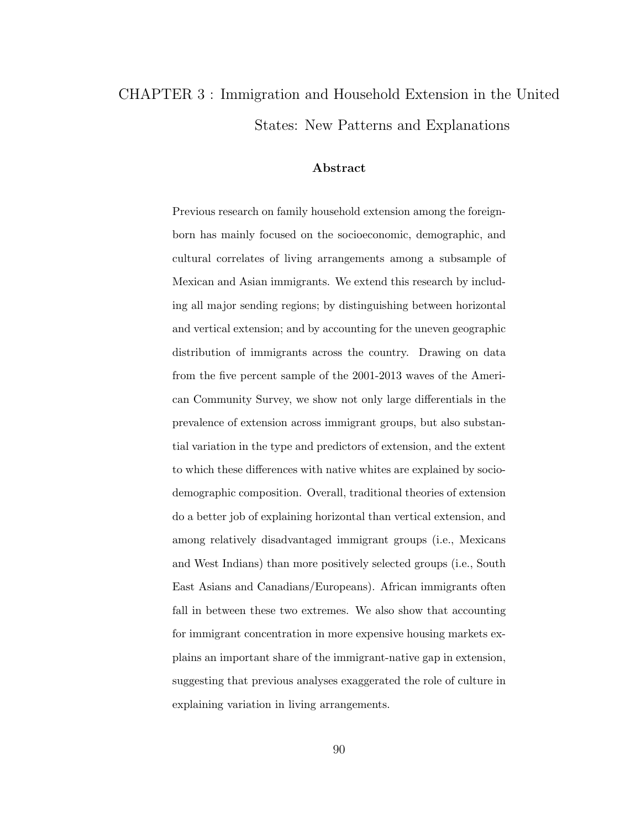# CHAPTER 3 : Immigration and Household Extension in the United States: New Patterns and Explanations

#### Abstract

Previous research on family household extension among the foreignborn has mainly focused on the socioeconomic, demographic, and cultural correlates of living arrangements among a subsample of Mexican and Asian immigrants. We extend this research by including all major sending regions; by distinguishing between horizontal and vertical extension; and by accounting for the uneven geographic distribution of immigrants across the country. Drawing on data from the five percent sample of the 2001-2013 waves of the American Community Survey, we show not only large differentials in the prevalence of extension across immigrant groups, but also substantial variation in the type and predictors of extension, and the extent to which these differences with native whites are explained by sociodemographic composition. Overall, traditional theories of extension do a better job of explaining horizontal than vertical extension, and among relatively disadvantaged immigrant groups (i.e., Mexicans and West Indians) than more positively selected groups (i.e., South East Asians and Canadians/Europeans). African immigrants often fall in between these two extremes. We also show that accounting for immigrant concentration in more expensive housing markets explains an important share of the immigrant-native gap in extension, suggesting that previous analyses exaggerated the role of culture in explaining variation in living arrangements.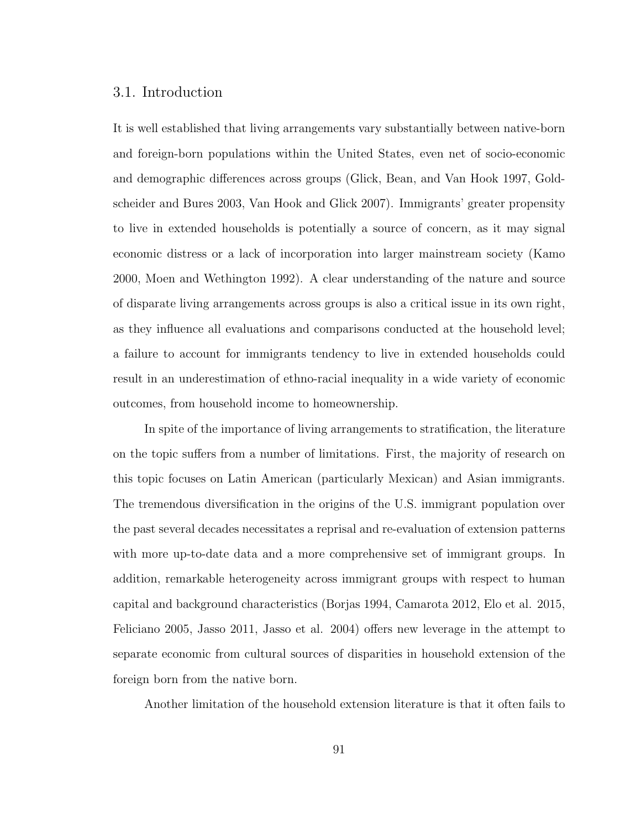## 3.1. Introduction

It is well established that living arrangements vary substantially between native-born and foreign-born populations within the United States, even net of socio-economic and demographic differences across groups (Glick, Bean, and Van Hook 1997, Goldscheider and Bures 2003, Van Hook and Glick 2007). Immigrants' greater propensity to live in extended households is potentially a source of concern, as it may signal economic distress or a lack of incorporation into larger mainstream society (Kamo 2000, Moen and Wethington 1992). A clear understanding of the nature and source of disparate living arrangements across groups is also a critical issue in its own right, as they influence all evaluations and comparisons conducted at the household level; a failure to account for immigrants tendency to live in extended households could result in an underestimation of ethno-racial inequality in a wide variety of economic outcomes, from household income to homeownership.

In spite of the importance of living arrangements to stratification, the literature on the topic suffers from a number of limitations. First, the majority of research on this topic focuses on Latin American (particularly Mexican) and Asian immigrants. The tremendous diversification in the origins of the U.S. immigrant population over the past several decades necessitates a reprisal and re-evaluation of extension patterns with more up-to-date data and a more comprehensive set of immigrant groups. In addition, remarkable heterogeneity across immigrant groups with respect to human capital and background characteristics (Borjas 1994, Camarota 2012, Elo et al. 2015, Feliciano 2005, Jasso 2011, Jasso et al. 2004) offers new leverage in the attempt to separate economic from cultural sources of disparities in household extension of the foreign born from the native born.

Another limitation of the household extension literature is that it often fails to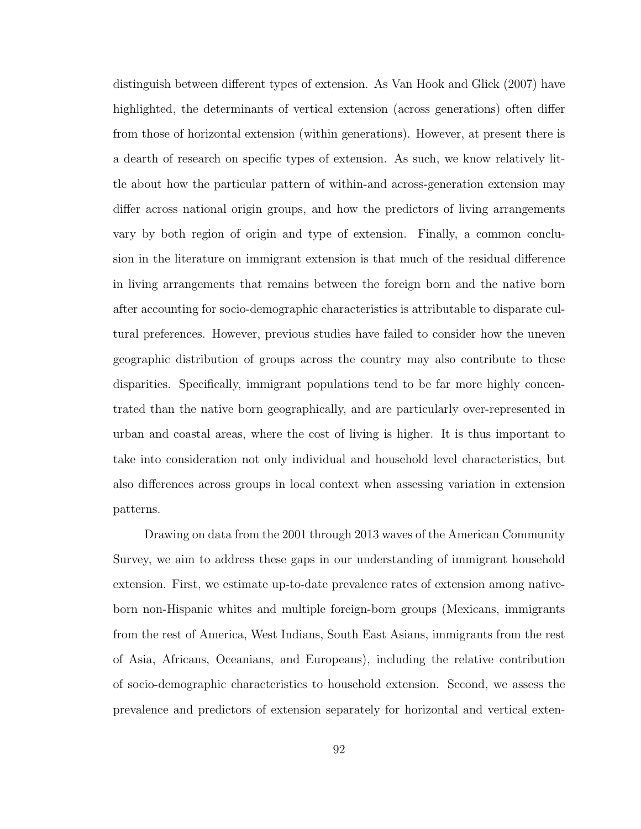distinguish between different types of extension. As Van Hook and Glick (2007) have highlighted, the determinants of vertical extension (across generations) often differ from those of horizontal extension (within generations). However, at present there is a dearth of research on specific types of extension. As such, we know relatively little about how the particular pattern of within-and across-generation extension may differ across national origin groups, and how the predictors of living arrangements vary by both region of origin and type of extension. Finally, a common conclusion in the literature on immigrant extension is that much of the residual difference in living arrangements that remains between the foreign born and the native born after accounting for socio-demographic characteristics is attributable to disparate cultural preferences. However, previous studies have failed to consider how the uneven geographic distribution of groups across the country may also contribute to these disparities. Specifically, immigrant populations tend to be far more highly concentrated than the native born geographically, and are particularly over-represented in urban and coastal areas, where the cost of living is higher. It is thus important to take into consideration not only individual and household level characteristics, but also differences across groups in local context when assessing variation in extension patterns.

Drawing on data from the 2001 through 2013 waves of the American Community Survey, we aim to address these gaps in our understanding of immigrant household extension. First, we estimate up-to-date prevalence rates of extension among nativeborn non-Hispanic whites and multiple foreign-born groups (Mexicans, immigrants from the rest of America, West Indians, South East Asians, immigrants from the rest of Asia, Africans, Oceanians, and Europeans), including the relative contribution of socio-demographic characteristics to household extension. Second, we assess the prevalence and predictors of extension separately for horizontal and vertical exten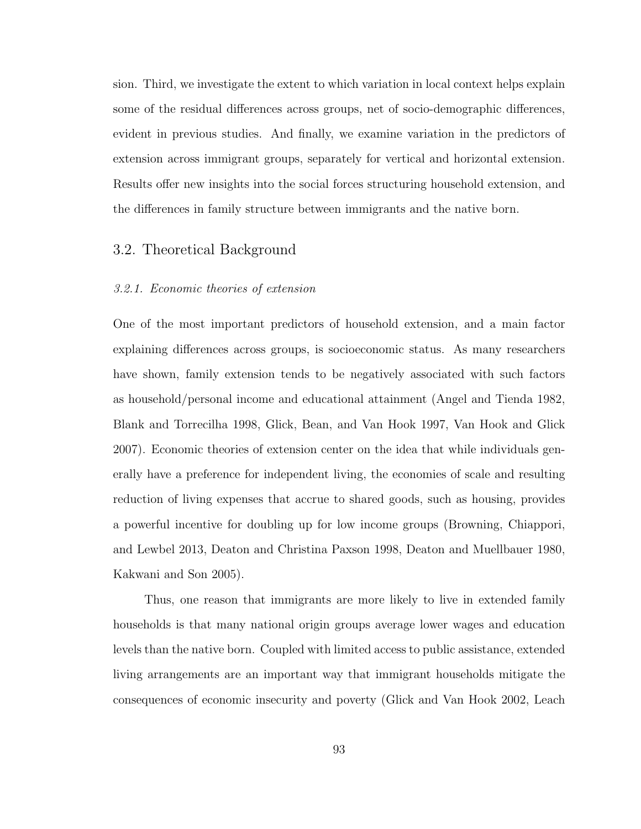sion. Third, we investigate the extent to which variation in local context helps explain some of the residual differences across groups, net of socio-demographic differences, evident in previous studies. And finally, we examine variation in the predictors of extension across immigrant groups, separately for vertical and horizontal extension. Results offer new insights into the social forces structuring household extension, and the differences in family structure between immigrants and the native born.

# 3.2. Theoretical Background

### 3.2.1. Economic theories of extension

One of the most important predictors of household extension, and a main factor explaining differences across groups, is socioeconomic status. As many researchers have shown, family extension tends to be negatively associated with such factors as household/personal income and educational attainment (Angel and Tienda 1982, Blank and Torrecilha 1998, Glick, Bean, and Van Hook 1997, Van Hook and Glick 2007). Economic theories of extension center on the idea that while individuals generally have a preference for independent living, the economies of scale and resulting reduction of living expenses that accrue to shared goods, such as housing, provides a powerful incentive for doubling up for low income groups (Browning, Chiappori, and Lewbel 2013, Deaton and Christina Paxson 1998, Deaton and Muellbauer 1980, Kakwani and Son 2005).

Thus, one reason that immigrants are more likely to live in extended family households is that many national origin groups average lower wages and education levels than the native born. Coupled with limited access to public assistance, extended living arrangements are an important way that immigrant households mitigate the consequences of economic insecurity and poverty (Glick and Van Hook 2002, Leach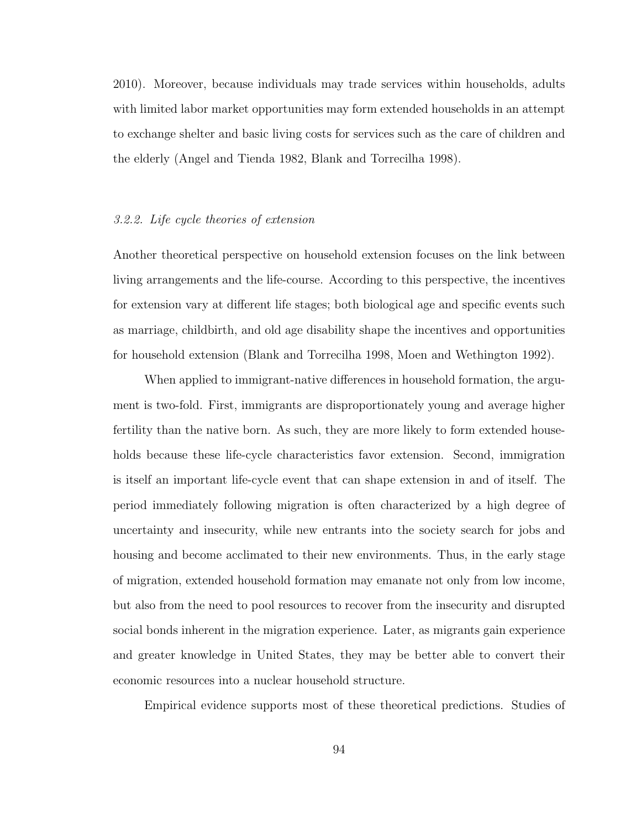2010). Moreover, because individuals may trade services within households, adults with limited labor market opportunities may form extended households in an attempt to exchange shelter and basic living costs for services such as the care of children and the elderly (Angel and Tienda 1982, Blank and Torrecilha 1998).

#### 3.2.2. Life cycle theories of extension

Another theoretical perspective on household extension focuses on the link between living arrangements and the life-course. According to this perspective, the incentives for extension vary at different life stages; both biological age and specific events such as marriage, childbirth, and old age disability shape the incentives and opportunities for household extension (Blank and Torrecilha 1998, Moen and Wethington 1992).

When applied to immigrant-native differences in household formation, the argument is two-fold. First, immigrants are disproportionately young and average higher fertility than the native born. As such, they are more likely to form extended households because these life-cycle characteristics favor extension. Second, immigration is itself an important life-cycle event that can shape extension in and of itself. The period immediately following migration is often characterized by a high degree of uncertainty and insecurity, while new entrants into the society search for jobs and housing and become acclimated to their new environments. Thus, in the early stage of migration, extended household formation may emanate not only from low income, but also from the need to pool resources to recover from the insecurity and disrupted social bonds inherent in the migration experience. Later, as migrants gain experience and greater knowledge in United States, they may be better able to convert their economic resources into a nuclear household structure.

Empirical evidence supports most of these theoretical predictions. Studies of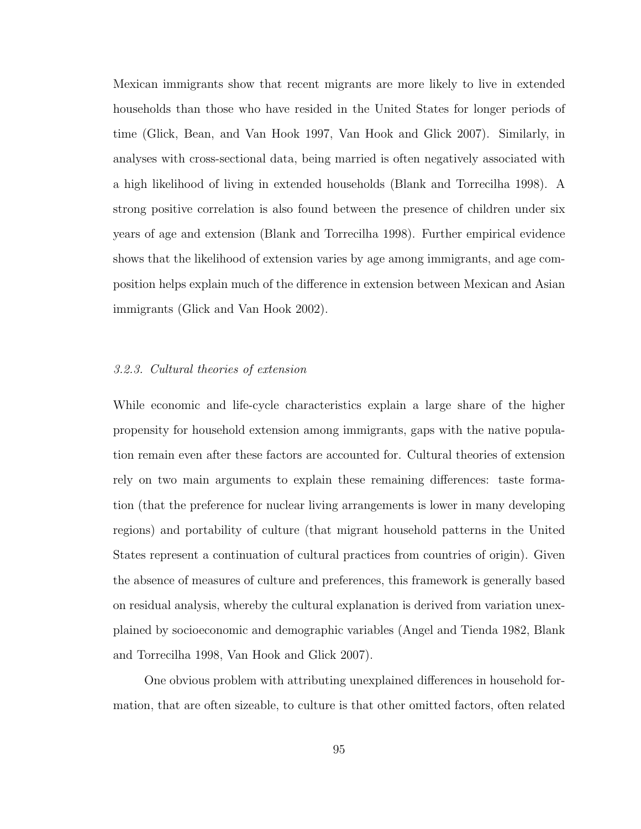Mexican immigrants show that recent migrants are more likely to live in extended households than those who have resided in the United States for longer periods of time (Glick, Bean, and Van Hook 1997, Van Hook and Glick 2007). Similarly, in analyses with cross-sectional data, being married is often negatively associated with a high likelihood of living in extended households (Blank and Torrecilha 1998). A strong positive correlation is also found between the presence of children under six years of age and extension (Blank and Torrecilha 1998). Further empirical evidence shows that the likelihood of extension varies by age among immigrants, and age composition helps explain much of the difference in extension between Mexican and Asian immigrants (Glick and Van Hook 2002).

### 3.2.3. Cultural theories of extension

While economic and life-cycle characteristics explain a large share of the higher propensity for household extension among immigrants, gaps with the native population remain even after these factors are accounted for. Cultural theories of extension rely on two main arguments to explain these remaining differences: taste formation (that the preference for nuclear living arrangements is lower in many developing regions) and portability of culture (that migrant household patterns in the United States represent a continuation of cultural practices from countries of origin). Given the absence of measures of culture and preferences, this framework is generally based on residual analysis, whereby the cultural explanation is derived from variation unexplained by socioeconomic and demographic variables (Angel and Tienda 1982, Blank and Torrecilha 1998, Van Hook and Glick 2007).

One obvious problem with attributing unexplained differences in household formation, that are often sizeable, to culture is that other omitted factors, often related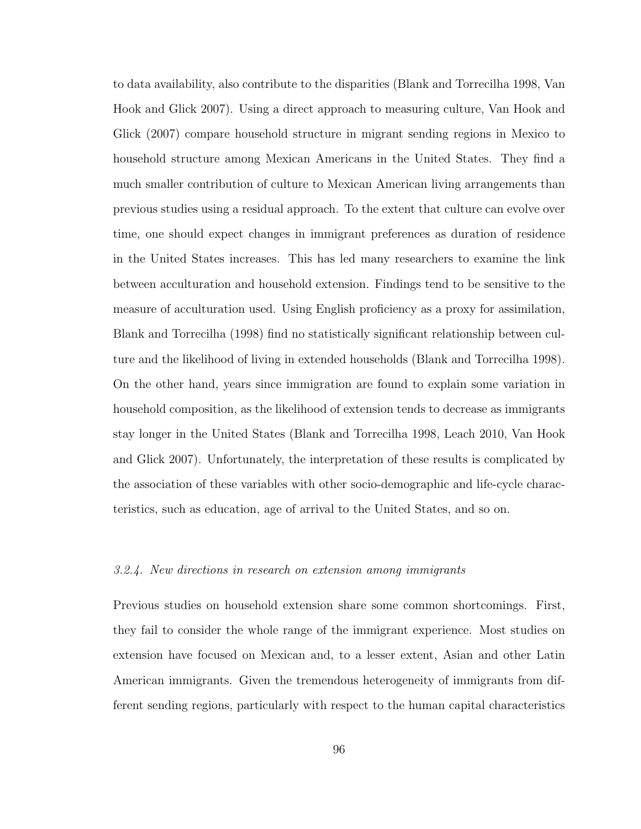to data availability, also contribute to the disparities (Blank and Torrecilha 1998, Van Hook and Glick 2007). Using a direct approach to measuring culture, Van Hook and Glick (2007) compare household structure in migrant sending regions in Mexico to household structure among Mexican Americans in the United States. They find a much smaller contribution of culture to Mexican American living arrangements than previous studies using a residual approach. To the extent that culture can evolve over time, one should expect changes in immigrant preferences as duration of residence in the United States increases. This has led many researchers to examine the link between acculturation and household extension. Findings tend to be sensitive to the measure of acculturation used. Using English proficiency as a proxy for assimilation, Blank and Torrecilha (1998) find no statistically significant relationship between culture and the likelihood of living in extended households (Blank and Torrecilha 1998). On the other hand, years since immigration are found to explain some variation in household composition, as the likelihood of extension tends to decrease as immigrants stay longer in the United States (Blank and Torrecilha 1998, Leach 2010, Van Hook and Glick 2007). Unfortunately, the interpretation of these results is complicated by the association of these variables with other socio-demographic and life-cycle characteristics, such as education, age of arrival to the United States, and so on.

#### 3.2.4. New directions in research on extension among immigrants

Previous studies on household extension share some common shortcomings. First, they fail to consider the whole range of the immigrant experience. Most studies on extension have focused on Mexican and, to a lesser extent, Asian and other Latin American immigrants. Given the tremendous heterogeneity of immigrants from different sending regions, particularly with respect to the human capital characteristics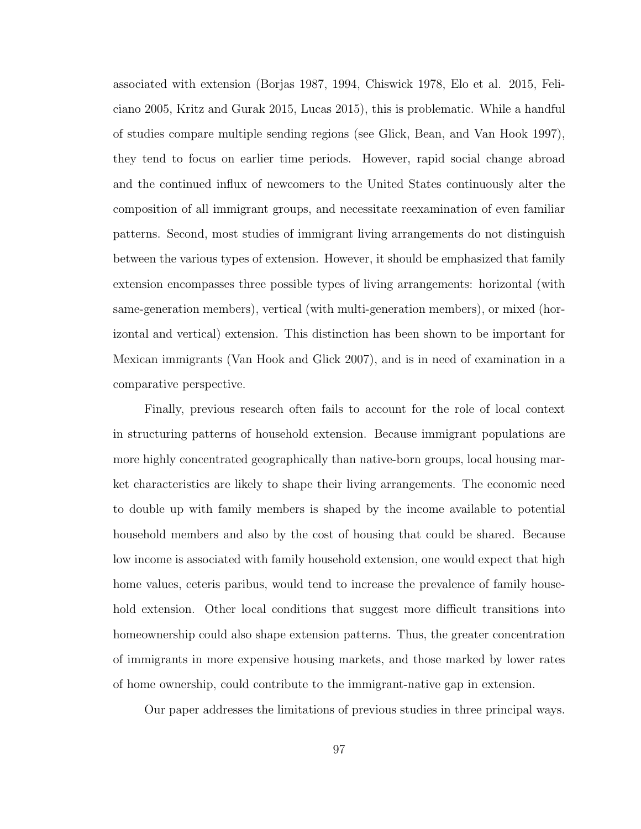associated with extension (Borjas 1987, 1994, Chiswick 1978, Elo et al. 2015, Feliciano 2005, Kritz and Gurak 2015, Lucas 2015), this is problematic. While a handful of studies compare multiple sending regions (see Glick, Bean, and Van Hook 1997), they tend to focus on earlier time periods. However, rapid social change abroad and the continued influx of newcomers to the United States continuously alter the composition of all immigrant groups, and necessitate reexamination of even familiar patterns. Second, most studies of immigrant living arrangements do not distinguish between the various types of extension. However, it should be emphasized that family extension encompasses three possible types of living arrangements: horizontal (with same-generation members), vertical (with multi-generation members), or mixed (horizontal and vertical) extension. This distinction has been shown to be important for Mexican immigrants (Van Hook and Glick 2007), and is in need of examination in a comparative perspective.

Finally, previous research often fails to account for the role of local context in structuring patterns of household extension. Because immigrant populations are more highly concentrated geographically than native-born groups, local housing market characteristics are likely to shape their living arrangements. The economic need to double up with family members is shaped by the income available to potential household members and also by the cost of housing that could be shared. Because low income is associated with family household extension, one would expect that high home values, ceteris paribus, would tend to increase the prevalence of family household extension. Other local conditions that suggest more difficult transitions into homeownership could also shape extension patterns. Thus, the greater concentration of immigrants in more expensive housing markets, and those marked by lower rates of home ownership, could contribute to the immigrant-native gap in extension.

Our paper addresses the limitations of previous studies in three principal ways.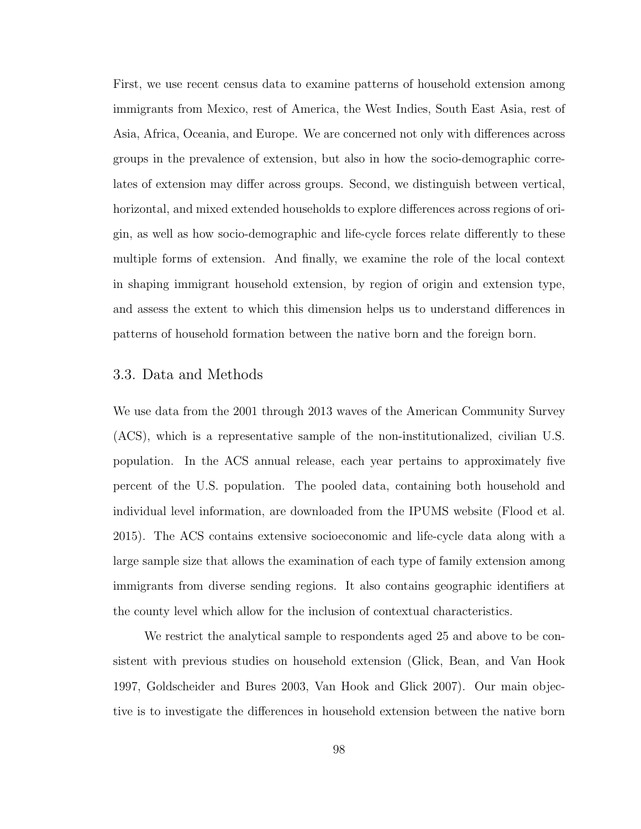First, we use recent census data to examine patterns of household extension among immigrants from Mexico, rest of America, the West Indies, South East Asia, rest of Asia, Africa, Oceania, and Europe. We are concerned not only with differences across groups in the prevalence of extension, but also in how the socio-demographic correlates of extension may differ across groups. Second, we distinguish between vertical, horizontal, and mixed extended households to explore differences across regions of origin, as well as how socio-demographic and life-cycle forces relate differently to these multiple forms of extension. And finally, we examine the role of the local context in shaping immigrant household extension, by region of origin and extension type, and assess the extent to which this dimension helps us to understand differences in patterns of household formation between the native born and the foreign born.

# 3.3. Data and Methods

We use data from the 2001 through 2013 waves of the American Community Survey (ACS), which is a representative sample of the non-institutionalized, civilian U.S. population. In the ACS annual release, each year pertains to approximately five percent of the U.S. population. The pooled data, containing both household and individual level information, are downloaded from the IPUMS website (Flood et al. 2015). The ACS contains extensive socioeconomic and life-cycle data along with a large sample size that allows the examination of each type of family extension among immigrants from diverse sending regions. It also contains geographic identifiers at the county level which allow for the inclusion of contextual characteristics.

We restrict the analytical sample to respondents aged 25 and above to be consistent with previous studies on household extension (Glick, Bean, and Van Hook 1997, Goldscheider and Bures 2003, Van Hook and Glick 2007). Our main objective is to investigate the differences in household extension between the native born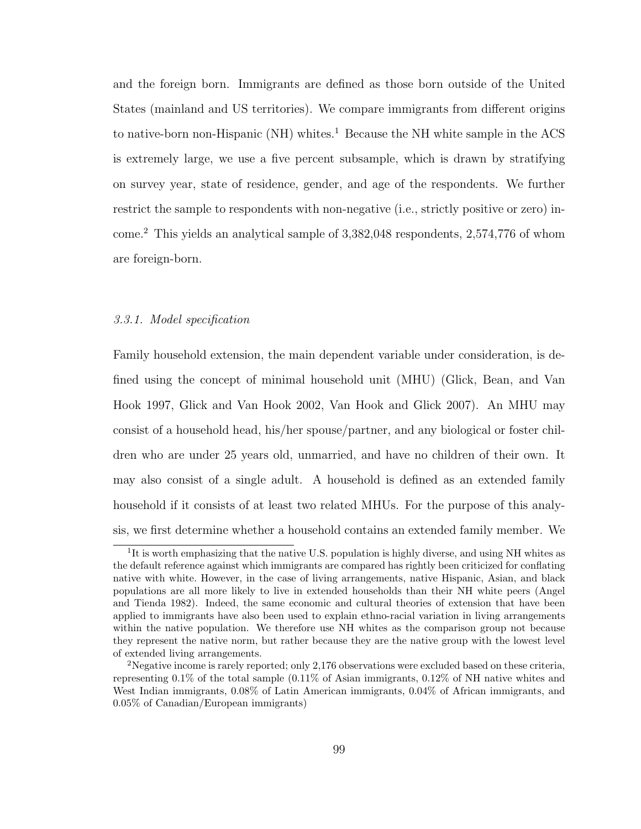and the foreign born. Immigrants are defined as those born outside of the United States (mainland and US territories). We compare immigrants from different origins to native-born non-Hispanic (NH) whites.<sup>1</sup> Because the NH white sample in the ACS is extremely large, we use a five percent subsample, which is drawn by stratifying on survey year, state of residence, gender, and age of the respondents. We further restrict the sample to respondents with non-negative (i.e., strictly positive or zero) income.<sup>2</sup> This yields an analytical sample of 3,382,048 respondents, 2,574,776 of whom are foreign-born.

### 3.3.1. Model specification

Family household extension, the main dependent variable under consideration, is defined using the concept of minimal household unit (MHU) (Glick, Bean, and Van Hook 1997, Glick and Van Hook 2002, Van Hook and Glick 2007). An MHU may consist of a household head, his/her spouse/partner, and any biological or foster children who are under 25 years old, unmarried, and have no children of their own. It may also consist of a single adult. A household is defined as an extended family household if it consists of at least two related MHUs. For the purpose of this analysis, we first determine whether a household contains an extended family member. We

<sup>&</sup>lt;sup>1</sup>It is worth emphasizing that the native U.S. population is highly diverse, and using NH whites as the default reference against which immigrants are compared has rightly been criticized for conflating native with white. However, in the case of living arrangements, native Hispanic, Asian, and black populations are all more likely to live in extended households than their NH white peers (Angel and Tienda 1982). Indeed, the same economic and cultural theories of extension that have been applied to immigrants have also been used to explain ethno-racial variation in living arrangements within the native population. We therefore use NH whites as the comparison group not because they represent the native norm, but rather because they are the native group with the lowest level of extended living arrangements.

<sup>&</sup>lt;sup>2</sup>Negative income is rarely reported; only 2,176 observations were excluded based on these criteria. representing 0.1% of the total sample (0.11% of Asian immigrants, 0.12% of NH native whites and West Indian immigrants, 0.08% of Latin American immigrants, 0.04% of African immigrants, and 0.05% of Canadian/European immigrants)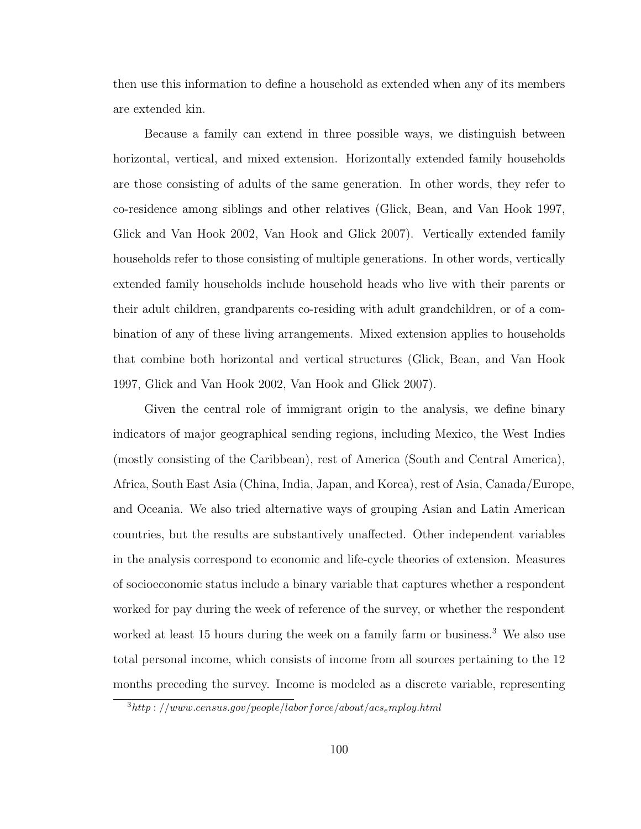then use this information to define a household as extended when any of its members are extended kin.

Because a family can extend in three possible ways, we distinguish between horizontal, vertical, and mixed extension. Horizontally extended family households are those consisting of adults of the same generation. In other words, they refer to co-residence among siblings and other relatives (Glick, Bean, and Van Hook 1997, Glick and Van Hook 2002, Van Hook and Glick 2007). Vertically extended family households refer to those consisting of multiple generations. In other words, vertically extended family households include household heads who live with their parents or their adult children, grandparents co-residing with adult grandchildren, or of a combination of any of these living arrangements. Mixed extension applies to households that combine both horizontal and vertical structures (Glick, Bean, and Van Hook 1997, Glick and Van Hook 2002, Van Hook and Glick 2007).

Given the central role of immigrant origin to the analysis, we define binary indicators of major geographical sending regions, including Mexico, the West Indies (mostly consisting of the Caribbean), rest of America (South and Central America), Africa, South East Asia (China, India, Japan, and Korea), rest of Asia, Canada/Europe, and Oceania. We also tried alternative ways of grouping Asian and Latin American countries, but the results are substantively unaffected. Other independent variables in the analysis correspond to economic and life-cycle theories of extension. Measures of socioeconomic status include a binary variable that captures whether a respondent worked for pay during the week of reference of the survey, or whether the respondent worked at least 15 hours during the week on a family farm or business.<sup>3</sup> We also use total personal income, which consists of income from all sources pertaining to the 12 months preceding the survey. Income is modeled as a discrete variable, representing

 $3$ http://www.census.gov/people/laborforce/about/acs<sub>e</sub>mploy.html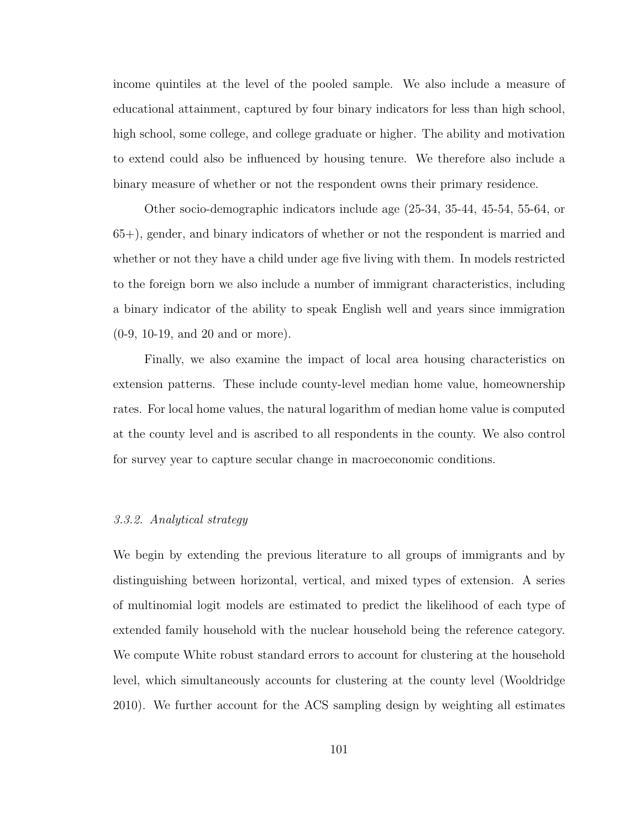income quintiles at the level of the pooled sample. We also include a measure of educational attainment, captured by four binary indicators for less than high school, high school, some college, and college graduate or higher. The ability and motivation to extend could also be influenced by housing tenure. We therefore also include a binary measure of whether or not the respondent owns their primary residence.

Other socio-demographic indicators include age (25-34, 35-44, 45-54, 55-64, or 65+), gender, and binary indicators of whether or not the respondent is married and whether or not they have a child under age five living with them. In models restricted to the foreign born we also include a number of immigrant characteristics, including a binary indicator of the ability to speak English well and years since immigration (0-9, 10-19, and 20 and or more).

Finally, we also examine the impact of local area housing characteristics on extension patterns. These include county-level median home value, homeownership rates. For local home values, the natural logarithm of median home value is computed at the county level and is ascribed to all respondents in the county. We also control for survey year to capture secular change in macroeconomic conditions.

# 3.3.2. Analytical strategy

We begin by extending the previous literature to all groups of immigrants and by distinguishing between horizontal, vertical, and mixed types of extension. A series of multinomial logit models are estimated to predict the likelihood of each type of extended family household with the nuclear household being the reference category. We compute White robust standard errors to account for clustering at the household level, which simultaneously accounts for clustering at the county level (Wooldridge 2010). We further account for the ACS sampling design by weighting all estimates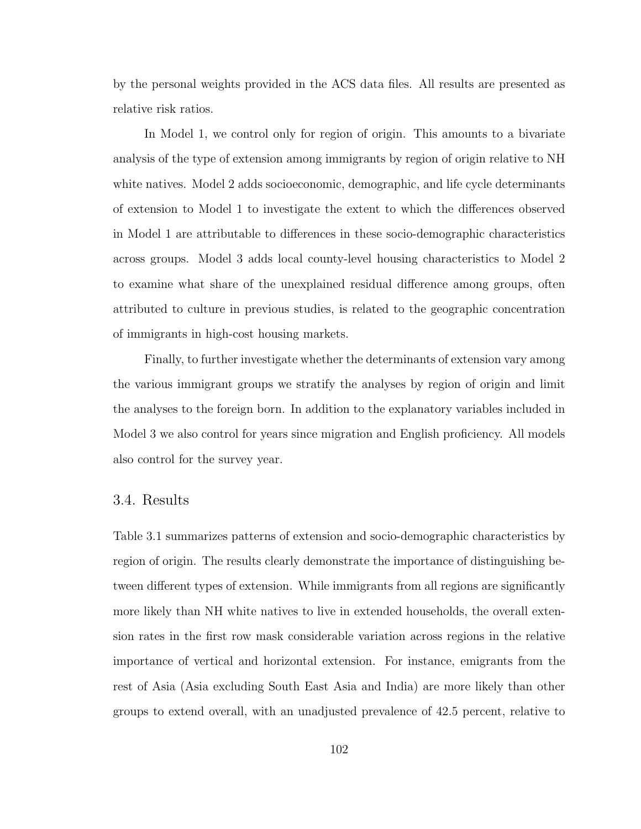by the personal weights provided in the ACS data files. All results are presented as relative risk ratios.

In Model 1, we control only for region of origin. This amounts to a bivariate analysis of the type of extension among immigrants by region of origin relative to NH white natives. Model 2 adds socioeconomic, demographic, and life cycle determinants of extension to Model 1 to investigate the extent to which the differences observed in Model 1 are attributable to differences in these socio-demographic characteristics across groups. Model 3 adds local county-level housing characteristics to Model 2 to examine what share of the unexplained residual difference among groups, often attributed to culture in previous studies, is related to the geographic concentration of immigrants in high-cost housing markets.

Finally, to further investigate whether the determinants of extension vary among the various immigrant groups we stratify the analyses by region of origin and limit the analyses to the foreign born. In addition to the explanatory variables included in Model 3 we also control for years since migration and English proficiency. All models also control for the survey year.

# 3.4. Results

Table 3.1 summarizes patterns of extension and socio-demographic characteristics by region of origin. The results clearly demonstrate the importance of distinguishing between different types of extension. While immigrants from all regions are significantly more likely than NH white natives to live in extended households, the overall extension rates in the first row mask considerable variation across regions in the relative importance of vertical and horizontal extension. For instance, emigrants from the rest of Asia (Asia excluding South East Asia and India) are more likely than other groups to extend overall, with an unadjusted prevalence of 42.5 percent, relative to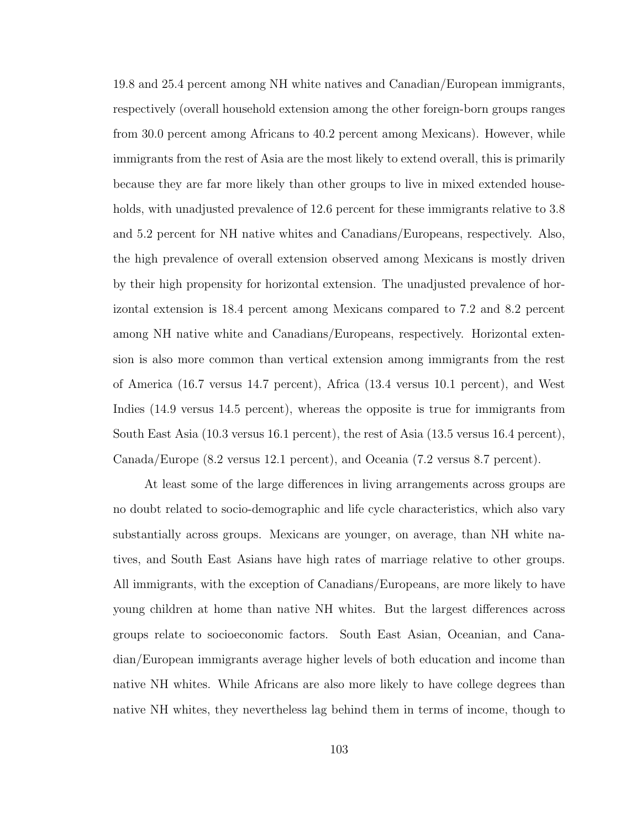19.8 and 25.4 percent among NH white natives and Canadian/European immigrants, respectively (overall household extension among the other foreign-born groups ranges from 30.0 percent among Africans to 40.2 percent among Mexicans). However, while immigrants from the rest of Asia are the most likely to extend overall, this is primarily because they are far more likely than other groups to live in mixed extended households, with unadjusted prevalence of 12.6 percent for these immigrants relative to 3.8 and 5.2 percent for NH native whites and Canadians/Europeans, respectively. Also, the high prevalence of overall extension observed among Mexicans is mostly driven by their high propensity for horizontal extension. The unadjusted prevalence of horizontal extension is 18.4 percent among Mexicans compared to 7.2 and 8.2 percent among NH native white and Canadians/Europeans, respectively. Horizontal extension is also more common than vertical extension among immigrants from the rest of America (16.7 versus 14.7 percent), Africa (13.4 versus 10.1 percent), and West Indies (14.9 versus 14.5 percent), whereas the opposite is true for immigrants from South East Asia (10.3 versus 16.1 percent), the rest of Asia (13.5 versus 16.4 percent), Canada/Europe (8.2 versus 12.1 percent), and Oceania (7.2 versus 8.7 percent).

At least some of the large differences in living arrangements across groups are no doubt related to socio-demographic and life cycle characteristics, which also vary substantially across groups. Mexicans are younger, on average, than NH white natives, and South East Asians have high rates of marriage relative to other groups. All immigrants, with the exception of Canadians/Europeans, are more likely to have young children at home than native NH whites. But the largest differences across groups relate to socioeconomic factors. South East Asian, Oceanian, and Canadian/European immigrants average higher levels of both education and income than native NH whites. While Africans are also more likely to have college degrees than native NH whites, they nevertheless lag behind them in terms of income, though to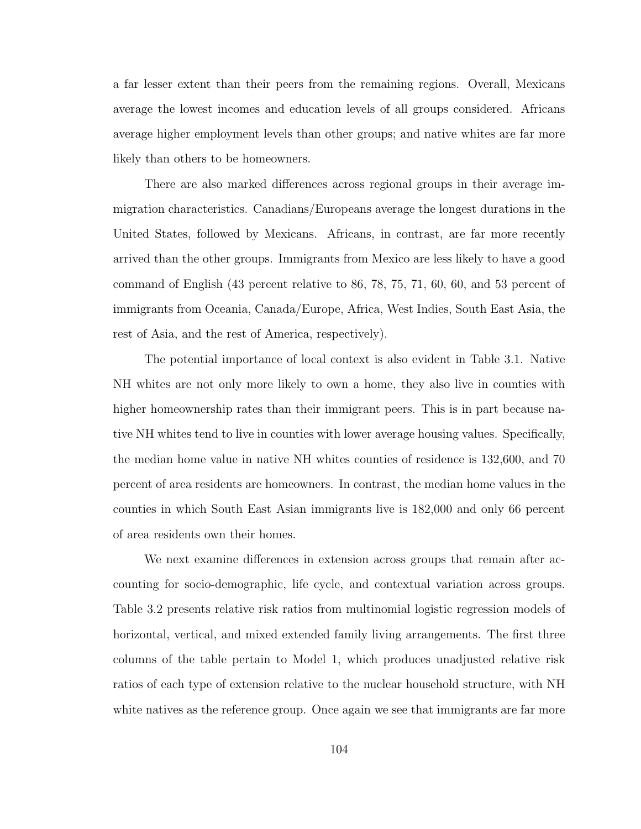a far lesser extent than their peers from the remaining regions. Overall, Mexicans average the lowest incomes and education levels of all groups considered. Africans average higher employment levels than other groups; and native whites are far more likely than others to be homeowners.

There are also marked differences across regional groups in their average immigration characteristics. Canadians/Europeans average the longest durations in the United States, followed by Mexicans. Africans, in contrast, are far more recently arrived than the other groups. Immigrants from Mexico are less likely to have a good command of English (43 percent relative to 86, 78, 75, 71, 60, 60, and 53 percent of immigrants from Oceania, Canada/Europe, Africa, West Indies, South East Asia, the rest of Asia, and the rest of America, respectively).

The potential importance of local context is also evident in Table 3.1. Native NH whites are not only more likely to own a home, they also live in counties with higher homeownership rates than their immigrant peers. This is in part because native NH whites tend to live in counties with lower average housing values. Specifically, the median home value in native NH whites counties of residence is 132,600, and 70 percent of area residents are homeowners. In contrast, the median home values in the counties in which South East Asian immigrants live is 182,000 and only 66 percent of area residents own their homes.

We next examine differences in extension across groups that remain after accounting for socio-demographic, life cycle, and contextual variation across groups. Table 3.2 presents relative risk ratios from multinomial logistic regression models of horizontal, vertical, and mixed extended family living arrangements. The first three columns of the table pertain to Model 1, which produces unadjusted relative risk ratios of each type of extension relative to the nuclear household structure, with NH white natives as the reference group. Once again we see that immigrants are far more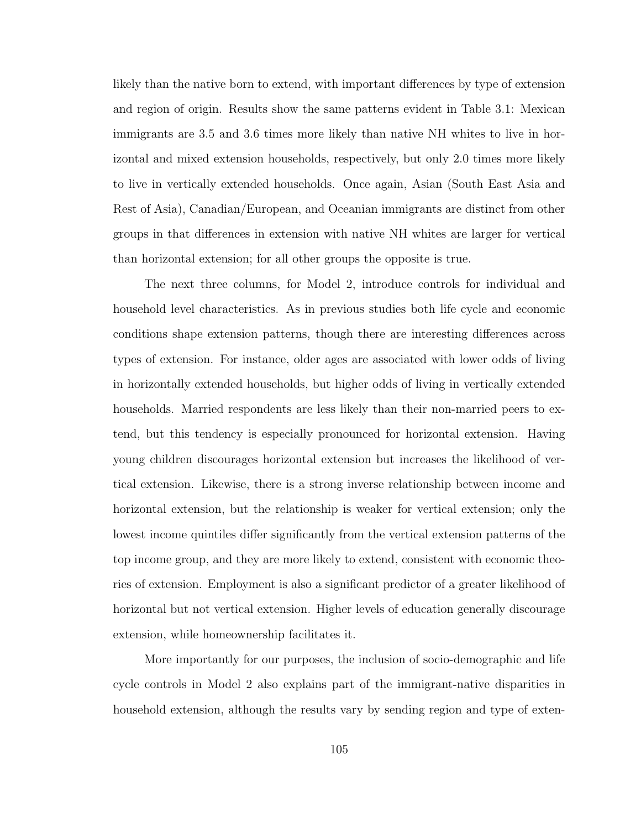likely than the native born to extend, with important differences by type of extension and region of origin. Results show the same patterns evident in Table 3.1: Mexican immigrants are 3.5 and 3.6 times more likely than native NH whites to live in horizontal and mixed extension households, respectively, but only 2.0 times more likely to live in vertically extended households. Once again, Asian (South East Asia and Rest of Asia), Canadian/European, and Oceanian immigrants are distinct from other groups in that differences in extension with native NH whites are larger for vertical than horizontal extension; for all other groups the opposite is true.

The next three columns, for Model 2, introduce controls for individual and household level characteristics. As in previous studies both life cycle and economic conditions shape extension patterns, though there are interesting differences across types of extension. For instance, older ages are associated with lower odds of living in horizontally extended households, but higher odds of living in vertically extended households. Married respondents are less likely than their non-married peers to extend, but this tendency is especially pronounced for horizontal extension. Having young children discourages horizontal extension but increases the likelihood of vertical extension. Likewise, there is a strong inverse relationship between income and horizontal extension, but the relationship is weaker for vertical extension; only the lowest income quintiles differ significantly from the vertical extension patterns of the top income group, and they are more likely to extend, consistent with economic theories of extension. Employment is also a significant predictor of a greater likelihood of horizontal but not vertical extension. Higher levels of education generally discourage extension, while homeownership facilitates it.

More importantly for our purposes, the inclusion of socio-demographic and life cycle controls in Model 2 also explains part of the immigrant-native disparities in household extension, although the results vary by sending region and type of exten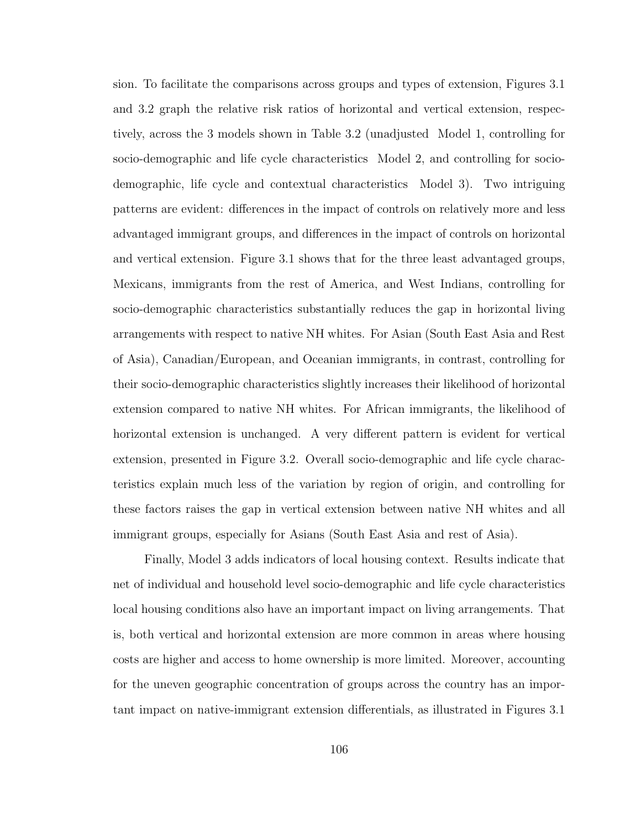sion. To facilitate the comparisons across groups and types of extension, Figures 3.1 and 3.2 graph the relative risk ratios of horizontal and vertical extension, respectively, across the 3 models shown in Table 3.2 (unadjusted Model 1, controlling for socio-demographic and life cycle characteristics Model 2, and controlling for sociodemographic, life cycle and contextual characteristics Model 3). Two intriguing patterns are evident: differences in the impact of controls on relatively more and less advantaged immigrant groups, and differences in the impact of controls on horizontal and vertical extension. Figure 3.1 shows that for the three least advantaged groups, Mexicans, immigrants from the rest of America, and West Indians, controlling for socio-demographic characteristics substantially reduces the gap in horizontal living arrangements with respect to native NH whites. For Asian (South East Asia and Rest of Asia), Canadian/European, and Oceanian immigrants, in contrast, controlling for their socio-demographic characteristics slightly increases their likelihood of horizontal extension compared to native NH whites. For African immigrants, the likelihood of horizontal extension is unchanged. A very different pattern is evident for vertical extension, presented in Figure 3.2. Overall socio-demographic and life cycle characteristics explain much less of the variation by region of origin, and controlling for these factors raises the gap in vertical extension between native NH whites and all immigrant groups, especially for Asians (South East Asia and rest of Asia).

Finally, Model 3 adds indicators of local housing context. Results indicate that net of individual and household level socio-demographic and life cycle characteristics local housing conditions also have an important impact on living arrangements. That is, both vertical and horizontal extension are more common in areas where housing costs are higher and access to home ownership is more limited. Moreover, accounting for the uneven geographic concentration of groups across the country has an important impact on native-immigrant extension differentials, as illustrated in Figures 3.1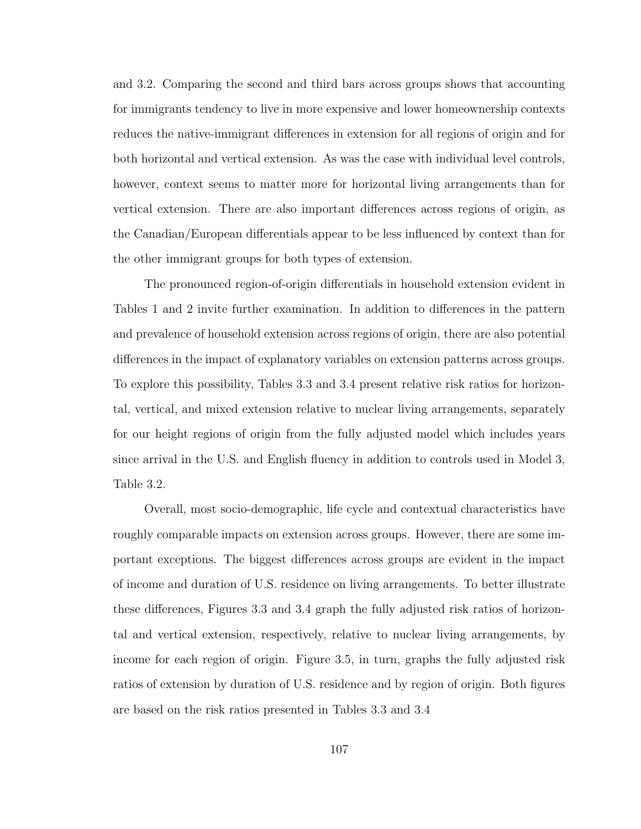and 3.2. Comparing the second and third bars across groups shows that accounting for immigrants tendency to live in more expensive and lower homeownership contexts reduces the native-immigrant differences in extension for all regions of origin and for both horizontal and vertical extension. As was the case with individual level controls, however, context seems to matter more for horizontal living arrangements than for vertical extension. There are also important differences across regions of origin, as the Canadian/European differentials appear to be less influenced by context than for the other immigrant groups for both types of extension.

The pronounced region-of-origin differentials in household extension evident in Tables 1 and 2 invite further examination. In addition to differences in the pattern and prevalence of household extension across regions of origin, there are also potential differences in the impact of explanatory variables on extension patterns across groups. To explore this possibility, Tables 3.3 and 3.4 present relative risk ratios for horizontal, vertical, and mixed extension relative to nuclear living arrangements, separately for our height regions of origin from the fully adjusted model which includes years since arrival in the U.S. and English fluency in addition to controls used in Model 3, Table 3.2.

Overall, most socio-demographic, life cycle and contextual characteristics have roughly comparable impacts on extension across groups. However, there are some important exceptions. The biggest differences across groups are evident in the impact of income and duration of U.S. residence on living arrangements. To better illustrate these differences, Figures 3.3 and 3.4 graph the fully adjusted risk ratios of horizontal and vertical extension, respectively, relative to nuclear living arrangements, by income for each region of origin. Figure 3.5, in turn, graphs the fully adjusted risk ratios of extension by duration of U.S. residence and by region of origin. Both figures are based on the risk ratios presented in Tables 3.3 and 3.4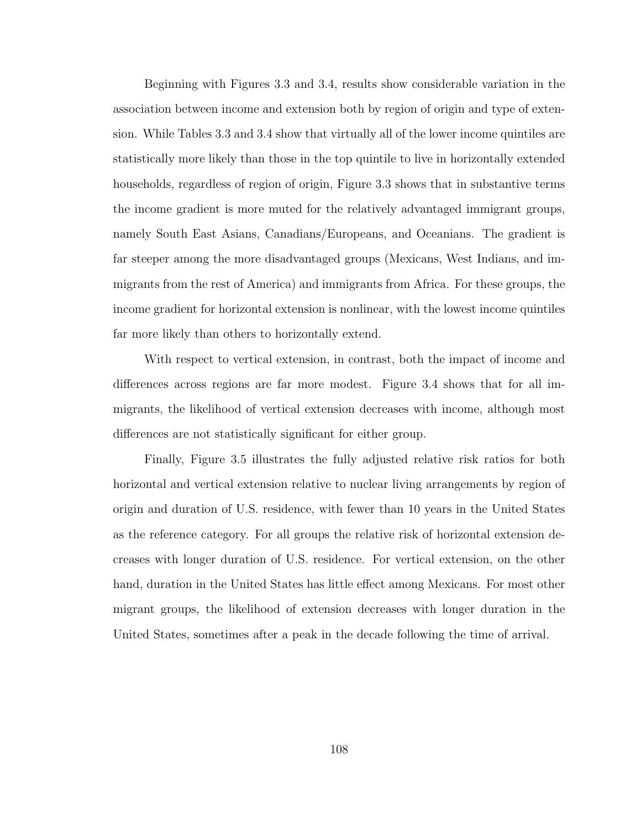Beginning with Figures 3.3 and 3.4, results show considerable variation in the association between income and extension both by region of origin and type of extension. While Tables 3.3 and 3.4 show that virtually all of the lower income quintiles are statistically more likely than those in the top quintile to live in horizontally extended households, regardless of region of origin, Figure 3.3 shows that in substantive terms the income gradient is more muted for the relatively advantaged immigrant groups, namely South East Asians, Canadians/Europeans, and Oceanians. The gradient is far steeper among the more disadvantaged groups (Mexicans, West Indians, and immigrants from the rest of America) and immigrants from Africa. For these groups, the income gradient for horizontal extension is nonlinear, with the lowest income quintiles far more likely than others to horizontally extend.

With respect to vertical extension, in contrast, both the impact of income and differences across regions are far more modest. Figure 3.4 shows that for all immigrants, the likelihood of vertical extension decreases with income, although most differences are not statistically significant for either group.

Finally, Figure 3.5 illustrates the fully adjusted relative risk ratios for both horizontal and vertical extension relative to nuclear living arrangements by region of origin and duration of U.S. residence, with fewer than 10 years in the United States as the reference category. For all groups the relative risk of horizontal extension decreases with longer duration of U.S. residence. For vertical extension, on the other hand, duration in the United States has little effect among Mexicans. For most other migrant groups, the likelihood of extension decreases with longer duration in the United States, sometimes after a peak in the decade following the time of arrival.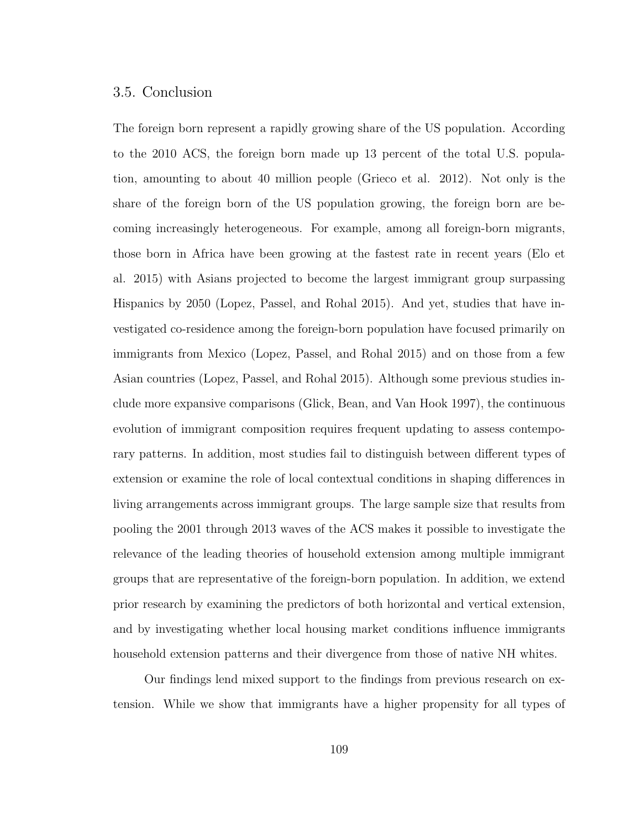# 3.5. Conclusion

The foreign born represent a rapidly growing share of the US population. According to the 2010 ACS, the foreign born made up 13 percent of the total U.S. population, amounting to about 40 million people (Grieco et al. 2012). Not only is the share of the foreign born of the US population growing, the foreign born are becoming increasingly heterogeneous. For example, among all foreign-born migrants, those born in Africa have been growing at the fastest rate in recent years (Elo et al. 2015) with Asians projected to become the largest immigrant group surpassing Hispanics by 2050 (Lopez, Passel, and Rohal 2015). And yet, studies that have investigated co-residence among the foreign-born population have focused primarily on immigrants from Mexico (Lopez, Passel, and Rohal 2015) and on those from a few Asian countries (Lopez, Passel, and Rohal 2015). Although some previous studies include more expansive comparisons (Glick, Bean, and Van Hook 1997), the continuous evolution of immigrant composition requires frequent updating to assess contemporary patterns. In addition, most studies fail to distinguish between different types of extension or examine the role of local contextual conditions in shaping differences in living arrangements across immigrant groups. The large sample size that results from pooling the 2001 through 2013 waves of the ACS makes it possible to investigate the relevance of the leading theories of household extension among multiple immigrant groups that are representative of the foreign-born population. In addition, we extend prior research by examining the predictors of both horizontal and vertical extension, and by investigating whether local housing market conditions influence immigrants household extension patterns and their divergence from those of native NH whites.

Our findings lend mixed support to the findings from previous research on extension. While we show that immigrants have a higher propensity for all types of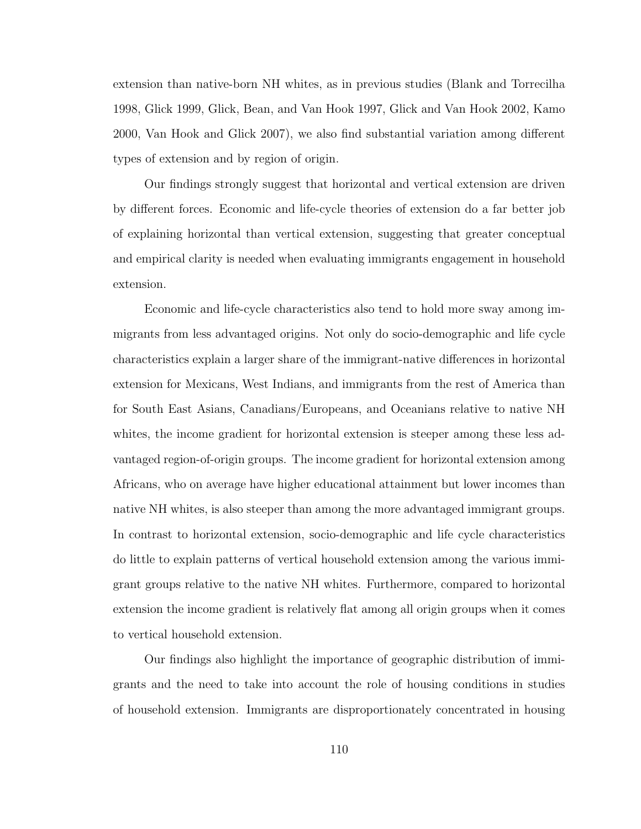extension than native-born NH whites, as in previous studies (Blank and Torrecilha 1998, Glick 1999, Glick, Bean, and Van Hook 1997, Glick and Van Hook 2002, Kamo 2000, Van Hook and Glick 2007), we also find substantial variation among different types of extension and by region of origin.

Our findings strongly suggest that horizontal and vertical extension are driven by different forces. Economic and life-cycle theories of extension do a far better job of explaining horizontal than vertical extension, suggesting that greater conceptual and empirical clarity is needed when evaluating immigrants engagement in household extension.

Economic and life-cycle characteristics also tend to hold more sway among immigrants from less advantaged origins. Not only do socio-demographic and life cycle characteristics explain a larger share of the immigrant-native differences in horizontal extension for Mexicans, West Indians, and immigrants from the rest of America than for South East Asians, Canadians/Europeans, and Oceanians relative to native NH whites, the income gradient for horizontal extension is steeper among these less advantaged region-of-origin groups. The income gradient for horizontal extension among Africans, who on average have higher educational attainment but lower incomes than native NH whites, is also steeper than among the more advantaged immigrant groups. In contrast to horizontal extension, socio-demographic and life cycle characteristics do little to explain patterns of vertical household extension among the various immigrant groups relative to the native NH whites. Furthermore, compared to horizontal extension the income gradient is relatively flat among all origin groups when it comes to vertical household extension.

Our findings also highlight the importance of geographic distribution of immigrants and the need to take into account the role of housing conditions in studies of household extension. Immigrants are disproportionately concentrated in housing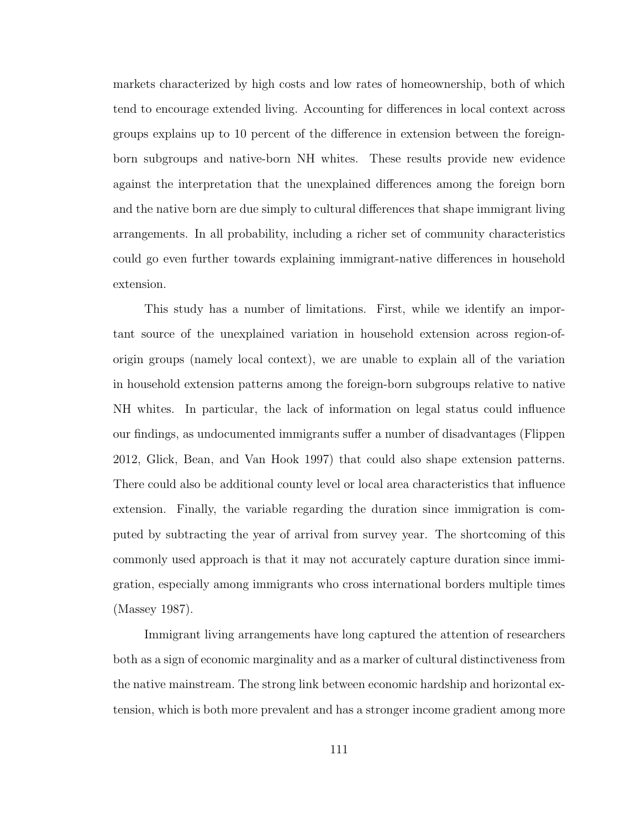markets characterized by high costs and low rates of homeownership, both of which tend to encourage extended living. Accounting for differences in local context across groups explains up to 10 percent of the difference in extension between the foreignborn subgroups and native-born NH whites. These results provide new evidence against the interpretation that the unexplained differences among the foreign born and the native born are due simply to cultural differences that shape immigrant living arrangements. In all probability, including a richer set of community characteristics could go even further towards explaining immigrant-native differences in household extension.

This study has a number of limitations. First, while we identify an important source of the unexplained variation in household extension across region-oforigin groups (namely local context), we are unable to explain all of the variation in household extension patterns among the foreign-born subgroups relative to native NH whites. In particular, the lack of information on legal status could influence our findings, as undocumented immigrants suffer a number of disadvantages (Flippen 2012, Glick, Bean, and Van Hook 1997) that could also shape extension patterns. There could also be additional county level or local area characteristics that influence extension. Finally, the variable regarding the duration since immigration is computed by subtracting the year of arrival from survey year. The shortcoming of this commonly used approach is that it may not accurately capture duration since immigration, especially among immigrants who cross international borders multiple times (Massey 1987).

Immigrant living arrangements have long captured the attention of researchers both as a sign of economic marginality and as a marker of cultural distinctiveness from the native mainstream. The strong link between economic hardship and horizontal extension, which is both more prevalent and has a stronger income gradient among more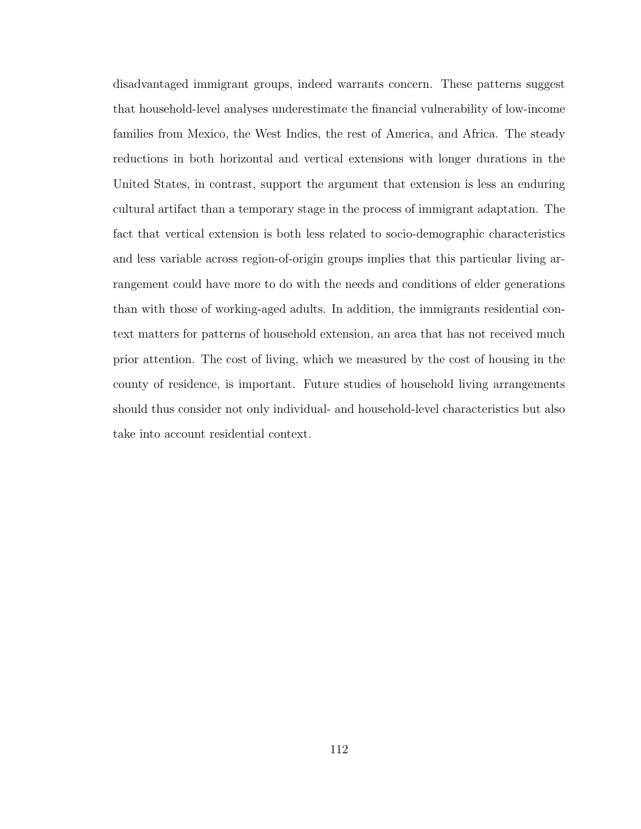disadvantaged immigrant groups, indeed warrants concern. These patterns suggest that household-level analyses underestimate the financial vulnerability of low-income families from Mexico, the West Indies, the rest of America, and Africa. The steady reductions in both horizontal and vertical extensions with longer durations in the United States, in contrast, support the argument that extension is less an enduring cultural artifact than a temporary stage in the process of immigrant adaptation. The fact that vertical extension is both less related to socio-demographic characteristics and less variable across region-of-origin groups implies that this particular living arrangement could have more to do with the needs and conditions of elder generations than with those of working-aged adults. In addition, the immigrants residential context matters for patterns of household extension, an area that has not received much prior attention. The cost of living, which we measured by the cost of housing in the county of residence, is important. Future studies of household living arrangements should thus consider not only individual- and household-level characteristics but also take into account residential context.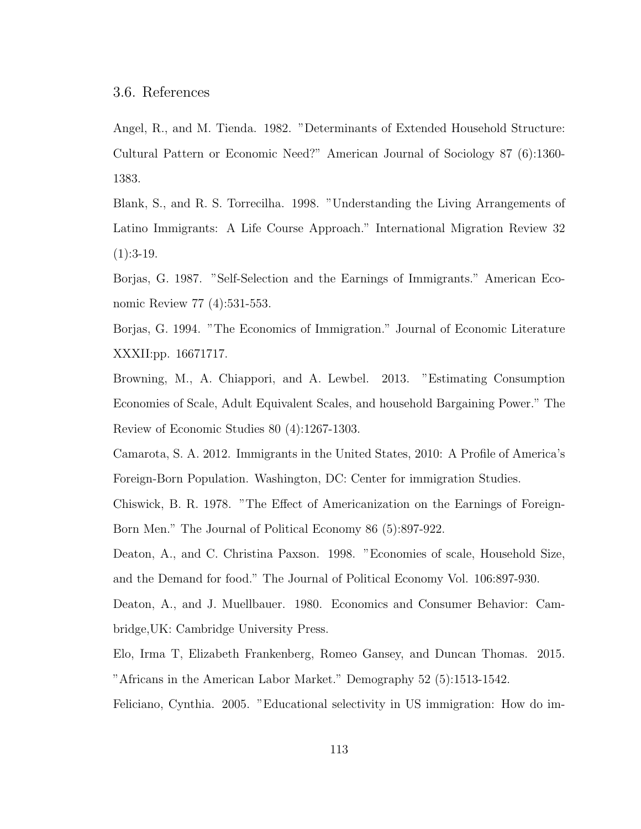Angel, R., and M. Tienda. 1982. "Determinants of Extended Household Structure: Cultural Pattern or Economic Need?" American Journal of Sociology 87 (6):1360- 1383.

Blank, S., and R. S. Torrecilha. 1998. "Understanding the Living Arrangements of Latino Immigrants: A Life Course Approach." International Migration Review 32  $(1):3-19.$ 

Borjas, G. 1987. "Self-Selection and the Earnings of Immigrants." American Economic Review 77 (4):531-553.

Borjas, G. 1994. "The Economics of Immigration." Journal of Economic Literature XXXII:pp. 16671717.

Browning, M., A. Chiappori, and A. Lewbel. 2013. "Estimating Consumption Economies of Scale, Adult Equivalent Scales, and household Bargaining Power." The Review of Economic Studies 80 (4):1267-1303.

Camarota, S. A. 2012. Immigrants in the United States, 2010: A Profile of America's Foreign-Born Population. Washington, DC: Center for immigration Studies.

Chiswick, B. R. 1978. "The Effect of Americanization on the Earnings of Foreign-Born Men." The Journal of Political Economy 86 (5):897-922.

Deaton, A., and C. Christina Paxson. 1998. "Economies of scale, Household Size, and the Demand for food." The Journal of Political Economy Vol. 106:897-930.

Deaton, A., and J. Muellbauer. 1980. Economics and Consumer Behavior: Cambridge,UK: Cambridge University Press.

Elo, Irma T, Elizabeth Frankenberg, Romeo Gansey, and Duncan Thomas. 2015. "Africans in the American Labor Market." Demography 52 (5):1513-1542.

Feliciano, Cynthia. 2005. "Educational selectivity in US immigration: How do im-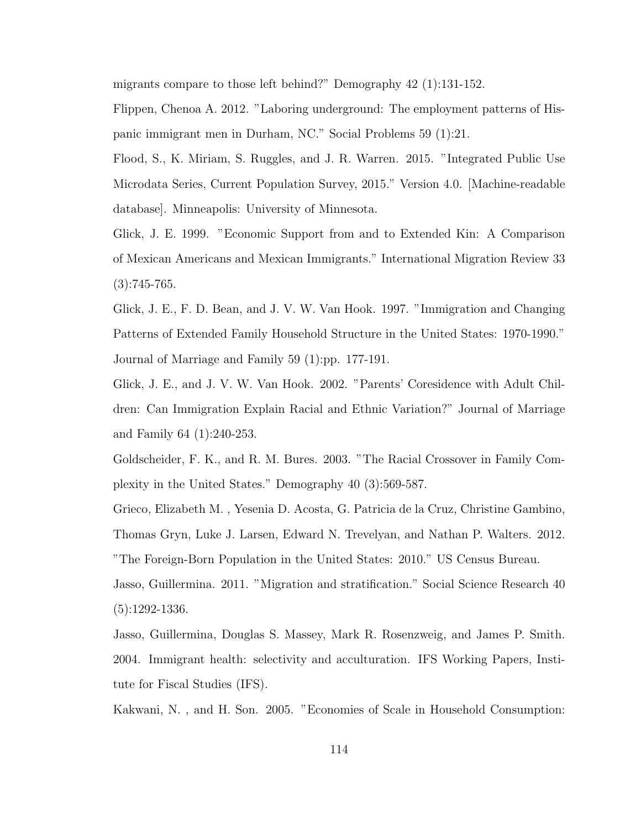migrants compare to those left behind?" Demography 42 (1):131-152.

Flippen, Chenoa A. 2012. "Laboring underground: The employment patterns of Hispanic immigrant men in Durham, NC." Social Problems 59 (1):21.

Flood, S., K. Miriam, S. Ruggles, and J. R. Warren. 2015. "Integrated Public Use Microdata Series, Current Population Survey, 2015." Version 4.0. [Machine-readable database]. Minneapolis: University of Minnesota.

Glick, J. E. 1999. "Economic Support from and to Extended Kin: A Comparison of Mexican Americans and Mexican Immigrants." International Migration Review 33  $(3):745-765.$ 

Glick, J. E., F. D. Bean, and J. V. W. Van Hook. 1997. "Immigration and Changing Patterns of Extended Family Household Structure in the United States: 1970-1990." Journal of Marriage and Family 59 (1):pp. 177-191.

Glick, J. E., and J. V. W. Van Hook. 2002. "Parents' Coresidence with Adult Children: Can Immigration Explain Racial and Ethnic Variation?" Journal of Marriage and Family 64 (1):240-253.

Goldscheider, F. K., and R. M. Bures. 2003. "The Racial Crossover in Family Complexity in the United States." Demography 40 (3):569-587.

Grieco, Elizabeth M. , Yesenia D. Acosta, G. Patricia de la Cruz, Christine Gambino, Thomas Gryn, Luke J. Larsen, Edward N. Trevelyan, and Nathan P. Walters. 2012. "The Foreign-Born Population in the United States: 2010." US Census Bureau.

Jasso, Guillermina. 2011. "Migration and stratification." Social Science Research 40 (5):1292-1336.

Jasso, Guillermina, Douglas S. Massey, Mark R. Rosenzweig, and James P. Smith. 2004. Immigrant health: selectivity and acculturation. IFS Working Papers, Institute for Fiscal Studies (IFS).

Kakwani, N. , and H. Son. 2005. "Economies of Scale in Household Consumption: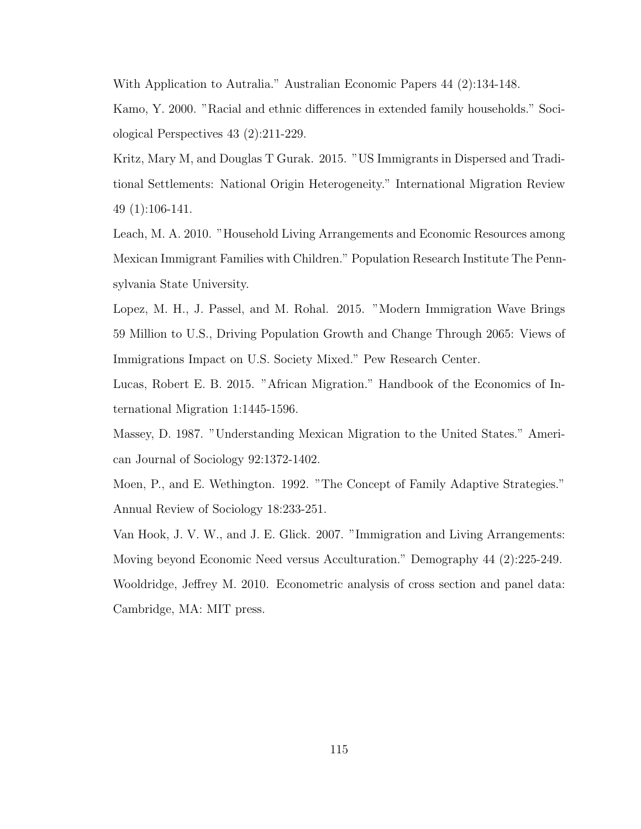With Application to Autralia." Australian Economic Papers 44 (2):134-148.

Kamo, Y. 2000. "Racial and ethnic differences in extended family households." Sociological Perspectives 43 (2):211-229.

Kritz, Mary M, and Douglas T Gurak. 2015. "US Immigrants in Dispersed and Traditional Settlements: National Origin Heterogeneity." International Migration Review 49 (1):106-141.

Leach, M. A. 2010. "Household Living Arrangements and Economic Resources among Mexican Immigrant Families with Children." Population Research Institute The Pennsylvania State University.

Lopez, M. H., J. Passel, and M. Rohal. 2015. "Modern Immigration Wave Brings 59 Million to U.S., Driving Population Growth and Change Through 2065: Views of Immigrations Impact on U.S. Society Mixed." Pew Research Center.

Lucas, Robert E. B. 2015. "African Migration." Handbook of the Economics of International Migration 1:1445-1596.

Massey, D. 1987. "Understanding Mexican Migration to the United States." American Journal of Sociology 92:1372-1402.

Moen, P., and E. Wethington. 1992. "The Concept of Family Adaptive Strategies." Annual Review of Sociology 18:233-251.

Van Hook, J. V. W., and J. E. Glick. 2007. "Immigration and Living Arrangements: Moving beyond Economic Need versus Acculturation." Demography 44 (2):225-249. Wooldridge, Jeffrey M. 2010. Econometric analysis of cross section and panel data: Cambridge, MA: MIT press.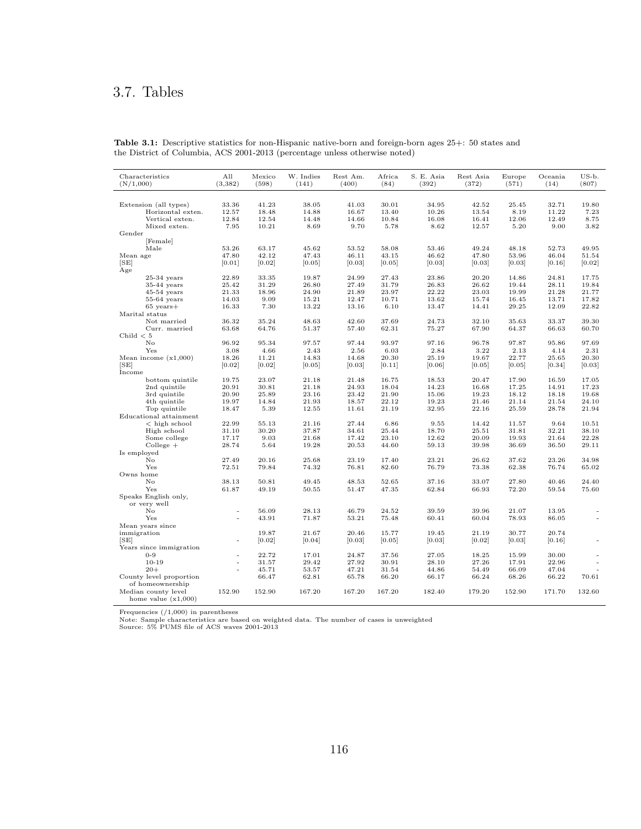# 3.7. Tables

| Characteristics<br>(N/1,000)         | All<br>(3, 382)          | Mexico<br>(598) | W. Indies<br>(141) | Rest Am.<br>(400) | Africa<br>(84) | S. E. Asia<br>(392) | Rest Asia<br>(372) | Europe<br>(571) | Oceania<br>(14) | US-b.<br>(807)           |
|--------------------------------------|--------------------------|-----------------|--------------------|-------------------|----------------|---------------------|--------------------|-----------------|-----------------|--------------------------|
|                                      |                          |                 |                    |                   |                |                     |                    |                 |                 |                          |
| Extension (all types)                | 33.36                    | 41.23           | 38.05              | 41.03             | 30.01          | 34.95               | 42.52              | 25.45           | 32.71           | 19.80                    |
| Horizontal exten.<br>Vertical exten. | 12.57<br>12.84           | 18.48<br>12.54  | 14.88<br>14.48     | 16.67<br>14.66    | 13.40<br>10.84 | 10.26<br>16.08      | 13.54<br>16.41     | 8.19<br>12.06   | 11.22<br>12.49  | 7.23<br>8.75             |
| Mixed exten.                         | 7.95                     | 10.21           | 8.69               | 9.70              | 5.78           | 8.62                | 12.57              | 5.20            | 9.00            | 3.82                     |
| Gender                               |                          |                 |                    |                   |                |                     |                    |                 |                 |                          |
| [Female]                             |                          |                 |                    |                   |                |                     |                    |                 |                 |                          |
| Male                                 | 53.26                    | 63.17           | 45.62              | 53.52             | 58.08          | 53.46               | 49.24              | 48.18           | 52.73           | 49.95                    |
| Mean age                             | 47.80                    | 42.12           | 47.43              | 46.11             | 43.15          | 46.62               | 47.80              | 53.96           | 46.04           | 51.54                    |
| [SE]                                 | [0.01]                   | [0.02]          | [0.05]             | [0.03]            | [0.05]         | [0.03]              | [0.03]             | [0.03]          | [0.16]          | [0.02]                   |
| Age                                  |                          |                 |                    |                   |                |                     |                    |                 |                 |                          |
| $25-34$ years                        | 22.89                    | 33.35           | 19.87              | 24.99             | 27.43          | 23.86               | 20.20              | 14.86           | 24.81           | 17.75                    |
| $35-44$ years                        | 25.42                    | 31.29           | 26.80              | 27.49             | 31.79          | 26.83               | 26.62              | 19.44           | 28.11           | 19.84                    |
| $45-54$ years                        | 21.33                    | 18.96           | 24.90              | 21.89             | 23.97          | 22.22               | 23.03              | 19.99           | 21.28           | 21.77                    |
| $55-64$ years                        | 14.03                    | 9.09            | 15.21              | 12.47             | 10.71          | 13.62               | 15.74              | 16.45           | 13.71           | 17.82                    |
| $65 \text{ years}+$                  | 16.33                    | 7.30            | 13.22              | 13.16             | 6.10           | 13.47               | 14.41              | 29.25           | 12.09           | 22.82                    |
| Marital status                       |                          |                 |                    |                   |                |                     |                    |                 |                 |                          |
| Not married                          | 36.32                    | 35.24           | 48.63              | 42.60             | 37.69          | 24.73               | 32.10              | 35.63           | 33.37           | 39.30                    |
| Curr. married                        | 63.68                    | 64.76           | 51.37              | 57.40             | 62.31          | 75.27               | 67.90              | 64.37           | 66.63           | 60.70                    |
| Child $< 5$                          |                          |                 |                    |                   |                |                     |                    |                 |                 |                          |
| No                                   | 96.92                    | 95.34           | 97.57              | 97.44             | 93.97          | 97.16               | 96.78              | 97.87           | 95.86           | 97.69                    |
| Yes                                  | 3.08                     | 4.66            | 2.43               | 2.56              | 6.03           | 2.84                | 3.22               | 2.13            | 4.14            | 2.31                     |
| Mean income $(x1,000)$               | 18.26                    | 11.21           | 14.83              | 14.68             | 20.30          | 25.19               | 19.67              | 22.77           | 25.65           | 20.30                    |
| [SE]                                 | [0.02]                   | [0.02]          | [0.05]             | [0.03]            | [0.11]         | [0.06]              | [0.05]             | [0.05]          | [0.34]          | [0.03]                   |
| Income<br>bottom quintile            | 19.75                    | 23.07           | 21.18              | 21.48             | 16.75          | 18.53               | 20.47              | 17.90           | 16.59           | 17.05                    |
| 2nd quintile                         | 20.91                    | 30.81           | 21.18              | 24.93             | 18.04          | 14.23               | 16.68              | 17.25           | 14.91           | 17.23                    |
| 3rd quintile                         | 20.90                    | 25.89           | 23.16              | 23.42             | 21.90          | 15.06               | 19.23              | 18.12           | 18.18           | 19.68                    |
| 4th quintile                         | 19.97                    | 14.84           | 21.93              | 18.57             | 22.12          | 19.23               | 21.46              | 21.14           | 21.54           | 24.10                    |
| Top quintile                         | 18.47                    | 5.39            | 12.55              | 11.61             | 21.19          | 32.95               | 22.16              | 25.59           | 28.78           | 21.94                    |
| Educational attainment               |                          |                 |                    |                   |                |                     |                    |                 |                 |                          |
| $<$ high school                      | 22.99                    | 55.13           | 21.16              | 27.44             | 6.86           | 9.55                | 14.42              | 11.57           | 9.64            | 10.51                    |
| High school                          | 31.10                    | 30.20           | 37.87              | 34.61             | 25.44          | 18.70               | 25.51              | 31.81           | 32.21           | 38.10                    |
| Some college                         | 17.17                    | 9.03            | 21.68              | 17.42             | 23.10          | 12.62               | 20.09              | 19.93           | 21.64           | 22.28                    |
| $Collecte +$                         | 28.74                    | 5.64            | 19.28              | 20.53             | 44.60          | 59.13               | 39.98              | 36.69           | 36.50           | 29.11                    |
| Is employed                          |                          |                 |                    |                   |                |                     |                    |                 |                 |                          |
| No                                   | 27.49                    | 20.16           | 25.68              | 23.19             | 17.40          | 23.21               | 26.62              | 37.62           | 23.26           | 34.98                    |
| Yes                                  | 72.51                    | 79.84           | 74.32              | 76.81             | 82.60          | 76.79               | 73.38              | 62.38           | 76.74           | 65.02                    |
| Owns home                            |                          |                 |                    |                   |                |                     |                    |                 |                 |                          |
| No                                   | 38.13                    | 50.81           | 49.45              | 48.53             | 52.65          | 37.16               | 33.07              | 27.80           | 40.46           | 24.40                    |
| Yes                                  | 61.87                    | 49.19           | 50.55              | 51.47             | 47.35          | 62.84               | 66.93              | 72.20           | 59.54           | 75.60                    |
| Speaks English only,                 |                          |                 |                    |                   |                |                     |                    |                 |                 |                          |
| or very well                         |                          |                 |                    |                   |                |                     |                    |                 |                 |                          |
| $\rm No$                             | $\sim$                   | 56.09           | 28.13              | 46.79             | 24.52          | 39.59               | 39.96              | 21.07           | 13.95           |                          |
| Yes                                  | $\overline{\phantom{a}}$ | 43.91           | 71.87              | 53.21             | 75.48          | 60.41               | 60.04              | 78.93           | 86.05           | $\overline{\phantom{a}}$ |
| Mean years since                     |                          |                 |                    |                   |                |                     |                    |                 |                 |                          |
| immigration<br>[SE]                  |                          | 19.87           | 21.67              | 20.46             | 15.77          | 19.45               | 21.19              | 30.77           | 20.74           |                          |
|                                      |                          | [0.02]          | [0.04]             | [0.03]            | [0.05]         | [0.03]              | [0.02]             | [0.03]          | [0.16]          |                          |
| Years since immigration<br>$0 - 9$   | $\sim$                   | 22.72           | 17.01              | 24.87             | 37.56          | 27.05               | 18.25              | 15.99           | 30.00           |                          |
| $10 - 19$                            | $\overline{\phantom{a}}$ | 31.57           | 29.42              | 27.92             | 30.91          | 28.10               | 27.26              | 17.91           | 22.96           |                          |
| $20 +$                               |                          | 45.71           | 53.57              | 47.21             | 31.54          | 44.86               | 54.49              | 66.09           | 47.04           |                          |
| County level proportion              |                          | 66.47           | 62.81              | 65.78             | 66.20          | 66.17               | 66.24              | 68.26           | 66.22           | 70.61                    |
| of homeownership                     |                          |                 |                    |                   |                |                     |                    |                 |                 |                          |
| Median county level                  | 152.90                   | 152.90          | 167.20             | 167.20            | 167.20         | 182.40              | 179.20             | 152.90          | 171.70          | 132.60                   |
| home value $(x1,000)$                |                          |                 |                    |                   |                |                     |                    |                 |                 |                          |
|                                      |                          |                 |                    |                   |                |                     |                    |                 |                 |                          |

Table 3.1: Descriptive statistics for non-Hispanic native-born and foreign-born ages 25+: 50 states and the District of Columbia, ACS 2001-2013 (percentage unless otherwise noted)

Frequencies (/1,000) in parentheses Note: Sample characteristics are based on weighted data. The number of cases is unweighted Source: 5% PUMS file of ACS waves 2001-2013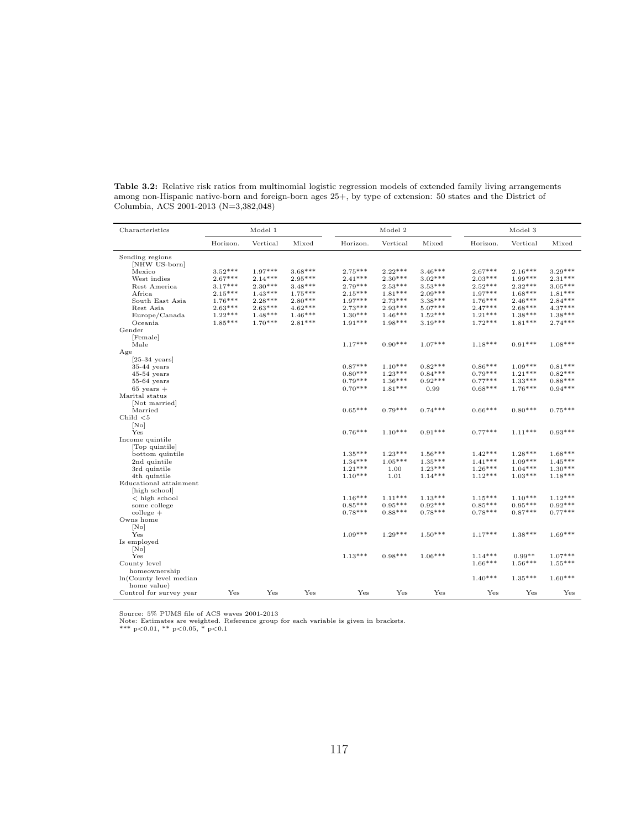| Characteristics         |                        | Model 1                |                        |                        | Model 2                |                        |                        | Model 3                |                        |
|-------------------------|------------------------|------------------------|------------------------|------------------------|------------------------|------------------------|------------------------|------------------------|------------------------|
|                         | Horizon.               | Vertical               | Mixed                  | Horizon.               | Vertical               | Mixed                  | Horizon.               | Vertical               | Mixed                  |
| Sending regions         |                        |                        |                        |                        |                        |                        |                        |                        |                        |
| [NHW US-born]           |                        |                        |                        |                        |                        |                        |                        |                        |                        |
| Mexico                  | $3.52***$              | $1.97***$              | $3.68***$              | $2.75***$              | $2.22***$              | $3.46***$              | $2.67***$              | $2.16***$              | $3.29***$              |
| West indies             | $2.67***$<br>$3.17***$ | $2.14***$<br>$2.30***$ | $2.95***$              | $2.41***$<br>$2.79***$ | $2.30***$              | $3.02***$              | $2.03***$              | $1.99***$<br>$2.32***$ | $2.31***$              |
| Rest America            | $2.15***$              | $1.43***$              | $3.48***$<br>$1.75***$ | $2.15***$              | $2.53***$<br>$1.81***$ | $3.53***$<br>$2.09***$ | $2.52***$<br>$1.97***$ | $1.68***$              | $3.05***$<br>$1.81***$ |
| Africa                  | $1.76***$              | $2.28***$              | $2.80***$              | $1.97***$              | $2.73***$              | $3.38***$              | $1.76***$              | $2.46***$              | $2.84***$              |
| South East Asia         | $2.63***$              | $2.63***$              | $4.62***$              | $2.73***$              | $2.93***$              | $5.07***$              | $2.47***$              | $2.68***$              | $4.37***$              |
| Rest Asia               | $1.22***$              | $1.48***$              | $1.46***$              | $1.30***$              | $1.46***$              | $1.52***$              | $1.21***$              | $1.38***$              | $1.38***$              |
| Europe/Canada           | $1.85***$              | $1.70***$              | $2.81***$              | $1.91***$              | $1.98***$              | $3.19***$              | $1.72***$              | $1.81***$              | $2.74***$              |
| Oceania<br>Gender       |                        |                        |                        |                        |                        |                        |                        |                        |                        |
|                         |                        |                        |                        |                        |                        |                        |                        |                        |                        |
| [Female]<br>Male        |                        |                        |                        | $1.17***$              | $0.90***$              | $1.07***$              | $1.18***$              | $0.91***$              | $1.08***$              |
| Age                     |                        |                        |                        |                        |                        |                        |                        |                        |                        |
| $[25-34 \text{ years}]$ |                        |                        |                        |                        |                        |                        |                        |                        |                        |
| $35-44$ years           |                        |                        |                        | $0.87***$              | $1.10***$              | $0.82***$              | $0.86***$              | $1.09***$              | $0.81***$              |
| $45-54$ years           |                        |                        |                        | $0.80***$              | $1.23***$              | $0.84***$              | $0.79***$              | $1.21***$              | $0.82***$              |
| $55-64$ years           |                        |                        |                        | $0.79***$              | $1.36***$              | $0.92***$              | $0.77***$              | $1.33***$              | $0.88***$              |
| $65 \text{ years} +$    |                        |                        |                        | $0.70***$              | $1.81***$              | 0.99                   | $0.68***$              | $1.76***$              | $0.94***$              |
| Marital status          |                        |                        |                        |                        |                        |                        |                        |                        |                        |
| [Not married]           |                        |                        |                        |                        |                        |                        |                        |                        |                        |
| Married                 |                        |                        |                        | $0.65***$              | $0.79***$              | $0.74***$              | $0.66***$              | $0.80***$              | $0.75***$              |
| Child $< 5$             |                        |                        |                        |                        |                        |                        |                        |                        |                        |
| [No]                    |                        |                        |                        |                        |                        |                        |                        |                        |                        |
| Yes                     |                        |                        |                        | $0.76***$              | $1.10***$              | $0.91***$              | $0.77***$              | $1.11***$              | $0.93***$              |
| Income quintile         |                        |                        |                        |                        |                        |                        |                        |                        |                        |
| Top quintile            |                        |                        |                        |                        |                        |                        |                        |                        |                        |
| bottom quintile         |                        |                        |                        | $1.35***$              | $1.23***$              | $1.56***$              | $1.42***$              | $1.28***$              | $1.68***$              |
| 2nd quintile            |                        |                        |                        | $1.34***$              | $1.05***$              | $1.35***$              | $1.41***$              | $1.09***$              | $1.45***$              |
| 3rd quintile            |                        |                        |                        | $1.21***$              | 1.00                   | $1.23***$              | $1.26***$              | $1.04***$              | $1.30***$              |
| 4th quintile            |                        |                        |                        | $1.10***$              | 1.01                   | $1.14***$              | $1.12***$              | $1.03***$              | $1.18***$              |
| Educational attainment  |                        |                        |                        |                        |                        |                        |                        |                        |                        |
| high school             |                        |                        |                        |                        |                        |                        |                        |                        |                        |
| $<$ high school         |                        |                        |                        | $1.16***$              | $1.11***$              | $1.13***$              | $1.15***$              | $1.10***$              | $1.12***$              |
| some college            |                        |                        |                        | $0.85***$              | $0.95***$              | $0.92***$              | $0.85***$              | $0.95***$              | $0.92***$              |
| $\text{college}$ +      |                        |                        |                        | $0.78***$              | $0.88***$              | $0.78***$              | $0.78***$              | $0.87***$              | $0.77***$              |
| Owns home               |                        |                        |                        |                        |                        |                        |                        |                        |                        |
| [No]                    |                        |                        |                        |                        |                        |                        |                        |                        |                        |
| Yes                     |                        |                        |                        | $1.09***$              | $1.29***$              | $1.50***$              | $1.17***$              | $1.38***$              | $1.69***$              |
| Is employed             |                        |                        |                        |                        |                        |                        |                        |                        |                        |
| [No]                    |                        |                        |                        |                        |                        |                        |                        |                        |                        |
| Yes                     |                        |                        |                        | $1.13***$              | $0.98***$              | $1.06***$              | $1.14***$              | $0.99**$               | $1.07***$              |
| County level            |                        |                        |                        |                        |                        |                        | $1.66***$              | $1.56***$              | $1.55***$              |
| homeownership           |                        |                        |                        |                        |                        |                        |                        |                        |                        |
| ln(County level median  |                        |                        |                        |                        |                        |                        | $1.40***$              | $1.35***$              | $1.60***$              |
| home value)             |                        |                        |                        |                        |                        |                        |                        |                        |                        |
| Control for survey year | $_{\rm Yes}$           | Yes                    | Yes                    | Yes                    | Yes                    | Yes                    | Yes                    | Yes                    | Yes                    |

Table 3.2: Relative risk ratios from multinomial logistic regression models of extended family living arrangements among non-Hispanic native-born and foreign-born ages 25+, by type of extension: 50 states and the District of Columbia, ACS 2001-2013 (N=3,382,048)

Source: 5% PUMS file of ACS waves 2001-2013<br>Note: Estimates are weighted. Reference group for each variable is given in brackets.<br>\*\*\* p<0.01, \*\* p<0.05, \* p<0.1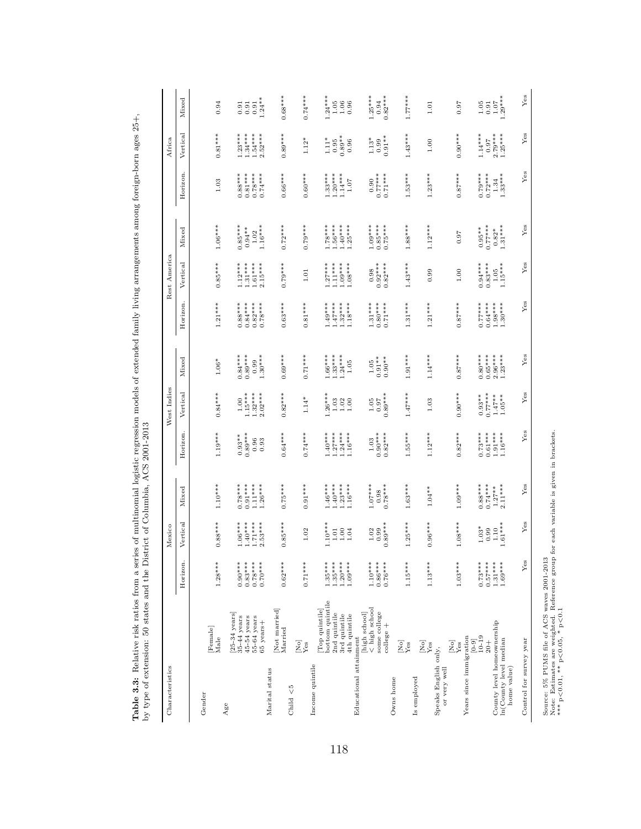| Characteristics                                                     |                                                                                       |                                                  | Mexico                                           |                                                  |                                                  | West Indies                                     |                                                  |                                                  | Rest America                                     |                                                  |                                                  | Africa                                           |                                                                    |
|---------------------------------------------------------------------|---------------------------------------------------------------------------------------|--------------------------------------------------|--------------------------------------------------|--------------------------------------------------|--------------------------------------------------|-------------------------------------------------|--------------------------------------------------|--------------------------------------------------|--------------------------------------------------|--------------------------------------------------|--------------------------------------------------|--------------------------------------------------|--------------------------------------------------------------------|
|                                                                     |                                                                                       | Horizon.                                         | Vertical                                         | Mixed                                            | Horizon.                                         | Vertical                                        | Mixed                                            | Horizon.                                         | Vertical                                         | Mixed                                            | Horizon.                                         | Vertical                                         | Mixed                                                              |
| Gender                                                              | Female<br>Male                                                                        | $1.28***$                                        |                                                  | $1.10***$                                        | $1.19***$                                        | $0.84***$                                       |                                                  | $1.21***$                                        | $0.85***$                                        | $1.06***$                                        |                                                  | $0.81***$                                        |                                                                    |
| Age                                                                 |                                                                                       |                                                  | $0.88***$                                        |                                                  |                                                  |                                                 | $1.06^*$                                         |                                                  |                                                  |                                                  | 1.03                                             |                                                  | 0.94                                                               |
|                                                                     | $[25-34 \text{ years}]$<br>$35-44$ years<br>$45-54$ years<br>55-64 years<br>65 years+ | $0.83***$<br>$0.78***$<br>$0.70***$<br>$0.90***$ | $1.71***$<br>$1.06***$<br>$1.40***$<br>$2.53***$ | $0.78***$<br>$0.91***$<br>$1.11***$<br>$1.26***$ | $0.93**$<br>$0.89***$<br>$0.96$<br>$0.93$        | $1.15***$<br>$1.32***$<br>$2.02***$<br>$1.00\,$ | $0.84***$<br>$0.89***$<br>$1.30***$<br>0.99      | $0.88***$<br>$0.84***$<br>$0.82***$<br>$0.78***$ | $1.12***$<br>$1.31***$<br>$1.61***$<br>$2.15***$ | $0.85***$<br>$0.94***$<br>$1.16***$<br>$1.02$    | $0.88***$<br>$0.78***$<br>$0.74***$<br>$0.81***$ | $1.23***$<br>$1.34***$<br>$1.54***$<br>$2.52***$ | $1.24***$<br>$\!0.91$<br>$\!0.91\!$<br>0.91                        |
| Marital status                                                      | Not married<br>Married                                                                | $0.62***$                                        | $0.85***$                                        | $0.75***$                                        | $0.64***$                                        | $0.82***$                                       | $0.69***$                                        | $0.63***$                                        | $0.79***$                                        | $0.72***$                                        | $0.66***$                                        | $0.89***$                                        | $0.68***$                                                          |
| Child $<$ 5                                                         | $\overline{\mathbf{Y}}_{\text{es}}^{\text{S}}$                                        | $0.71***$                                        | $1.02\,$                                         | $0.91***$                                        | $0.74***$                                        | $1.14^{*}$                                      | $0.71***$                                        | $0.81***$                                        | $1.01\,$                                         | $0.79***$                                        | $0.60***$                                        | $1.12*$                                          | $0.74***$                                                          |
| Income quintile                                                     | bottom quintile<br>[Top quintile]<br>2nd quintile<br>3rd quintile<br>4th quintile     | $1.35***$<br>$1.35***$<br>$1.20***$<br>$1.09***$ | $1.10***$<br>$1.00$<br>$1.04$<br>$1.01\,$        | $1.40***$<br>$1.46***$<br>$1.23***$<br>$1.16***$ | $1.27***$<br>$1.24***$<br>$1.40***$<br>$1.16***$ | $26***$<br>$1.03\,$<br>$1.02$<br>$1.00$         | $1.66***$<br>$1.33***$<br>$1.24***$<br>$1.05$    | $1.32***$<br>$1.18***$<br>$1.49***$<br>$1.47***$ | $.27***$<br>$1.11***$<br>$1.09***$<br>$1.08***$  | $1.78***$<br>$1.56***$<br>$1.40***$<br>$1.25***$ | $1.33***$<br>$1.20***$<br>$1.14***$<br>$1.07\,$  | $0.89**$<br>$1.11*$<br>0.96<br>0.95              | $1.24***$<br>1.05<br>$\begin{array}{c} 1.06 \\ 0.96 \end{array}$   |
| Educational attainment                                              | < high school<br>some college<br>[high school]<br>college +                           | $1.10***$<br>$0.86***$<br>$0.76***$              | $0.89***$<br>$1.02$<br>0.99                      | $1.07***$<br>$0.78***$<br>0.98                   | $0.90***$<br>$0.82***$<br>1.03                   | $0.97$<br>$0.89***$<br>$1.05\,$                 | $0.91**$<br>$0.90**$<br>$1.05\,$                 | $1.31***$<br>$0.80***$<br>$0.71***$              | $0.98$<br>$0.92***$<br>$0.82***$                 | $1.09***$<br>$0.75***$<br>$0.85***$              | $0.77***$<br>$0.71***$                           | $0.99$<br>$0.91**$<br>$1.13*$                    | $1.25***$<br>$0.82***$<br>0.94                                     |
| Owns home                                                           | $[{\rm No}]$<br>.<br>Yes                                                              | $1.15***$                                        | $1.25***$                                        | $1.63***$                                        | $1.55***$                                        | $1.47***$                                       | $1.91***$                                        | $1.31***$                                        | $1.43***$                                        | $1.88***$                                        | $1.53***$                                        | $1.43***$                                        | $1.77***$                                                          |
| Speaks English only,<br>Is employed                                 | $\mathop{\mathrm{Zes}}\limits_{{\mathbf{Y}} \in {\mathbf{S}}}$                        | $1.13***$                                        | $0.96***$                                        | $1.04**$                                         | $1.12***$                                        | 1.03                                            | $1.14***$                                        | $1.21***$                                        | 0.99                                             | $1.12***$                                        | $1.23***$                                        | $1.00\,$                                         | $1.01\,$                                                           |
| Years since immigration<br>or very well                             | $\mathop{\mathrm{Ne}}_{\mathrm{res}}^{\mathrm{N}}$                                    | $1.03***$                                        | $1.08***$                                        | $1.09***$                                        | $0.82***$                                        | $0.90***$                                       | $0.87***$                                        | $0.87***$                                        | $1.00\,$                                         | 0.97                                             | $0.87***$                                        | $0.90***$                                        | 0.97                                                               |
| County level homeownership<br>In(County level median<br>home value) | $10 - 19$<br>$[0 - 9]$<br>$^{+0.4}$                                                   | $0.73***$<br>$0.57***$<br>$1.31***$<br>$1.69***$ | $1.61***$<br>$1.03*$<br>0.99<br>$1.10$           | $0.88***$<br>$0.74***$<br>$2.11***$<br>$1.27**$  | $0.73***$<br>$0.61***$<br>$1.91***$<br>$1.16***$ | $0.77***$<br>$0.93**$<br>$1.47**$<br>$1.05**$   | $1.23***$<br>$0.80***$<br>$0.65***$<br>$2.96***$ | $0.77***$<br>$0.64***$<br>$1.98***$<br>$1.30***$ | $0.94***$<br>$0.83***$<br>$1.15***$<br>$1.05\,$  | $0.95***$<br>0.77***<br>$0.82$ *<br>1.31***      | $0.79***$<br>$0.72***$<br>$1.34$<br>$1.33***$    | $1.14***$<br>$2.79***$<br>1.25***<br>0.97        | $1.07$<br>$1.29***$<br>$\begin{array}{c} 1.05 \\ 0.91 \end{array}$ |
| Control for survey year                                             |                                                                                       | Yes                                              | ${\rm Yes}$                                      | Yes                                              | Yes                                              | Yes                                             | Yes                                              | Yes                                              | ${\rm Yes}$                                      | ${\rm Yes}$                                      | ${\rm Yes}$                                      | ${\rm Yes}$                                      | ${\rm Yes}$                                                        |

118

**Table 3.3:** Relative risk ratios from a series of multinomial logistic regression models of extended family living arrangements among foreign-born ages 25+,<br>by type of extension: 50 states and the District of Columbia, AC Table 3.3: Relative risk ratios from a series of multinomial logistic regression models of extended family living arrangements among foreign-born ages 25+,

Source: 5% PUMS file of ACS waves 2001-2013

Source: 5% PUMS file of ACS waves 2001-2013<br>Note: Estimates are weighted. Reference group for each variable is given in brackets.<br>\*\*\* p<0.01, \*\* p<0.05, \* p<0.1 Note: Estimates are weighted. Reference group for each variable is given in brackets.

<sup>\*\*\*</sup> p<0.01, \*\* p<0.05, \* p<0.1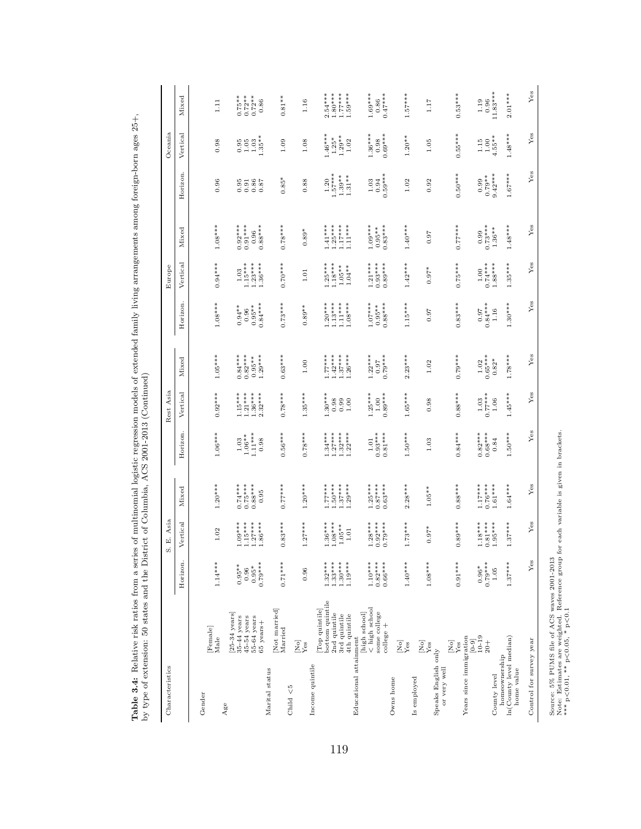| Characteristics                                        |                                                                                                      |                         | S. E. Asia                      |                        |                        | Rest Asia                   |                             |                       | Europe                                                    |                             |                                             | Oceania            |                        |
|--------------------------------------------------------|------------------------------------------------------------------------------------------------------|-------------------------|---------------------------------|------------------------|------------------------|-----------------------------|-----------------------------|-----------------------|-----------------------------------------------------------|-----------------------------|---------------------------------------------|--------------------|------------------------|
|                                                        |                                                                                                      | Horizon.                | Vertical                        | Mixed                  | Horizon.               | Vertical                    | Mixed                       | Horizon.              | Vertical                                                  | Mixed                       | Horizon.                                    | Vertical           | Mixed                  |
| Gender                                                 |                                                                                                      |                         |                                 |                        |                        |                             |                             |                       |                                                           |                             |                                             |                    |                        |
|                                                        | Female<br>Male                                                                                       | $1.14***$               | $1.02\,$                        | $1.20***$              | $1.06***$              | $0.92***$                   | $1.05***$                   | $1.08***$             | $0.94***$                                                 | $1.08***$                   | 0.96                                        | 0.98               | 1.11                   |
| Age                                                    |                                                                                                      |                         |                                 |                        |                        |                             |                             |                       |                                                           |                             |                                             |                    |                        |
|                                                        | $\begin{array}{l} \left[25\text{-}34\ \text{years}\right] \\ 35\text{-}44\ \text{years} \end{array}$ | $0.95**$                | $1.09***$                       | $0.74***$              | 1.03                   | $1.15***$                   | $0.84***$                   | $0.94***$             | 1.03                                                      | $0.92***$                   |                                             | 0.95               | $0.75**$               |
|                                                        | $45-54$ years                                                                                        | 0.96                    | $1.15***$                       | $0.75***$              | $1.06**$               | $1.21***$                   | $0.82***$                   | 0.96                  | $1.15***$<br>$1.23***$                                    | $0.91***$                   |                                             | $1.05\,$           | $0.72***$<br>0.72**    |
|                                                        | 55-64 years<br>65 years+                                                                             | $0.79***$<br>$0.95*$    | $1.27***$<br>$1.86***$          | $0.88***$<br>0.95      | $1.11***$<br>0.98      | $1.36***$<br>$2.32***$      | $1.29***$<br>$0.95**$       | $0.84***$<br>$0.95**$ | $1.36***$                                                 | $0.88***$<br>0.96           | 8588<br>0000                                | $1.35**$<br>1.03   | 0.86                   |
| Marital status                                         |                                                                                                      |                         |                                 |                        |                        |                             |                             |                       |                                                           |                             |                                             |                    |                        |
|                                                        | [Not married]<br>Married                                                                             | $0.71***$               | $0.83***$                       | $0.77***$              | $0.56***$              | $0.78***$                   | $0.63***$                   | $0.73***$             | $0.70***$                                                 | $0.78***$                   | $0.85*$                                     | 1.09               | $0.81**$               |
| Child $<$ 5                                            |                                                                                                      |                         |                                 |                        |                        |                             |                             |                       |                                                           |                             |                                             |                    |                        |
|                                                        | $\overline{\mathbf{X}}_{\text{es}}^{\text{N}}$                                                       | 0.96                    | $1.27***$                       | $1.20***$              | $0.78***$              | $1.35***$                   | 1.00                        | $0.89**$              | $1.01\,$                                                  | $0.89*$                     | 0.88                                        | 1.08               | 1.16                   |
| Income quintile                                        |                                                                                                      |                         |                                 |                        |                        |                             |                             |                       |                                                           |                             |                                             |                    |                        |
|                                                        | bottom quintile<br>Top quintile]                                                                     | $1.32***$               |                                 | $1.77***$              | $1.34***$              | $1.30***$                   | $1.77***$                   | $1.20***$             | $1.25***$                                                 | $1.41***$                   | 1.20                                        | $1.46***$          | $2.54***$              |
|                                                        | 2nd quintile                                                                                         | $1.33***$               | $1.36***$<br>$1.08***$          | $1.50***$              | $1.27***$              | 0.98                        | $1.42***$                   | $1.13***$             | $1.18***$                                                 | $1.25***$                   | $1.57***$                                   | $1.25*$            | $1.80***$              |
|                                                        | $3\mathrm{rd}$ quintile $4\mathrm{th}$ quintile                                                      | $1.30***$               | $1.05**$ $1.01$                 | $1.37***$              | $1.32***$<br>$1.22***$ | $0.99$<br>1.00              | $1.37***$                   | $1.11***$             | $1.05***$<br>$1.04***$                                    | $1.17***$                   | $1.39***$<br>$1.31***$                      | $1.29**$<br>$1.02$ | $1.77***$<br>$1.59***$ |
| Educational attainment                                 |                                                                                                      | $1.19***$               |                                 | $1.29***$              |                        |                             | $1.26***$                   | $1.08***$             |                                                           | $1.11***$                   |                                             |                    |                        |
|                                                        | [high school]                                                                                        |                         |                                 |                        |                        |                             |                             |                       |                                                           |                             |                                             |                    |                        |
|                                                        | $\stackrel{\textstyle{.}}{<}$ high school<br>some college                                            | $1.10***$<br>$0.82***$  |                                 | $1.25***$<br>$0.87***$ | $0.93***$<br>$1.01\,$  | $1.25***$<br>$1.00$         | $1.22***$<br>0.97           | $1.07***$<br>$0.95**$ | $1.21***$<br>$0.93***$                                    | $1.09***$<br>$0.95***$      | $\begin{array}{c} 1.03 \\ 0.94 \end{array}$ | $1.36***$<br>0.98  | $1.69***$<br>0.86      |
|                                                        | $_{\rm college}$ +                                                                                   | $0.66***$               | $1.28***$<br>0.92***<br>0.79*** | $0.63***$              | $0.81***$              | $0.89***$                   | $0.79***$                   | $0.88***$             | $0.89***$                                                 | $0.83***$                   | $0.59***$                                   | $0.69***$          | $0.47***$              |
| Owns home                                              |                                                                                                      |                         |                                 |                        |                        |                             |                             |                       |                                                           |                             |                                             |                    |                        |
|                                                        | $\overline{\mathbf{Z}}_{\text{es}}^{\text{S}}$                                                       | $1.40***$               | $1.73***$                       | $2.28***$              | $1.50***$              | $1.65***$                   | $2.23***$                   | $1.15***$             | $1.42***$                                                 | $1.40***$                   | 1.02                                        | $1.20**$           | $1.57***$              |
| Is employed                                            |                                                                                                      |                         |                                 |                        |                        |                             |                             |                       |                                                           |                             |                                             |                    |                        |
|                                                        | $\rm \frac{[No]}{Yes}$                                                                               | $1.08***$               | $0.97*$                         | $1.05**$               | 1.03                   | 0.98                        | 1.02                        | 0.97                  | $0.97*$                                                   | 0.97                        | 0.92                                        | 1.05               | 1.17                   |
| Speaks English only                                    |                                                                                                      |                         |                                 |                        |                        |                             |                             |                       |                                                           |                             |                                             |                    |                        |
| or very well                                           |                                                                                                      |                         |                                 |                        |                        |                             |                             |                       |                                                           |                             |                                             |                    |                        |
|                                                        | $\mathop{\mathrm{Zes}}\limits_{\mathbf{Yes}}$                                                        | $0.91***$               | $0.89***$                       | $0.88***$              | $0.84***$              | $0.88***$                   | $0.79***$                   | $0.83***$             | $0.75***$                                                 | $0.77***$                   | $0.50***$                                   | $0.55***$          | $0.53***$              |
| Years since immigration                                |                                                                                                      |                         |                                 |                        |                        |                             |                             |                       |                                                           |                             |                                             |                    |                        |
|                                                        | $[0-9]$<br>10-19                                                                                     | $0.96*$                 | $1.18***$                       | $1.17***$              | $0.82***$              | $1.03$                      | $1.02\,$                    | 0.97                  |                                                           | 0.99                        |                                             | 1.15               | 1.19                   |
|                                                        | $\frac{+}{20}$                                                                                       | $0.79***$               | $0.81***$                       | $0.76***$              | $0.68***$              | $0.77***$                   | $0.65***$                   | $0.84***$             | $\begin{array}{c} 1.00 \\ 0.74*** \\ 1.88*** \end{array}$ | $0.73***$<br>1.36**         | $0.99$<br>$0.79**$                          | $1.00$<br>$4.55**$ | 0.96                   |
| County level                                           |                                                                                                      | $1.05$                  | $1.95***$                       | $1.61***$              | 0.84                   | $1.06\,$                    | $0.82*$                     | 1.16                  |                                                           |                             | $9.42***$                                   |                    | $11.83***$             |
| In(County level median)<br>homeownership<br>home value |                                                                                                      | $1.37***$               | $1.37***$                       | $1.64***$              | $1.50***$              | $1.45***$                   | $1.78***$                   | $1.30***$             | $1.35***$                                                 | $1.48***$                   | $1.67***$                                   | $1.48***$          | $2.01***$              |
| Control for survey year                                |                                                                                                      | $\mathbf{Y}\mathbf{es}$ | Yes                             | Yes                    | Yes                    | $\ensuremath{\mathrm{Yes}}$ | $\ensuremath{\mathrm{Yes}}$ | Yes                   | $\ensuremath{\mathrm{Yes}}$                               | $\ensuremath{\mathrm{Yes}}$ | Yes                                         | $\mathbf{Yes}$     | ${\rm Yes}$            |
|                                                        |                                                                                                      |                         |                                 |                        |                        |                             |                             |                       |                                                           |                             |                                             |                    |                        |

**Table 3.4:** Relative risk ratios from a series of multinomial logistic regression models of extended family living arrangements among foreign-born ages 25+,<br>by type of extension: 50 states and the District of Columbia, AC Table 3.4: Relative risk ratios from a series of multinomial logistic regression models of extended family living arrangements among foreign-born ages 25+, by type of extension: 50 states and the District of Columbia, ACS 2001-2013 (Continued)

Source: 5% PUMS file of ACS waves 2001-2013 <br>Note: Estimates are weighted. Reference group for each variable is given in brackets.<br>\*\*\* p<0.01, \*\* p<0.05, \* p<0.1 Note: Estimates are weighted. Reference group for each variable is given in brackets. Source: 5% PUMS file of ACS waves 2001-2013 \*\*\* p<0.01, \*\* p<0.05, \* p<0.1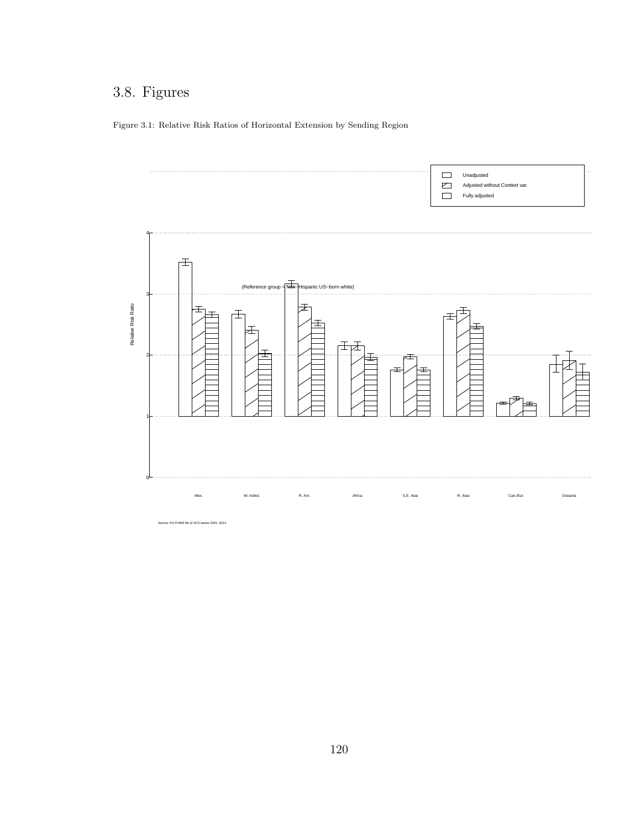# 3.8. Figures

Figure 3.1: Relative Risk Ratios of Horizontal Extension by Sending Region



e: 5% PUMS file of ACS waves 2001−2013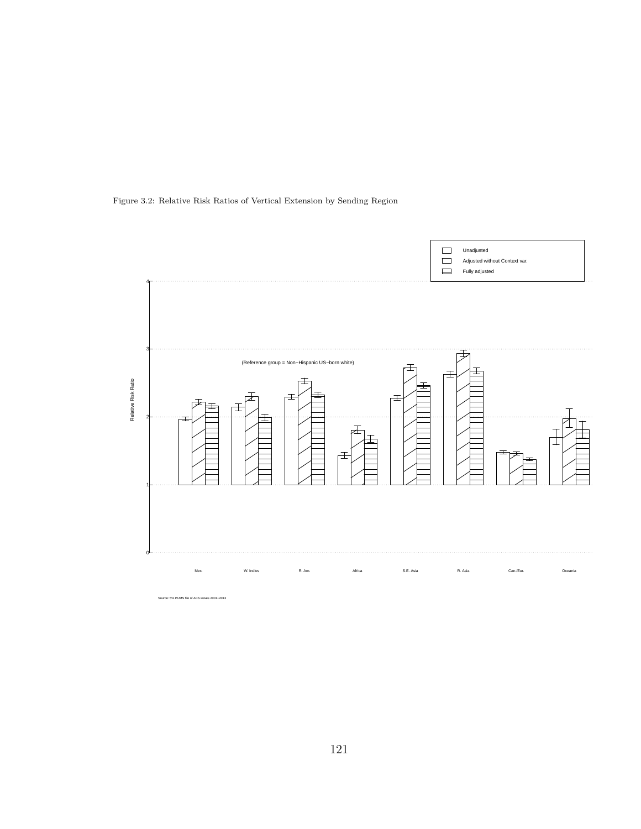

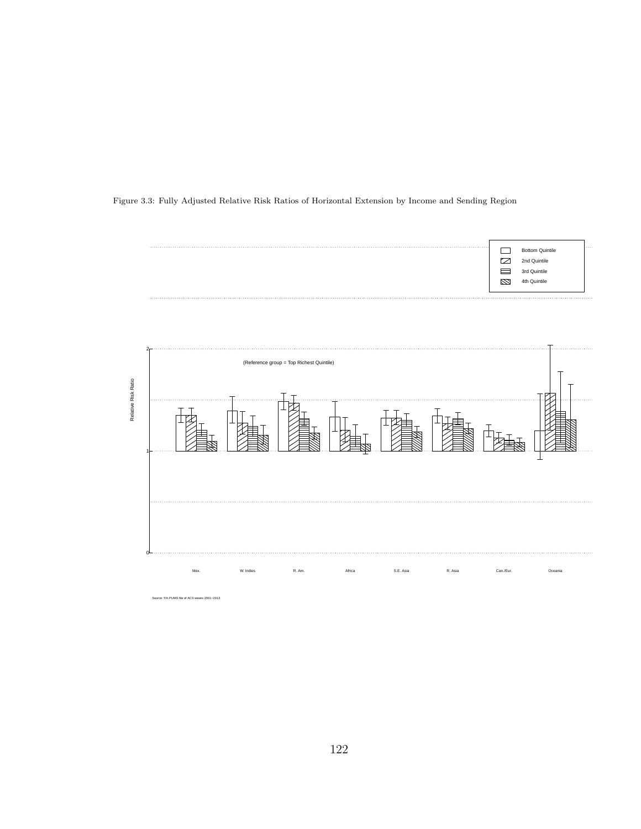





122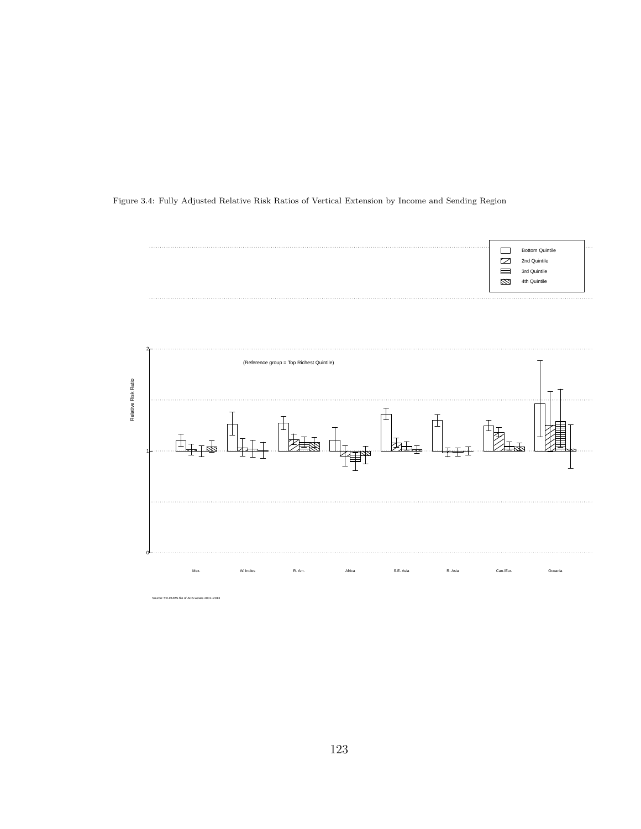Figure 3.4: Fully Adjusted Relative Risk Ratios of Vertical Extension by Income and Sending Region



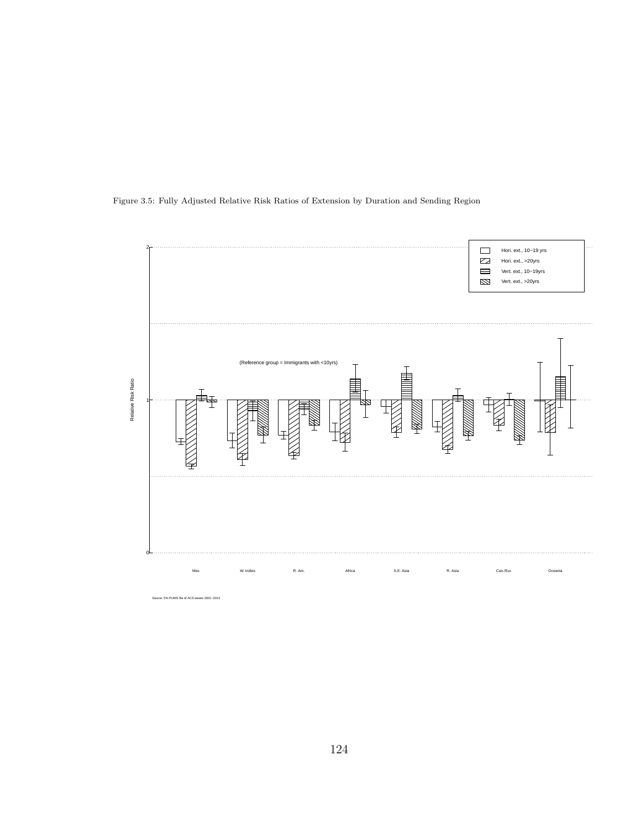

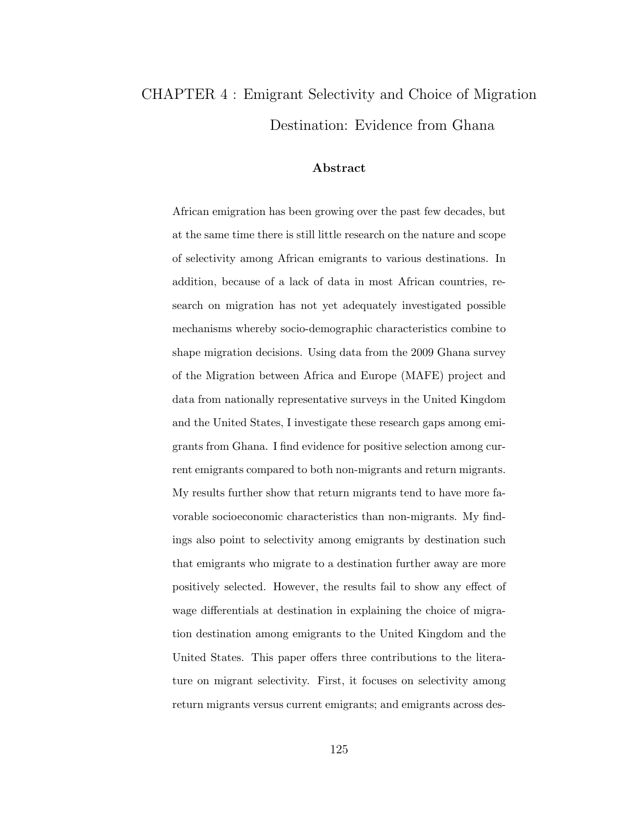# CHAPTER 4 : Emigrant Selectivity and Choice of Migration Destination: Evidence from Ghana

#### Abstract

African emigration has been growing over the past few decades, but at the same time there is still little research on the nature and scope of selectivity among African emigrants to various destinations. In addition, because of a lack of data in most African countries, research on migration has not yet adequately investigated possible mechanisms whereby socio-demographic characteristics combine to shape migration decisions. Using data from the 2009 Ghana survey of the Migration between Africa and Europe (MAFE) project and data from nationally representative surveys in the United Kingdom and the United States, I investigate these research gaps among emigrants from Ghana. I find evidence for positive selection among current emigrants compared to both non-migrants and return migrants. My results further show that return migrants tend to have more favorable socioeconomic characteristics than non-migrants. My findings also point to selectivity among emigrants by destination such that emigrants who migrate to a destination further away are more positively selected. However, the results fail to show any effect of wage differentials at destination in explaining the choice of migration destination among emigrants to the United Kingdom and the United States. This paper offers three contributions to the literature on migrant selectivity. First, it focuses on selectivity among return migrants versus current emigrants; and emigrants across des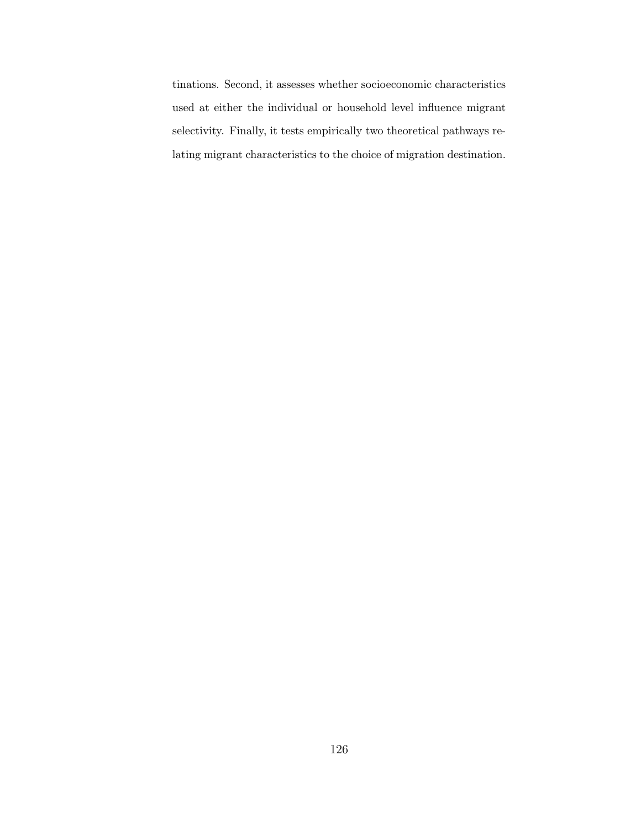tinations. Second, it assesses whether socioeconomic characteristics used at either the individual or household level influence migrant selectivity. Finally, it tests empirically two theoretical pathways relating migrant characteristics to the choice of migration destination.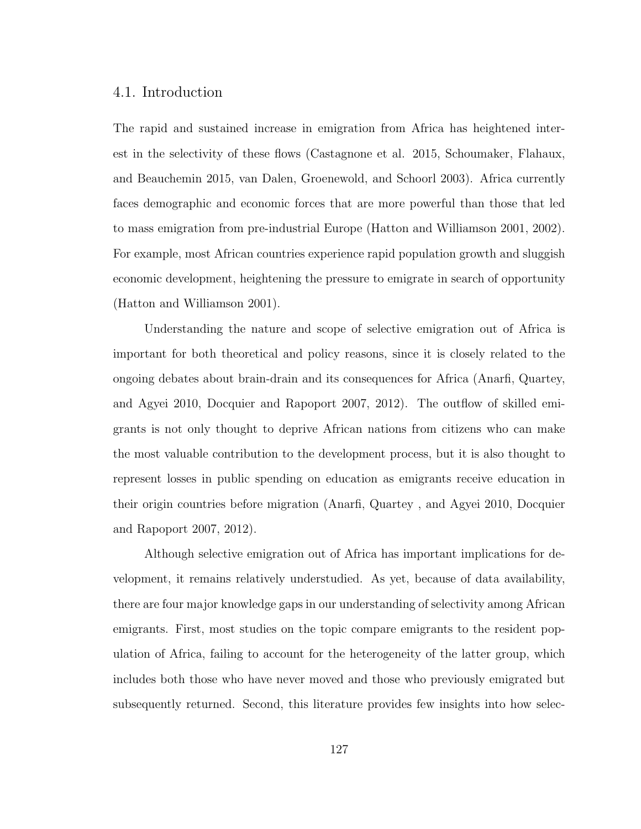# 4.1. Introduction

The rapid and sustained increase in emigration from Africa has heightened interest in the selectivity of these flows (Castagnone et al. 2015, Schoumaker, Flahaux, and Beauchemin 2015, van Dalen, Groenewold, and Schoorl 2003). Africa currently faces demographic and economic forces that are more powerful than those that led to mass emigration from pre-industrial Europe (Hatton and Williamson 2001, 2002). For example, most African countries experience rapid population growth and sluggish economic development, heightening the pressure to emigrate in search of opportunity (Hatton and Williamson 2001).

Understanding the nature and scope of selective emigration out of Africa is important for both theoretical and policy reasons, since it is closely related to the ongoing debates about brain-drain and its consequences for Africa (Anarfi, Quartey, and Agyei 2010, Docquier and Rapoport 2007, 2012). The outflow of skilled emigrants is not only thought to deprive African nations from citizens who can make the most valuable contribution to the development process, but it is also thought to represent losses in public spending on education as emigrants receive education in their origin countries before migration (Anarfi, Quartey , and Agyei 2010, Docquier and Rapoport 2007, 2012).

Although selective emigration out of Africa has important implications for development, it remains relatively understudied. As yet, because of data availability, there are four major knowledge gaps in our understanding of selectivity among African emigrants. First, most studies on the topic compare emigrants to the resident population of Africa, failing to account for the heterogeneity of the latter group, which includes both those who have never moved and those who previously emigrated but subsequently returned. Second, this literature provides few insights into how selec-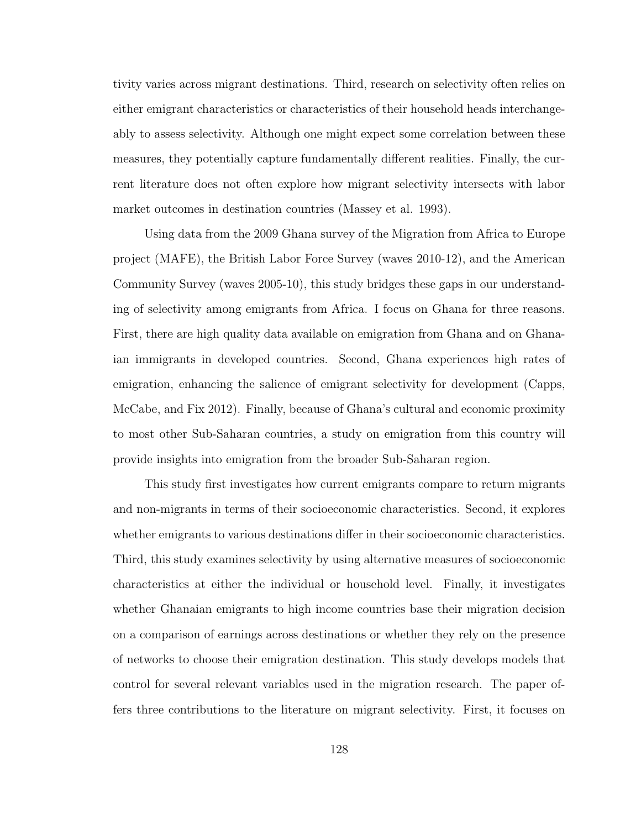tivity varies across migrant destinations. Third, research on selectivity often relies on either emigrant characteristics or characteristics of their household heads interchangeably to assess selectivity. Although one might expect some correlation between these measures, they potentially capture fundamentally different realities. Finally, the current literature does not often explore how migrant selectivity intersects with labor market outcomes in destination countries (Massey et al. 1993).

Using data from the 2009 Ghana survey of the Migration from Africa to Europe project (MAFE), the British Labor Force Survey (waves 2010-12), and the American Community Survey (waves 2005-10), this study bridges these gaps in our understanding of selectivity among emigrants from Africa. I focus on Ghana for three reasons. First, there are high quality data available on emigration from Ghana and on Ghanaian immigrants in developed countries. Second, Ghana experiences high rates of emigration, enhancing the salience of emigrant selectivity for development (Capps, McCabe, and Fix 2012). Finally, because of Ghana's cultural and economic proximity to most other Sub-Saharan countries, a study on emigration from this country will provide insights into emigration from the broader Sub-Saharan region.

This study first investigates how current emigrants compare to return migrants and non-migrants in terms of their socioeconomic characteristics. Second, it explores whether emigrants to various destinations differ in their socioeconomic characteristics. Third, this study examines selectivity by using alternative measures of socioeconomic characteristics at either the individual or household level. Finally, it investigates whether Ghanaian emigrants to high income countries base their migration decision on a comparison of earnings across destinations or whether they rely on the presence of networks to choose their emigration destination. This study develops models that control for several relevant variables used in the migration research. The paper offers three contributions to the literature on migrant selectivity. First, it focuses on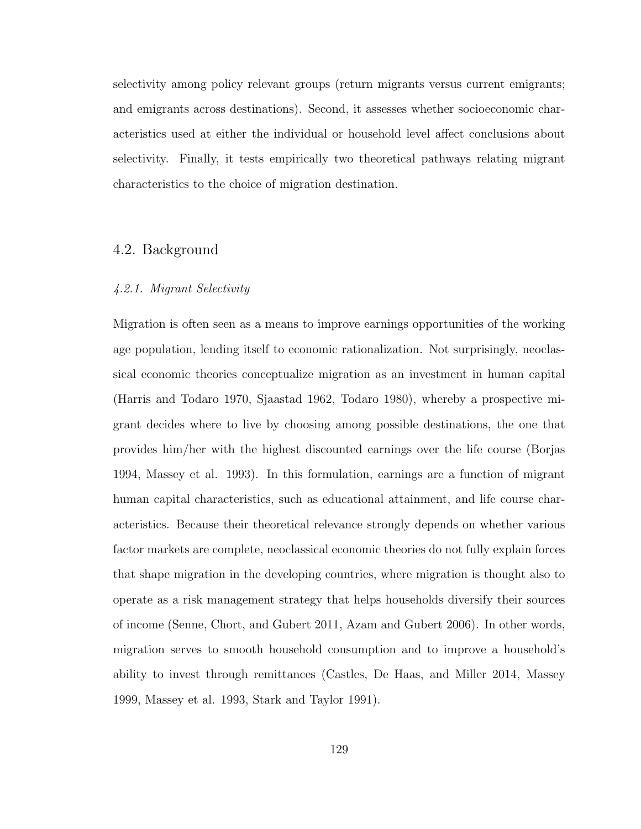selectivity among policy relevant groups (return migrants versus current emigrants; and emigrants across destinations). Second, it assesses whether socioeconomic characteristics used at either the individual or household level affect conclusions about selectivity. Finally, it tests empirically two theoretical pathways relating migrant characteristics to the choice of migration destination.

# 4.2. Background

#### 4.2.1. Migrant Selectivity

Migration is often seen as a means to improve earnings opportunities of the working age population, lending itself to economic rationalization. Not surprisingly, neoclassical economic theories conceptualize migration as an investment in human capital (Harris and Todaro 1970, Sjaastad 1962, Todaro 1980), whereby a prospective migrant decides where to live by choosing among possible destinations, the one that provides him/her with the highest discounted earnings over the life course (Borjas 1994, Massey et al. 1993). In this formulation, earnings are a function of migrant human capital characteristics, such as educational attainment, and life course characteristics. Because their theoretical relevance strongly depends on whether various factor markets are complete, neoclassical economic theories do not fully explain forces that shape migration in the developing countries, where migration is thought also to operate as a risk management strategy that helps households diversify their sources of income (Senne, Chort, and Gubert 2011, Azam and Gubert 2006). In other words, migration serves to smooth household consumption and to improve a household's ability to invest through remittances (Castles, De Haas, and Miller 2014, Massey 1999, Massey et al. 1993, Stark and Taylor 1991).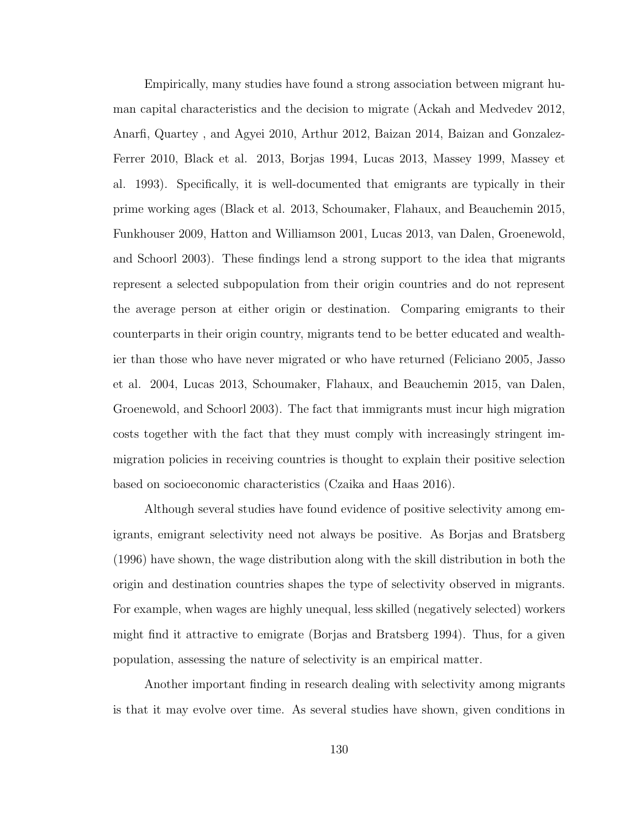Empirically, many studies have found a strong association between migrant human capital characteristics and the decision to migrate (Ackah and Medvedev 2012, Anarfi, Quartey , and Agyei 2010, Arthur 2012, Baizan 2014, Baizan and Gonzalez-Ferrer 2010, Black et al. 2013, Borjas 1994, Lucas 2013, Massey 1999, Massey et al. 1993). Specifically, it is well-documented that emigrants are typically in their prime working ages (Black et al. 2013, Schoumaker, Flahaux, and Beauchemin 2015, Funkhouser 2009, Hatton and Williamson 2001, Lucas 2013, van Dalen, Groenewold, and Schoorl 2003). These findings lend a strong support to the idea that migrants represent a selected subpopulation from their origin countries and do not represent the average person at either origin or destination. Comparing emigrants to their counterparts in their origin country, migrants tend to be better educated and wealthier than those who have never migrated or who have returned (Feliciano 2005, Jasso et al. 2004, Lucas 2013, Schoumaker, Flahaux, and Beauchemin 2015, van Dalen, Groenewold, and Schoorl 2003). The fact that immigrants must incur high migration costs together with the fact that they must comply with increasingly stringent immigration policies in receiving countries is thought to explain their positive selection based on socioeconomic characteristics (Czaika and Haas 2016).

Although several studies have found evidence of positive selectivity among emigrants, emigrant selectivity need not always be positive. As Borjas and Bratsberg (1996) have shown, the wage distribution along with the skill distribution in both the origin and destination countries shapes the type of selectivity observed in migrants. For example, when wages are highly unequal, less skilled (negatively selected) workers might find it attractive to emigrate (Borjas and Bratsberg 1994). Thus, for a given population, assessing the nature of selectivity is an empirical matter.

Another important finding in research dealing with selectivity among migrants is that it may evolve over time. As several studies have shown, given conditions in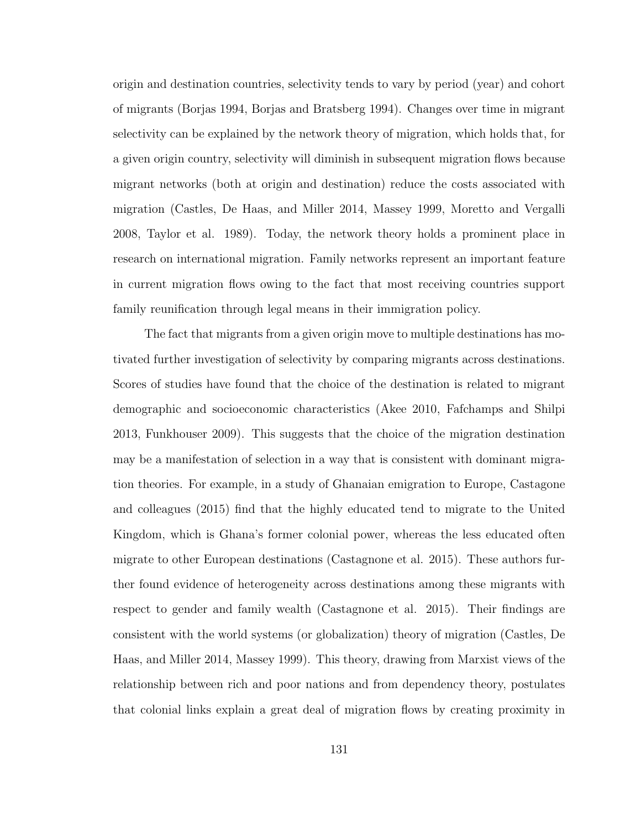origin and destination countries, selectivity tends to vary by period (year) and cohort of migrants (Borjas 1994, Borjas and Bratsberg 1994). Changes over time in migrant selectivity can be explained by the network theory of migration, which holds that, for a given origin country, selectivity will diminish in subsequent migration flows because migrant networks (both at origin and destination) reduce the costs associated with migration (Castles, De Haas, and Miller 2014, Massey 1999, Moretto and Vergalli 2008, Taylor et al. 1989). Today, the network theory holds a prominent place in research on international migration. Family networks represent an important feature in current migration flows owing to the fact that most receiving countries support family reunification through legal means in their immigration policy.

The fact that migrants from a given origin move to multiple destinations has motivated further investigation of selectivity by comparing migrants across destinations. Scores of studies have found that the choice of the destination is related to migrant demographic and socioeconomic characteristics (Akee 2010, Fafchamps and Shilpi 2013, Funkhouser 2009). This suggests that the choice of the migration destination may be a manifestation of selection in a way that is consistent with dominant migration theories. For example, in a study of Ghanaian emigration to Europe, Castagone and colleagues (2015) find that the highly educated tend to migrate to the United Kingdom, which is Ghana's former colonial power, whereas the less educated often migrate to other European destinations (Castagnone et al. 2015). These authors further found evidence of heterogeneity across destinations among these migrants with respect to gender and family wealth (Castagnone et al. 2015). Their findings are consistent with the world systems (or globalization) theory of migration (Castles, De Haas, and Miller 2014, Massey 1999). This theory, drawing from Marxist views of the relationship between rich and poor nations and from dependency theory, postulates that colonial links explain a great deal of migration flows by creating proximity in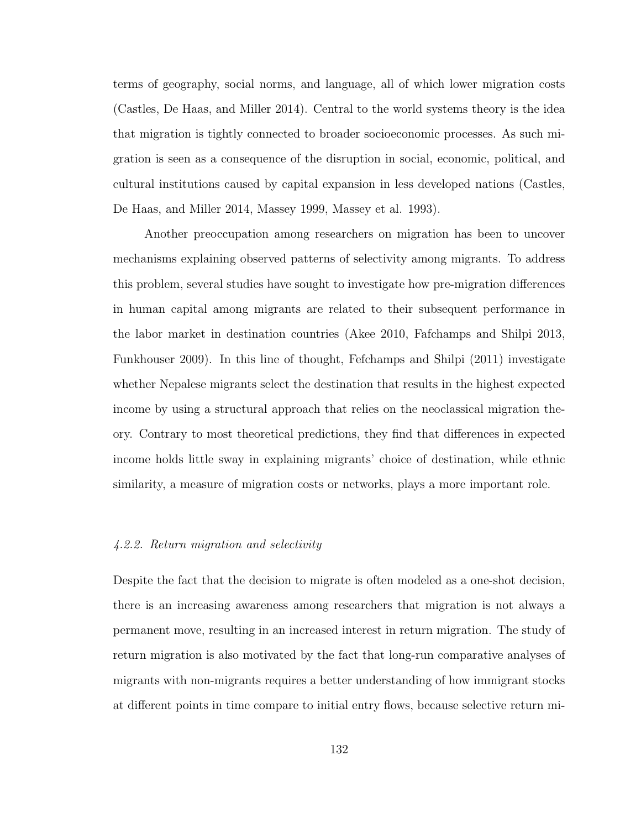terms of geography, social norms, and language, all of which lower migration costs (Castles, De Haas, and Miller 2014). Central to the world systems theory is the idea that migration is tightly connected to broader socioeconomic processes. As such migration is seen as a consequence of the disruption in social, economic, political, and cultural institutions caused by capital expansion in less developed nations (Castles, De Haas, and Miller 2014, Massey 1999, Massey et al. 1993).

Another preoccupation among researchers on migration has been to uncover mechanisms explaining observed patterns of selectivity among migrants. To address this problem, several studies have sought to investigate how pre-migration differences in human capital among migrants are related to their subsequent performance in the labor market in destination countries (Akee 2010, Fafchamps and Shilpi 2013, Funkhouser 2009). In this line of thought, Fefchamps and Shilpi (2011) investigate whether Nepalese migrants select the destination that results in the highest expected income by using a structural approach that relies on the neoclassical migration theory. Contrary to most theoretical predictions, they find that differences in expected income holds little sway in explaining migrants' choice of destination, while ethnic similarity, a measure of migration costs or networks, plays a more important role.

#### 4.2.2. Return migration and selectivity

Despite the fact that the decision to migrate is often modeled as a one-shot decision, there is an increasing awareness among researchers that migration is not always a permanent move, resulting in an increased interest in return migration. The study of return migration is also motivated by the fact that long-run comparative analyses of migrants with non-migrants requires a better understanding of how immigrant stocks at different points in time compare to initial entry flows, because selective return mi-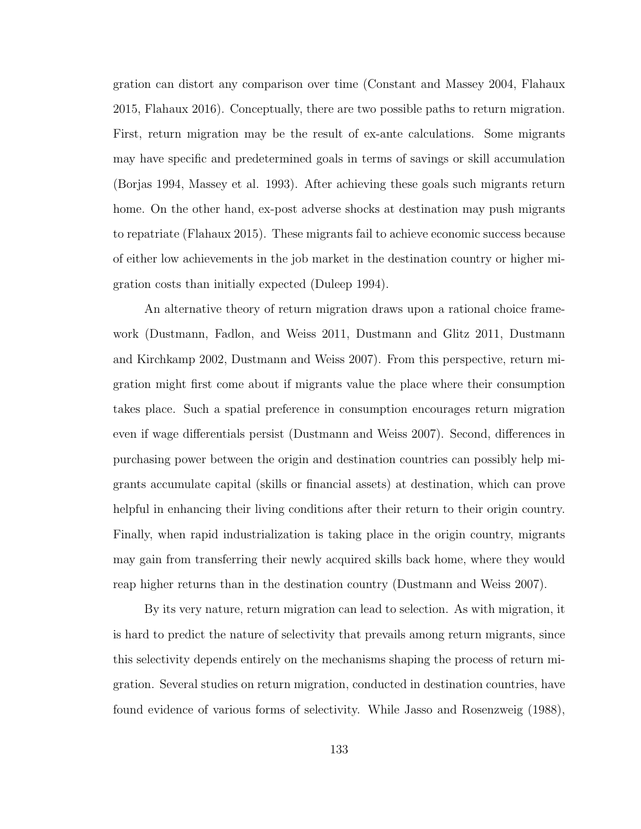gration can distort any comparison over time (Constant and Massey 2004, Flahaux 2015, Flahaux 2016). Conceptually, there are two possible paths to return migration. First, return migration may be the result of ex-ante calculations. Some migrants may have specific and predetermined goals in terms of savings or skill accumulation (Borjas 1994, Massey et al. 1993). After achieving these goals such migrants return home. On the other hand, ex-post adverse shocks at destination may push migrants to repatriate (Flahaux 2015). These migrants fail to achieve economic success because of either low achievements in the job market in the destination country or higher migration costs than initially expected (Duleep 1994).

An alternative theory of return migration draws upon a rational choice framework (Dustmann, Fadlon, and Weiss 2011, Dustmann and Glitz 2011, Dustmann and Kirchkamp 2002, Dustmann and Weiss 2007). From this perspective, return migration might first come about if migrants value the place where their consumption takes place. Such a spatial preference in consumption encourages return migration even if wage differentials persist (Dustmann and Weiss 2007). Second, differences in purchasing power between the origin and destination countries can possibly help migrants accumulate capital (skills or financial assets) at destination, which can prove helpful in enhancing their living conditions after their return to their origin country. Finally, when rapid industrialization is taking place in the origin country, migrants may gain from transferring their newly acquired skills back home, where they would reap higher returns than in the destination country (Dustmann and Weiss 2007).

By its very nature, return migration can lead to selection. As with migration, it is hard to predict the nature of selectivity that prevails among return migrants, since this selectivity depends entirely on the mechanisms shaping the process of return migration. Several studies on return migration, conducted in destination countries, have found evidence of various forms of selectivity. While Jasso and Rosenzweig (1988),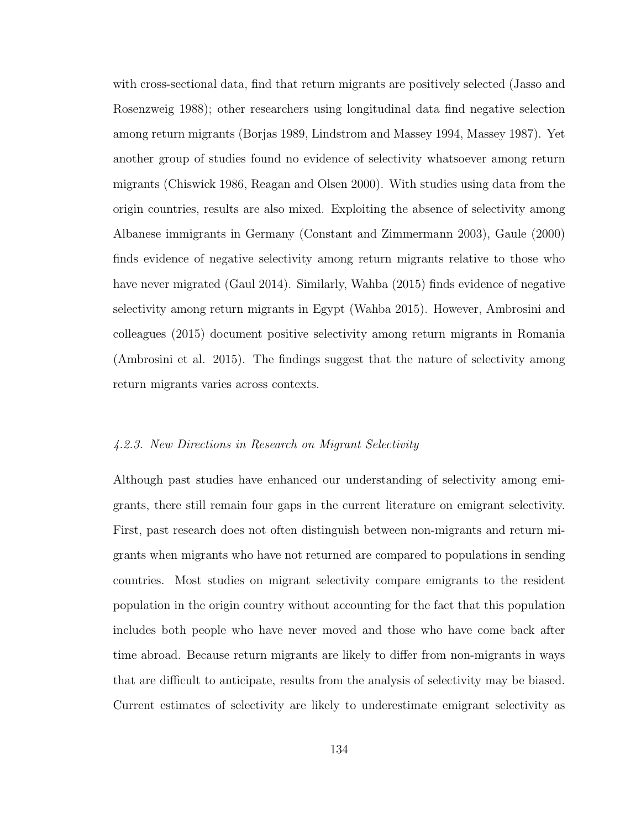with cross-sectional data, find that return migrants are positively selected (Jasso and Rosenzweig 1988); other researchers using longitudinal data find negative selection among return migrants (Borjas 1989, Lindstrom and Massey 1994, Massey 1987). Yet another group of studies found no evidence of selectivity whatsoever among return migrants (Chiswick 1986, Reagan and Olsen 2000). With studies using data from the origin countries, results are also mixed. Exploiting the absence of selectivity among Albanese immigrants in Germany (Constant and Zimmermann 2003), Gaule (2000) finds evidence of negative selectivity among return migrants relative to those who have never migrated (Gaul 2014). Similarly, Wahba (2015) finds evidence of negative selectivity among return migrants in Egypt (Wahba 2015). However, Ambrosini and colleagues (2015) document positive selectivity among return migrants in Romania (Ambrosini et al. 2015). The findings suggest that the nature of selectivity among return migrants varies across contexts.

### 4.2.3. New Directions in Research on Migrant Selectivity

Although past studies have enhanced our understanding of selectivity among emigrants, there still remain four gaps in the current literature on emigrant selectivity. First, past research does not often distinguish between non-migrants and return migrants when migrants who have not returned are compared to populations in sending countries. Most studies on migrant selectivity compare emigrants to the resident population in the origin country without accounting for the fact that this population includes both people who have never moved and those who have come back after time abroad. Because return migrants are likely to differ from non-migrants in ways that are difficult to anticipate, results from the analysis of selectivity may be biased. Current estimates of selectivity are likely to underestimate emigrant selectivity as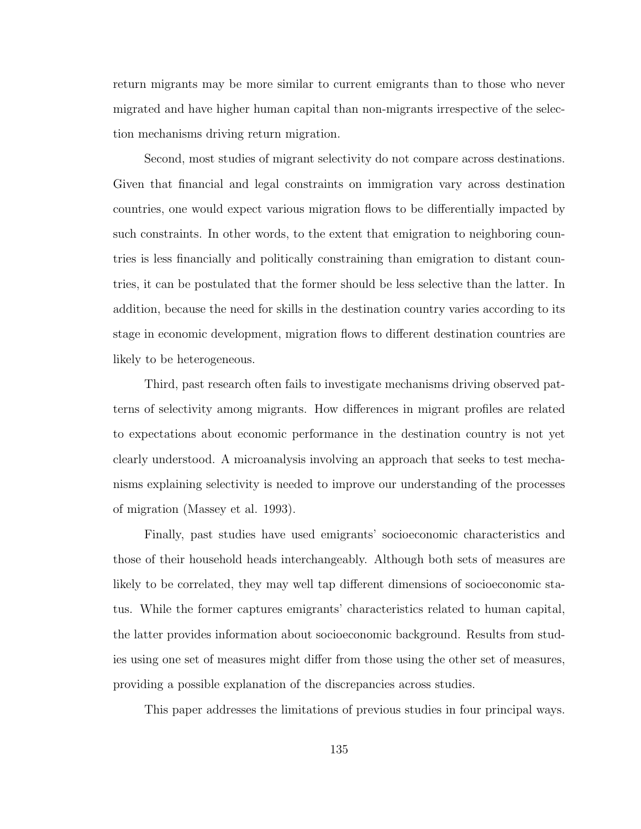return migrants may be more similar to current emigrants than to those who never migrated and have higher human capital than non-migrants irrespective of the selection mechanisms driving return migration.

Second, most studies of migrant selectivity do not compare across destinations. Given that financial and legal constraints on immigration vary across destination countries, one would expect various migration flows to be differentially impacted by such constraints. In other words, to the extent that emigration to neighboring countries is less financially and politically constraining than emigration to distant countries, it can be postulated that the former should be less selective than the latter. In addition, because the need for skills in the destination country varies according to its stage in economic development, migration flows to different destination countries are likely to be heterogeneous.

Third, past research often fails to investigate mechanisms driving observed patterns of selectivity among migrants. How differences in migrant profiles are related to expectations about economic performance in the destination country is not yet clearly understood. A microanalysis involving an approach that seeks to test mechanisms explaining selectivity is needed to improve our understanding of the processes of migration (Massey et al. 1993).

Finally, past studies have used emigrants' socioeconomic characteristics and those of their household heads interchangeably. Although both sets of measures are likely to be correlated, they may well tap different dimensions of socioeconomic status. While the former captures emigrants' characteristics related to human capital, the latter provides information about socioeconomic background. Results from studies using one set of measures might differ from those using the other set of measures, providing a possible explanation of the discrepancies across studies.

This paper addresses the limitations of previous studies in four principal ways.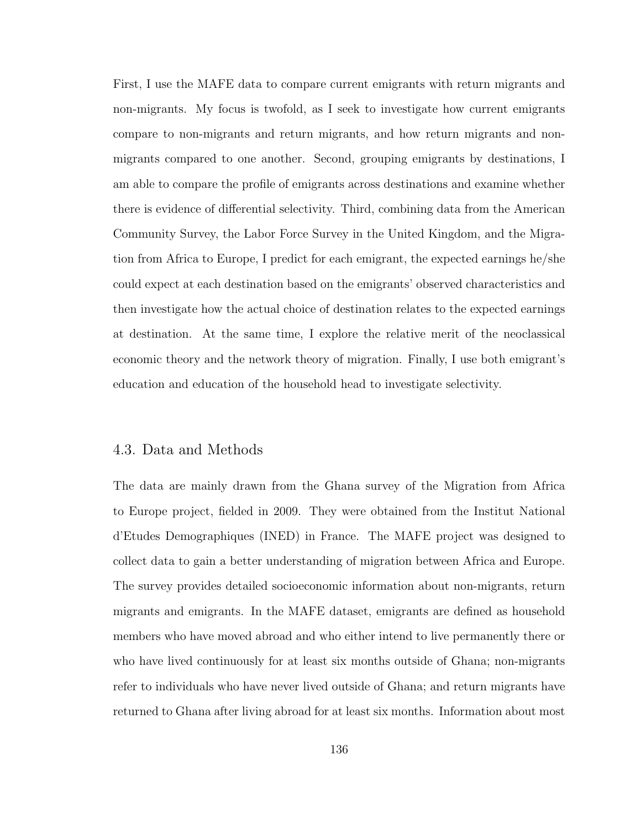First, I use the MAFE data to compare current emigrants with return migrants and non-migrants. My focus is twofold, as I seek to investigate how current emigrants compare to non-migrants and return migrants, and how return migrants and nonmigrants compared to one another. Second, grouping emigrants by destinations, I am able to compare the profile of emigrants across destinations and examine whether there is evidence of differential selectivity. Third, combining data from the American Community Survey, the Labor Force Survey in the United Kingdom, and the Migration from Africa to Europe, I predict for each emigrant, the expected earnings he/she could expect at each destination based on the emigrants' observed characteristics and then investigate how the actual choice of destination relates to the expected earnings at destination. At the same time, I explore the relative merit of the neoclassical economic theory and the network theory of migration. Finally, I use both emigrant's education and education of the household head to investigate selectivity.

# 4.3. Data and Methods

The data are mainly drawn from the Ghana survey of the Migration from Africa to Europe project, fielded in 2009. They were obtained from the Institut National d'Etudes Demographiques (INED) in France. The MAFE project was designed to collect data to gain a better understanding of migration between Africa and Europe. The survey provides detailed socioeconomic information about non-migrants, return migrants and emigrants. In the MAFE dataset, emigrants are defined as household members who have moved abroad and who either intend to live permanently there or who have lived continuously for at least six months outside of Ghana; non-migrants refer to individuals who have never lived outside of Ghana; and return migrants have returned to Ghana after living abroad for at least six months. Information about most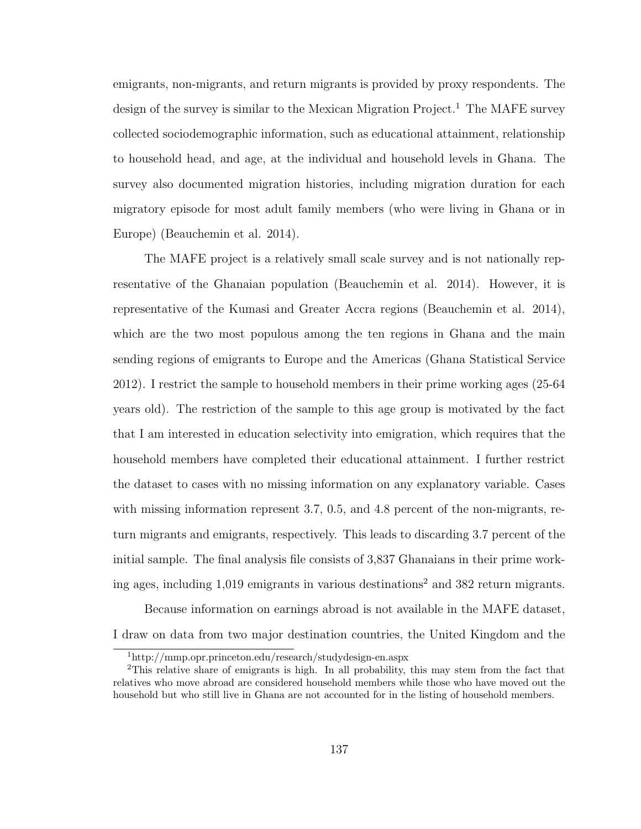emigrants, non-migrants, and return migrants is provided by proxy respondents. The design of the survey is similar to the Mexican Migration Project.<sup>1</sup> The MAFE survey collected sociodemographic information, such as educational attainment, relationship to household head, and age, at the individual and household levels in Ghana. The survey also documented migration histories, including migration duration for each migratory episode for most adult family members (who were living in Ghana or in Europe) (Beauchemin et al. 2014).

The MAFE project is a relatively small scale survey and is not nationally representative of the Ghanaian population (Beauchemin et al. 2014). However, it is representative of the Kumasi and Greater Accra regions (Beauchemin et al. 2014), which are the two most populous among the ten regions in Ghana and the main sending regions of emigrants to Europe and the Americas (Ghana Statistical Service 2012). I restrict the sample to household members in their prime working ages (25-64 years old). The restriction of the sample to this age group is motivated by the fact that I am interested in education selectivity into emigration, which requires that the household members have completed their educational attainment. I further restrict the dataset to cases with no missing information on any explanatory variable. Cases with missing information represent 3.7, 0.5, and 4.8 percent of the non-migrants, return migrants and emigrants, respectively. This leads to discarding 3.7 percent of the initial sample. The final analysis file consists of 3,837 Ghanaians in their prime working ages, including  $1,019$  emigrants in various destinations<sup>2</sup> and 382 return migrants.

Because information on earnings abroad is not available in the MAFE dataset, I draw on data from two major destination countries, the United Kingdom and the

<sup>1</sup>http://mmp.opr.princeton.edu/research/studydesign-en.aspx

<sup>2</sup>This relative share of emigrants is high. In all probability, this may stem from the fact that relatives who move abroad are considered household members while those who have moved out the household but who still live in Ghana are not accounted for in the listing of household members.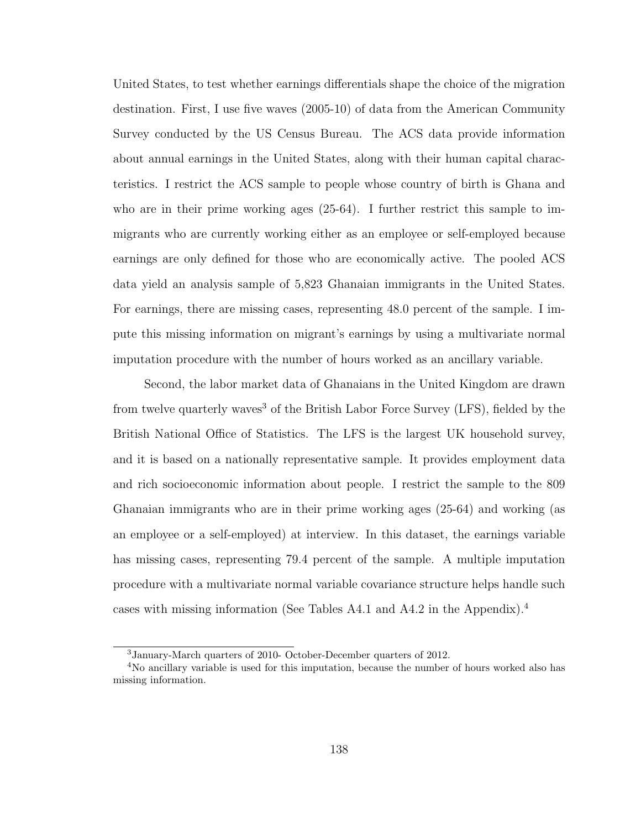United States, to test whether earnings differentials shape the choice of the migration destination. First, I use five waves (2005-10) of data from the American Community Survey conducted by the US Census Bureau. The ACS data provide information about annual earnings in the United States, along with their human capital characteristics. I restrict the ACS sample to people whose country of birth is Ghana and who are in their prime working ages (25-64). I further restrict this sample to immigrants who are currently working either as an employee or self-employed because earnings are only defined for those who are economically active. The pooled ACS data yield an analysis sample of 5,823 Ghanaian immigrants in the United States. For earnings, there are missing cases, representing 48.0 percent of the sample. I impute this missing information on migrant's earnings by using a multivariate normal imputation procedure with the number of hours worked as an ancillary variable.

Second, the labor market data of Ghanaians in the United Kingdom are drawn from twelve quarterly waves<sup>3</sup> of the British Labor Force Survey (LFS), fielded by the British National Office of Statistics. The LFS is the largest UK household survey, and it is based on a nationally representative sample. It provides employment data and rich socioeconomic information about people. I restrict the sample to the 809 Ghanaian immigrants who are in their prime working ages (25-64) and working (as an employee or a self-employed) at interview. In this dataset, the earnings variable has missing cases, representing 79.4 percent of the sample. A multiple imputation procedure with a multivariate normal variable covariance structure helps handle such cases with missing information (See Tables A4.1 and A4.2 in the Appendix).<sup>4</sup>

<sup>3</sup>January-March quarters of 2010- October-December quarters of 2012.

<sup>4</sup>No ancillary variable is used for this imputation, because the number of hours worked also has missing information.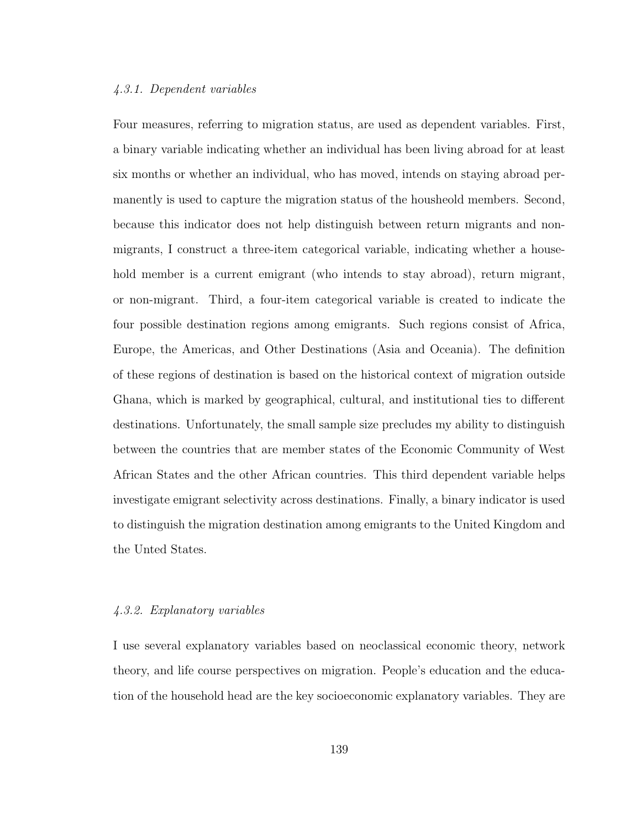### 4.3.1. Dependent variables

Four measures, referring to migration status, are used as dependent variables. First, a binary variable indicating whether an individual has been living abroad for at least six months or whether an individual, who has moved, intends on staying abroad permanently is used to capture the migration status of the housheold members. Second, because this indicator does not help distinguish between return migrants and nonmigrants, I construct a three-item categorical variable, indicating whether a household member is a current emigrant (who intends to stay abroad), return migrant, or non-migrant. Third, a four-item categorical variable is created to indicate the four possible destination regions among emigrants. Such regions consist of Africa, Europe, the Americas, and Other Destinations (Asia and Oceania). The definition of these regions of destination is based on the historical context of migration outside Ghana, which is marked by geographical, cultural, and institutional ties to different destinations. Unfortunately, the small sample size precludes my ability to distinguish between the countries that are member states of the Economic Community of West African States and the other African countries. This third dependent variable helps investigate emigrant selectivity across destinations. Finally, a binary indicator is used to distinguish the migration destination among emigrants to the United Kingdom and the Unted States.

### 4.3.2. Explanatory variables

I use several explanatory variables based on neoclassical economic theory, network theory, and life course perspectives on migration. People's education and the education of the household head are the key socioeconomic explanatory variables. They are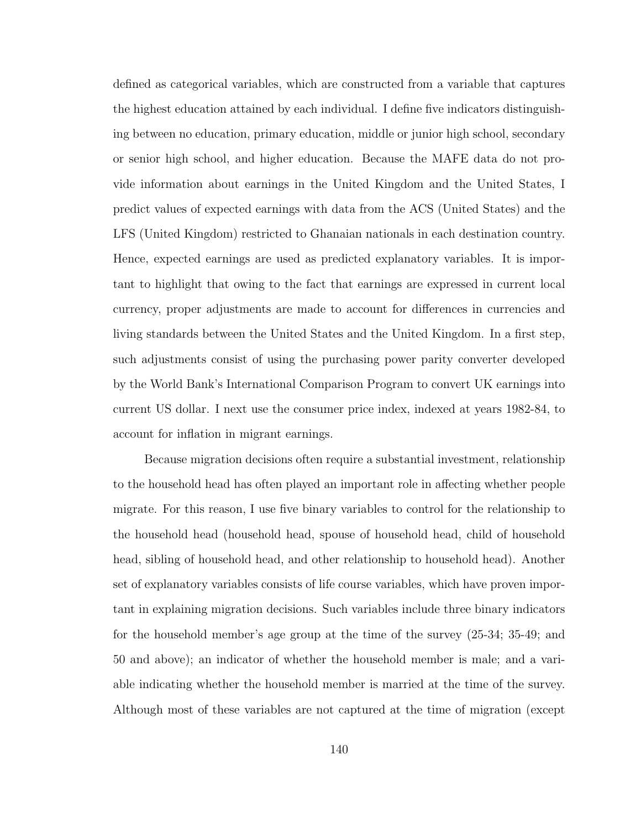defined as categorical variables, which are constructed from a variable that captures the highest education attained by each individual. I define five indicators distinguishing between no education, primary education, middle or junior high school, secondary or senior high school, and higher education. Because the MAFE data do not provide information about earnings in the United Kingdom and the United States, I predict values of expected earnings with data from the ACS (United States) and the LFS (United Kingdom) restricted to Ghanaian nationals in each destination country. Hence, expected earnings are used as predicted explanatory variables. It is important to highlight that owing to the fact that earnings are expressed in current local currency, proper adjustments are made to account for differences in currencies and living standards between the United States and the United Kingdom. In a first step, such adjustments consist of using the purchasing power parity converter developed by the World Bank's International Comparison Program to convert UK earnings into current US dollar. I next use the consumer price index, indexed at years 1982-84, to account for inflation in migrant earnings.

Because migration decisions often require a substantial investment, relationship to the household head has often played an important role in affecting whether people migrate. For this reason, I use five binary variables to control for the relationship to the household head (household head, spouse of household head, child of household head, sibling of household head, and other relationship to household head). Another set of explanatory variables consists of life course variables, which have proven important in explaining migration decisions. Such variables include three binary indicators for the household member's age group at the time of the survey (25-34; 35-49; and 50 and above); an indicator of whether the household member is male; and a variable indicating whether the household member is married at the time of the survey. Although most of these variables are not captured at the time of migration (except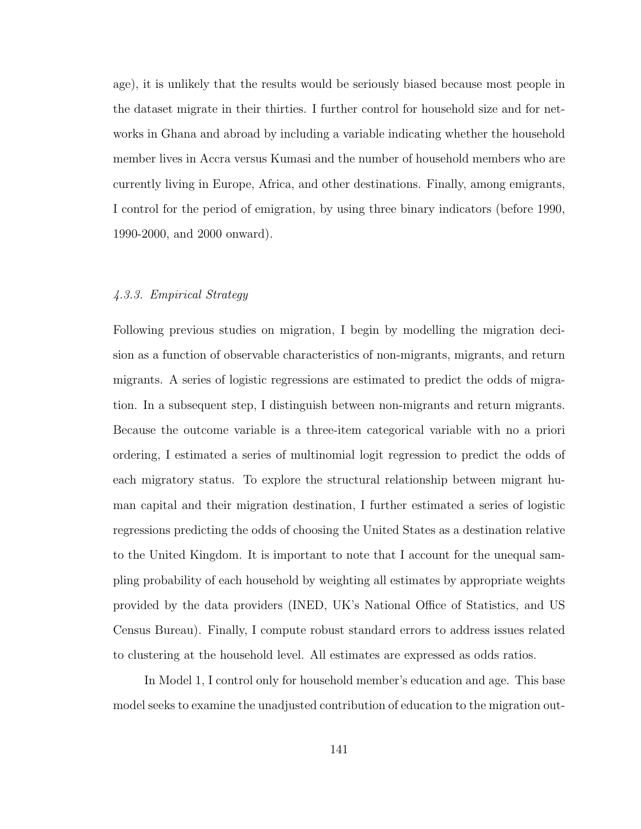age), it is unlikely that the results would be seriously biased because most people in the dataset migrate in their thirties. I further control for household size and for networks in Ghana and abroad by including a variable indicating whether the household member lives in Accra versus Kumasi and the number of household members who are currently living in Europe, Africa, and other destinations. Finally, among emigrants, I control for the period of emigration, by using three binary indicators (before 1990, 1990-2000, and 2000 onward).

# 4.3.3. Empirical Strategy

Following previous studies on migration, I begin by modelling the migration decision as a function of observable characteristics of non-migrants, migrants, and return migrants. A series of logistic regressions are estimated to predict the odds of migration. In a subsequent step, I distinguish between non-migrants and return migrants. Because the outcome variable is a three-item categorical variable with no a priori ordering, I estimated a series of multinomial logit regression to predict the odds of each migratory status. To explore the structural relationship between migrant human capital and their migration destination, I further estimated a series of logistic regressions predicting the odds of choosing the United States as a destination relative to the United Kingdom. It is important to note that I account for the unequal sampling probability of each household by weighting all estimates by appropriate weights provided by the data providers (INED, UK's National Office of Statistics, and US Census Bureau). Finally, I compute robust standard errors to address issues related to clustering at the household level. All estimates are expressed as odds ratios.

In Model 1, I control only for household member's education and age. This base model seeks to examine the unadjusted contribution of education to the migration out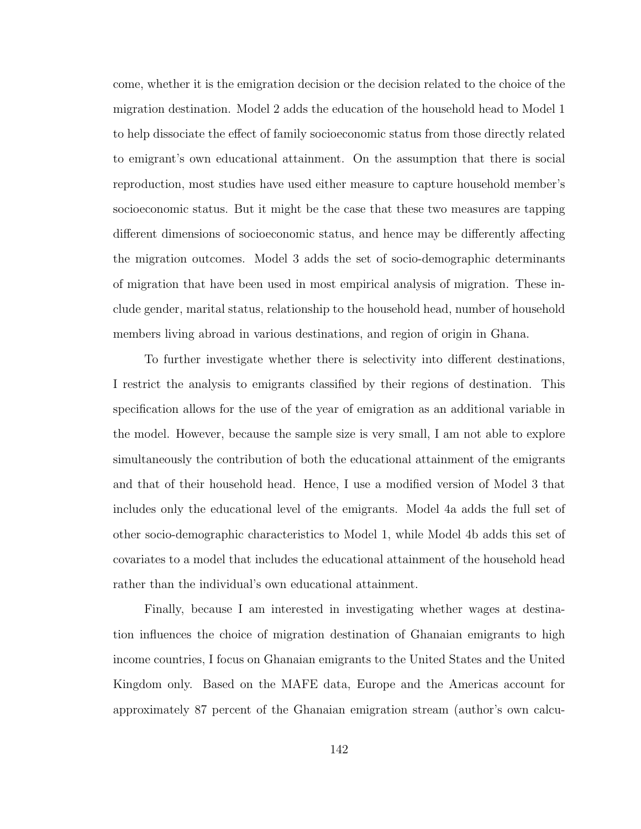come, whether it is the emigration decision or the decision related to the choice of the migration destination. Model 2 adds the education of the household head to Model 1 to help dissociate the effect of family socioeconomic status from those directly related to emigrant's own educational attainment. On the assumption that there is social reproduction, most studies have used either measure to capture household member's socioeconomic status. But it might be the case that these two measures are tapping different dimensions of socioeconomic status, and hence may be differently affecting the migration outcomes. Model 3 adds the set of socio-demographic determinants of migration that have been used in most empirical analysis of migration. These include gender, marital status, relationship to the household head, number of household members living abroad in various destinations, and region of origin in Ghana.

To further investigate whether there is selectivity into different destinations, I restrict the analysis to emigrants classified by their regions of destination. This specification allows for the use of the year of emigration as an additional variable in the model. However, because the sample size is very small, I am not able to explore simultaneously the contribution of both the educational attainment of the emigrants and that of their household head. Hence, I use a modified version of Model 3 that includes only the educational level of the emigrants. Model 4a adds the full set of other socio-demographic characteristics to Model 1, while Model 4b adds this set of covariates to a model that includes the educational attainment of the household head rather than the individual's own educational attainment.

Finally, because I am interested in investigating whether wages at destination influences the choice of migration destination of Ghanaian emigrants to high income countries, I focus on Ghanaian emigrants to the United States and the United Kingdom only. Based on the MAFE data, Europe and the Americas account for approximately 87 percent of the Ghanaian emigration stream (author's own calcu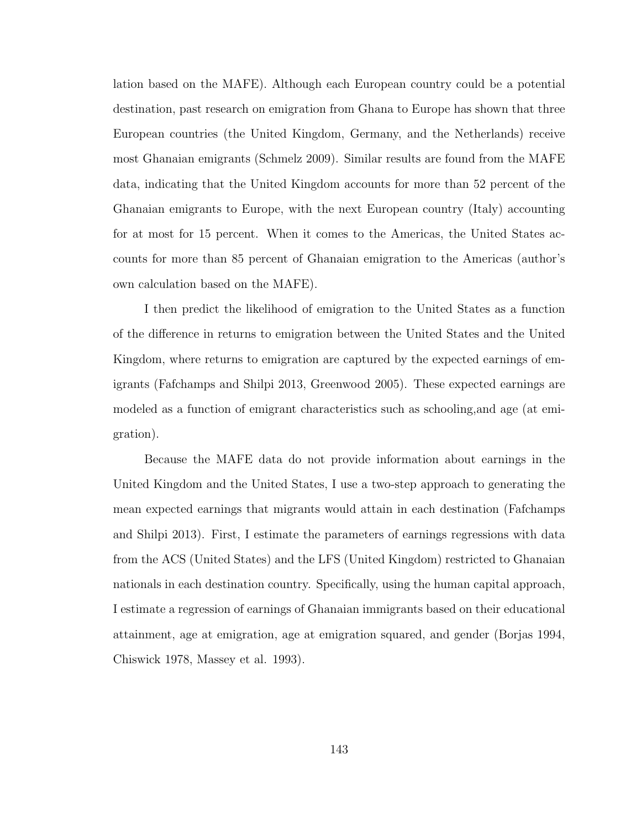lation based on the MAFE). Although each European country could be a potential destination, past research on emigration from Ghana to Europe has shown that three European countries (the United Kingdom, Germany, and the Netherlands) receive most Ghanaian emigrants (Schmelz 2009). Similar results are found from the MAFE data, indicating that the United Kingdom accounts for more than 52 percent of the Ghanaian emigrants to Europe, with the next European country (Italy) accounting for at most for 15 percent. When it comes to the Americas, the United States accounts for more than 85 percent of Ghanaian emigration to the Americas (author's own calculation based on the MAFE).

I then predict the likelihood of emigration to the United States as a function of the difference in returns to emigration between the United States and the United Kingdom, where returns to emigration are captured by the expected earnings of emigrants (Fafchamps and Shilpi 2013, Greenwood 2005). These expected earnings are modeled as a function of emigrant characteristics such as schooling,and age (at emigration).

Because the MAFE data do not provide information about earnings in the United Kingdom and the United States, I use a two-step approach to generating the mean expected earnings that migrants would attain in each destination (Fafchamps and Shilpi 2013). First, I estimate the parameters of earnings regressions with data from the ACS (United States) and the LFS (United Kingdom) restricted to Ghanaian nationals in each destination country. Specifically, using the human capital approach, I estimate a regression of earnings of Ghanaian immigrants based on their educational attainment, age at emigration, age at emigration squared, and gender (Borjas 1994, Chiswick 1978, Massey et al. 1993).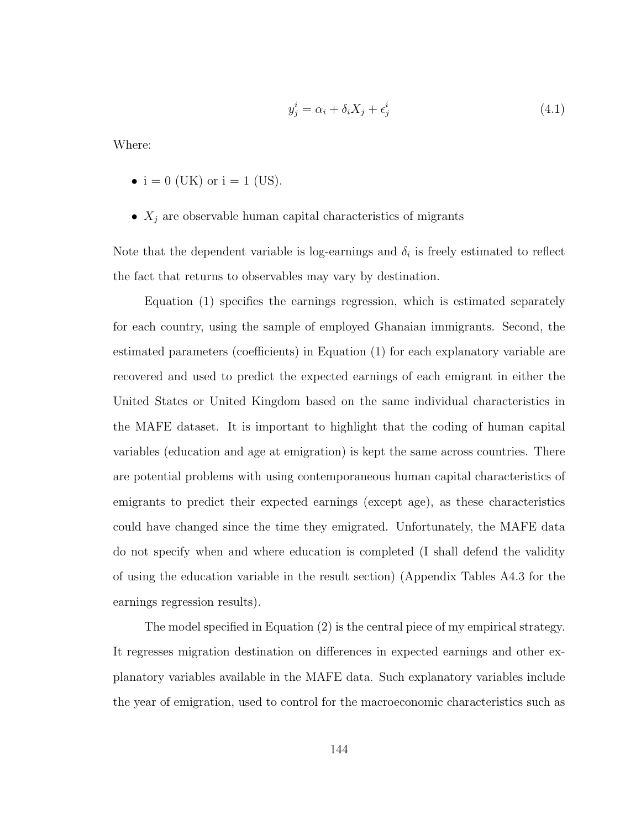$$
y_j^i = \alpha_i + \delta_i X_j + \epsilon_j^i \tag{4.1}
$$

Where:

- $i = 0$  (UK) or  $i = 1$  (US).
- $X_j$  are observable human capital characteristics of migrants

Note that the dependent variable is log-earnings and  $\delta_i$  is freely estimated to reflect the fact that returns to observables may vary by destination.

Equation (1) specifies the earnings regression, which is estimated separately for each country, using the sample of employed Ghanaian immigrants. Second, the estimated parameters (coefficients) in Equation (1) for each explanatory variable are recovered and used to predict the expected earnings of each emigrant in either the United States or United Kingdom based on the same individual characteristics in the MAFE dataset. It is important to highlight that the coding of human capital variables (education and age at emigration) is kept the same across countries. There are potential problems with using contemporaneous human capital characteristics of emigrants to predict their expected earnings (except age), as these characteristics could have changed since the time they emigrated. Unfortunately, the MAFE data do not specify when and where education is completed (I shall defend the validity of using the education variable in the result section) (Appendix Tables A4.3 for the earnings regression results).

The model specified in Equation (2) is the central piece of my empirical strategy. It regresses migration destination on differences in expected earnings and other explanatory variables available in the MAFE data. Such explanatory variables include the year of emigration, used to control for the macroeconomic characteristics such as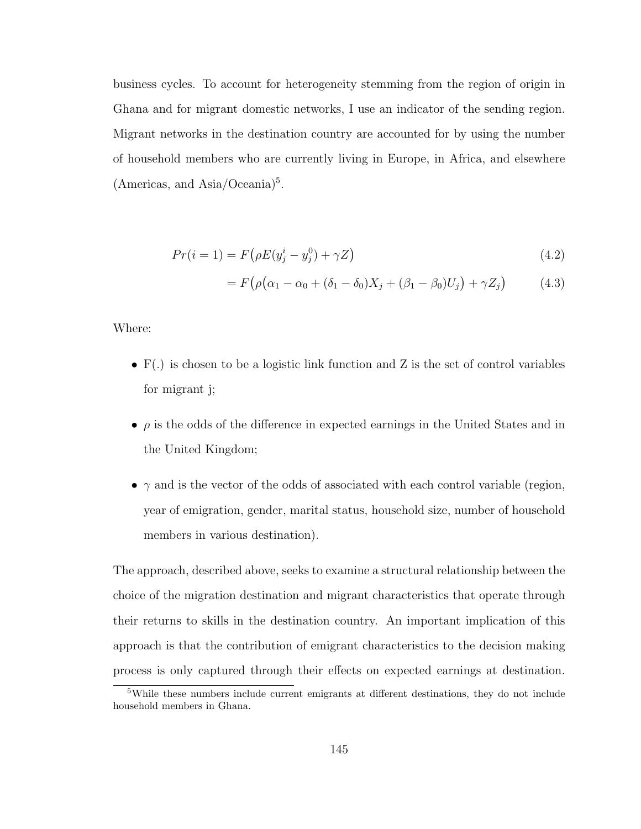business cycles. To account for heterogeneity stemming from the region of origin in Ghana and for migrant domestic networks, I use an indicator of the sending region. Migrant networks in the destination country are accounted for by using the number of household members who are currently living in Europe, in Africa, and elsewhere (Americas, and Asia/Oceania)<sup>5</sup>.

$$
Pr(i = 1) = F(\rho E(y_j^i - y_j^0) + \gamma Z)
$$
\n(4.2)

$$
= F(\rho(\alpha_1 - \alpha_0 + (\delta_1 - \delta_0)X_j + (\beta_1 - \beta_0)U_j) + \gamma Z_j)
$$
(4.3)

Where:

- F(.) is chosen to be a logistic link function and Z is the set of control variables for migrant j;
- $\bullet$   $\rho$  is the odds of the difference in expected earnings in the United States and in the United Kingdom;
- $\gamma$  and is the vector of the odds of associated with each control variable (region, year of emigration, gender, marital status, household size, number of household members in various destination).

The approach, described above, seeks to examine a structural relationship between the choice of the migration destination and migrant characteristics that operate through their returns to skills in the destination country. An important implication of this approach is that the contribution of emigrant characteristics to the decision making process is only captured through their effects on expected earnings at destination.

<sup>5</sup>While these numbers include current emigrants at different destinations, they do not include household members in Ghana.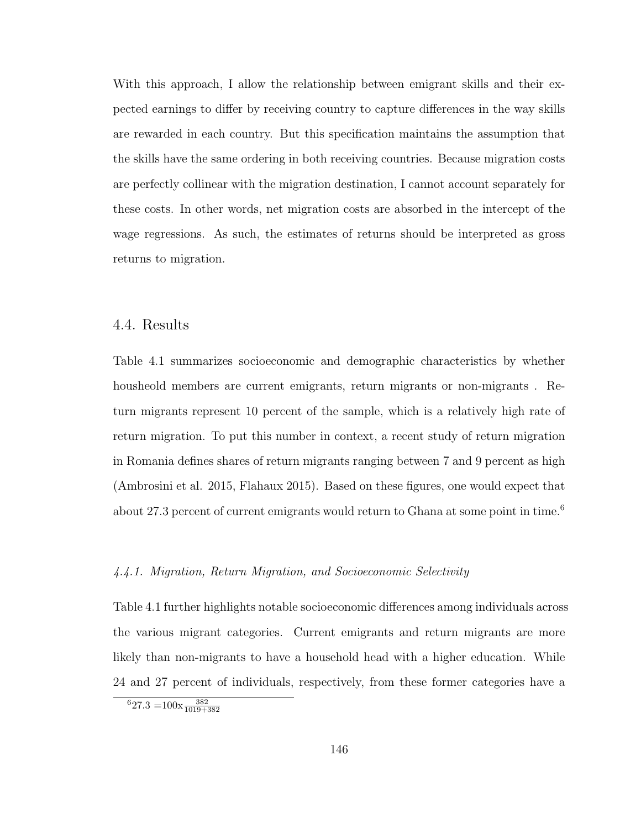With this approach, I allow the relationship between emigrant skills and their expected earnings to differ by receiving country to capture differences in the way skills are rewarded in each country. But this specification maintains the assumption that the skills have the same ordering in both receiving countries. Because migration costs are perfectly collinear with the migration destination, I cannot account separately for these costs. In other words, net migration costs are absorbed in the intercept of the wage regressions. As such, the estimates of returns should be interpreted as gross returns to migration.

# 4.4. Results

Table 4.1 summarizes socioeconomic and demographic characteristics by whether housheold members are current emigrants, return migrants or non-migrants . Return migrants represent 10 percent of the sample, which is a relatively high rate of return migration. To put this number in context, a recent study of return migration in Romania defines shares of return migrants ranging between 7 and 9 percent as high (Ambrosini et al. 2015, Flahaux 2015). Based on these figures, one would expect that about 27.3 percent of current emigrants would return to Ghana at some point in time.<sup>6</sup>

# 4.4.1. Migration, Return Migration, and Socioeconomic Selectivity

Table 4.1 further highlights notable socioeconomic differences among individuals across the various migrant categories. Current emigrants and return migrants are more likely than non-migrants to have a household head with a higher education. While 24 and 27 percent of individuals, respectively, from these former categories have a

 $627.3 = 100 \times \frac{382}{1019 + 382}$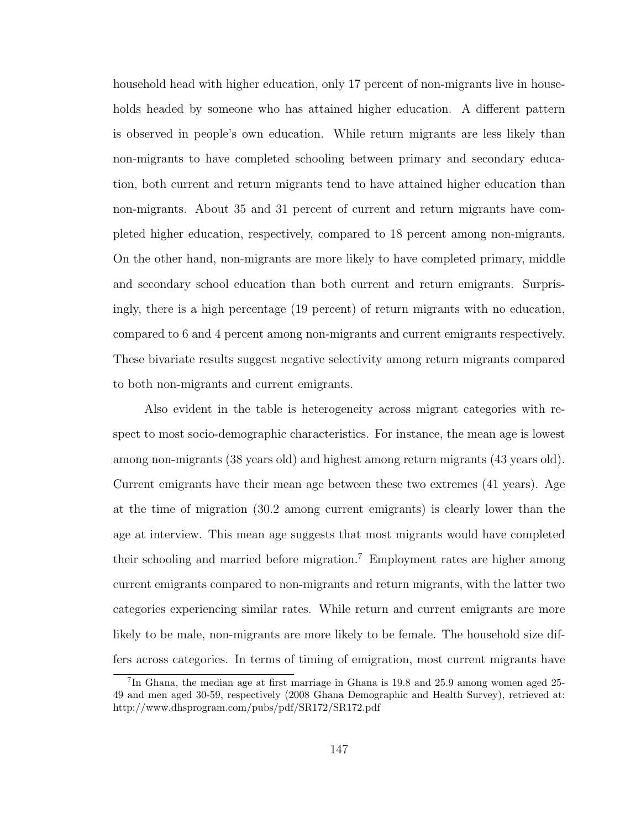household head with higher education, only 17 percent of non-migrants live in households headed by someone who has attained higher education. A different pattern is observed in people's own education. While return migrants are less likely than non-migrants to have completed schooling between primary and secondary education, both current and return migrants tend to have attained higher education than non-migrants. About 35 and 31 percent of current and return migrants have completed higher education, respectively, compared to 18 percent among non-migrants. On the other hand, non-migrants are more likely to have completed primary, middle and secondary school education than both current and return emigrants. Surprisingly, there is a high percentage (19 percent) of return migrants with no education, compared to 6 and 4 percent among non-migrants and current emigrants respectively. These bivariate results suggest negative selectivity among return migrants compared to both non-migrants and current emigrants.

Also evident in the table is heterogeneity across migrant categories with respect to most socio-demographic characteristics. For instance, the mean age is lowest among non-migrants (38 years old) and highest among return migrants (43 years old). Current emigrants have their mean age between these two extremes (41 years). Age at the time of migration (30.2 among current emigrants) is clearly lower than the age at interview. This mean age suggests that most migrants would have completed their schooling and married before migration.<sup>7</sup> Employment rates are higher among current emigrants compared to non-migrants and return migrants, with the latter two categories experiencing similar rates. While return and current emigrants are more likely to be male, non-migrants are more likely to be female. The household size differs across categories. In terms of timing of emigration, most current migrants have

<sup>7</sup> In Ghana, the median age at first marriage in Ghana is 19.8 and 25.9 among women aged 25- 49 and men aged 30-59, respectively (2008 Ghana Demographic and Health Survey), retrieved at: http://www.dhsprogram.com/pubs/pdf/SR172/SR172.pdf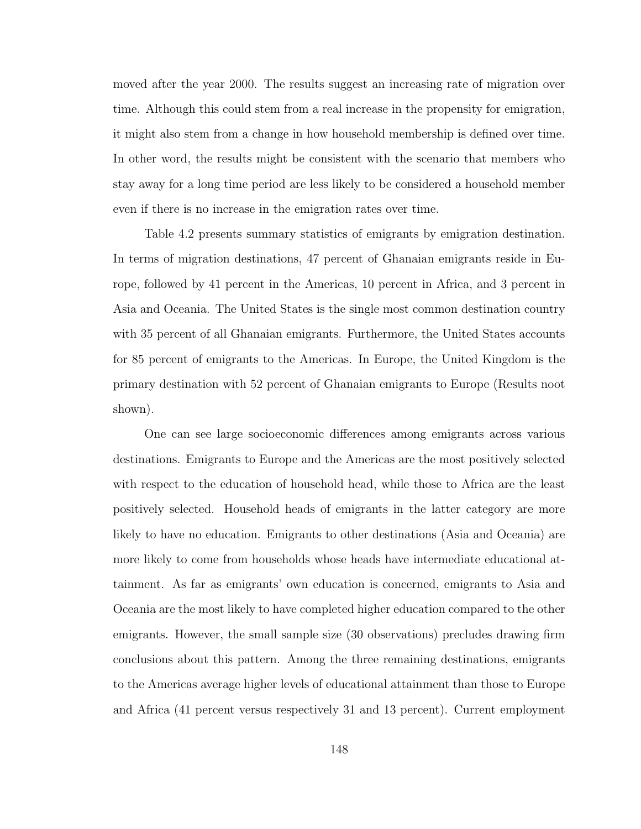moved after the year 2000. The results suggest an increasing rate of migration over time. Although this could stem from a real increase in the propensity for emigration, it might also stem from a change in how household membership is defined over time. In other word, the results might be consistent with the scenario that members who stay away for a long time period are less likely to be considered a household member even if there is no increase in the emigration rates over time.

Table 4.2 presents summary statistics of emigrants by emigration destination. In terms of migration destinations, 47 percent of Ghanaian emigrants reside in Europe, followed by 41 percent in the Americas, 10 percent in Africa, and 3 percent in Asia and Oceania. The United States is the single most common destination country with 35 percent of all Ghanaian emigrants. Furthermore, the United States accounts for 85 percent of emigrants to the Americas. In Europe, the United Kingdom is the primary destination with 52 percent of Ghanaian emigrants to Europe (Results noot shown).

One can see large socioeconomic differences among emigrants across various destinations. Emigrants to Europe and the Americas are the most positively selected with respect to the education of household head, while those to Africa are the least positively selected. Household heads of emigrants in the latter category are more likely to have no education. Emigrants to other destinations (Asia and Oceania) are more likely to come from households whose heads have intermediate educational attainment. As far as emigrants' own education is concerned, emigrants to Asia and Oceania are the most likely to have completed higher education compared to the other emigrants. However, the small sample size (30 observations) precludes drawing firm conclusions about this pattern. Among the three remaining destinations, emigrants to the Americas average higher levels of educational attainment than those to Europe and Africa (41 percent versus respectively 31 and 13 percent). Current employment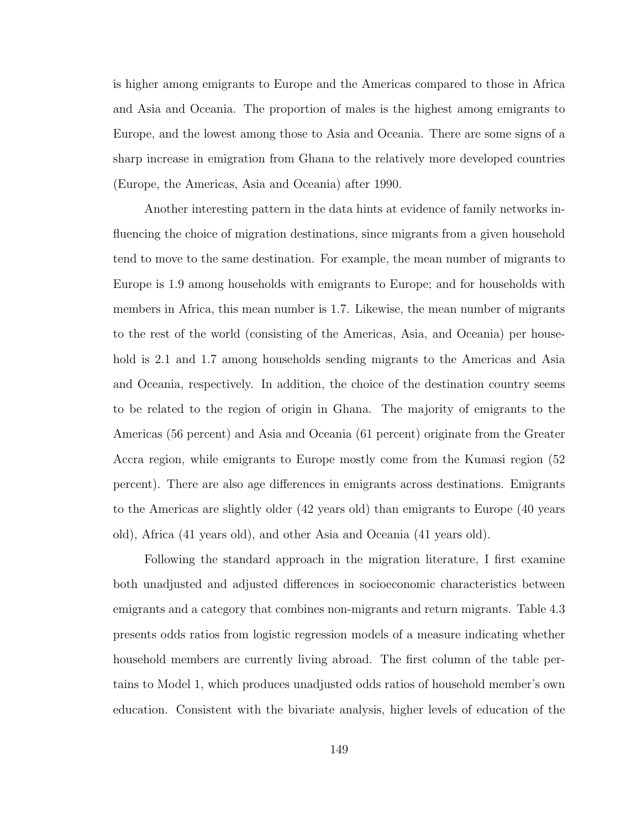is higher among emigrants to Europe and the Americas compared to those in Africa and Asia and Oceania. The proportion of males is the highest among emigrants to Europe, and the lowest among those to Asia and Oceania. There are some signs of a sharp increase in emigration from Ghana to the relatively more developed countries (Europe, the Americas, Asia and Oceania) after 1990.

Another interesting pattern in the data hints at evidence of family networks influencing the choice of migration destinations, since migrants from a given household tend to move to the same destination. For example, the mean number of migrants to Europe is 1.9 among households with emigrants to Europe; and for households with members in Africa, this mean number is 1.7. Likewise, the mean number of migrants to the rest of the world (consisting of the Americas, Asia, and Oceania) per household is 2.1 and 1.7 among households sending migrants to the Americas and Asia and Oceania, respectively. In addition, the choice of the destination country seems to be related to the region of origin in Ghana. The majority of emigrants to the Americas (56 percent) and Asia and Oceania (61 percent) originate from the Greater Accra region, while emigrants to Europe mostly come from the Kumasi region (52 percent). There are also age differences in emigrants across destinations. Emigrants to the Americas are slightly older (42 years old) than emigrants to Europe (40 years old), Africa (41 years old), and other Asia and Oceania (41 years old).

Following the standard approach in the migration literature, I first examine both unadjusted and adjusted differences in socioeconomic characteristics between emigrants and a category that combines non-migrants and return migrants. Table 4.3 presents odds ratios from logistic regression models of a measure indicating whether household members are currently living abroad. The first column of the table pertains to Model 1, which produces unadjusted odds ratios of household member's own education. Consistent with the bivariate analysis, higher levels of education of the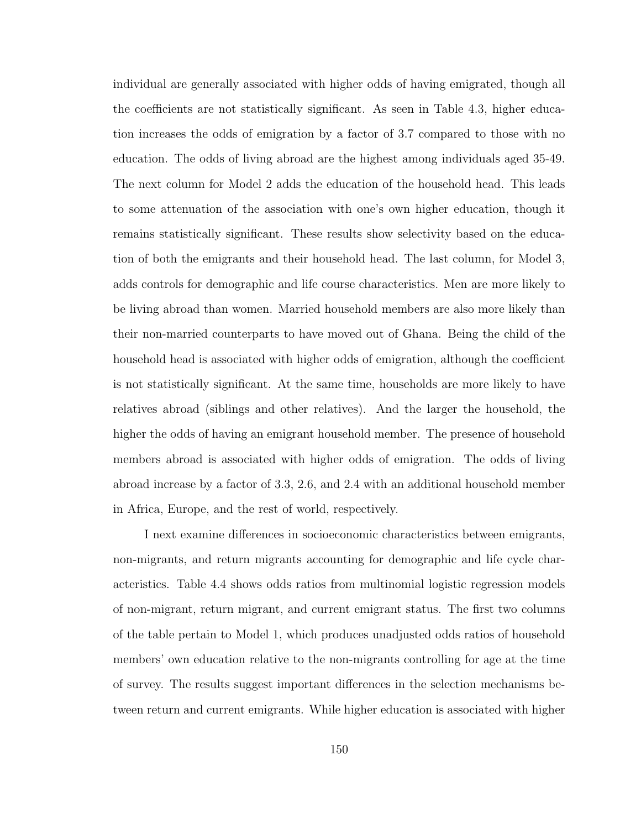individual are generally associated with higher odds of having emigrated, though all the coefficients are not statistically significant. As seen in Table 4.3, higher education increases the odds of emigration by a factor of 3.7 compared to those with no education. The odds of living abroad are the highest among individuals aged 35-49. The next column for Model 2 adds the education of the household head. This leads to some attenuation of the association with one's own higher education, though it remains statistically significant. These results show selectivity based on the education of both the emigrants and their household head. The last column, for Model 3, adds controls for demographic and life course characteristics. Men are more likely to be living abroad than women. Married household members are also more likely than their non-married counterparts to have moved out of Ghana. Being the child of the household head is associated with higher odds of emigration, although the coefficient is not statistically significant. At the same time, households are more likely to have relatives abroad (siblings and other relatives). And the larger the household, the higher the odds of having an emigrant household member. The presence of household members abroad is associated with higher odds of emigration. The odds of living abroad increase by a factor of 3.3, 2.6, and 2.4 with an additional household member in Africa, Europe, and the rest of world, respectively.

I next examine differences in socioeconomic characteristics between emigrants, non-migrants, and return migrants accounting for demographic and life cycle characteristics. Table 4.4 shows odds ratios from multinomial logistic regression models of non-migrant, return migrant, and current emigrant status. The first two columns of the table pertain to Model 1, which produces unadjusted odds ratios of household members' own education relative to the non-migrants controlling for age at the time of survey. The results suggest important differences in the selection mechanisms between return and current emigrants. While higher education is associated with higher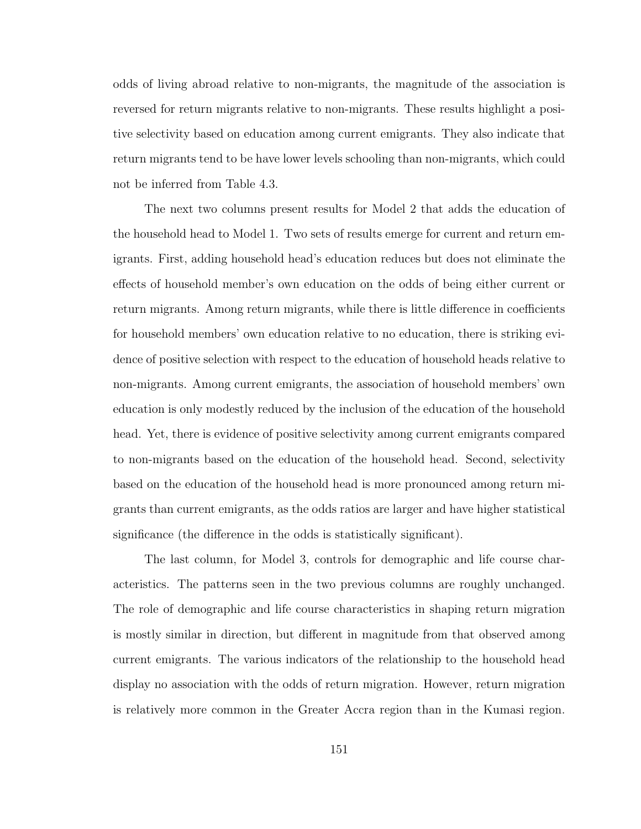odds of living abroad relative to non-migrants, the magnitude of the association is reversed for return migrants relative to non-migrants. These results highlight a positive selectivity based on education among current emigrants. They also indicate that return migrants tend to be have lower levels schooling than non-migrants, which could not be inferred from Table 4.3.

The next two columns present results for Model 2 that adds the education of the household head to Model 1. Two sets of results emerge for current and return emigrants. First, adding household head's education reduces but does not eliminate the effects of household member's own education on the odds of being either current or return migrants. Among return migrants, while there is little difference in coefficients for household members' own education relative to no education, there is striking evidence of positive selection with respect to the education of household heads relative to non-migrants. Among current emigrants, the association of household members' own education is only modestly reduced by the inclusion of the education of the household head. Yet, there is evidence of positive selectivity among current emigrants compared to non-migrants based on the education of the household head. Second, selectivity based on the education of the household head is more pronounced among return migrants than current emigrants, as the odds ratios are larger and have higher statistical significance (the difference in the odds is statistically significant).

The last column, for Model 3, controls for demographic and life course characteristics. The patterns seen in the two previous columns are roughly unchanged. The role of demographic and life course characteristics in shaping return migration is mostly similar in direction, but different in magnitude from that observed among current emigrants. The various indicators of the relationship to the household head display no association with the odds of return migration. However, return migration is relatively more common in the Greater Accra region than in the Kumasi region.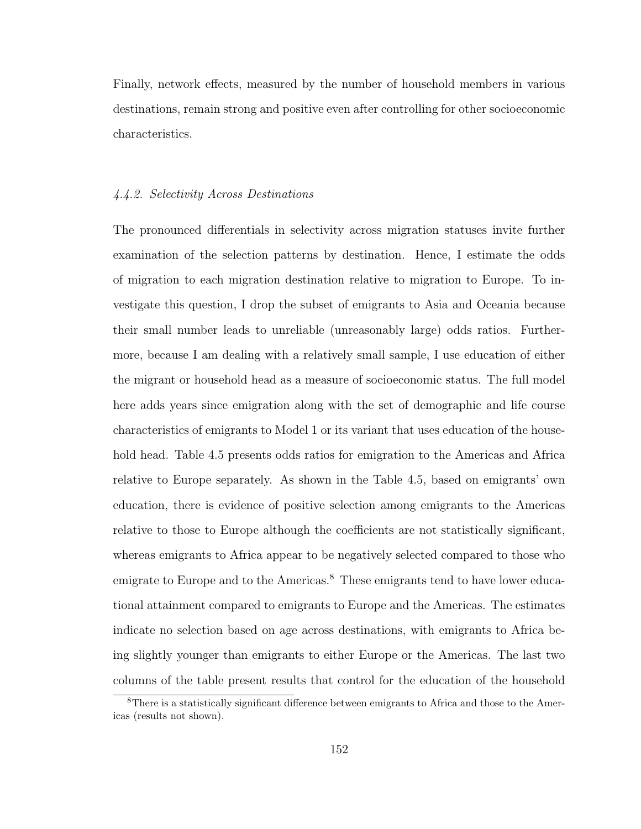Finally, network effects, measured by the number of household members in various destinations, remain strong and positive even after controlling for other socioeconomic characteristics.

# 4.4.2. Selectivity Across Destinations

The pronounced differentials in selectivity across migration statuses invite further examination of the selection patterns by destination. Hence, I estimate the odds of migration to each migration destination relative to migration to Europe. To investigate this question, I drop the subset of emigrants to Asia and Oceania because their small number leads to unreliable (unreasonably large) odds ratios. Furthermore, because I am dealing with a relatively small sample, I use education of either the migrant or household head as a measure of socioeconomic status. The full model here adds years since emigration along with the set of demographic and life course characteristics of emigrants to Model 1 or its variant that uses education of the household head. Table 4.5 presents odds ratios for emigration to the Americas and Africa relative to Europe separately. As shown in the Table 4.5, based on emigrants' own education, there is evidence of positive selection among emigrants to the Americas relative to those to Europe although the coefficients are not statistically significant, whereas emigrants to Africa appear to be negatively selected compared to those who emigrate to Europe and to the Americas.<sup>8</sup> These emigrants tend to have lower educational attainment compared to emigrants to Europe and the Americas. The estimates indicate no selection based on age across destinations, with emigrants to Africa being slightly younger than emigrants to either Europe or the Americas. The last two columns of the table present results that control for the education of the household

<sup>&</sup>lt;sup>8</sup>There is a statistically significant difference between emigrants to Africa and those to the Americas (results not shown).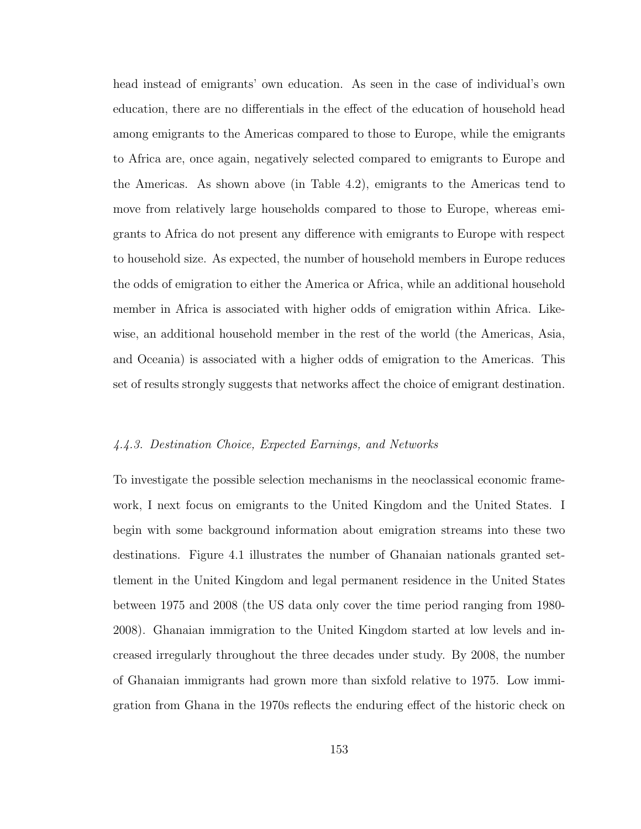head instead of emigrants' own education. As seen in the case of individual's own education, there are no differentials in the effect of the education of household head among emigrants to the Americas compared to those to Europe, while the emigrants to Africa are, once again, negatively selected compared to emigrants to Europe and the Americas. As shown above (in Table 4.2), emigrants to the Americas tend to move from relatively large households compared to those to Europe, whereas emigrants to Africa do not present any difference with emigrants to Europe with respect to household size. As expected, the number of household members in Europe reduces the odds of emigration to either the America or Africa, while an additional household member in Africa is associated with higher odds of emigration within Africa. Likewise, an additional household member in the rest of the world (the Americas, Asia, and Oceania) is associated with a higher odds of emigration to the Americas. This set of results strongly suggests that networks affect the choice of emigrant destination.

### 4.4.3. Destination Choice, Expected Earnings, and Networks

To investigate the possible selection mechanisms in the neoclassical economic framework, I next focus on emigrants to the United Kingdom and the United States. I begin with some background information about emigration streams into these two destinations. Figure 4.1 illustrates the number of Ghanaian nationals granted settlement in the United Kingdom and legal permanent residence in the United States between 1975 and 2008 (the US data only cover the time period ranging from 1980- 2008). Ghanaian immigration to the United Kingdom started at low levels and increased irregularly throughout the three decades under study. By 2008, the number of Ghanaian immigrants had grown more than sixfold relative to 1975. Low immigration from Ghana in the 1970s reflects the enduring effect of the historic check on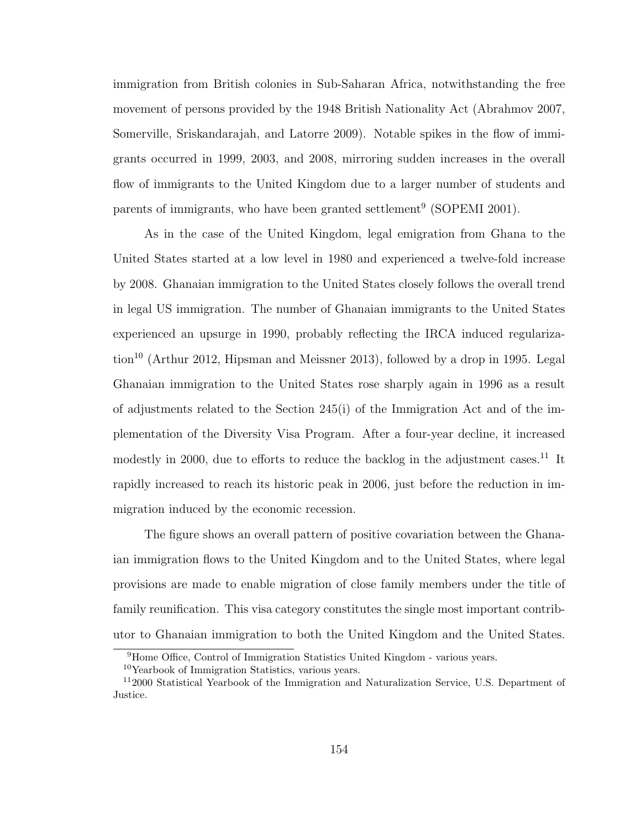immigration from British colonies in Sub-Saharan Africa, notwithstanding the free movement of persons provided by the 1948 British Nationality Act (Abrahmov 2007, Somerville, Sriskandarajah, and Latorre 2009). Notable spikes in the flow of immigrants occurred in 1999, 2003, and 2008, mirroring sudden increases in the overall flow of immigrants to the United Kingdom due to a larger number of students and parents of immigrants, who have been granted settlement<sup>9</sup> (SOPEMI 2001).

As in the case of the United Kingdom, legal emigration from Ghana to the United States started at a low level in 1980 and experienced a twelve-fold increase by 2008. Ghanaian immigration to the United States closely follows the overall trend in legal US immigration. The number of Ghanaian immigrants to the United States experienced an upsurge in 1990, probably reflecting the IRCA induced regulariza- $\tau$ tion<sup>10</sup> (Arthur 2012, Hipsman and Meissner 2013), followed by a drop in 1995. Legal Ghanaian immigration to the United States rose sharply again in 1996 as a result of adjustments related to the Section 245(i) of the Immigration Act and of the implementation of the Diversity Visa Program. After a four-year decline, it increased modestly in 2000, due to efforts to reduce the backlog in the adjustment cases.<sup>11</sup> It rapidly increased to reach its historic peak in 2006, just before the reduction in immigration induced by the economic recession.

The figure shows an overall pattern of positive covariation between the Ghanaian immigration flows to the United Kingdom and to the United States, where legal provisions are made to enable migration of close family members under the title of family reunification. This visa category constitutes the single most important contributor to Ghanaian immigration to both the United Kingdom and the United States.

<sup>&</sup>lt;sup>9</sup>Home Office, Control of Immigration Statistics United Kingdom - various years.

<sup>10</sup>Yearbook of Immigration Statistics, various years.

<sup>11</sup>2000 Statistical Yearbook of the Immigration and Naturalization Service, U.S. Department of Justice.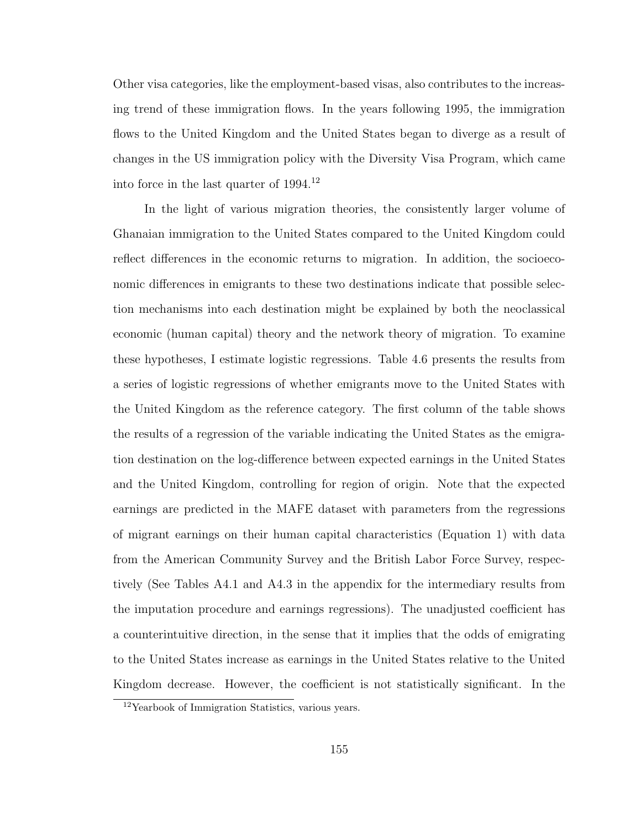Other visa categories, like the employment-based visas, also contributes to the increasing trend of these immigration flows. In the years following 1995, the immigration flows to the United Kingdom and the United States began to diverge as a result of changes in the US immigration policy with the Diversity Visa Program, which came into force in the last quarter of 1994.<sup>12</sup>

In the light of various migration theories, the consistently larger volume of Ghanaian immigration to the United States compared to the United Kingdom could reflect differences in the economic returns to migration. In addition, the socioeconomic differences in emigrants to these two destinations indicate that possible selection mechanisms into each destination might be explained by both the neoclassical economic (human capital) theory and the network theory of migration. To examine these hypotheses, I estimate logistic regressions. Table 4.6 presents the results from a series of logistic regressions of whether emigrants move to the United States with the United Kingdom as the reference category. The first column of the table shows the results of a regression of the variable indicating the United States as the emigration destination on the log-difference between expected earnings in the United States and the United Kingdom, controlling for region of origin. Note that the expected earnings are predicted in the MAFE dataset with parameters from the regressions of migrant earnings on their human capital characteristics (Equation 1) with data from the American Community Survey and the British Labor Force Survey, respectively (See Tables A4.1 and A4.3 in the appendix for the intermediary results from the imputation procedure and earnings regressions). The unadjusted coefficient has a counterintuitive direction, in the sense that it implies that the odds of emigrating to the United States increase as earnings in the United States relative to the United Kingdom decrease. However, the coefficient is not statistically significant. In the

<sup>12</sup>Yearbook of Immigration Statistics, various years.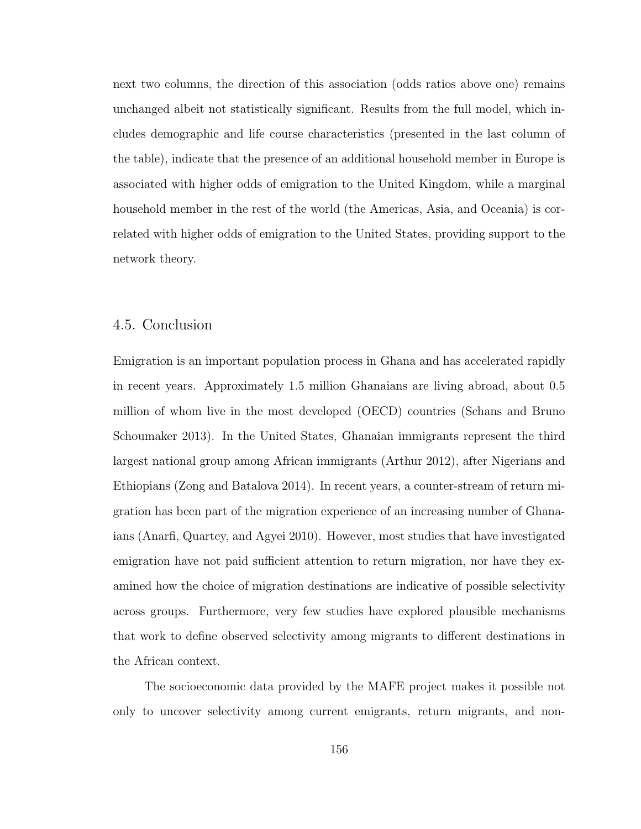next two columns, the direction of this association (odds ratios above one) remains unchanged albeit not statistically significant. Results from the full model, which includes demographic and life course characteristics (presented in the last column of the table), indicate that the presence of an additional household member in Europe is associated with higher odds of emigration to the United Kingdom, while a marginal household member in the rest of the world (the Americas, Asia, and Oceania) is correlated with higher odds of emigration to the United States, providing support to the network theory.

# 4.5. Conclusion

Emigration is an important population process in Ghana and has accelerated rapidly in recent years. Approximately 1.5 million Ghanaians are living abroad, about 0.5 million of whom live in the most developed (OECD) countries (Schans and Bruno Schoumaker 2013). In the United States, Ghanaian immigrants represent the third largest national group among African immigrants (Arthur 2012), after Nigerians and Ethiopians (Zong and Batalova 2014). In recent years, a counter-stream of return migration has been part of the migration experience of an increasing number of Ghanaians (Anarfi, Quartey, and Agyei 2010). However, most studies that have investigated emigration have not paid sufficient attention to return migration, nor have they examined how the choice of migration destinations are indicative of possible selectivity across groups. Furthermore, very few studies have explored plausible mechanisms that work to define observed selectivity among migrants to different destinations in the African context.

The socioeconomic data provided by the MAFE project makes it possible not only to uncover selectivity among current emigrants, return migrants, and non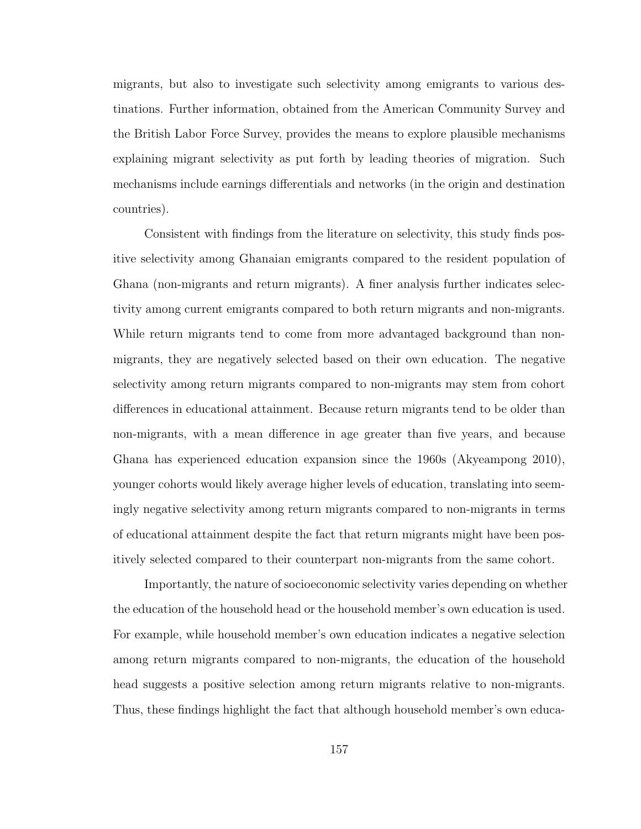migrants, but also to investigate such selectivity among emigrants to various destinations. Further information, obtained from the American Community Survey and the British Labor Force Survey, provides the means to explore plausible mechanisms explaining migrant selectivity as put forth by leading theories of migration. Such mechanisms include earnings differentials and networks (in the origin and destination countries).

Consistent with findings from the literature on selectivity, this study finds positive selectivity among Ghanaian emigrants compared to the resident population of Ghana (non-migrants and return migrants). A finer analysis further indicates selectivity among current emigrants compared to both return migrants and non-migrants. While return migrants tend to come from more advantaged background than nonmigrants, they are negatively selected based on their own education. The negative selectivity among return migrants compared to non-migrants may stem from cohort differences in educational attainment. Because return migrants tend to be older than non-migrants, with a mean difference in age greater than five years, and because Ghana has experienced education expansion since the 1960s (Akyeampong 2010), younger cohorts would likely average higher levels of education, translating into seemingly negative selectivity among return migrants compared to non-migrants in terms of educational attainment despite the fact that return migrants might have been positively selected compared to their counterpart non-migrants from the same cohort.

Importantly, the nature of socioeconomic selectivity varies depending on whether the education of the household head or the household member's own education is used. For example, while household member's own education indicates a negative selection among return migrants compared to non-migrants, the education of the household head suggests a positive selection among return migrants relative to non-migrants. Thus, these findings highlight the fact that although household member's own educa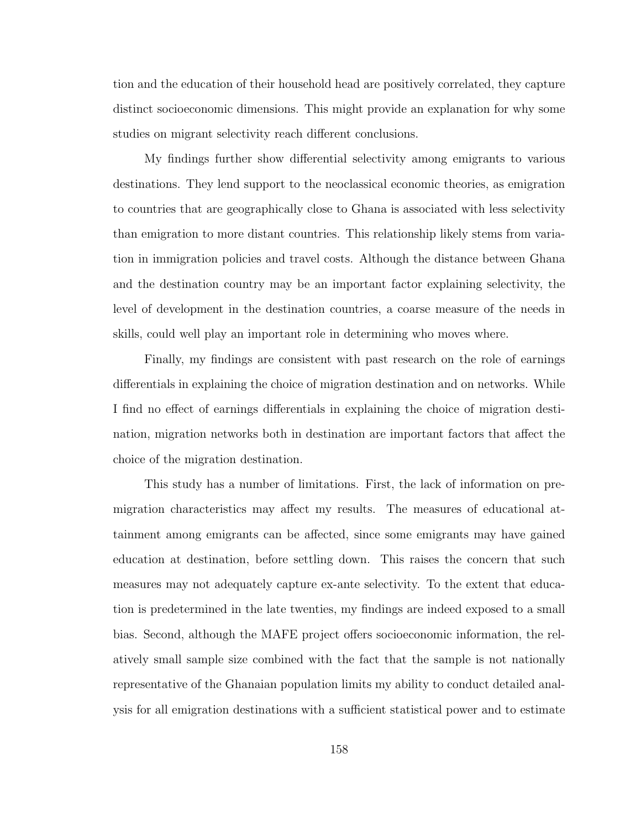tion and the education of their household head are positively correlated, they capture distinct socioeconomic dimensions. This might provide an explanation for why some studies on migrant selectivity reach different conclusions.

My findings further show differential selectivity among emigrants to various destinations. They lend support to the neoclassical economic theories, as emigration to countries that are geographically close to Ghana is associated with less selectivity than emigration to more distant countries. This relationship likely stems from variation in immigration policies and travel costs. Although the distance between Ghana and the destination country may be an important factor explaining selectivity, the level of development in the destination countries, a coarse measure of the needs in skills, could well play an important role in determining who moves where.

Finally, my findings are consistent with past research on the role of earnings differentials in explaining the choice of migration destination and on networks. While I find no effect of earnings differentials in explaining the choice of migration destination, migration networks both in destination are important factors that affect the choice of the migration destination.

This study has a number of limitations. First, the lack of information on premigration characteristics may affect my results. The measures of educational attainment among emigrants can be affected, since some emigrants may have gained education at destination, before settling down. This raises the concern that such measures may not adequately capture ex-ante selectivity. To the extent that education is predetermined in the late twenties, my findings are indeed exposed to a small bias. Second, although the MAFE project offers socioeconomic information, the relatively small sample size combined with the fact that the sample is not nationally representative of the Ghanaian population limits my ability to conduct detailed analysis for all emigration destinations with a sufficient statistical power and to estimate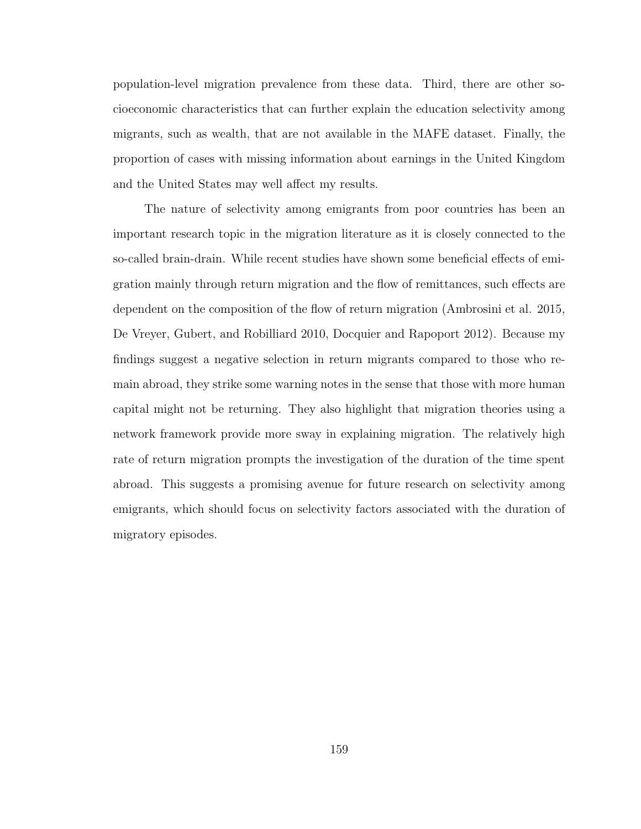population-level migration prevalence from these data. Third, there are other socioeconomic characteristics that can further explain the education selectivity among migrants, such as wealth, that are not available in the MAFE dataset. Finally, the proportion of cases with missing information about earnings in the United Kingdom and the United States may well affect my results.

The nature of selectivity among emigrants from poor countries has been an important research topic in the migration literature as it is closely connected to the so-called brain-drain. While recent studies have shown some beneficial effects of emigration mainly through return migration and the flow of remittances, such effects are dependent on the composition of the flow of return migration (Ambrosini et al. 2015, De Vreyer, Gubert, and Robilliard 2010, Docquier and Rapoport 2012). Because my findings suggest a negative selection in return migrants compared to those who remain abroad, they strike some warning notes in the sense that those with more human capital might not be returning. They also highlight that migration theories using a network framework provide more sway in explaining migration. The relatively high rate of return migration prompts the investigation of the duration of the time spent abroad. This suggests a promising avenue for future research on selectivity among emigrants, which should focus on selectivity factors associated with the duration of migratory episodes.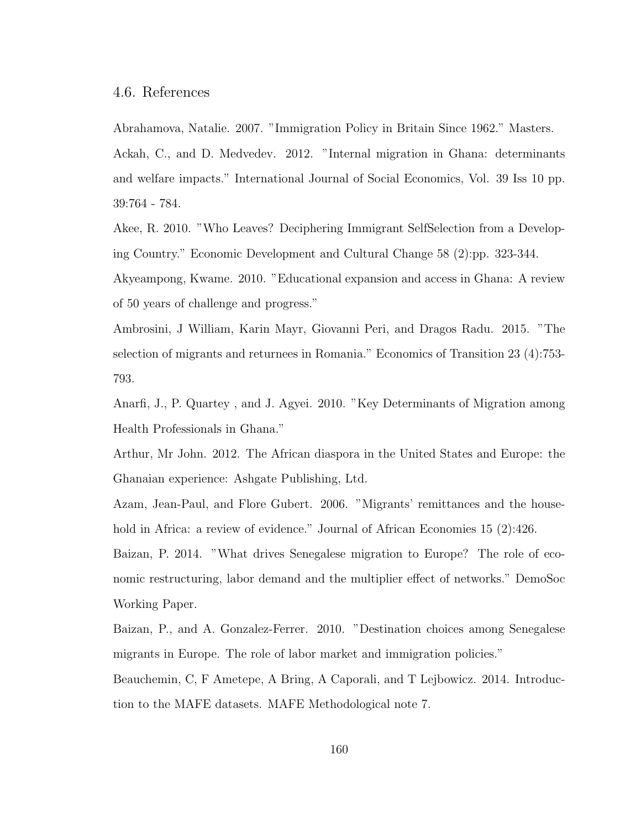# 4.6. References

Abrahamova, Natalie. 2007. "Immigration Policy in Britain Since 1962." Masters. Ackah, C., and D. Medvedev. 2012. "Internal migration in Ghana: determinants and welfare impacts." International Journal of Social Economics, Vol. 39 Iss 10 pp. 39:764 - 784.

Akee, R. 2010. "Who Leaves? Deciphering Immigrant SelfSelection from a Developing Country." Economic Development and Cultural Change 58 (2):pp. 323-344.

Akyeampong, Kwame. 2010. "Educational expansion and access in Ghana: A review of 50 years of challenge and progress."

Ambrosini, J William, Karin Mayr, Giovanni Peri, and Dragos Radu. 2015. "The selection of migrants and returnees in Romania." Economics of Transition 23 (4):753- 793.

Anarfi, J., P. Quartey , and J. Agyei. 2010. "Key Determinants of Migration among Health Professionals in Ghana."

Arthur, Mr John. 2012. The African diaspora in the United States and Europe: the Ghanaian experience: Ashgate Publishing, Ltd.

Azam, Jean-Paul, and Flore Gubert. 2006. "Migrants' remittances and the household in Africa: a review of evidence." Journal of African Economies 15 (2):426.

Baizan, P. 2014. "What drives Senegalese migration to Europe? The role of economic restructuring, labor demand and the multiplier effect of networks." DemoSoc Working Paper.

Baizan, P., and A. Gonzalez-Ferrer. 2010. "Destination choices among Senegalese migrants in Europe. The role of labor market and immigration policies."

Beauchemin, C, F Ametepe, A Bring, A Caporali, and T Lejbowicz. 2014. Introduction to the MAFE datasets. MAFE Methodological note 7.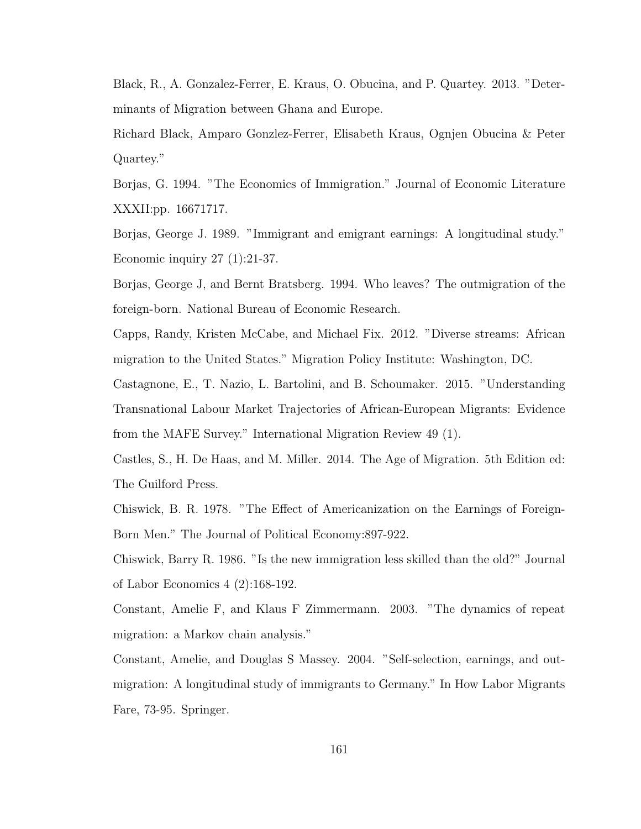Black, R., A. Gonzalez-Ferrer, E. Kraus, O. Obucina, and P. Quartey. 2013. "Determinants of Migration between Ghana and Europe.

Richard Black, Amparo Gonzlez-Ferrer, Elisabeth Kraus, Ognjen Obucina & Peter Quartey."

Borjas, G. 1994. "The Economics of Immigration." Journal of Economic Literature XXXII:pp. 16671717.

Borjas, George J. 1989. "Immigrant and emigrant earnings: A longitudinal study." Economic inquiry 27 (1):21-37.

Borjas, George J, and Bernt Bratsberg. 1994. Who leaves? The outmigration of the foreign-born. National Bureau of Economic Research.

Capps, Randy, Kristen McCabe, and Michael Fix. 2012. "Diverse streams: African migration to the United States." Migration Policy Institute: Washington, DC.

Castagnone, E., T. Nazio, L. Bartolini, and B. Schoumaker. 2015. "Understanding Transnational Labour Market Trajectories of African-European Migrants: Evidence from the MAFE Survey." International Migration Review 49 (1).

Castles, S., H. De Haas, and M. Miller. 2014. The Age of Migration. 5th Edition ed: The Guilford Press.

Chiswick, B. R. 1978. "The Effect of Americanization on the Earnings of Foreign-Born Men." The Journal of Political Economy:897-922.

Chiswick, Barry R. 1986. "Is the new immigration less skilled than the old?" Journal of Labor Economics 4 (2):168-192.

Constant, Amelie F, and Klaus F Zimmermann. 2003. "The dynamics of repeat migration: a Markov chain analysis."

Constant, Amelie, and Douglas S Massey. 2004. "Self-selection, earnings, and outmigration: A longitudinal study of immigrants to Germany." In How Labor Migrants Fare, 73-95. Springer.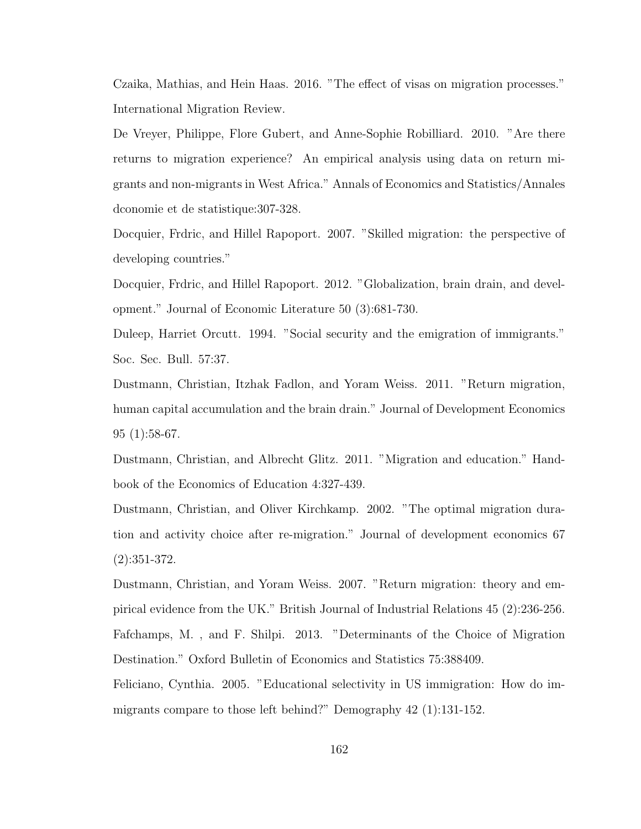Czaika, Mathias, and Hein Haas. 2016. "The effect of visas on migration processes." International Migration Review.

De Vreyer, Philippe, Flore Gubert, and Anne-Sophie Robilliard. 2010. "Are there returns to migration experience? An empirical analysis using data on return migrants and non-migrants in West Africa." Annals of Economics and Statistics/Annales dconomie et de statistique:307-328.

Docquier, Frdric, and Hillel Rapoport. 2007. "Skilled migration: the perspective of developing countries."

Docquier, Frdric, and Hillel Rapoport. 2012. "Globalization, brain drain, and development." Journal of Economic Literature 50 (3):681-730.

Duleep, Harriet Orcutt. 1994. "Social security and the emigration of immigrants." Soc. Sec. Bull. 57:37.

Dustmann, Christian, Itzhak Fadlon, and Yoram Weiss. 2011. "Return migration, human capital accumulation and the brain drain." Journal of Development Economics 95 (1):58-67.

Dustmann, Christian, and Albrecht Glitz. 2011. "Migration and education." Handbook of the Economics of Education 4:327-439.

Dustmann, Christian, and Oliver Kirchkamp. 2002. "The optimal migration duration and activity choice after re-migration." Journal of development economics 67 (2):351-372.

Dustmann, Christian, and Yoram Weiss. 2007. "Return migration: theory and empirical evidence from the UK." British Journal of Industrial Relations 45 (2):236-256. Fafchamps, M. , and F. Shilpi. 2013. "Determinants of the Choice of Migration Destination." Oxford Bulletin of Economics and Statistics 75:388409.

Feliciano, Cynthia. 2005. "Educational selectivity in US immigration: How do immigrants compare to those left behind?" Demography 42 (1):131-152.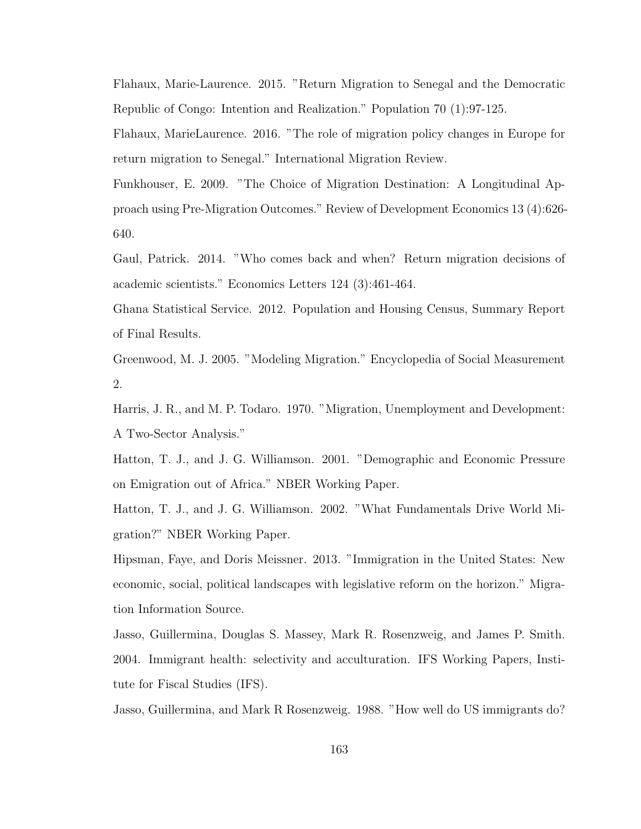Flahaux, Marie-Laurence. 2015. "Return Migration to Senegal and the Democratic Republic of Congo: Intention and Realization." Population 70 (1):97-125.

Flahaux, MarieLaurence. 2016. "The role of migration policy changes in Europe for return migration to Senegal." International Migration Review.

Funkhouser, E. 2009. "The Choice of Migration Destination: A Longitudinal Approach using Pre-Migration Outcomes." Review of Development Economics 13 (4):626- 640.

Gaul, Patrick. 2014. "Who comes back and when? Return migration decisions of academic scientists." Economics Letters 124 (3):461-464.

Ghana Statistical Service. 2012. Population and Housing Census, Summary Report of Final Results.

Greenwood, M. J. 2005. "Modeling Migration." Encyclopedia of Social Measurement 2.

Harris, J. R., and M. P. Todaro. 1970. "Migration, Unemployment and Development: A Two-Sector Analysis."

Hatton, T. J., and J. G. Williamson. 2001. "Demographic and Economic Pressure on Emigration out of Africa." NBER Working Paper.

Hatton, T. J., and J. G. Williamson. 2002. "What Fundamentals Drive World Migration?" NBER Working Paper.

Hipsman, Faye, and Doris Meissner. 2013. "Immigration in the United States: New economic, social, political landscapes with legislative reform on the horizon." Migration Information Source.

Jasso, Guillermina, Douglas S. Massey, Mark R. Rosenzweig, and James P. Smith. 2004. Immigrant health: selectivity and acculturation. IFS Working Papers, Institute for Fiscal Studies (IFS).

Jasso, Guillermina, and Mark R Rosenzweig. 1988. "How well do US immigrants do?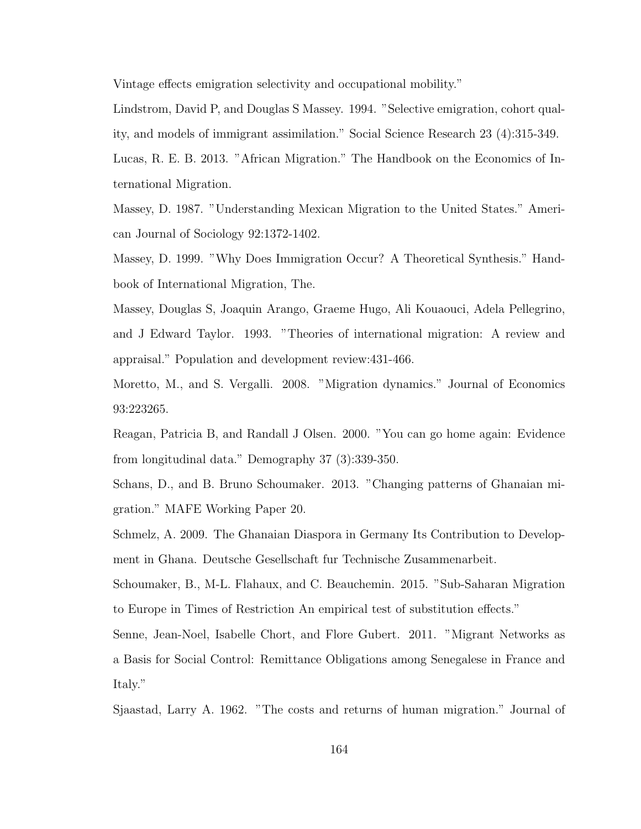Vintage effects emigration selectivity and occupational mobility."

Lindstrom, David P, and Douglas S Massey. 1994. "Selective emigration, cohort quality, and models of immigrant assimilation." Social Science Research 23 (4):315-349.

Lucas, R. E. B. 2013. "African Migration." The Handbook on the Economics of International Migration.

Massey, D. 1987. "Understanding Mexican Migration to the United States." American Journal of Sociology 92:1372-1402.

Massey, D. 1999. "Why Does Immigration Occur? A Theoretical Synthesis." Handbook of International Migration, The.

Massey, Douglas S, Joaquin Arango, Graeme Hugo, Ali Kouaouci, Adela Pellegrino, and J Edward Taylor. 1993. "Theories of international migration: A review and appraisal." Population and development review:431-466.

Moretto, M., and S. Vergalli. 2008. "Migration dynamics." Journal of Economics 93:223265.

Reagan, Patricia B, and Randall J Olsen. 2000. "You can go home again: Evidence from longitudinal data." Demography 37 (3):339-350.

Schans, D., and B. Bruno Schoumaker. 2013. "Changing patterns of Ghanaian migration." MAFE Working Paper 20.

Schmelz, A. 2009. The Ghanaian Diaspora in Germany Its Contribution to Development in Ghana. Deutsche Gesellschaft fur Technische Zusammenarbeit.

Schoumaker, B., M-L. Flahaux, and C. Beauchemin. 2015. "Sub-Saharan Migration to Europe in Times of Restriction An empirical test of substitution effects."

Senne, Jean-Noel, Isabelle Chort, and Flore Gubert. 2011. "Migrant Networks as a Basis for Social Control: Remittance Obligations among Senegalese in France and Italy."

Sjaastad, Larry A. 1962. "The costs and returns of human migration." Journal of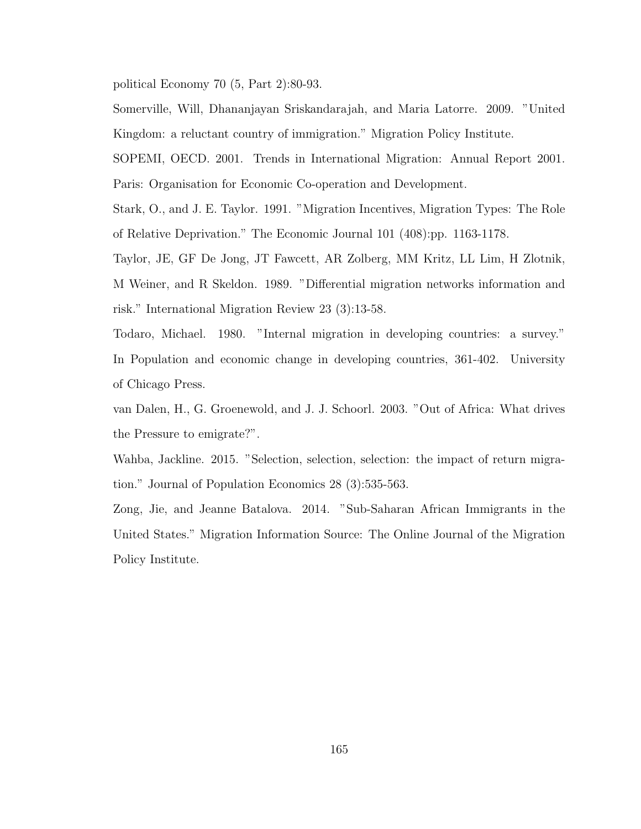political Economy 70 (5, Part 2):80-93.

Somerville, Will, Dhananjayan Sriskandarajah, and Maria Latorre. 2009. "United Kingdom: a reluctant country of immigration." Migration Policy Institute.

SOPEMI, OECD. 2001. Trends in International Migration: Annual Report 2001. Paris: Organisation for Economic Co-operation and Development.

Stark, O., and J. E. Taylor. 1991. "Migration Incentives, Migration Types: The Role of Relative Deprivation." The Economic Journal 101 (408):pp. 1163-1178.

Taylor, JE, GF De Jong, JT Fawcett, AR Zolberg, MM Kritz, LL Lim, H Zlotnik, M Weiner, and R Skeldon. 1989. "Differential migration networks information and risk." International Migration Review 23 (3):13-58.

Todaro, Michael. 1980. "Internal migration in developing countries: a survey." In Population and economic change in developing countries, 361-402. University of Chicago Press.

van Dalen, H., G. Groenewold, and J. J. Schoorl. 2003. "Out of Africa: What drives the Pressure to emigrate?".

Wahba, Jackline. 2015. "Selection, selection, selection: the impact of return migration." Journal of Population Economics 28 (3):535-563.

Zong, Jie, and Jeanne Batalova. 2014. "Sub-Saharan African Immigrants in the United States." Migration Information Source: The Online Journal of the Migration Policy Institute.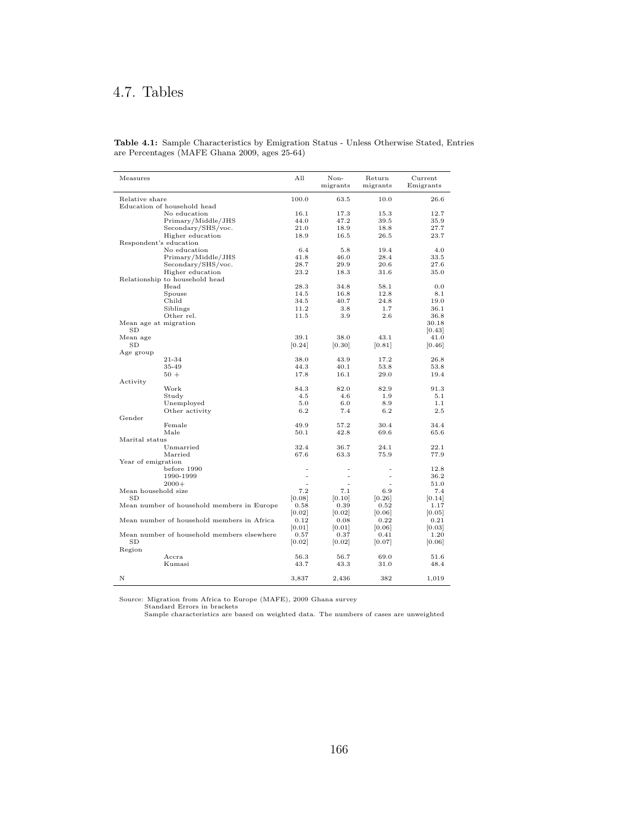## 4.7. Tables

| Measures              |                                            | All    | Non-<br>migrants | Return<br>migrants | Current<br>Emigrants |
|-----------------------|--------------------------------------------|--------|------------------|--------------------|----------------------|
| Relative share        |                                            | 100.0  | 63.5             | 10.0               | 26.6                 |
|                       | Education of household head                |        |                  |                    |                      |
|                       | No education                               | 16.1   | 17.3             | 15.3               | 12.7                 |
|                       | Primary/Middle/JHS                         | 44.0   | 47.2             | 39.5               | 35.9                 |
|                       | Secondary/SHS/voc.                         | 21.0   | 18.9             | 18.8               | 27.7                 |
|                       | Higher education                           | 18.9   | 16.5             | 26.5               | 23.7                 |
|                       | Respondent's education                     |        |                  |                    |                      |
|                       | No education                               | 6.4    | 5.8              | 19.4               | 4.0                  |
|                       | Primary/Middle/JHS                         | 41.8   | 46.0             | 28.4               | 33.5                 |
|                       | Secondary/SHS/voc.                         | 28.7   | 29.9             | 20.6               | 27.6                 |
|                       | Higher education                           | 23.2   | 18.3             | 31.6               | 35.0                 |
|                       | Relationship to household head             |        |                  |                    |                      |
|                       | Head                                       | 28.3   | 34.8             | 58.1               | 0.0                  |
|                       | Spouse                                     | 14.5   | 16.8             | 12.8               | 8.1                  |
|                       | Child                                      | 34.5   | 40.7             | 24.8               | 19.0                 |
|                       | Siblings                                   | 11.2   | 3.8              | 1.7                | 36.1                 |
|                       | Other rel.                                 | 11.5   | 3.9              | 2.6                | 36.8                 |
| Mean age at migration |                                            |        |                  |                    | 30.18                |
| SD                    |                                            |        |                  |                    | [0.43]               |
| Mean age              |                                            | 39.1   | 38.0             | 43.1               | 41.0                 |
| $_{\rm SD}$           |                                            | [0.24] | [0.30]           | [0.81]             | [0.46]               |
| Age group             |                                            |        |                  |                    |                      |
|                       | 21-34                                      | 38.0   | 43.9             | 17.2               | 26.8                 |
|                       | 35-49                                      | 44.3   | 40.1             | 53.8               | 53.8                 |
|                       | $50 +$                                     | 17.8   | 16.1             | 29.0               | 19.4                 |
| Activity              |                                            |        |                  |                    |                      |
|                       | Work                                       | 84.3   | 82.0             | 82.9               | 91.3                 |
|                       | Study                                      | 4.5    | 4.6              | 1.9                | 5.1                  |
|                       | Unemployed                                 | 5.0    | 6.0              | 8.9                | 1.1                  |
|                       | Other activity                             | 6.2    | 7.4              | 6.2                | 2.5                  |
| Gender                |                                            |        |                  |                    |                      |
|                       | Female                                     | 49.9   | 57.2             | 30.4               | 34.4                 |
| Marital status        | Male                                       | 50.1   | 42.8             | 69.6               | 65.6                 |
|                       | Unmarried                                  | 32.4   | 36.7             | 24.1               | 22.1                 |
|                       | Married                                    | 67.6   | 63.3             | 75.9               | 77.9                 |
| Year of emigration    |                                            |        |                  |                    |                      |
|                       | before 1990                                |        |                  |                    | 12.8                 |
|                       | 1990-1999                                  |        | $\blacksquare$   | ۰                  | 36.2                 |
|                       | $2000+$                                    | ÷.     | ÷.               | ÷.                 | 51.0                 |
| Mean household size   |                                            | 7.2    | 7.1              | 6.9                | 7.4                  |
| SD                    |                                            | [0.08] | [0.10]           | [0.26]             | [0.14]               |
|                       | Mean number of household members in Europe | 0.58   | 0.39             | 0.52               | 1.17                 |
|                       |                                            | [0.02] | [0.02]           | [0.06]             | [0.05]               |
|                       | Mean number of household members in Africa | 0.12   | 0.08             | 0.22               | 0.21                 |
|                       |                                            | [0.01] | [0.01]           | [0.06]             | 0.03                 |
|                       | Mean number of household members elsewhere | 0.57   | 0.37             | 0.41               | 1.20                 |
| SD                    |                                            | [0.02] | [0.02]           | [0.07]             | [0.06]               |
| Region                |                                            |        |                  |                    |                      |
|                       | Accra                                      | 56.3   | 56.7             | 69.0               | 51.6                 |
|                       | Kumasi                                     | 43.7   | 43.3             | 31.0               | 48.4                 |
|                       |                                            |        |                  |                    |                      |
| Ν                     |                                            | 3,837  | 2,436            | 382                | 1,019                |
|                       |                                            |        |                  |                    |                      |

Table 4.1: Sample Characteristics by Emigration Status - Unless Otherwise Stated, Entries are Percentages (MAFE Ghana 2009, ages 25-64)

Source: Migration from Africa to Europe (MAFE), 2009 Ghana survey Standard Errors in brackets Sample characteristics are based on weighted data. The numbers of cases are unweighted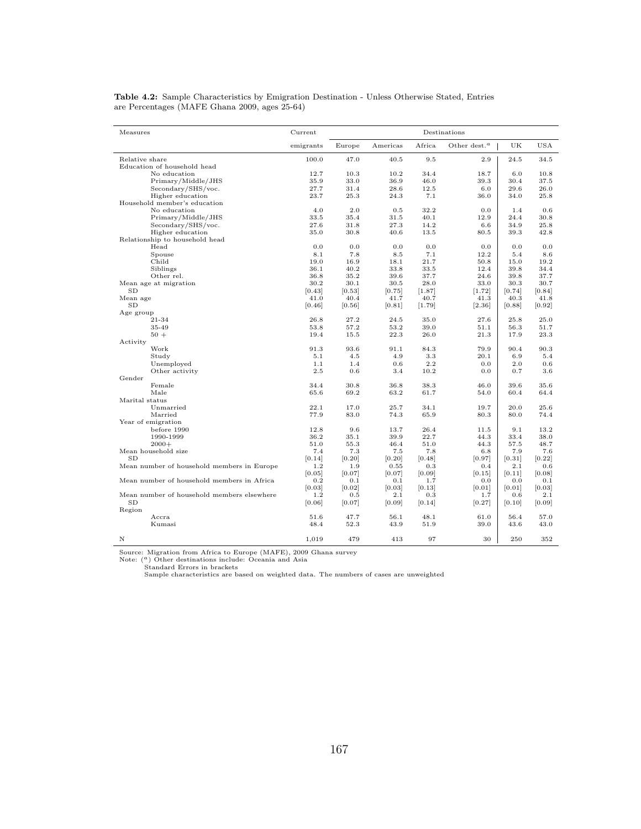| Measures                                   | Current   |              |              |          | Destinations     |        |              |
|--------------------------------------------|-----------|--------------|--------------|----------|------------------|--------|--------------|
|                                            | emigrants | Europe       | Americas     | Africa   | Other dest. $^a$ | UK     | USA          |
| Relative share                             | 100.0     | 47.0         | 40.5         | 9.5      | 2.9              | 24.5   | 34.5         |
| Education of household head                |           |              |              |          |                  |        |              |
| No education                               | 12.7      | 10.3         | 10.2         | 34.4     | 18.7             | 6.0    | 10.8         |
| Primary/Middle/JHS                         | 35.9      | 33.0         | 36.9         | 46.0     | 39.3             | 30.4   | 37.5         |
| Secondary/SHS/voc.                         | 27.7      | 31.4         | 28.6         | 12.5     | 6.0              | 29.6   | 26.0         |
| Higher education                           | 23.7      | 25.3         | 24.3         | 7.1      | 36.0             | 34.0   | 25.8         |
| Household member's education               |           |              |              |          |                  |        |              |
| No education                               | 4.0       | 2.0          | 0.5          | 32.2     | 0.0              | 1.4    | 0.6          |
| Primary/Middle/JHS                         | 33.5      | 35.4         | 31.5         | 40.1     | 12.9             | 24.4   | 30.8         |
| Secondary/SHS/voc.                         | 27.6      | 31.8         | 27.3         | 14.2     | 6.6              | 34.9   | 25.8         |
| Higher education                           | 35.0      | 30.8         | 40.6         | 13.5     | 80.5             | 39.3   | 42.8         |
| Relationship to household head             |           |              |              |          |                  |        |              |
| Head                                       | 0.0       | 0.0          | 0.0          | 0.0      | 0.0              | 0.0    | 0.0          |
| Spouse                                     | 8.1       | 7.8          | 8.5          | 7.1      | 12.2             | 5.4    | 8.6          |
| Child                                      | 19.0      | 16.9         | 18.1         | 21.7     | 50.8             | 15.0   | 19.2         |
| Siblings                                   | 36.1      | 40.2         | 33.8         | 33.5     | 12.4             | 39.8   | 34.4         |
| Other rel.                                 | 36.8      | 35.2         | 39.6         | 37.7     | 24.6             | 39.8   | 37.7         |
| Mean age at migration                      | 30.2      | 30.1         | 30.5         | 28.0     | 33.0             | 30.3   | 30.7         |
| SD                                         | [0.43]    | [0.53]       | [0.75]       | [1.87]   | [1.72]           | [0.74] | [0.84]       |
| Mean age                                   | 41.0      | 40.4         | 41.7         | 40.7     | 41.3             | 40.3   | 41.8         |
| SD                                         | [0.46]    | 0.56         | [0.81]       | [1.79]   | $[2.36]$         | [0.88] | [0.92]       |
| Age group                                  |           |              |              |          |                  |        |              |
| 21-34                                      | 26.8      | 27.2         | 24.5         | 35.0     | 27.6             | 25.8   | 25.0         |
| 35-49                                      | 53.8      | 57.2         | 53.2         | 39.0     | 51.1             | 56.3   | 51.7         |
| $50 +$                                     | 19.4      | 15.5         | 22.3         | 26.0     | 21.3             | 17.9   | 23.3         |
| Activity                                   |           |              |              |          |                  |        |              |
| Work                                       | 91.3      | 93.6         | 91.1         | 84.3     | 79.9             | 90.4   | 90.3         |
| Study                                      | 5.1       | 4.5          | 4.9          | 3.3      | 20.1             | 6.9    | 5.4          |
| Unemployed                                 | 1.1       | 1.4          | 0.6          | 2.2      | 0.0              | 2.0    | $_{0.6}$     |
| Other activity                             | 2.5       | 0.6          | 3.4          | 10.2     | 0.0              | 0.7    | 3.6          |
| Gender                                     |           |              |              |          |                  |        |              |
| Female<br>Male                             | 34.4      | 30.8         | 36.8         | 38.3     | 46.0             | 39.6   | 35.6         |
|                                            | 65.6      | 69.2         | 63.2         | 61.7     | 54.0             | 60.4   | 64.4         |
| Marital status                             | 22.1      |              |              | 34.1     | 19.7             | 20.0   |              |
| Unmarried<br>Married                       | 77.9      | 17.0<br>83.0 | 25.7<br>74.3 | 65.9     | 80.3             | 80.0   | 25.6<br>74.4 |
| Year of emigration                         |           |              |              |          |                  |        |              |
| before 1990                                | 12.8      | 9.6          | 13.7         | 26.4     | 11.5             | 9.1    | 13.2         |
| 1990-1999                                  | 36.2      | 35.1         | 39.9         | 22.7     | 44.3             | 33.4   | 38.0         |
| $2000+$                                    | 51.0      |              | 46.4         | 51.0     | 44.3             | 57.5   |              |
| Mean household size                        | 7.4       | 55.3<br>7.3  | 7.5          | 7.8      | 6.8              | 7.9    | 48.7<br>7.6  |
| SD                                         | [0.14]    | [0.20]       | [0.20]       | [0.48]   | [0.97]           | [0.31] | [0.22]       |
| Mean number of household members in Europe | 1.2       | 1.9          | 0.55         | $_{0.3}$ | 0.4              | 2.1    | 0.6          |
|                                            | [0.05]    | [0.07]       | [0.07]       | [0.09]   | [0.15]           | [0.11] | [0.08]       |
| Mean number of household members in Africa | 0.2       | 0.1          | 0.1          | 1.7      | 0.0              | 0.0    | 0.1          |
|                                            | [0.03]    | [0.02]       | [0.03]       | [0.13]   | [0.01]           | [0.01] | [0.03]       |
| Mean number of household members elsewhere | 1.2       | 0.5          | 2.1          | 0.3      | 1.7              | 0.6    | 2.1          |
| SD                                         | [0.06]    | [0.07]       | [0.09]       | [0.14]   | [0.27]           | [0.10] | 0.09         |
| Region                                     |           |              |              |          |                  |        |              |
| Accra                                      | 51.6      | 47.7         | 56.1         | 48.1     | 61.0             | 56.4   | 57.0         |
| Kumasi                                     | 48.4      | 52.3         | 43.9         | 51.9     | 39.0             | 43.6   | 43.0         |
|                                            |           |              |              |          |                  |        |              |
| Ν                                          | 1,019     | 479          | 413          | 97       | 30               | 250    | 352          |

Table 4.2: Sample Characteristics by Emigration Destination - Unless Otherwise Stated, Entries are Percentages (MAFE Ghana 2009, ages 25-64)

Source: Migration from Africa to Europe (MAFE), 2009 Ghana survey<br>Note: (<sup>a</sup>) Other destinations include: Oceania and Asia<br>Standard Errors in brackets<br>Sample characteristics are based on weighted data. The numbers of cases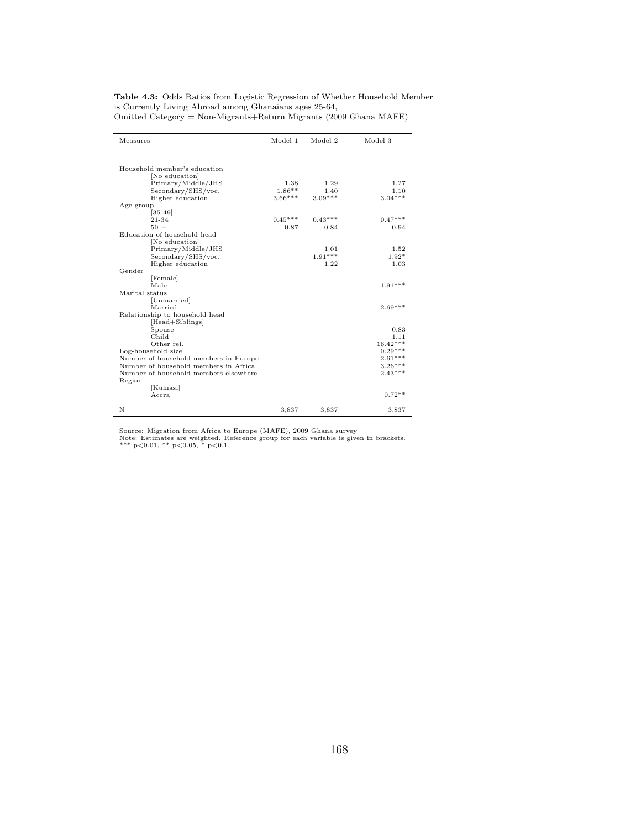|  | <b>Table 4.3:</b> Odds Ratios from Logistic Regression of Whether Household Member    |  |  |
|--|---------------------------------------------------------------------------------------|--|--|
|  | is Currently Living Abroad among Ghanaians ages 25-64,                                |  |  |
|  | $Omulti Obin 1 Obin 1 Obin 1 Obin 1 Obin 1 Obin 1 Obin 1 Obin 1 Obin 1 Obin 1 Obin 1$ |  |  |

| Omitted Category = Non-Migrants+Return Migrants (2009 Ghana MAFE) |  |
|-------------------------------------------------------------------|--|
|-------------------------------------------------------------------|--|

| Measures                              | Model 1   | Model 2   | Model 3    |
|---------------------------------------|-----------|-----------|------------|
| Household member's education          |           |           |            |
| [No education]                        |           |           |            |
| Primary/Middle/JHS                    | 1.38      | 1.29      | 1.27       |
| Secondary/SHS/voc.                    | $1.86**$  | 1.40      | 1.10       |
| Higher education                      | $3.66***$ | $3.09***$ | $3.04***$  |
| Age group                             |           |           |            |
| $[35-49]$                             |           |           |            |
| 21-34                                 | $0.45***$ | $0.43***$ | $0.47***$  |
| $50 +$                                | 0.87      | 0.84      | 0.94       |
| Education of household head           |           |           |            |
| [No education]                        |           |           |            |
| Primary/Middle/JHS                    |           | 1.01      | 1.52       |
| Secondary/SHS/voc.                    |           | $1.91***$ | $1.92*$    |
| Higher education                      |           | 1.22      | 1.03       |
| Gender                                |           |           |            |
| [Female]                              |           |           |            |
| Male                                  |           |           | $1.91***$  |
| Marital status                        |           |           |            |
| [Unmarried]                           |           |           |            |
| Married                               |           |           | $2.69***$  |
| Relationship to household head        |           |           |            |
| [Head+Siblings]                       |           |           |            |
| Spouse                                |           |           | 0.83       |
| Child                                 |           |           | 1.11       |
| Other rel.                            |           |           | $16.42***$ |
| Log-household size                    |           |           | $0.29***$  |
| Number of household members in Europe |           |           | $2.61***$  |
| Number of household members in Africa |           |           | $3.26***$  |
| Number of household members elsewhere |           |           | $2.43***$  |
| Region                                |           |           |            |
| [Kumasi]                              |           |           | $0.72**$   |
| Accra                                 |           |           |            |
| N                                     | 3,837     | 3,837     | 3,837      |

Source: Migration from Africa to Europe (MAFE), 2009 Ghana survey<br>Note: Estimates are weighted. Reference group for each variable is given in brackets.<br>\*\*\* p<0.01, \*\* p<0.05, \* p<0.1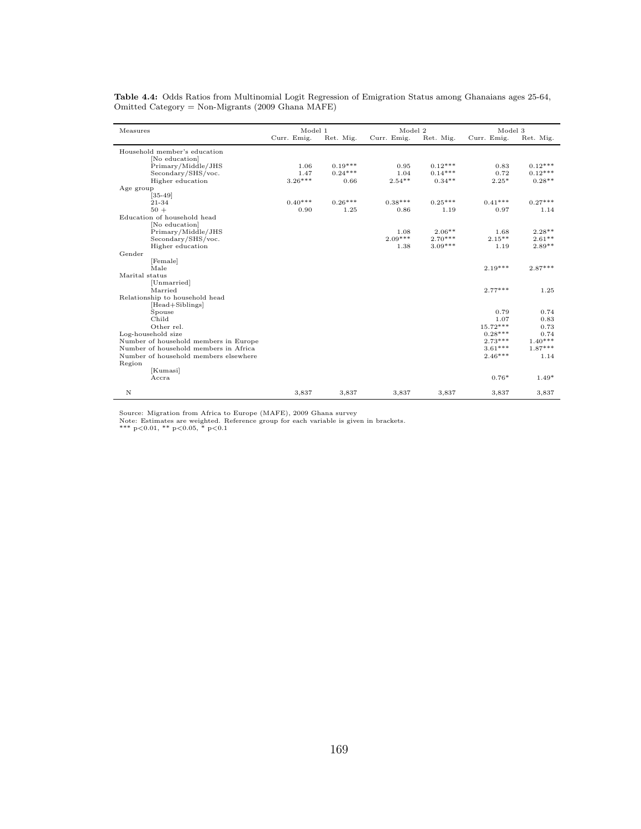| Measures                               | Model 1     |           | Model 2           |                       | Model 3           |                      |
|----------------------------------------|-------------|-----------|-------------------|-----------------------|-------------------|----------------------|
|                                        | Curr. Emig. | Ret. Mig. | Curr. Emig.       | Ret. Mig.             | Curr. Emig.       | Ret. Mig.            |
| Household member's education           |             |           |                   |                       |                   |                      |
| [No education]                         |             |           |                   |                       |                   |                      |
| Primary/Middle/JHS                     | 1.06        | $0.19***$ | 0.95              | $0.12***$             | 0.83              | $0.12***$            |
| Secondary/SHS/voc.                     | 1.47        | $0.24***$ | 1.04              | $0.14***$             | 0.72              | $0.12***$            |
| Higher education                       | $3.26***$   | 0.66      | $2.54**$          | $0.34**$              | $2.25*$           | $0.28**$             |
| Age group                              |             |           |                   |                       |                   |                      |
| $[35-49]$                              |             |           |                   |                       |                   |                      |
| 21-34                                  | $0.40***$   | $0.26***$ | $0.38***$         | $0.25***$             | $0.41***$         | $0.27***$            |
| $50 +$                                 | 0.90        | 1.25      | 0.86              | 1.19                  | 0.97              | 1.14                 |
| Education of household head            |             |           |                   |                       |                   |                      |
| [No education]                         |             |           |                   |                       |                   |                      |
| Primary/Middle/JHS                     |             |           | 1.08<br>$2.09***$ | $2.06**$<br>$2.70***$ | 1.68<br>$2.15***$ | $2.28**$<br>$2.61**$ |
| Secondary/SHS/voc.<br>Higher education |             |           | 1.38              | $3.09***$             | 1.19              | $2.89**$             |
| Gender                                 |             |           |                   |                       |                   |                      |
| [Female]                               |             |           |                   |                       |                   |                      |
| Male                                   |             |           |                   |                       | $2.19***$         | $2.87***$            |
| Marital status                         |             |           |                   |                       |                   |                      |
| [Unmarried]                            |             |           |                   |                       |                   |                      |
| Married                                |             |           |                   |                       | $2.77***$         | 1.25                 |
| Relationship to household head         |             |           |                   |                       |                   |                      |
| [Head+Siblings]                        |             |           |                   |                       |                   |                      |
| Spouse                                 |             |           |                   |                       | 0.79              | 0.74                 |
| Child                                  |             |           |                   |                       | 1.07              | 0.83                 |
| Other rel.                             |             |           |                   |                       | $15.72***$        | 0.73                 |
| Log-household size                     |             |           |                   |                       | $0.28***$         | 0.74                 |
| Number of household members in Europe  |             |           |                   |                       | $2.73***$         | $1.40***$            |
| Number of household members in Africa  |             |           |                   |                       | $3.61***$         | $1.87***$            |
| Number of household members elsewhere  |             |           |                   |                       | $2.46***$         | 1.14                 |
| Region                                 |             |           |                   |                       |                   |                      |
| [Kumasi]                               |             |           |                   |                       |                   |                      |
| Accra                                  |             |           |                   |                       | $0.76*$           | $1.49*$              |
| $\mathbf N$                            | 3,837       | 3,837     | 3,837             | 3,837                 | 3,837             | 3,837                |

Table 4.4: Odds Ratios from Multinomial Logit Regression of Emigration Status among Ghanaians ages 25-64, Omitted Category = Non-Migrants (2009 Ghana MAFE)

Source: Migration from Africa to Europe (MAFE), 2009 Ghana survey<br>Note: Estimates are weighted. Reference group for each variable is given in brackets.<br>\*\*\* p<0.01, \*\* p<0.05, \* p<0.1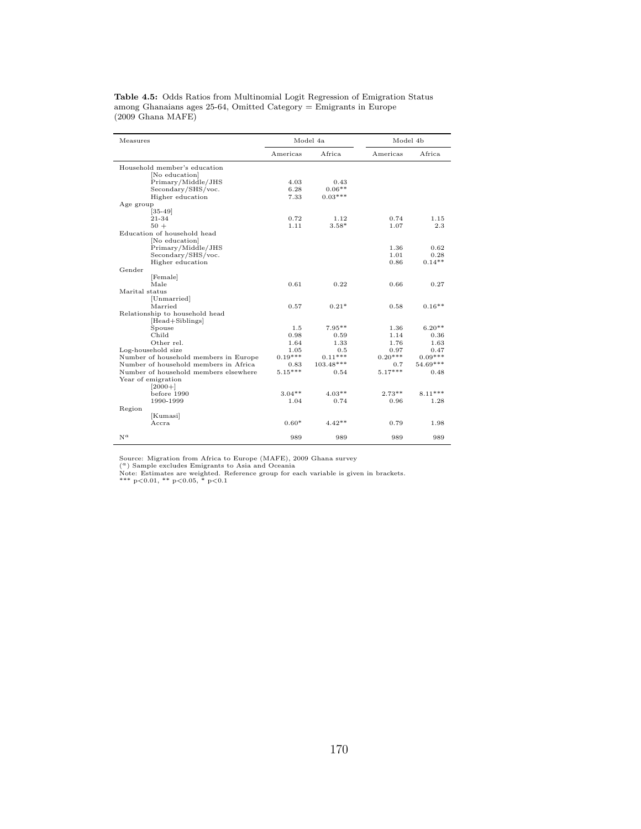| Measures                              | Model 4a  |           | Model 4b  |            |
|---------------------------------------|-----------|-----------|-----------|------------|
|                                       | Americas  | Africa    | Americas  | Africa     |
| Household member's education          |           |           |           |            |
| [No education]                        |           |           |           |            |
| Primary/Middle/JHS                    | 4.03      | 0.43      |           |            |
| Secondary/SHS/voc.                    | 6.28      | $0.06**$  |           |            |
| Higher education                      | 7.33      | $0.03***$ |           |            |
| Age group                             |           |           |           |            |
| $[35-49]$                             |           |           |           |            |
| 21-34                                 | 0.72      | 1.12      | 0.74      | 1.15       |
| $50 +$                                | 1.11      | $3.58*$   | 1.07      | 2.3        |
| Education of household head           |           |           |           |            |
| [No education]                        |           |           |           |            |
| Primary/Middle/JHS                    |           |           | 1.36      | 0.62       |
| Secondary/SHS/voc.                    |           |           | 1.01      | 0.28       |
| Higher education                      |           |           | 0.86      | $0.14**$   |
| Gender                                |           |           |           |            |
| [Female]                              |           |           |           |            |
| Male                                  | 0.61      | 0.22      | 0.66      | 0.27       |
| Marital status                        |           |           |           |            |
|                                       |           |           |           |            |
| [Unmarried]                           |           |           |           | $0.16**$   |
| Married                               | 0.57      | $0.21*$   | 0.58      |            |
| Relationship to household head        |           |           |           |            |
| [Head+Siblings]                       |           |           |           |            |
| Spouse                                | 1.5       | $7.95**$  | 1.36      | $6.20**$   |
| Child                                 | 0.98      | 0.59      | 1.14      | 0.36       |
| Other rel.                            | 1.64      | 1.33      | 1.76      | 1.63       |
| Log-household size                    | 1.05      | 0.5       | 0.97      | 0.47       |
| Number of household members in Europe | $0.19***$ | $0.11***$ | $0.20***$ | $0.09***$  |
| Number of household members in Africa | 0.83      | 103.48*** | 0.7       | $54.69***$ |
| Number of household members elsewhere | $5.15***$ | 0.54      | $5.17***$ | 0.48       |
| Year of emigration                    |           |           |           |            |
| $[2000+]$                             |           |           |           |            |
| before 1990                           | $3.04**$  | $4.03**$  | $2.73**$  | $8.11***$  |
| 1990-1999                             | 1.04      | 0.74      | 0.96      | 1.28       |
| Region                                |           |           |           |            |
| [Kumasi]                              |           |           |           |            |
| Accra                                 | $0.60*$   | $4.42**$  | 0.79      | 1.98       |
|                                       |           |           |           |            |
| $N^a$                                 | 989       | 989       | 989       | 989        |

Table 4.5: Odds Ratios from Multinomial Logit Regression of Emigration Status among Ghanaians ages 25-64, Omitted Category = Emigrants in Europe (2009 Ghana MAFE)

Source: Migration from Africa to Europe (MAFE), 2009 Ghana survey<br>(<sup>4</sup>) Sample excludes Emigrants to Asia and Oceania<br>Note: Estimates are weighted. Reference group for each variable is given in brackets.<br>\*\*\* p<0.01, \*\* p<0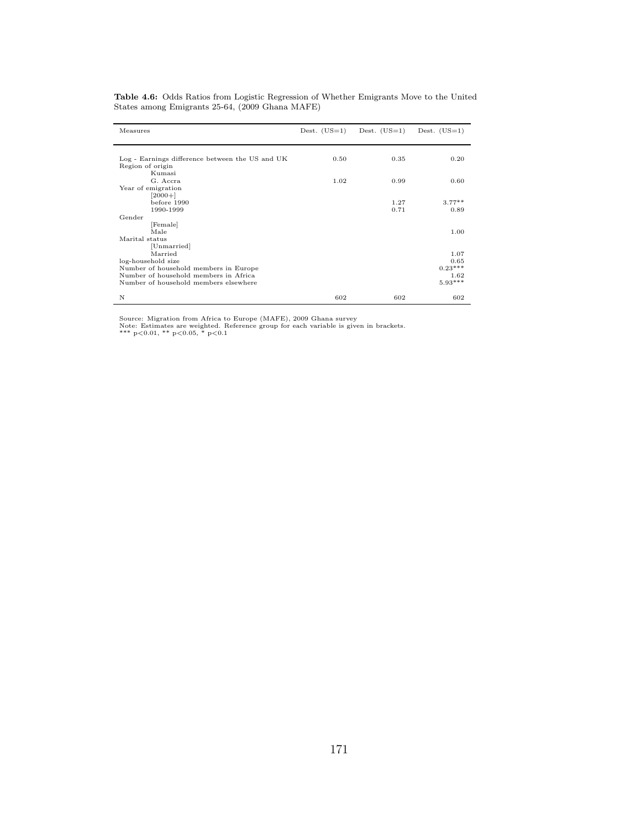| Measures                                        |      | Dest. $(US=1)$ Dest. $(US=1)$ | Dest. $(US=1)$   |
|-------------------------------------------------|------|-------------------------------|------------------|
|                                                 |      |                               |                  |
|                                                 |      |                               |                  |
| Log - Earnings difference between the US and UK | 0.50 | 0.35                          | 0.20             |
| Region of origin                                |      |                               |                  |
| Kumasi                                          |      |                               |                  |
| G. Accra                                        | 1.02 | 0.99                          | 0.60             |
| Year of emigration                              |      |                               |                  |
| $[2000+]$                                       |      |                               |                  |
| before 1990<br>1990-1999                        |      | 1.27<br>0.71                  | $3.77**$<br>0.89 |
| Gender                                          |      |                               |                  |
|                                                 |      |                               |                  |
| [Female]<br>Male                                |      |                               | 1.00             |
| Marital status                                  |      |                               |                  |
| [Unmarried]                                     |      |                               |                  |
| Married                                         |      |                               | 1.07             |
| log-household size                              |      |                               | 0.65             |
| Number of household members in Europe           |      |                               | $0.23***$        |
| Number of household members in Africa           |      |                               | 1.62             |
| Number of household members elsewhere           |      |                               | $5.93***$        |
|                                                 |      |                               |                  |
| N                                               | 602  | 602                           | 602              |

Table 4.6: Odds Ratios from Logistic Regression of Whether Emigrants Move to the United States among Emigrants 25-64, (2009 Ghana MAFE)

Source: Migration from Africa to Europe (MAFE), 2009 Ghana survey<br>Note: Estimates are weighted. Reference group for each variable is given in brackets.<br>\*\*\* p<0.01, \*\* p<0.05, \* p<0.1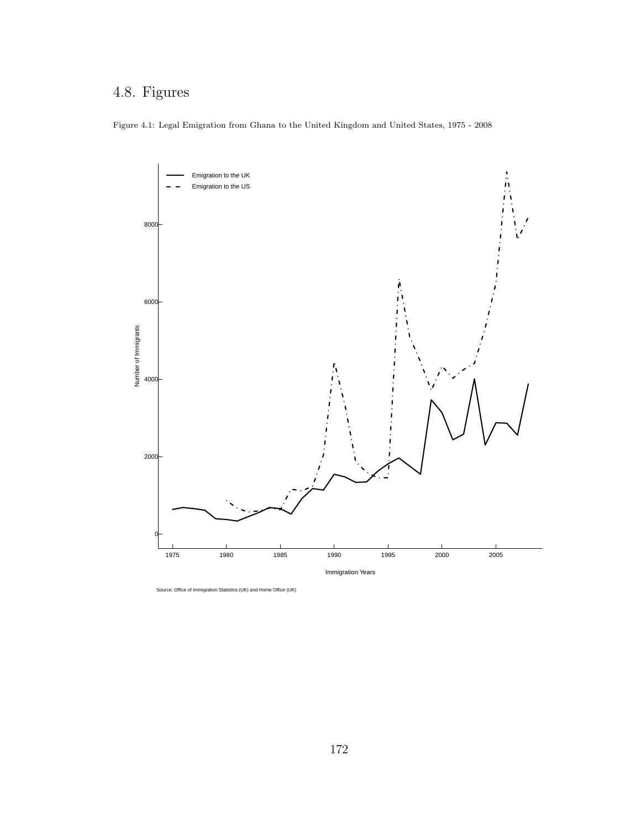## 4.8. Figures

Figure 4.1: Legal Emigration from Ghana to the United Kingdom and United States, 1975 - 2008



Source: Office of Immigration Statistics (UK) and Home Office (UK)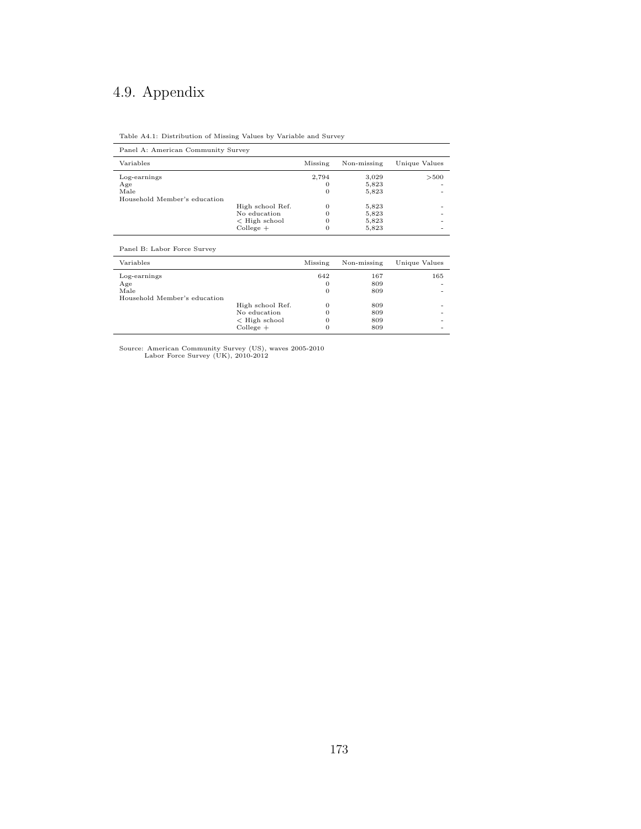## 4.9. Appendix

| Panel A: American Community Survey |                  |          |             |               |  |  |
|------------------------------------|------------------|----------|-------------|---------------|--|--|
| Variables                          |                  | Missing  | Non-missing | Unique Values |  |  |
| Log-earnings                       |                  | 2,794    | 3,029       | >500          |  |  |
| Age                                |                  |          | 5,823       |               |  |  |
| Male                               |                  | 0        | 5,823       |               |  |  |
| Household Member's education       |                  |          |             |               |  |  |
|                                    | High school Ref. | $\Omega$ | 5,823       |               |  |  |
|                                    | No education     |          | 5,823       |               |  |  |
|                                    | $<$ High school  |          | 5,823       |               |  |  |
|                                    | $Collecte +$     | $\Omega$ | 5,823       |               |  |  |

Panel B: Labor Force Survey

| Variables                    |                       | Missing | Non-missing | Unique Values |
|------------------------------|-----------------------|---------|-------------|---------------|
| Log-earnings                 |                       | 642     | 167         | 165           |
| Age                          |                       | 0       | 809         |               |
| Male                         |                       |         | 809         |               |
| Household Member's education |                       |         |             |               |
|                              | High school Ref.      | 0       | 809         |               |
|                              | No education          |         | 809         |               |
|                              | $\langle$ High school |         | 809         |               |
|                              | $Collecte +$          |         | 809         |               |
|                              |                       |         |             |               |

Source: American Community Survey (US), waves 2005-2010 Labor Force Survey (UK), 2010-2012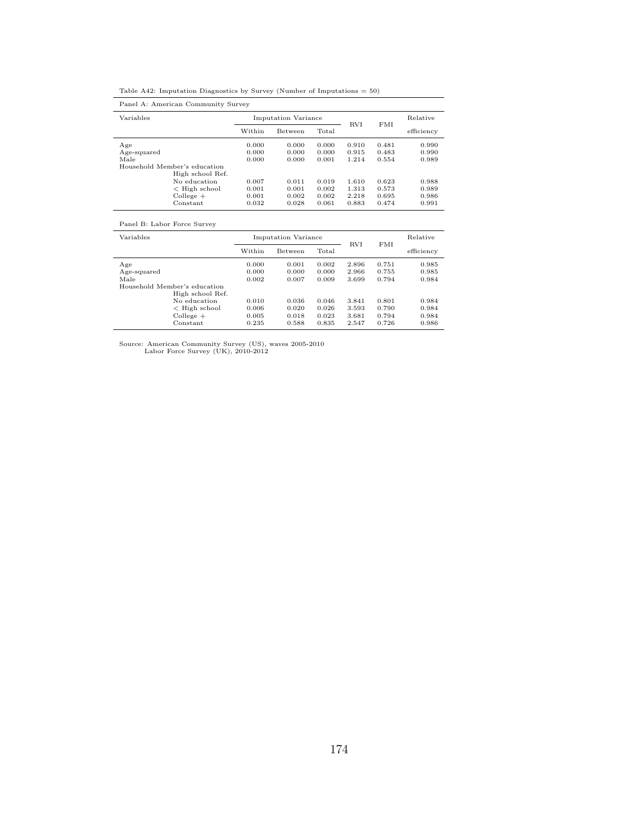|  |  | Table A42: Imputation Diagnostics by Survey (Number of Imputations $= 50$ ) |  |
|--|--|-----------------------------------------------------------------------------|--|
|  |  |                                                                             |  |

| Panel A: American Community Survey |        |                            |       |            |            |            |  |
|------------------------------------|--------|----------------------------|-------|------------|------------|------------|--|
| Variables                          |        | <b>Imputation Variance</b> |       |            | <b>FMI</b> | Relative   |  |
|                                    | Within | <b>Between</b>             | Total | <b>RVI</b> |            | efficiency |  |
| Age                                | 0.000  | 0.000                      | 0.000 | 0.910      | 0.481      | 0.990      |  |
| Age-squared                        | 0.000  | 0.000                      | 0.000 | 0.915      | 0.483      | 0.990      |  |
| Male                               | 0.000  | 0.000                      | 0.001 | 1.214      | 0.554      | 0.989      |  |
| Household Member's education       |        |                            |       |            |            |            |  |
| High school Ref.                   |        |                            |       |            |            |            |  |
| No education                       | 0.007  | 0.011                      | 0.019 | 1.610      | 0.623      | 0.988      |  |
| $\leq$ High school                 | 0.001  | 0.001                      | 0.002 | 1.313      | 0.573      | 0.989      |  |
| $Collecte +$                       | 0.001  | 0.002                      | 0.002 | 2.218      | 0.695      | 0.986      |  |
| Constant                           | 0.032  | 0.028                      | 0.061 | 0.883      | 0.474      | 0.991      |  |

## Panel B: Labor Force Survey

| Variables   |                              | <b>Imputation Variance</b> |                |       |            |       | Relative   |
|-------------|------------------------------|----------------------------|----------------|-------|------------|-------|------------|
|             |                              | Within                     | <b>Between</b> | Total | <b>RVI</b> | FMI   | efficiency |
| Age         |                              | 0.000                      | 0.001          | 0.002 | 2.896      | 0.751 | 0.985      |
| Age-squared |                              | 0.000                      | 0.000          | 0.000 | 2.966      | 0.755 | 0.985      |
| Male        |                              | 0.002                      | 0.007          | 0.009 | 3.699      | 0.794 | 0.984      |
|             | Household Member's education |                            |                |       |            |       |            |
|             | High school Ref.             |                            |                |       |            |       |            |
|             | No education                 | 0.010                      | 0.036          | 0.046 | 3.841      | 0.801 | 0.984      |
|             | $\leq$ High school           | 0.006                      | 0.020          | 0.026 | 3.593      | 0.790 | 0.984      |
|             | $Collecte +$                 | 0.005                      | 0.018          | 0.023 | 3.681      | 0.794 | 0.984      |
|             | Constant                     | 0.235                      | 0.588          | 0.835 | 2.547      | 0.726 | 0.986      |

Source: American Community Survey (US), waves 2005-2010 Labor Force Survey (UK), 2010-2012